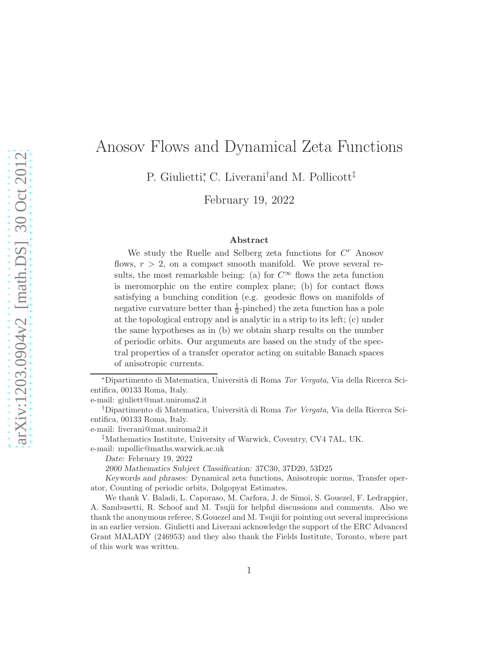# Anosov Flows and Dynamical Zeta Functions

P. Giulietti,<sup>\*</sup> C. Liverani<sup>†</sup>and M. Pollicott<sup>‡</sup>

February 19, 2022

#### Abstract

We study the Ruelle and Selberg zeta functions for  $C<sup>r</sup>$  Anosov flows,  $r > 2$ , on a compact smooth manifold. We prove several results, the most remarkable being: (a) for  $C^{\infty}$  flows the zeta function is meromorphic on the entire complex plane; (b) for contact flows satisfying a bunching condition (e.g. geodesic flows on manifolds of negative curvature better than  $\frac{1}{9}$ -pinched) the zeta function has a pole at the topological entropy and is analytic in a strip to its left; (c) under the same hypotheses as in (b) we obtain sharp results on the number of periodic orbits. Our arguments are based on the study of the spectral properties of a transfer operator acting on suitable Banach spaces of anisotropic currents.

<sup>∗</sup>Dipartimento di Matematica, Universit`a di Roma Tor Vergata, Via della Ricerca Scientifica, 00133 Roma, Italy.

e-mail: giuliett@mat.uniroma2.it

<sup>†</sup>Dipartimento di Matematica, Università di Roma *Tor Vergata*, Via della Ricerca Scientifica, 00133 Roma, Italy.

e-mail: liverani@mat.uniroma2.it

‡Mathematics Institute, University of Warwick, Coventry, CV4 7AL, UK. e-mail: mpollic@maths.warwick.ac.uk

2000 Mathematics Subject Classification: 37C30, 37D20, 53D25

Keywords and phrases: Dynamical zeta functions, Anisotropic norms, Transfer operator, Counting of periodic orbits, Dolgopyat Estimates.

We thank V. Baladi, L. Caporaso, M. Carfora, J. de Simoi, S. Gouezel, F. Ledrappier, A. Sambusetti, R. Schoof and M. Tsujii for helpful discussions and comments. Also we thank the anonymous referee, S.Gouezel and M. Tsujii for pointing out several imprecisions in an earlier version. Giulietti and Liverani acknowledge the support of the ERC Advanced Grant MALADY (246953) and they also thank the Fields Institute, Toronto, where part of this work was written.

Date: February 19, 2022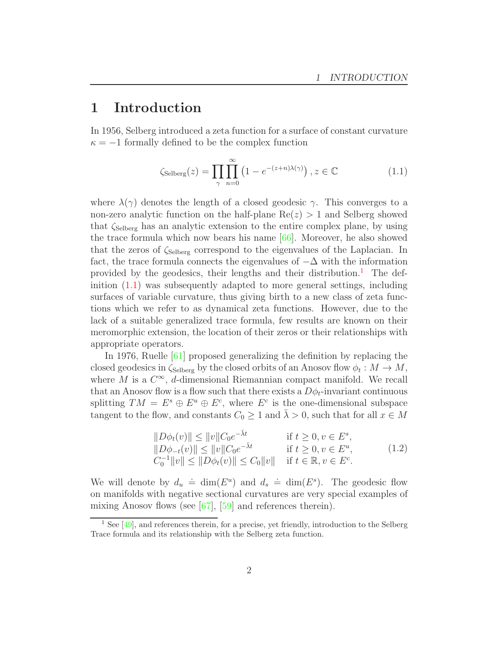# <span id="page-1-2"></span>1 Introduction

In 1956, Selberg introduced a zeta function for a surface of constant curvature  $\kappa = -1$  formally defined to be the complex function

<span id="page-1-1"></span>
$$
\zeta_{\text{Selberg}}(z) = \prod_{\gamma} \prod_{n=0}^{\infty} \left( 1 - e^{-(z+n)\lambda(\gamma)} \right), z \in \mathbb{C} \tag{1.1}
$$

where  $\lambda(\gamma)$  denotes the length of a closed geodesic  $\gamma$ . This converges to a non-zero analytic function on the half-plane  $\text{Re}(z) > 1$  and Selberg showed that  $\zeta_{\text{Selberg}}$  has an analytic extension to the entire complex plane, by using the trace formula which now bears his name [\[66\]](#page-97-0). Moreover, he also showed that the zeros of  $\zeta_{\text{Selberg}}$  correspond to the eigenvalues of the Laplacian. In fact, the trace formula connects the eigenvalues of  $-\Delta$  with the information provided by the geodesics, their lengths and their distribution.<sup>[1](#page-1-0)</sup> The definition  $(1.1)$  was subsequently adapted to more general settings, including surfaces of variable curvature, thus giving birth to a new class of zeta functions which we refer to as dynamical zeta functions. However, due to the lack of a suitable generalized trace formula, few results are known on their meromorphic extension, the location of their zeros or their relationships with appropriate operators.

In 1976, Ruelle [\[61\]](#page-97-1) proposed generalizing the definition by replacing the closed geodesics in  $\zeta_{\text{Selberg}}$  by the closed orbits of an Anosov flow  $\phi_t : M \to M$ , where M is a  $C^{\infty}$ , d-dimensional Riemannian compact manifold. We recall that an Anosov flow is a flow such that there exists a  $D\phi_t$ -invariant continuous splitting  $TM = E^s \oplus E^u \oplus E^c$ , where  $E^c$  is the one-dimensional subspace tangent to the flow, and constants  $C_0 \geq 1$  and  $\overline{\lambda} > 0$ , such that for all  $x \in M$ 

<span id="page-1-3"></span>
$$
||D\phi_t(v)|| \le ||v||C_0e^{-\bar{\lambda}t} \quad \text{if } t \ge 0, v \in E^s,||D\phi_{-t}(v)|| \le ||v||C_0e^{-\bar{\lambda}t} \quad \text{if } t \ge 0, v \in E^u,C_0^{-1}||v|| \le ||D\phi_t(v)|| \le C_0||v|| \quad \text{if } t \in \mathbb{R}, v \in E^c.
$$
 (1.2)

We will denote by  $d_u \doteq \dim(E^u)$  and  $d_s \doteq \dim(E^s)$ . The geodesic flow on manifolds with negative sectional curvatures are very special examples of mixing Anosov flows (see [\[67\]](#page-97-2), [\[59\]](#page-97-3) and references therein).

<span id="page-1-0"></span> $<sup>1</sup>$  See [\[49\]](#page-96-0), and references therein, for a precise, yet friendly, introduction to the Selberg</sup> Trace formula and its relationship with the Selberg zeta function.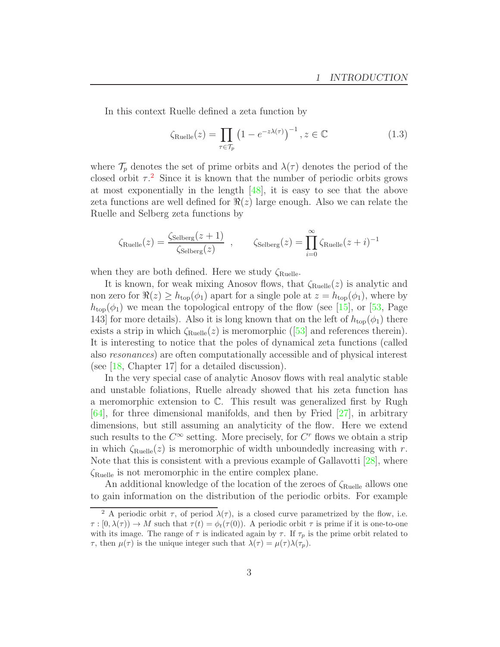In this context Ruelle defined a zeta function by

$$
\zeta_{\text{Rule}}(z) = \prod_{\tau \in \mathcal{T}_p} \left( 1 - e^{-z\lambda(\tau)} \right)^{-1}, z \in \mathbb{C}
$$
 (1.3)

where  $\mathcal{T}_p$  denotes the set of prime orbits and  $\lambda(\tau)$  denotes the period of the closed orbit  $\tau$ <sup>[2](#page-2-0)</sup>. Since it is known that the number of periodic orbits grows at most exponentially in the length [\[48\]](#page-96-1), it is easy to see that the above zeta functions are well defined for  $\Re(z)$  large enough. Also we can relate the Ruelle and Selberg zeta functions by

$$
\zeta_{\text{Ruelle}}(z) = \frac{\zeta_{\text{Selberg}}(z+1)}{\zeta_{\text{Selberg}}(z)} , \qquad \zeta_{\text{Selberg}}(z) = \prod_{i=0}^{\infty} \zeta_{\text{Ruelle}}(z+i)^{-1}
$$

when they are both defined. Here we study  $\zeta_{\text{Rule}}$ .

It is known, for weak mixing Anosov flows, that  $\zeta_{\text{Rule}}(z)$  is analytic and non zero for  $\Re(z) \geq h_{\text{top}}(\phi_1)$  apart for a single pole at  $z = h_{\text{top}}(\phi_1)$ , where by  $h_{\text{top}}(\phi_1)$  we mean the topological entropy of the flow (see [\[15\]](#page-94-0), or [\[53,](#page-96-2) Page 143] for more details). Also it is long known that on the left of  $h_{\text{top}}(\phi_1)$  there existsa strip in which  $\zeta_{\text{Rule}}(z)$  is meromorphic ([\[53\]](#page-96-2) and references therein). It is interesting to notice that the poles of dynamical zeta functions (called also resonances) are often computationally accessible and of physical interest (see [\[18,](#page-94-1) Chapter 17] for a detailed discussion).

In the very special case of analytic Anosov flows with real analytic stable and unstable foliations, Ruelle already showed that his zeta function has a meromorphic extension to C. This result was generalized first by Rugh [\[64\]](#page-97-4), for three dimensional manifolds, and then by Fried [\[27\]](#page-95-0), in arbitrary dimensions, but still assuming an analyticity of the flow. Here we extend such results to the  $C^{\infty}$  setting. More precisely, for  $C^{r}$  flows we obtain a strip in which  $\zeta_{\text{Ruelle}}(z)$  is meromorphic of width unboundedly increasing with r. Note that this is consistent with a previous example of Gallavotti [\[28\]](#page-95-1), where ζRuelle is not meromorphic in the entire complex plane.

An additional knowledge of the location of the zeroes of  $\zeta_{\text{Ruelle}}$  allows one to gain information on the distribution of the periodic orbits. For example

<span id="page-2-0"></span><sup>&</sup>lt;sup>2</sup> A periodic orbit  $\tau$ , of period  $\lambda(\tau)$ , is a closed curve parametrized by the flow, i.e.  $\tau : [0, \lambda(\tau)) \to M$  such that  $\tau(t) = \phi_t(\tau(0))$ . A periodic orbit  $\tau$  is prime if it is one-to-one with its image. The range of  $\tau$  is indicated again by  $\tau$ . If  $\tau_p$  is the prime orbit related to  $\tau$ , then  $\mu(\tau)$  is the unique integer such that  $\lambda(\tau) = \mu(\tau)\lambda(\tau_p)$ .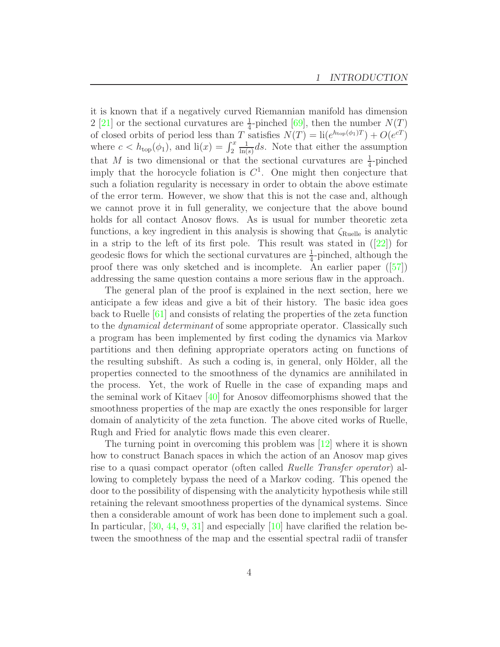it is known that if a negatively curved Riemannian manifold has dimension 2 [\[21\]](#page-94-2) or the sectional curvatures are  $\frac{1}{4}$ -pinched [\[69\]](#page-97-5), then the number  $N(T)$ of closed orbits of period less than T satisfies  $N(T) = \text{li}(e^{h_{\text{top}}(\phi_1)T}) + O(e^{cT})$ where  $c < h_{\text{top}}(\phi_1)$ , and  $\text{li}(x) = \int_2^x$ 1  $\frac{1}{\ln(s)}$ ds. Note that either the assumption that M is two dimensional or that the sectional curvatures are  $\frac{1}{4}$ -pinched imply that the horocycle foliation is  $C<sup>1</sup>$ . One might then conjecture that such a foliation regularity is necessary in order to obtain the above estimate of the error term. However, we show that this is not the case and, although we cannot prove it in full generality, we conjecture that the above bound holds for all contact Anosov flows. As is usual for number theoretic zeta functions, a key ingredient in this analysis is showing that  $\zeta_{\text{Rule}}$  is analytic ina strip to the left of its first pole. This result was stated in  $(22)$  for geodesic flows for which the sectional curvatures are  $\frac{1}{4}$ -pinched, although the proof there was only sketched and is incomplete. An earlier paper([\[57\]](#page-96-3)) addressing the same question contains a more serious flaw in the approach.

The general plan of the proof is explained in the next section, here we anticipate a few ideas and give a bit of their history. The basic idea goes back to Ruelle [\[61\]](#page-97-1) and consists of relating the properties of the zeta function to the *dynamical determinant* of some appropriate operator. Classically such a program has been implemented by first coding the dynamics via Markov partitions and then defining appropriate operators acting on functions of the resulting subshift. As such a coding is, in general, only Hölder, all the properties connected to the smoothness of the dynamics are annihilated in the process. Yet, the work of Ruelle in the case of expanding maps and the seminal work of Kitaev [\[40\]](#page-95-2) for Anosov diffeomorphisms showed that the smoothness properties of the map are exactly the ones responsible for larger domain of analyticity of the zeta function. The above cited works of Ruelle, Rugh and Fried for analytic flows made this even clearer.

The turning point in overcoming this problem was  $[12]$  where it is shown how to construct Banach spaces in which the action of an Anosov map gives rise to a quasi compact operator (often called Ruelle Transfer operator) allowing to completely bypass the need of a Markov coding. This opened the door to the possibility of dispensing with the analyticity hypothesis while still retaining the relevant smoothness properties of the dynamical systems. Since then a considerable amount of work has been done to implement such a goal. In particular, [\[30,](#page-95-3) [44,](#page-96-4) [9,](#page-94-5) [31\]](#page-95-4) and especially [\[10\]](#page-94-6) have clarified the relation between the smoothness of the map and the essential spectral radii of transfer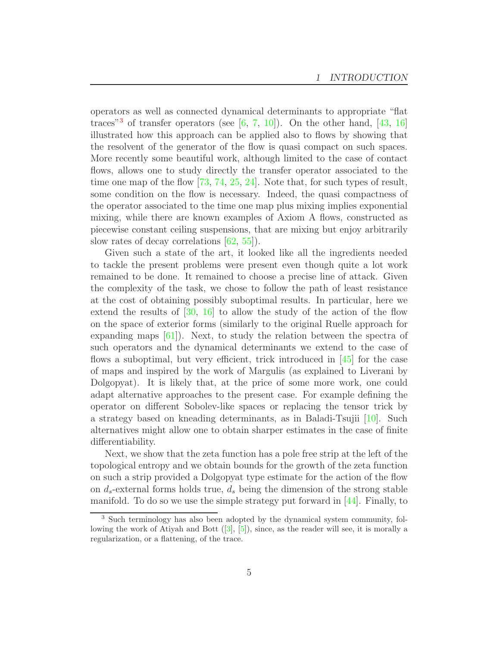operators as well as connected dynamical determinants to appropriate "flat traces<sup>"[3](#page-4-0)</sup> of transfer operators (see  $[6, 7, 10]$  $[6, 7, 10]$  $[6, 7, 10]$  $[6, 7, 10]$ ). On the other hand, [\[43,](#page-96-5) [16\]](#page-94-9) illustrated how this approach can be applied also to flows by showing that the resolvent of the generator of the flow is quasi compact on such spaces. More recently some beautiful work, although limited to the case of contact flows, allows one to study directly the transfer operator associated to the time one map of the flow [\[73,](#page-97-6) [74,](#page-97-7) [25,](#page-95-5) [24\]](#page-95-6). Note that, for such types of result, some condition on the flow is necessary. Indeed, the quasi compactness of the operator associated to the time one map plus mixing implies exponential mixing, while there are known examples of Axiom A flows, constructed as piecewise constant ceiling suspensions, that are mixing but enjoy arbitrarily slow rates of decay correlations [\[62,](#page-97-8) [55\]](#page-96-6)).

Given such a state of the art, it looked like all the ingredients needed to tackle the present problems were present even though quite a lot work remained to be done. It remained to choose a precise line of attack. Given the complexity of the task, we chose to follow the path of least resistance at the cost of obtaining possibly suboptimal results. In particular, here we extend the results of  $[30, 16]$  $[30, 16]$  to allow the study of the action of the flow on the space of exterior forms (similarly to the original Ruelle approach for expanding maps [\[61\]](#page-97-1)). Next, to study the relation between the spectra of such operators and the dynamical determinants we extend to the case of flows a suboptimal, but very efficient, trick introduced in  $[45]$  for the case of maps and inspired by the work of Margulis (as explained to Liverani by Dolgopyat). It is likely that, at the price of some more work, one could adapt alternative approaches to the present case. For example defining the operator on different Sobolev-like spaces or replacing the tensor trick by a strategy based on kneading determinants, as in Baladi-Tsujii [\[10\]](#page-94-6). Such alternatives might allow one to obtain sharper estimates in the case of finite differentiability.

Next, we show that the zeta function has a pole free strip at the left of the topological entropy and we obtain bounds for the growth of the zeta function on such a strip provided a Dolgopyat type estimate for the action of the flow on  $d_s$ -external forms holds true,  $d_s$  being the dimension of the strong stable manifold. To do so we use the simple strategy put forward in [\[44\]](#page-96-4). Finally, to

<span id="page-4-0"></span><sup>3</sup> Such terminology has also been adopted by the dynamical system community, following the work of Atiyah and Bott ([\[3\]](#page-93-0), [\[5\]](#page-93-1)), since, as the reader will see, it is morally a regularization, or a flattening, of the trace.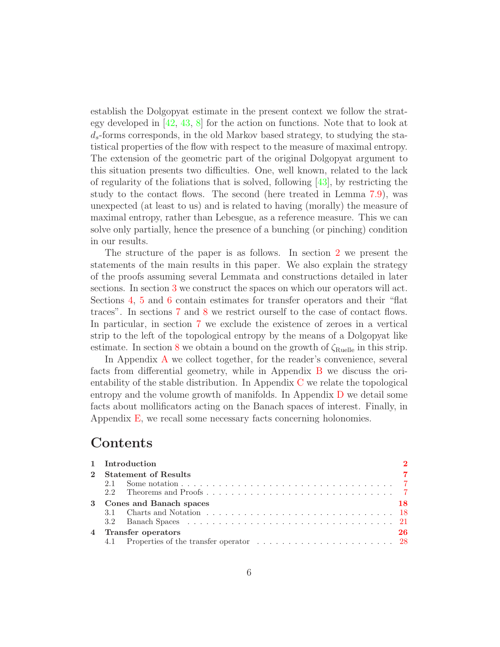establish the Dolgopyat estimate in the present context we follow the strategy developed in  $[42, 43, 8]$  $[42, 43, 8]$  $[42, 43, 8]$  $[42, 43, 8]$  for the action on functions. Note that to look at  $d_s$ -forms corresponds, in the old Markov based strategy, to studying the statistical properties of the flow with respect to the measure of maximal entropy. The extension of the geometric part of the original Dolgopyat argument to this situation presents two difficulties. One, well known, related to the lack of regularity of the foliations that is solved, following [\[43\]](#page-96-5), by restricting the study to the contact flows. The second (here treated in Lemma [7.9\)](#page-70-0), was unexpected (at least to us) and is related to having (morally) the measure of maximal entropy, rather than Lebesgue, as a reference measure. This we can solve only partially, hence the presence of a bunching (or pinching) condition in our results.

The structure of the paper is as follows. In section [2](#page-6-0) we present the statements of the main results in this paper. We also explain the strategy of the proofs assuming several Lemmata and constructions detailed in later sections. In section [3](#page-17-0) we construct the spaces on which our operators will act. Sections [4,](#page-25-0) [5](#page-39-0) and [6](#page-47-0) contain estimates for transfer operators and their "flat traces". In sections [7](#page-61-0) and [8](#page-75-0) we restrict ourself to the case of contact flows. In particular, in section [7](#page-61-0) we exclude the existence of zeroes in a vertical strip to the left of the topological entropy by the means of a Dolgopyat like estimate. In section [8](#page-75-0) we obtain a bound on the growth of  $\zeta_{\text{Ruelle}}$  in this strip.

In Appendix [A](#page-78-0) we collect together, for the reader's convenience, several facts from differential geometry, while in Appendix [B](#page-80-0) we discuss the orientability of the stable distribution. In Appendix [C](#page-84-0) we relate the topological entropy and the volume growth of manifolds. In Appendix [D](#page-87-0) we detail some facts about mollificators acting on the Banach spaces of interest. Finally, in Appendix [E,](#page-91-0) we recall some necessary facts concerning holonomies.

# Contents

| 1 Introduction            |    |
|---------------------------|----|
| 2 Statement of Results    |    |
|                           |    |
|                           |    |
| 3 Cones and Banach spaces | 18 |
|                           |    |
|                           |    |
| 4 Transfer operators      | 26 |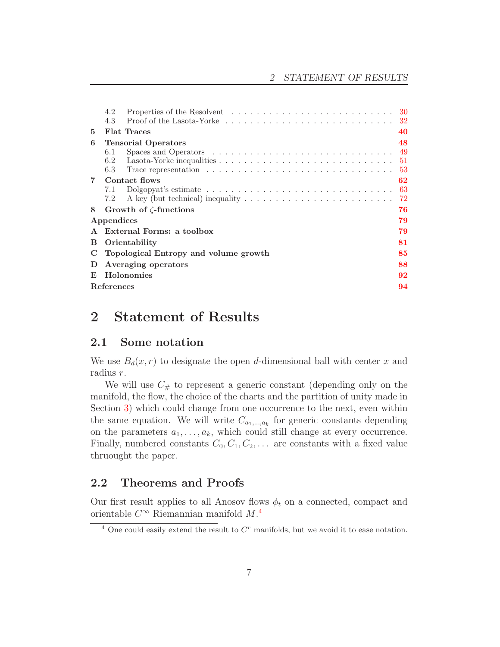|                | Properties of the Resolvent $\dots \dots \dots \dots \dots \dots \dots \dots \dots \dots \dots \dots$<br>4.2              |     |
|----------------|---------------------------------------------------------------------------------------------------------------------------|-----|
|                | 4.3                                                                                                                       | -32 |
| 5              | <b>Flat Traces</b>                                                                                                        | 40  |
| 6              | <b>Tensorial Operators</b>                                                                                                | 48  |
|                | 6.1                                                                                                                       |     |
|                | Lasota-Yorke inequalities $\dots \dots \dots \dots \dots \dots \dots \dots \dots \dots \dots \dots \dots \dots 51$<br>6.2 |     |
|                | 6.3                                                                                                                       | 53  |
| $\overline{7}$ | Contact flows                                                                                                             | 62  |
|                | Dolgopyat's estimate $\ldots \ldots \ldots \ldots \ldots \ldots \ldots \ldots \ldots \ldots$<br>7.1                       | 63  |
|                | A key (but technical) inequality $\dots \dots \dots \dots \dots \dots \dots \dots \dots$<br>7.2                           | -72 |
| 8              | Growth of $\zeta$ -functions                                                                                              | 76  |
|                | Appendices                                                                                                                | 79  |
| $\mathbf{A}$   | External Forms: a toolbox                                                                                                 | 79  |
| В              | Orientability                                                                                                             | 81  |
| C              | Topological Entropy and volume growth                                                                                     | 85  |
| D              | Averaging operators                                                                                                       | 88  |
| E              | Holonomies                                                                                                                | 92  |
|                | References                                                                                                                | 94  |

# <span id="page-6-1"></span><span id="page-6-0"></span>2 Statement of Results

### 2.1 Some notation

We use  $B_d(x, r)$  to designate the open d-dimensional ball with center x and radius r.

We will use  $C_{\#}$  to represent a generic constant (depending only on the manifold, the flow, the choice of the charts and the partition of unity made in Section [3\)](#page-17-0) which could change from one occurrence to the next, even within the same equation. We will write  $C_{a_1,\dots,a_k}$  for generic constants depending on the parameters  $a_1, \ldots, a_k$ , which could still change at every occurrence. Finally, numbered constants  $C_0, C_1, C_2, \ldots$  are constants with a fixed value thruought the paper.

## <span id="page-6-2"></span>2.2 Theorems and Proofs

Our first result applies to all Anosov flows  $\phi_t$  on a connected, compact and orientable  $C^{\infty}$  Riemannian manifold  $M$ .<sup>[4](#page-6-3)</sup>

<span id="page-6-3"></span> $4$  One could easily extend the result to  $C<sup>r</sup>$  manifolds, but we avoid it to ease notation.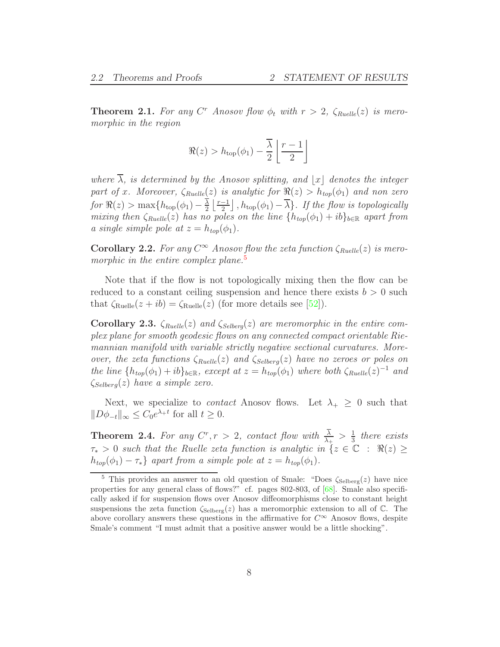<span id="page-7-2"></span>**Theorem 2.1.** For any  $C^r$  Anosov flow  $\phi_t$  with  $r > 2$ ,  $\zeta_{Rule}(z)$  is meromorphic in the region

$$
\Re(z) > h_{\text{top}}(\phi_1) - \frac{\overline{\lambda}}{2} \left\lfloor \frac{r-1}{2} \right\rfloor
$$

where  $\overline{\lambda}$ , is determined by the Anosov splitting, and  $|x|$  denotes the integer part of x. Moreover,  $\zeta_{Rule}(z)$  is analytic for  $\Re(z) > h_{top}(\phi_1)$  and non zero for  $\Re(z) > \max\{h_{\text{top}}(\phi_1) - \frac{\lambda}{2}\}$  $\frac{\overline{\lambda}}{2} \left\lfloor \frac{r-1}{2} \right\rfloor$ ,  $h_{\text{top}}(\phi_1) - \overline{\lambda}$ . If the flow is topologically mixing then  $\zeta_{Rule}(z)$  has no poles on the line  $\{h_{top}(\phi_1) + ib\}_{b \in \mathbb{R}}$  apart from a single simple pole at  $z = h_{top}(\phi_1)$ .

**Corollary 2.2.** For any  $C^{\infty}$  Anosov flow the zeta function  $\zeta_{Ruelle}(z)$  is mero-morphic in the entire complex plane.<sup>[5](#page-7-0)</sup>

Note that if the flow is not topologically mixing then the flow can be reduced to a constant ceiling suspension and hence there exists  $b > 0$  such that  $\zeta_{\text{Ruelle}}(z + ib) = \zeta_{\text{Ruelle}}(z)$  (for more details see [\[52\]](#page-96-9)).

Corollary 2.3.  $\zeta_{Rule}(z)$  and  $\zeta_{Selber}(z)$  are meromorphic in the entire complex plane for smooth geodesic flows on any connected compact orientable Riemannian manifold with variable strictly negative sectional curvatures. Moreover, the zeta functions  $\zeta_{Rule}(z)$  and  $\zeta_{Selber}(z)$  have no zeroes or poles on the line  $\{h_{top}(\phi_1) + ib\}_{b \in \mathbb{R}}$ , except at  $z = h_{top}(\phi_1)$  where both  $\zeta_{Ruelle}(z)^{-1}$  and  $\zeta_{Selberg}(z)$  have a simple zero.

Next, we specialize to *contact* Anosov flows. Let  $\lambda_+ \geq 0$  such that  $||D\phi_{-t}||_{\infty} \leq C_0 e^{\lambda_t t}$  for all  $t \geq 0$ .

<span id="page-7-1"></span>**Theorem 2.4.** For any  $C^r, r > 2$ , contact flow with  $\frac{\lambda}{\lambda_+} > \frac{1}{3}$  $rac{1}{3}$  there exists  $\tau_* > 0$  such that the Ruelle zeta function is analytic in  $\{z \in \mathbb{C} : \Re(z) \geq 0\}$  $h_{top}(\phi_1) - \tau_*\}$  apart from a simple pole at  $z = h_{top}(\phi_1)$ .

<span id="page-7-0"></span><sup>&</sup>lt;sup>5</sup> This provides an answer to an old question of Smale: "Does  $\zeta_{\text{Selberg}}(z)$  have nice properties for any general class of flows?" cf. pages 802-803, of [\[68\]](#page-97-9). Smale also specifically asked if for suspension flows over Anosov diffeomorphisms close to constant height suspensions the zeta function  $\zeta_{\text{Selberg}}(z)$  has a meromorphic extension to all of C. The above corollary answers these questions in the affirmative for  $C^{\infty}$  Anosov flows, despite Smale's comment "I must admit that a positive answer would be a little shocking".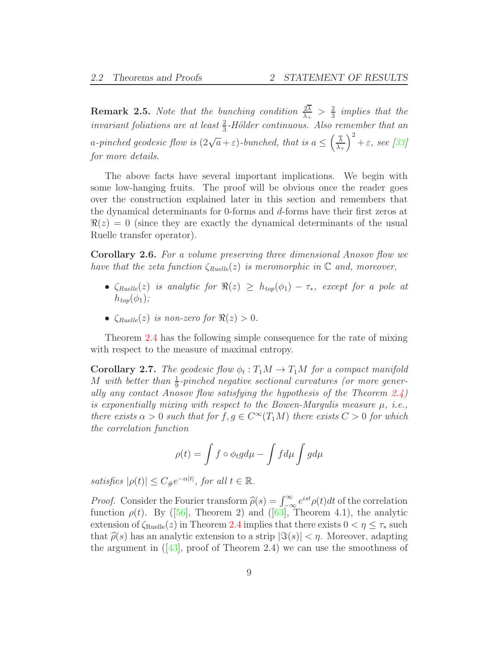**Remark 2.5.** Note that the bunching condition  $\frac{2\lambda}{\lambda_+} > \frac{2}{3}$  $rac{2}{3}$  implies that the invariant foliations are at least  $\frac{2}{3}$ -Hölder continuous. Also remember that an a-pinched geodesic flow is  $(2\sqrt{a}+\varepsilon)$ -bunched, that is  $a \leq (\frac{\overline{\lambda}}{\lambda_1})$  $\lambda _+$  $\big)^{2} + \varepsilon$ , see [\[33\]](#page-95-7) for more details.

The above facts have several important implications. We begin with some low-hanging fruits. The proof will be obvious once the reader goes over the construction explained later in this section and remembers that the dynamical determinants for 0-forms and d-forms have their first zeros at  $\Re(z) = 0$  (since they are exactly the dynamical determinants of the usual Ruelle transfer operator).

Corollary 2.6. For a volume preserving three dimensional Anosov flow we have that the zeta function  $\zeta_{Ruelle}(z)$  is meromorphic in  $\mathbb C$  and, moreover,

- $\zeta_{Rule}(z)$  is analytic for  $\Re(z) \geq h_{top}(\phi_1) \tau_*$ , except for a pole at  $h_{top}(\phi_1);$
- $\zeta_{Rule}(z)$  is non-zero for  $\Re(z) > 0$ .

Theorem [2.4](#page-7-1) has the following simple consequence for the rate of mixing with respect to the measure of maximal entropy.

**Corollary 2.7.** The geodesic flow  $\phi_t : T_1M \to T_1M$  for a compact manifold M with better than  $\frac{1}{9}$ -pinched negative sectional curvatures (or more generally any contact Anosov flow satisfying the hypothesis of the Theorem [2.4\)](#page-7-1) is exponentially mixing with respect to the Bowen-Margulis measure  $\mu$ , *i.e.*, there exists  $\alpha > 0$  such that for  $f, g \in C^{\infty}(T_1M)$  there exists  $C > 0$  for which the correlation function

$$
\rho(t) = \int f \circ \phi_t g d\mu - \int f d\mu \int g d\mu
$$

satisfies  $|\rho(t)| \leq C_{\#}e^{-\alpha|t|}$ , for all  $t \in \mathbb{R}$ .

*Proof.* Consider the Fourier transform  $\hat{\rho}(s) = \int_{-\infty}^{\infty} e^{ist} \rho(t) dt$  of the correlation function $\rho(t)$ . By ([\[56\]](#page-96-10), Theorem 2) and ([\[63\]](#page-97-10), Theorem 4.1), the analytic extension of  $\zeta_{\text{Rule}}(z)$  in Theorem [2.4](#page-7-1) implies that there exists  $0 < \eta \leq \tau_*$  such that  $\hat{\rho}(s)$  has an analytic extension to a strip  $|\Im(s)| < \eta$ . Moreover, adapting theargument in  $(43)$ , proof of Theorem 2.4) we can use the smoothness of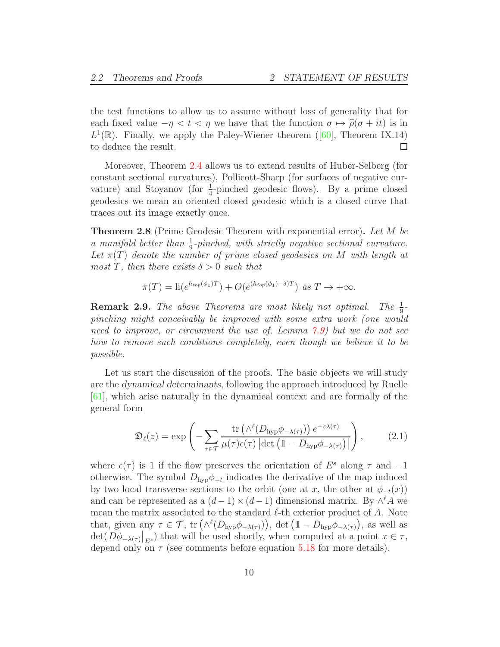the test functions to allow us to assume without loss of generality that for each fixed value  $-\eta < t < \eta$  we have that the function  $\sigma \mapsto \hat{\rho}(\sigma + it)$  is in  $L^1(\mathbb{R})$ .Finally, we apply the Paley-Wiener theorem ([\[60\]](#page-97-11), Theorem IX.14) to deduce the result. □

Moreover, Theorem [2.4](#page-7-1) allows us to extend results of Huber-Selberg (for constant sectional curvatures), Pollicott-Sharp (for surfaces of negative curvature) and Stoyanov (for  $\frac{1}{4}$ -pinched geodesic flows). By a prime closed geodesics we mean an oriented closed geodesic which is a closed curve that traces out its image exactly once.

<span id="page-9-1"></span>**Theorem 2.8** (Prime Geodesic Theorem with exponential error). Let M be a manifold better than  $\frac{1}{9}$ -pinched, with strictly negative sectional curvature. Let  $\pi(T)$  denote the number of prime closed geodesics on M with length at most T, then there exists  $\delta > 0$  such that

$$
\pi(T) = \mathrm{li}(e^{h_{top}(\phi_1)T}) + O(e^{(h_{top}(\phi_1) - \delta)T}) \text{ as } T \to +\infty.
$$

**Remark 2.9.** The above Theorems are most likely not optimal. The  $\frac{1}{9}$ pinching might conceivably be improved with some extra work (one would need to improve, or circumvent the use of, Lemma [7.9\)](#page-70-0) but we do not see how to remove such conditions completely, even though we believe it to be possible.

Let us start the discussion of the proofs. The basic objects we will study are the *dynamical determinants*, following the approach introduced by Ruelle [\[61\]](#page-97-1), which arise naturally in the dynamical context and are formally of the general form

<span id="page-9-0"></span>
$$
\mathfrak{D}_{\ell}(z) = \exp\left(-\sum_{\tau \in \mathcal{T}} \frac{\text{tr}\left(\wedge^{\ell}(D_{\text{hyp}}\phi_{-\lambda(\tau)})\right) e^{-z\lambda(\tau)}}{\mu(\tau)\epsilon(\tau)\left|\det\left(1 - D_{\text{hyp}}\phi_{-\lambda(\tau)}\right)\right|}\right),\tag{2.1}
$$

where  $\epsilon(\tau)$  is 1 if the flow preserves the orientation of E<sup>s</sup> along  $\tau$  and  $-1$ otherwise. The symbol  $D_{\text{hyp}}\phi_{-t}$  indicates the derivative of the map induced by two local transverse sections to the orbit (one at x, the other at  $\phi_{-t}(x)$ ) and can be represented as a  $(d-1) \times (d-1)$  dimensional matrix. By  $\wedge^{\ell} A$  we mean the matrix associated to the standard  $\ell$ -th exterior product of A. Note that, given any  $\tau \in \mathcal{T}$ ,  $\text{tr}(\wedge^{\ell}(D_{\text{hyp}}\phi_{-\lambda(\tau)}))$ ,  $\text{det}(\mathbb{1}-D_{\text{hyp}}\phi_{-\lambda(\tau)})$ , as well as  $\det(D\phi_{-\lambda(\tau)}|_{E^s})$  that will be used shortly, when computed at a point  $x \in \tau$ , depend only on  $\tau$  (see comments before equation [5.18](#page-46-0) for more details).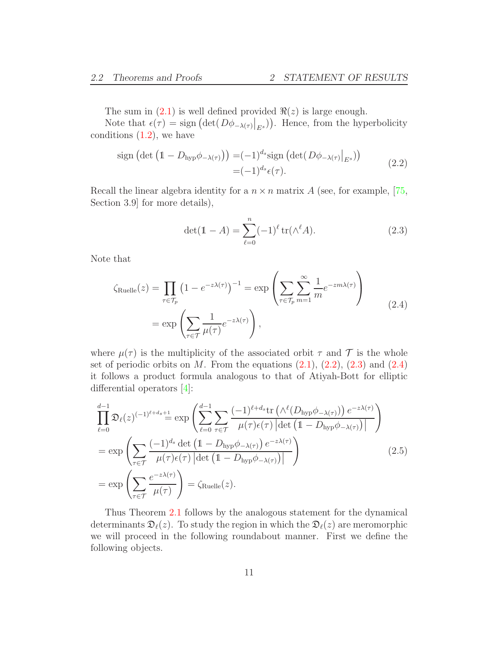The sum in  $(2.1)$  is well defined provided  $\Re(z)$  is large enough.

Note that  $\epsilon(\tau) = \text{sign}(\det(D\phi_{-\lambda(\tau)}|_{E_s}))$ . Hence, from the hyperbolicity conditions  $(1.2)$ , we have

<span id="page-10-0"></span>
$$
\text{sign}\left(\det\left(1 - D_{\text{hyp}}\phi_{-\lambda(\tau)}\right)\right) = (-1)^{d_s} \text{sign}\left(\det(D\phi_{-\lambda(\tau)}|_{E^s})\right) \n= (-1)^{d_s} \epsilon(\tau).
$$
\n(2.2)

Recall the linear algebra identity for a  $n \times n$  matrix A (see, for example, [\[75,](#page-97-12) Section 3.9] for more details),

<span id="page-10-1"></span>
$$
\det(\mathbb{1} - A) = \sum_{\ell=0}^{n} (-1)^{\ell} \operatorname{tr}(\wedge^{\ell} A). \tag{2.3}
$$

Note that

<span id="page-10-2"></span>
$$
\zeta_{\text{Ruelle}}(z) = \prod_{\tau \in \mathcal{T}_p} \left( 1 - e^{-z\lambda(\tau)} \right)^{-1} = \exp \left( \sum_{\tau \in \mathcal{T}_p} \sum_{m=1}^{\infty} \frac{1}{m} e^{-zm\lambda(\tau)} \right)
$$
\n
$$
= \exp \left( \sum_{\tau \in \mathcal{T}} \frac{1}{\mu(\tau)} e^{-z\lambda(\tau)} \right),
$$
\n(2.4)

where  $\mu(\tau)$  is the multiplicity of the associated orbit  $\tau$  and  $\mathcal T$  is the whole set of periodic orbits on  $M$ . From the equations  $(2.1), (2.2), (2.3)$  $(2.1), (2.2), (2.3)$  $(2.1), (2.2), (2.3)$  $(2.1), (2.2), (2.3)$  and  $(2.4)$ it follows a product formula analogous to that of Atiyah-Bott for elliptic differential operators [\[4\]](#page-93-2):

<span id="page-10-3"></span>
$$
\prod_{\ell=0}^{d-1} \mathfrak{D}_{\ell}(z)^{(-1)^{\ell+d_{s}}+1} \cong \exp\left(\sum_{\ell=0}^{d-1} \sum_{\tau \in \mathcal{T}} \frac{(-1)^{\ell+d_{s}} \text{tr}\left(\Lambda^{\ell}(D_{\text{hyp}}\phi_{-\lambda(\tau)})\right) e^{-z\lambda(\tau)}}{\mu(\tau)\epsilon(\tau)\left|\det\left(1-D_{\text{hyp}}\phi_{-\lambda(\tau)}\right)\right|}\right)
$$
\n
$$
= \exp\left(\sum_{\tau \in \mathcal{T}} \frac{(-1)^{d_{s}} \det\left(1-D_{\text{hyp}}\phi_{-\lambda(\tau)}\right) e^{-z\lambda(\tau)}}{\mu(\tau)\epsilon(\tau)\left|\det\left(1-D_{\text{hyp}}\phi_{-\lambda(\tau)}\right)\right|}\right)
$$
\n
$$
= \exp\left(\sum_{\tau \in \mathcal{T}} \frac{e^{-z\lambda(\tau)}}{\mu(\tau)}\right) = \zeta_{\text{Ruelle}}(z).
$$
\n(2.5)

Thus Theorem [2.1](#page-7-2) follows by the analogous statement for the dynamical determinants  $\mathfrak{D}_{\ell}(z)$ . To study the region in which the  $\mathfrak{D}_{\ell}(z)$  are meromorphic we will proceed in the following roundabout manner. First we define the following objects.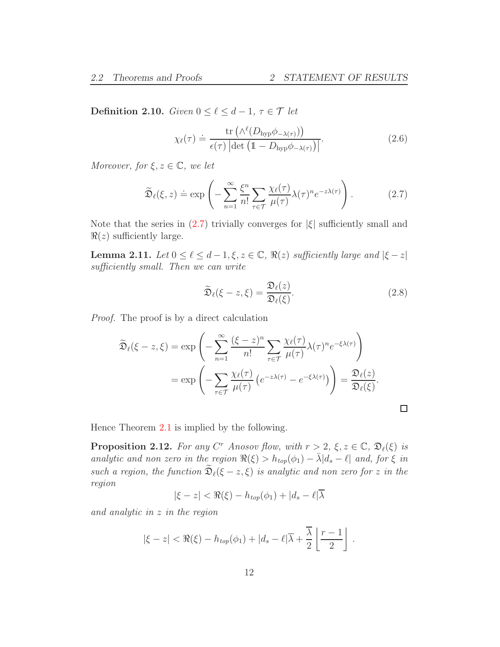Definition 2.10. Given  $0 \leq \ell \leq d-1$ ,  $\tau \in \mathcal{T}$  let

$$
\chi_{\ell}(\tau) \doteq \frac{\text{tr}\left(\wedge^{\ell}(D_{\text{hyp}}\phi_{-\lambda(\tau)})\right)}{\epsilon(\tau)\left|\det\left(\mathbb{1} - D_{\text{hyp}}\phi_{-\lambda(\tau)}\right)\right|}.\tag{2.6}
$$

Moreover, for  $\xi, z \in \mathbb{C}$ , we let

<span id="page-11-0"></span>
$$
\widetilde{\mathfrak{D}}_{\ell}(\xi,z) \doteq \exp\left(-\sum_{n=1}^{\infty} \frac{\xi^n}{n!} \sum_{\tau \in \mathcal{T}} \frac{\chi_{\ell}(\tau)}{\mu(\tau)} \lambda(\tau)^n e^{-z\lambda(\tau)}\right). \tag{2.7}
$$

Note that the series in  $(2.7)$  trivially converges for  $|\xi|$  sufficiently small and  $\Re(z)$  sufficiently large.

<span id="page-11-2"></span>**Lemma 2.11.** Let  $0 \leq \ell \leq d-1, \xi, z \in \mathbb{C}$ ,  $\Re(z)$  sufficiently large and  $|\xi - z|$ sufficiently small. Then we can write

$$
\widetilde{\mathfrak{D}}_{\ell}(\xi - z, \xi) = \frac{\mathfrak{D}_{\ell}(z)}{\mathfrak{D}_{\ell}(\xi)}.
$$
\n(2.8)

 $\Box$ 

Proof. The proof is by a direct calculation

$$
\widetilde{\mathfrak{D}}_{\ell}(\xi - z, \xi) = \exp\left(-\sum_{n=1}^{\infty} \frac{(\xi - z)^n}{n!} \sum_{\tau \in \mathcal{T}} \frac{\chi_{\ell}(\tau)}{\mu(\tau)} \lambda(\tau)^n e^{-\xi \lambda(\tau)}\right)
$$

$$
= \exp\left(-\sum_{\tau \in \mathcal{T}} \frac{\chi_{\ell}(\tau)}{\mu(\tau)} \left(e^{-z\lambda(\tau)} - e^{-\xi \lambda(\tau)}\right)\right) = \frac{\mathfrak{D}_{\ell}(z)}{\mathfrak{D}_{\ell}(\xi)}.
$$

Hence Theorem [2.1](#page-7-2) is implied by the following.

<span id="page-11-1"></span>**Proposition 2.12.** For any  $C^r$  Anosov flow, with  $r > 2$ ,  $\xi, z \in \mathbb{C}$ ,  $\mathfrak{D}_{\ell}(\xi)$  is analytic and non zero in the region  $\Re(\xi) > h_{top}(\phi_1) - \bar{\lambda}|d_s - \ell|$  and, for  $\xi$  in such a region, the function  $\widetilde{\mathfrak{D}}_{\ell}(\xi-z,\xi)$  is analytic and non zero for z in the region

$$
|\xi - z| < \Re(\xi) - h_{top}(\phi_1) + |d_s - \ell| \overline{\lambda}
$$

and analytic in z in the region

$$
|\xi - z| < \Re(\xi) - h_{top}(\phi_1) + |d_s - \ell| \overline{\lambda} + \frac{\overline{\lambda}}{2} \left\lfloor \frac{r-1}{2} \right\rfloor \, .
$$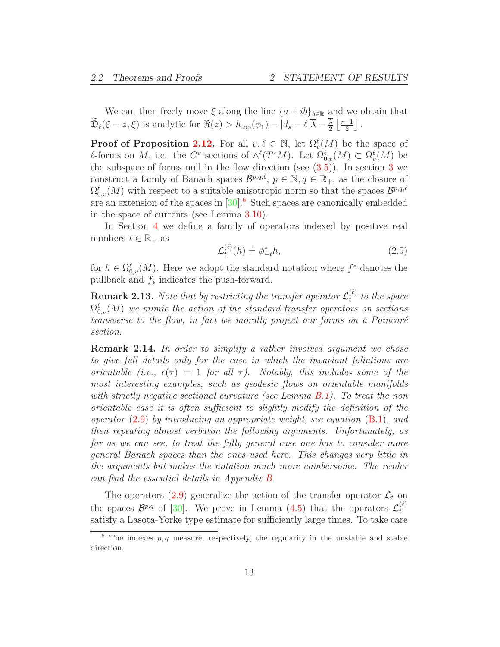We can then freely move  $\xi$  along the line  $\{a + ib\}_{b \in \mathbb{R}}$  and we obtain that  $\mathfrak{D}_{\ell}(\xi - z, \xi)$  is analytic for  $\Re(z) > h_{\text{top}}(\phi_1) - |d_s - \ell| \overline{\lambda} - \frac{\lambda}{2}$  $\frac{\overline{\lambda}}{2} \left\lfloor \frac{r-1}{2} \right\rfloor$ .

**Proof of Proposition [2.12.](#page-11-1)** For all  $v, \ell \in \mathbb{N}$ , let  $\Omega_v^{\ell}(M)$  be the space of  $\ell$ -forms on M, i.e. the C<sup>v</sup> sections of  $\wedge^{\ell}(T^*M)$ . Let  $\Omega_{0,\nu}^{\ell}(M) \subset \Omega_{\nu}^{\ell}(M)$  be the subspace of forms null in the flow direction (see  $(3.5)$  $(3.5)$  $(3.5)$ ). In section 3 we construct a family of Banach spaces  $\mathcal{B}^{p,q,\ell}$ ,  $p \in \mathbb{N}, q \in \mathbb{R}_+$ , as the closure of  $\Omega_{0,v}^{\ell}(M)$  with respect to a suitable anisotropic norm so that the spaces  $\mathcal{B}^{p,q,\ell}$ are an extension of the spaces in  $[30]$ .<sup>[6](#page-12-0)</sup> Such spaces are canonically embedded in the space of currents (see Lemma [3.10\)](#page-23-0).

In Section [4](#page-25-0) we define a family of operators indexed by positive real numbers  $t \in \mathbb{R}_+$  as

<span id="page-12-1"></span>
$$
\mathcal{L}_t^{(\ell)}(h) \doteq \phi_{-t}^* h,\tag{2.9}
$$

for  $h \in \Omega_{0,v}^{\ell}(M)$ . Here we adopt the standard notation where  $f^*$  denotes the pullback and f<sup>∗</sup> indicates the push-forward.

**Remark 2.13.** Note that by restricting the transfer operator  $\mathcal{L}_t^{(\ell)}$  $t^{(t)}$  to the space  $\Omega^{\ell}_{0,v}(M)$  we mimic the action of the standard transfer operators on sections transverse to the flow, in fact we morally project our forms on a Poincaré section.

<span id="page-12-2"></span>Remark 2.14. In order to simplify a rather involved argument we chose to give full details only for the case in which the invariant foliations are orientable (i.e.,  $\epsilon(\tau) = 1$  for all  $\tau$ ). Notably, this includes some of the most interesting examples, such as geodesic flows on orientable manifolds with strictly negative sectional curvature (see Lemma [B.1\)](#page-80-1). To treat the non orientable case it is often sufficient to slightly modify the definition of the operator  $(2.9)$  by introducing an appropriate weight, see equation  $(B.1)$ , and then repeating almost verbatim the following arguments. Unfortunately, as far as we can see, to treat the fully general case one has to consider more general Banach spaces than the ones used here. This changes very little in the arguments but makes the notation much more cumbersome. The reader can find the essential details in Appendix [B.](#page-80-0)

The operators [\(2.9\)](#page-12-1) generalize the action of the transfer operator  $\mathcal{L}_t$  on the spaces  $\mathcal{B}^{p,q}$  of [\[30\]](#page-95-3). We prove in Lemma [\(4.5\)](#page-27-1) that the operators  $\mathcal{L}_t^{(\ell)}$ t satisfy a Lasota-Yorke type estimate for sufficiently large times. To take care

<span id="page-12-0"></span> $6$  The indexes  $p, q$  measure, respectively, the regularity in the unstable and stable direction.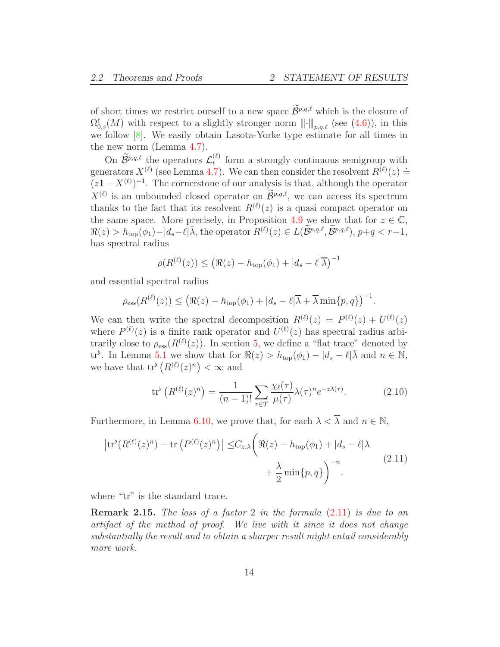of short times we restrict ourself to a new space  $\widetilde{\mathcal{B}}^{p,q,\ell}$  which is the closure of  $\Omega_{0,s}^{\ell}(M)$  with respect to a slightly stronger norm  $\|\cdot\|_{p,q,\ell}$  (see [\(4.6\)](#page-28-0)), in this we follow [\[8\]](#page-94-10). We easily obtain Lasota-Yorke type estimate for all times in the new norm (Lemma [4.7\)](#page-28-1).

On  $\widetilde{\mathcal{B}}^{p,q,\ell}$  the operators  $\mathcal{L}_t^{(\ell)}$  $t_t^{(t)}$  form a strongly continuous semigroup with generators  $X^{(\ell)}$  (see Lemma [4.7\)](#page-28-1). We can then consider the resolvent  $R^{(\ell)}(z) \doteq$  $(z\mathbb{1} - X^{(\ell)})^{-1}$ . The cornerstone of our analysis is that, although the operator  $X^{(\ell)}$  is an unbounded closed operator on  $\mathcal{B}^{p,q,\ell}$ , we can access its spectrum thanks to the fact that its resolvent  $R^{(\ell)}(z)$  is a quasi compact operator on the same space. More precisely, in Proposition [4.9](#page-30-0) we show that for  $z \in \mathbb{C}$ ,  $\Re(z) > h_{\text{top}}(\phi_1) - |d_s - \ell| \bar{\lambda}$ , the operator  $R^{(\ell)}(z) \in L(\widetilde{\mathcal{B}}^{p,q,\ell}, \widetilde{\mathcal{B}}^{p,q,\ell}), p+q < r-1$ , has spectral radius

$$
\rho(R^{(\ell)}(z)) \leq (\Re(z) - h_{\text{top}}(\phi_1) + |d_s - \ell|\overline{\lambda})^{-1}
$$

and essential spectral radius

$$
\rho_{\rm ess}(R^{(\ell)}(z)) \leq \left(\Re(z) - h_{\rm top}(\phi_1) + |d_s - \ell|\overline{\lambda} + \overline{\lambda}\min\{p,q\}\right)^{-1}.
$$

We can then write the spectral decomposition  $R^{(\ell)}(z) = P^{(\ell)}(z) + U^{(\ell)}(z)$ where  $P^{(\ell)}(z)$  is a finite rank operator and  $U^{(\ell)}(z)$  has spectral radius arbitrarily close to  $\rho_{\rm ess}(R^{(\ell)}(z))$ . In section [5,](#page-39-0) we define a "flat trace" denoted by tr<sup>b</sup>. In Lemma [5.1](#page-40-0) we show that for  $\Re(z) > h_{top}(\phi_1) - |d_s - \ell| \bar{\lambda}$  and  $n \in \mathbb{N}$ , we have that  $tr^{\flat}(R^{(\ell)}(z)^n) < \infty$  and

<span id="page-13-1"></span>
$$
\operatorname{tr}^{\flat}\left(R^{(\ell)}(z)^n\right) = \frac{1}{(n-1)!} \sum_{\tau \in \mathcal{T}} \frac{\chi_{\ell}(\tau)}{\mu(\tau)} \lambda(\tau)^n e^{-z\lambda(\tau)}.\tag{2.10}
$$

Furthermore, in Lemma [6.10,](#page-60-0) we prove that, for each  $\lambda < \overline{\lambda}$  and  $n \in \mathbb{N}$ .

<span id="page-13-0"></span>
$$
\left| \text{tr}^{\flat}(R^{(\ell)}(z)^n) - \text{tr}\left(P^{(\ell)}(z)^n\right) \right| \leq C_{z,\lambda} \left( \Re(z) - h_{\text{top}}(\phi_1) + |d_s - \ell| \lambda + \frac{\lambda}{2} \min\{p,q\} \right)^{-n} . \tag{2.11}
$$

where "tr" is the standard trace.

**Remark 2.15.** The loss of a factor 2 in the formula  $(2.11)$  is due to an artifact of the method of proof. We live with it since it does not change substantially the result and to obtain a sharper result might entail considerably more work.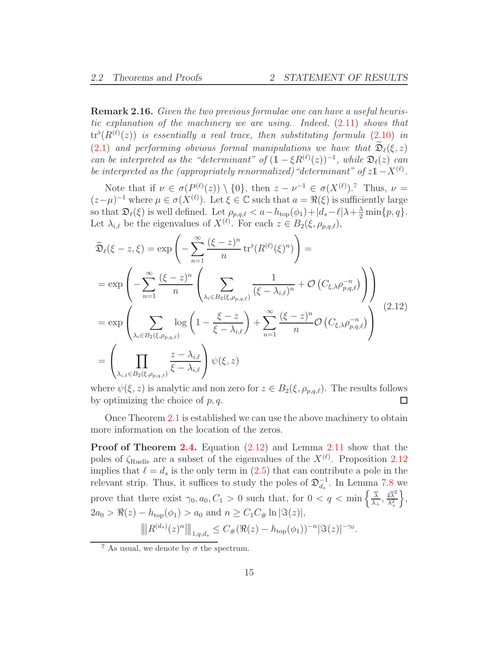Remark 2.16. Given the two previous formulae one can have a useful heuristic explanation of the machinery we are using. Indeed, [\(2.11\)](#page-13-0) shows that  ${\rm tr}^{\flat}(R^{(\ell)}(z))$  is essentially a real trace, then substituting formula  $(2.10)$  in [\(2.1\)](#page-9-0) and performing obvious formal manipulations we have that  $\mathfrak{D}_{\ell}(\xi, z)$ can be interpreted as the "determinant" of  $(1 - \xi R^{(\ell)}(z))^{-1}$ , while  $\mathfrak{D}_{\ell}(z)$  can be interpreted as the (appropriately renormalized) "determinant" of  $z1 - X^{(\ell)}$ .

Note that if  $\nu \in \sigma(P^{(\ell)}(z)) \setminus \{0\}$ , then  $z - \nu^{-1} \in \sigma(X^{(\ell)})$ . Thus,  $\nu =$  $(z-\mu)^{-1}$  where  $\mu \in \sigma(X^{(\ell)})$ . Let  $\xi \in \mathbb{C}$  such that  $a = \Re(\xi)$  is sufficiently large so that  $\mathfrak{D}_{\ell}(\xi)$  is well defined. Let  $\rho_{p,q,\ell} < a - h_{\text{top}}(\phi_1) + |d_s - \ell| \lambda + \frac{\lambda}{2} \min\{p,q\}.$ Let  $\lambda_{i,\ell}$  be the eigenvalues of  $X^{(\ell)}$ . For each  $z \in B_2(\xi, \rho_{p,q,\ell}),$ 

<span id="page-14-1"></span>
$$
\widetilde{\mathfrak{D}}_{\ell}(\xi - z, \xi) = \exp\left(-\sum_{n=1}^{\infty} \frac{(\xi - z)^n}{n} \operatorname{tr}^{\flat}(R^{(\ell)}(\xi)^n)\right) =
$$
\n
$$
= \exp\left(-\sum_{n=1}^{\infty} \frac{(\xi - z)^n}{n} \left(\sum_{\lambda_i \in B_2(\xi, \rho_{p,q,\ell})} \frac{1}{(\xi - \lambda_{i,\ell})^n} + \mathcal{O}\left(C_{\xi, \lambda} \rho_{p,q,\ell}^{-n}\right)\right)\right)
$$
\n
$$
= \exp\left(\sum_{\lambda_i \in B_2(\xi, \rho_{p,q,\ell})} \log\left(1 - \frac{\xi - z}{\xi - \lambda_{i,\ell}}\right) + \sum_{n=1}^{\infty} \frac{(\xi - z)^n}{n} \mathcal{O}\left(C_{\xi, \lambda} \rho_{p,q,\ell}^{-n}\right)\right) \tag{2.12}
$$
\n
$$
= \left(\prod_{\lambda_{i,\ell} \in B_2(\xi, \rho_{p,q,\ell})} \frac{z - \lambda_{i,\ell}}{\xi - \lambda_{i,\ell}}\right) \psi(\xi, z)
$$

where  $\psi(\xi, z)$  is analytic and non zero for  $z \in B_2(\xi, \rho_{p,q,\ell})$ . The results follows by optimizing the choice of p, q. by optimizing the choice of  $p, q$ .

Once Theorem [2.1](#page-7-2) is established we can use the above machinery to obtain more information on the location of the zeros.

Proof of Theorem [2.4.](#page-7-1) Equation [\(2.12\)](#page-14-1) and Lemma [2.11](#page-11-2) show that the poles of  $\zeta_{\text{Rule}}$  are a subset of the eigenvalues of the  $X^{(\ell)}$ . Proposition [2.12](#page-11-1) implies that  $\ell = d_s$  is the only term in [\(2.5\)](#page-10-3) that can contribute a pole in the relevant strip. Thus, it suffices to study the poles of  $\mathfrak{D}_{d_s}^{-1}$ . In Lemma [7.8](#page-65-0) we prove that there exist  $\gamma_0, a_0, C_1 > 0$  such that, for  $0 < q < \min\left\{\frac{\overline{\lambda}}{\lambda}\right\}$  $\frac{\overline{\lambda}}{\lambda_+}, \frac{4\overline{\lambda}^2}{\lambda_+^2}$  $\lambda_+^2$  $\Big\},$  $2a_0 > \Re(z) - h_{\text{top}}(\phi_1) > a_0 \text{ and } n \geq C_1 C_{\#} \ln |\Im(z)|,$  $\|\|R^{(d_s)}(z)^n\|\|_{1,q,d_s} \leq C_{\#}(\Re(z) - h_{\text{top}}(\phi_1))^{-n} |\Im(z)|^{-\gamma_0}.$ 

<span id="page-14-0"></span><sup>&</sup>lt;sup>7</sup> As usual, we denote by  $\sigma$  the spectrum.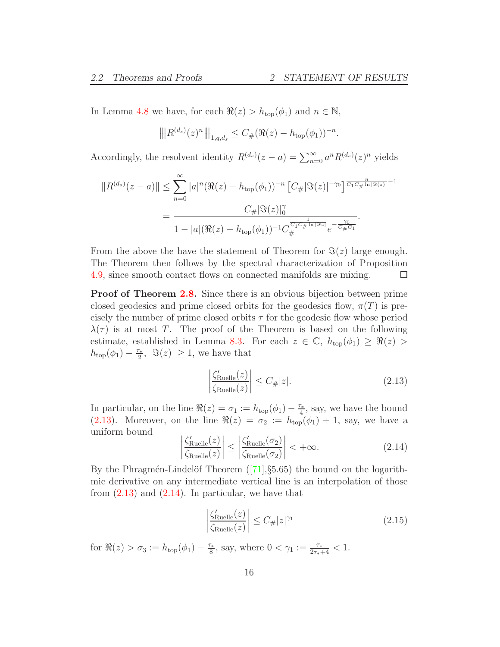In Lemma [4.8](#page-29-1) we have, for each  $\Re(z) > h_{\text{top}}(\phi_1)$  and  $n \in \mathbb{N}$ ,

$$
\left\| |R^{(d_s)}(z)^n| \right\|_{1,q,d_s} \leq C_{\#}(\Re(z) - h_{\text{top}}(\phi_1))^{-n}.
$$

Accordingly, the resolvent identity  $R^{(d_s)}(z-a) = \sum_{n=0}^{\infty} a^n R^{(d_s)}(z)^n$  yields

$$
||R^{(d_s)}(z-a)|| \leq \sum_{n=0}^{\infty} |a|^n (\Re(z) - h_{\text{top}}(\phi_1))^{-n} \left[ C_{\#} |\Im(z)|^{-\gamma_0} \right]^{\frac{n}{C_1 C_{\#} \ln |\Im(z)|} - 1}
$$
  
= 
$$
\frac{C_{\#} |\Im(z)|_0^{\gamma}}{1 - |a| (\Re(z) - h_{\text{top}}(\phi_1))^{-1} C_{\#}^{\frac{1}{C_1 C_{\#} \ln |\Im z|}} e^{-\frac{\gamma_0}{C_{\#} C_1}}.
$$

From the above the have the statement of Theorem for  $\Im(z)$  large enough. The Theorem then follows by the spectral characterization of Proposition [4.9,](#page-30-0) since smooth contact flows on connected manifolds are mixing.  $\Box$ 

**Proof of Theorem [2.8.](#page-9-1)** Since there is an obvious bijection between prime closed geodesics and prime closed orbits for the geodesics flow,  $\pi(T)$  is precisely the number of prime closed orbits  $\tau$  for the geodesic flow whose period  $\lambda(\tau)$  is at most T. The proof of the Theorem is based on the following estimate, established in Lemma [8.3.](#page-77-0) For each  $z \in \mathbb{C}$ ,  $h_{\text{top}}(\phi_1) \geq \Re(z) >$  $h_{\text{top}}(\phi_1) - \frac{\tau_*}{2}$  $\mathbb{E}_{\frac{z}{2}}$ ,  $|\Im(z)| \geq 1$ , we have that

<span id="page-15-0"></span>
$$
\left| \frac{\zeta_{\text{Ruelle}}'(z)}{\zeta_{\text{Ruelle}}(z)} \right| \le C_{\#} |z|.
$$
\n(2.13)

In particular, on the line  $\Re(z) = \sigma_1 := h_{\text{top}}(\phi_1) - \frac{\tau_*}{4}$  $\frac{\tau_*}{4}$ , say, we have the bound [\(2.13\)](#page-15-0). Moreover, on the line  $\Re(z) = \sigma_2 := h_{top}(\phi_1) + 1$ , say, we have a uniform bound

<span id="page-15-1"></span>
$$
\left| \frac{\zeta_{\text{Ruelle}}'(z)}{\zeta_{\text{Ruelle}}(z)} \right| \le \left| \frac{\zeta_{\text{Ruelle}}'(\sigma_2)}{\zeta_{\text{Ruelle}}(\sigma_2)} \right| < +\infty. \tag{2.14}
$$

Bythe Phragmén-Lindelöf Theorem  $([71], §5.65)$  $([71], §5.65)$  $([71], §5.65)$  the bound on the logarithmic derivative on any intermediate vertical line is an interpolation of those from  $(2.13)$  and  $(2.14)$ . In particular, we have that

<span id="page-15-2"></span>
$$
\left| \frac{\zeta_{\text{Ruelle}}'(z)}{\zeta_{\text{Ruelle}}(z)} \right| \le C_{\#} |z|^{\gamma_1} \tag{2.15}
$$

for  $\Re(z) > \sigma_3 := h_{\text{top}}(\phi_1) - \frac{\tau_*}{8}$  $\frac{\tau_*}{8}$ , say, where  $0 < \gamma_1 := \frac{\tau_*}{2\tau_* + 4} < 1$ .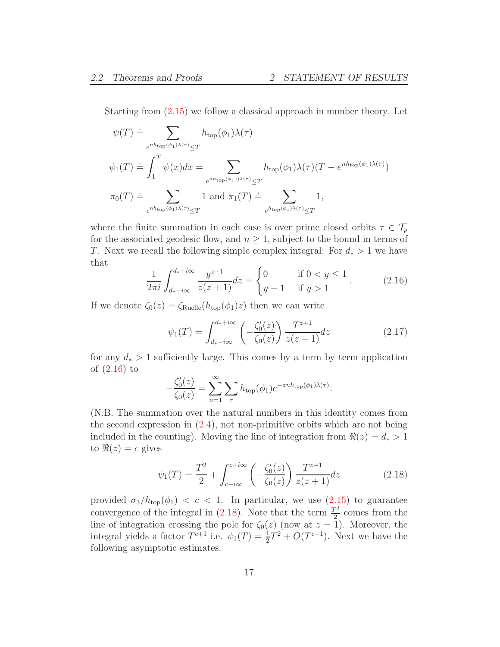Starting from [\(2.15\)](#page-15-2) we follow a classical approach in number theory. Let

$$
\psi(T) \doteq \sum_{e^{nh_{\text{top}}}(\phi_1)\lambda(\tau)} h_{\text{top}}(\phi_1)\lambda(\tau)
$$
  

$$
\psi_1(T) \doteq \int_1^T \psi(x)dx = \sum_{e^{nh_{\text{top}}}(\phi_1)\lambda(\tau) \le T} h_{\text{top}}(\phi_1)\lambda(\tau)(T - e^{nh_{\text{top}}(\phi_1)\lambda(\tau)})
$$
  

$$
\pi_0(T) \doteq \sum_{e^{nh_{\text{top}}}(\phi_1)\lambda(\tau) \le T} 1 \text{ and } \pi_1(T) \doteq \sum_{e^{h_{\text{top}}}(\phi_1)\lambda(\tau) \le T} 1,
$$

where the finite summation in each case is over prime closed orbits  $\tau \in \mathcal{T}_p$ for the associated geodesic flow, and  $n \geq 1$ , subject to the bound in terms of T. Next we recall the following simple complex integral: For  $d_* > 1$  we have that

<span id="page-16-0"></span>
$$
\frac{1}{2\pi i} \int_{d_* - i\infty}^{d_* + i\infty} \frac{y^{z+1}}{z(z+1)} dz = \begin{cases} 0 & \text{if } 0 < y \le 1 \\ y - 1 & \text{if } y > 1 \end{cases} \tag{2.16}
$$

If we denote  $\zeta_0(z) = \zeta_{\text{Rule}}(h_{\text{top}}(\phi_1)z)$  then we can write

$$
\psi_1(T) = \int_{d_* - i\infty}^{d_* + i\infty} \left( -\frac{\zeta_0'(z)}{\zeta_0(z)} \right) \frac{T^{z+1}}{z(z+1)} dz \tag{2.17}
$$

for any  $d_*$  > 1 sufficiently large. This comes by a term by term application of [\(2.16\)](#page-16-0) to

$$
-\frac{\zeta_0'(z)}{\zeta_0(z)} = \sum_{n=1}^{\infty} \sum_{\tau} h_{\text{top}}(\phi_1) e^{-\text{znh}_{\text{top}}(\phi_1)\lambda(\tau)}.
$$

(N.B. The summation over the natural numbers in this identity comes from the second expression in  $(2.4)$ , not non-primitive orbits which are not being included in the counting). Moving the line of integration from  $\Re(z) = d_* > 1$ to  $\Re(z) = c$  gives

<span id="page-16-1"></span>
$$
\psi_1(T) = \frac{T^2}{2} + \int_{c-i\infty}^{c+i\infty} \left( -\frac{\zeta_0'(z)}{\zeta_0(z)} \right) \frac{T^{z+1}}{z(z+1)} dz \tag{2.18}
$$

provided  $\sigma_3/h_{\text{top}}(\phi_1) < c < 1$ . In particular, we use [\(2.15\)](#page-15-2) to guarantee convergence of the integral in  $(2.18)$ . Note that the term  $\frac{T^2}{2}$  comes from the line of integration crossing the pole for  $\zeta_0(z)$  (now at  $z = 1$ ). Moreover, the integral yields a factor  $T^{c+1}$  i.e.  $\psi_1(T) = \frac{1}{2}T^2 + O(T^{c+1})$ . Next we have the following asymptotic estimates.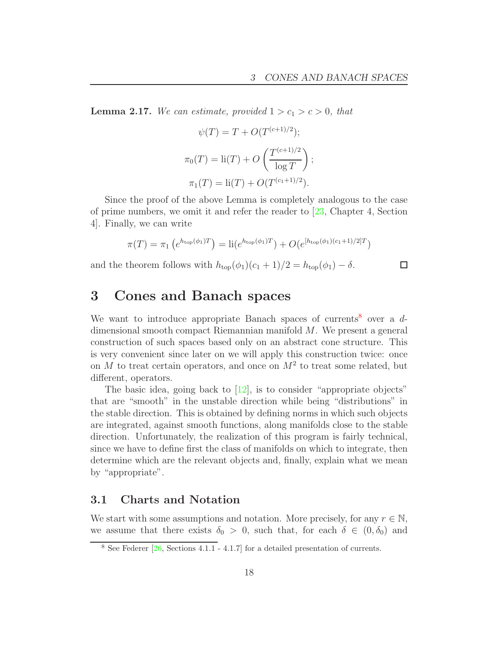**Lemma 2.17.** We can estimate, provided  $1 > c_1 > c > 0$ , that

$$
\psi(T) = T + O(T^{(c+1)/2});
$$
  
\n
$$
\pi_0(T) = \text{li}(T) + O\left(\frac{T^{(c+1)/2}}{\log T}\right);
$$
  
\n
$$
\pi_1(T) = \text{li}(T) + O(T^{(c_1+1)/2}).
$$

Since the proof of the above Lemma is completely analogous to the case of prime numbers, we omit it and refer the reader to [\[23,](#page-94-11) Chapter 4, Section 4]. Finally, we can write

$$
\pi(T) = \pi_1 \left( e^{h_{\text{top}}(\phi_1)T} \right) = \text{li}(e^{h_{\text{top}}(\phi_1)T}) + O(e^{[h_{\text{top}}(\phi_1)(c_1+1)/2]T})
$$

and the theorem follows with  $h_{\text{top}}(\phi_1)(c_1 + 1)/2 = h_{\text{top}}(\phi_1) - \delta$ .

#### $\Box$

# <span id="page-17-0"></span>3 Cones and Banach spaces

We want to introduce appropriate Banach spaces of currents<sup>[8](#page-17-2)</sup> over a  $d$ dimensional smooth compact Riemannian manifold M. We present a general construction of such spaces based only on an abstract cone structure. This is very convenient since later on we will apply this construction twice: once on M to treat certain operators, and once on  $M^2$  to treat some related, but different, operators.

The basic idea, going back to [\[12\]](#page-94-4), is to consider "appropriate objects" that are "smooth" in the unstable direction while being "distributions" in the stable direction. This is obtained by defining norms in which such objects are integrated, against smooth functions, along manifolds close to the stable direction. Unfortunately, the realization of this program is fairly technical, since we have to define first the class of manifolds on which to integrate, then determine which are the relevant objects and, finally, explain what we mean by "appropriate".

### <span id="page-17-1"></span>3.1 Charts and Notation

We start with some assumptions and notation. More precisely, for any  $r \in \mathbb{N}$ , we assume that there exists  $\delta_0 > 0$ , such that, for each  $\delta \in (0, \delta_0)$  and

<span id="page-17-2"></span><sup>8</sup> See Federer [\[26,](#page-95-8) Sections 4.1.1 - 4.1.7] for a detailed presentation of currents.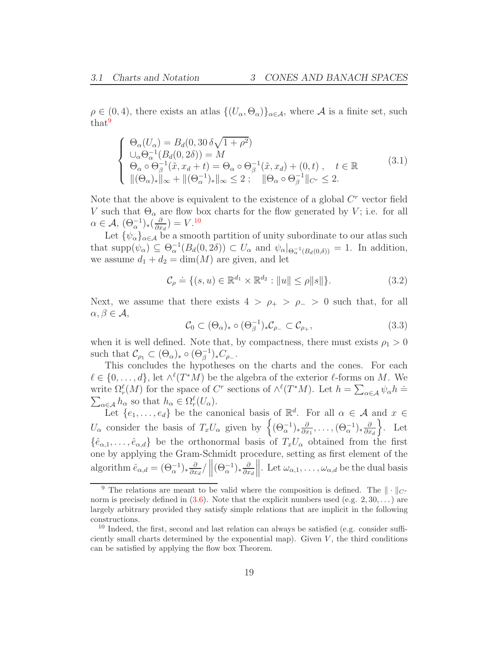$\rho \in (0, 4)$ , there exists an atlas  $\{(U_{\alpha}, \Theta_{\alpha})\}_{\alpha \in \mathcal{A}}$ , where A is a finite set, such that<sup>[9](#page-18-0)</sup>

<span id="page-18-2"></span>
$$
\begin{cases}\n\Theta_{\alpha}(U_{\alpha}) = B_d(0, 30 \delta \sqrt{1 + \rho^2}) \\
\cup_{\alpha} \Theta_{\alpha}^{-1}(B_d(0, 2\delta)) = M \\
\Theta_{\alpha} \circ \Theta_{\beta}^{-1}(\tilde{x}, x_d + t) = \Theta_{\alpha} \circ \Theta_{\beta}^{-1}(\tilde{x}, x_d) + (0, t) , \quad t \in \mathbb{R} \\
\|( \Theta_{\alpha})_* \|_{\infty} + \| (\Theta_{\alpha}^{-1})_* \|_{\infty} \leq 2 ; \quad \| \Theta_{\alpha} \circ \Theta_{\beta}^{-1} \|_{C^r} \leq 2.\n\end{cases}
$$
\n(3.1)

Note that the above is equivalent to the existence of a global  $C<sup>r</sup>$  vector field V such that  $\Theta_{\alpha}$  are flow box charts for the flow generated by V; i.e. for all  $\alpha \in \mathcal{A}, \, (\Theta_{\alpha}^{-1})_*(\frac{\partial}{\partial x})$  $\frac{\partial}{\partial x_d}$ ) =  $V$ .<sup>[10](#page-18-1)</sup>

Let  $\{\psi_{\alpha}\}_{{\alpha}\in\mathcal{A}}$  be a smooth partition of unity subordinate to our atlas such that  $\text{supp}(\psi_{\alpha}) \subseteq \Theta_{\alpha}^{-1}(B_d(0, 2\delta)) \subset U_{\alpha}$  and  $\psi_{\alpha}|_{\Theta_{\alpha}^{-1}(B_d(0,\delta))} = 1$ . In addition, we assume  $d_1 + d_2 = \dim(M)$  are given, and let

<span id="page-18-3"></span>
$$
\mathcal{C}_{\rho} \doteq \{ (s, u) \in \mathbb{R}^{d_1} \times \mathbb{R}^{d_2} : ||u|| \le \rho ||s|| \}. \tag{3.2}
$$

Next, we assume that there exists  $4 > \rho_+ > \rho_- > 0$  such that, for all  $\alpha, \beta \in \mathcal{A},$ 

<span id="page-18-4"></span>
$$
\mathcal{C}_0 \subset (\Theta_\alpha)_* \circ (\Theta_\beta^{-1})_* \mathcal{C}_{\rho_-} \subset \mathcal{C}_{\rho_+},\tag{3.3}
$$

when it is well defined. Note that, by compactness, there must exists  $\rho_1 > 0$ such that  $\mathcal{C}_{\rho_1} \subset (\Theta_\alpha)_* \circ (\Theta_\beta^{-1})_* C_{\rho_-}.$ 

This concludes the hypotheses on the charts and the cones. For each  $\ell \in \{0, \ldots, d\}$ , let  $\wedge^{\ell}(T^*M)$  be the algebra of the exterior  $\ell$ -forms on M. We write  $\Omega_{\epsilon}^{\ell}(M)$  for the space of C<sup>*r*</sup> sections of  $\wedge^{\ell}(T^*M)$ . Let  $h = \sum_{\alpha \in \mathcal{A}} \psi_{\alpha} h =$ write  $\Omega_r^{\ell}(M)$  for the space of  $C^r$  sections of  $\wedge^{\ell}(T^*M)$ . Let  $h = \sum_{\alpha \in \mathcal{A}} \psi_{\alpha} h = \sum_{\alpha \in \mathcal{A}} h_{\alpha}$  so that  $h_{\alpha} \in \Omega_r^{\ell}(U_{\alpha})$ .

Let  $\{e_1, \ldots, e_d\}$  be the canonical basis of  $\mathbb{R}^d$ . For all  $\alpha \in \mathcal{A}$  and  $x \in$  $U_{\alpha}$  consider the basis of  $T_xU_{\alpha}$  given by  $\left\{(\Theta_{\alpha}^{-1})_{*\frac{\partial}{\partial x}}\right\}$  $\frac{\partial}{\partial x_1},\ldots,(\Theta_{\alpha}^{-1})_{\ast}\frac{\partial}{\partial x}$  $\partial x_d$  $\}$ . Let  $\{\hat{e}_{\alpha,1},\ldots,\hat{e}_{\alpha,d}\}\$ be the orthonormal basis of  $T_xU_\alpha$  obtained from the first one by applying the Gram-Schmidt procedure, setting as first element of the algorithm  $\hat{e}_{\alpha,d} = (\Theta_{\alpha}^{-1})_* \frac{\partial}{\partial x}$  $\frac{\partial}{\partial x_d}$ /  $\left\| (\Theta_{\alpha}^{-1})_* \frac{\partial}{\partial x_d} \right\|$  $\partial x_d$  $\parallel$ . Let  $\omega_{\alpha,1}, \ldots, \omega_{\alpha,d}$  be the dual basis

<span id="page-18-0"></span><sup>&</sup>lt;sup>9</sup> The relations are meant to be valid where the composition is defined. The  $\|\cdot\|_{C^r}$ norm is precisely defined in  $(3.6)$ . Note that the explicit numbers used  $(e.g. 2, 30, ...)$  are largely arbitrary provided they satisfy simple relations that are implicit in the following constructions.

<span id="page-18-1"></span> $10$  Indeed, the first, second and last relation can always be satisfied (e.g. consider sufficiently small charts determined by the exponential map). Given  $V$ , the third conditions can be satisfied by applying the flow box Theorem.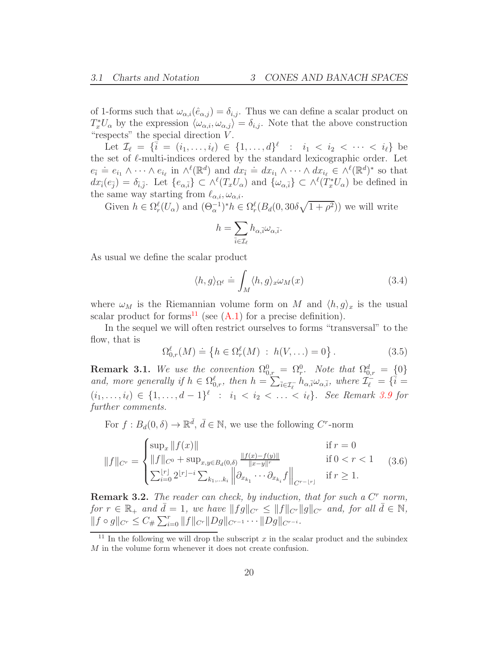of 1-forms such that  $\omega_{\alpha,i}(\hat{e}_{\alpha,i}) = \delta_{i,i}$ . Thus we can define a scalar product on  $T_x^*U_\alpha$  by the expression  $\langle \omega_{\alpha,i}, \omega_{\alpha,j} \rangle = \delta_{i,j}$ . Note that the above construction "respects" the special direction  $V$ .

Let  $\mathcal{I}_{\ell} = \{\bar{i} = (i_1, ..., i_{\ell}) \in \{1, ..., d\}^{\ell} : i_1 < i_2 < \cdots < i_{\ell}\}\$ the set of  $\ell$ -multi-indices ordered by the standard lexicographic order. Let  $e_{\bar{i}} \doteq e_{i_1} \wedge \cdots \wedge e_{i_\ell}$  in  $\wedge^{\ell}(\mathbb{R}^d)$  and  $dx_{\bar{i}} \doteq dx_{i_1} \wedge \cdots \wedge dx_{i_\ell} \in \wedge^{\ell}(\mathbb{R}^d)^*$  so that  $dx_i(e_{\bar{j}}) = \delta_{\bar{i},\bar{j}}$ . Let  $\{e_{\alpha,\bar{i}}\} \subset \wedge^{\ell}(T_xU_{\alpha})$  and  $\{\omega_{\alpha,\bar{i}}\} \subset \wedge^{\ell}(T_x^*U_{\alpha})$  be defined in the same way starting from  $\ell_{\alpha,i}, \omega_{\alpha,i}$ .

Given  $h \in \Omega_r^{\ell}(U_\alpha)$  and  $(\Theta_\alpha^{-1})^* h \in \Omega_r^{\ell}(B_d(0, 30\delta\sqrt{1+\rho^2}))$  we will write

$$
h=\sum_{\overline{i}\in\mathcal{I}_\ell}h_{\alpha,\overline{i}}\omega_{\alpha,\overline{i}}.
$$

As usual we define the scalar product

<span id="page-19-3"></span>
$$
\langle h, g \rangle_{\Omega^{\ell}} \doteq \int_{M} \langle h, g \rangle_{x} \omega_{M}(x) \tag{3.4}
$$

where  $\omega_M$  is the Riemannian volume form on M and  $\langle h, g \rangle_x$  is the usual scalar product for forms<sup>[11](#page-19-2)</sup> (see  $(A.1)$  for a precise definition).

In the sequel we will often restrict ourselves to forms "transversal" to the flow, that is

<span id="page-19-0"></span>
$$
\Omega_{0,r}^{\ell}(M) \doteq \{ h \in \Omega_r^{\ell}(M) : h(V, \ldots) = 0 \} .
$$
 (3.5)

<span id="page-19-4"></span>**Remark 3.1.** We use the convention  $\Omega_{0,r}^0 = \Omega_r^0$ . Note that  $\Omega_{0,r}^d = \{0\}$ and, more generally if  $h \in \Omega_{0,r}^{\ell}$ , then  $h = \sum_{\bar{i} \in \mathcal{I}_{\ell}^-} h_{\alpha, \bar{i}} \omega_{\alpha, \bar{i}}$ , where  $\mathcal{I}_{\ell}^{\mathcal{I}^+} = {\bar{i}} =$  $(i_1, \ldots, i_\ell) \in \{1, \ldots, d-1\}^\ell$  :  $i_1 < i_2 < \ldots < i_\ell\}$ . See Remark [3.9](#page-22-0) for further comments.

For  $f : B_d(0, \delta) \to \mathbb{R}^{\bar{d}}, \bar{d} \in \mathbb{N}$ , we use the following  $C^r$ -norm

<span id="page-19-1"></span>
$$
||f||_{C^{r}} = \begin{cases} \sup_x ||f(x)|| & \text{if } r = 0\\ ||f||_{C^0} + \sup_{x,y \in B_d(0,\delta)} \frac{||f(x) - f(y)||}{||x - y||^r} & \text{if } 0 < r < 1\\ \sum_{i=0}^{\lfloor r \rfloor} 2^{\lfloor r \rfloor - i} \sum_{k_1, \dots k_i} ||\partial_{x_{k_1}} \cdots \partial_{x_{k_i}} f||_{C^{r- \lfloor r \rfloor}} & \text{if } r \ge 1. \end{cases}
$$
(3.6)

<span id="page-19-5"></span>**Remark 3.2.** The reader can check, by induction, that for such a  $C<sup>r</sup>$  norm, for  $r \in \mathbb{R}_+$  and  $\bar{d} = 1$ , we have  $||fg||_{C^r} \leq ||f||_{C^r} ||g||_{C^r}$  and, for all  $\bar{d} \in \mathbb{N}$ ,  $||f \circ g||_{C^r} \leq C_{\#} \sum_{i=0}^r ||f||_{C^r} ||Dg||_{C^{r-1}} \cdots ||Dg||_{C^{r-i}}.$ 

<span id="page-19-2"></span><sup>&</sup>lt;sup>11</sup> In the following we will drop the subscript x in the scalar product and the subindex M in the volume form whenever it does not create confusion.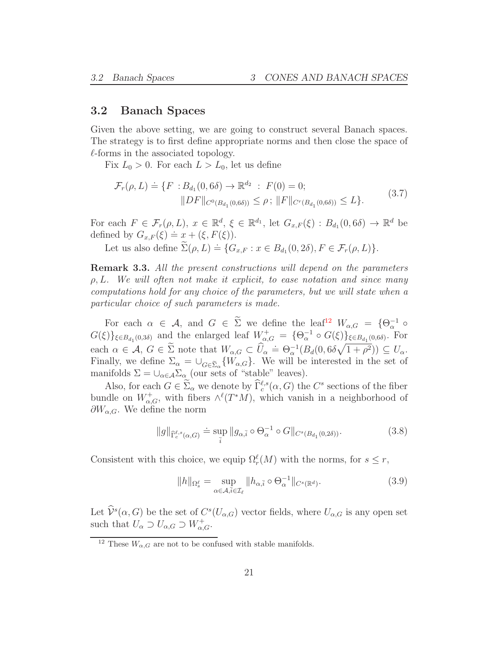#### <span id="page-20-0"></span>3.2 Banach Spaces

Given the above setting, we are going to construct several Banach spaces. The strategy is to first define appropriate norms and then close the space of  $\ell$ -forms in the associated topology.

Fix  $L_0 > 0$ . For each  $L > L_0$ , let us define

<span id="page-20-2"></span>
$$
\mathcal{F}_r(\rho, L) \doteq \{ F : B_{d_1}(0, 6\delta) \to \mathbb{R}^{d_2} : F(0) = 0; \|DF\|_{C^0(B_{d_1}(0, 6\delta))} \le \rho ; \|F\|_{C^r(B_{d_1}(0, 6\delta))} \le L \}.
$$
 (3.7)

For each  $F \in \mathcal{F}_r(\rho, L)$ ,  $x \in \mathbb{R}^d$ ,  $\xi \in \mathbb{R}^{d_1}$ , let  $G_{x,F}(\xi) : B_{d_1}(0, 6\delta) \to \mathbb{R}^d$  be defined by  $G_{x,F}(\xi) = x + (\xi, F(\xi)).$ 

Let us also define  $\widetilde{\Sigma}(\rho, L) \doteq \{G_{x,F} : x \in B_{d_1}(0, 2\delta), F \in \mathcal{F}_r(\rho, L)\}.$ 

Remark 3.3. All the present constructions will depend on the parameters  $\rho, L$ . We will often not make it explicit, to ease notation and since many computations hold for any choice of the parameters, but we will state when a particular choice of such parameters is made.

For each  $\alpha \in \mathcal{A}$ , and  $G \in \Sigma$  we define the leaf<sup>[12](#page-20-1)</sup>  $W_{\alpha,G} = {\Theta_{\alpha}^{-1} \circ \Theta_{\alpha}^{-1}}$  $G(\xi)\}_{\xi \in B_{d_1}(0,3\delta)}$  and the enlarged leaf  $W^+_{\alpha,G} = {\Theta_{\alpha}^{-1} \circ G(\xi)}_{\xi \in B_{d_1}(0,6\delta)}$ . For each  $\alpha \in \mathcal{A}, G \in \tilde{\Sigma}$  note that  $W_{\alpha,G} \subset \hat{U}_\alpha = \Theta_\alpha^{-1}(B_d(0, 6\delta\sqrt{1+\rho^2})) \subseteq U_\alpha$ . Finally, we define  $\Sigma_{\alpha} = \bigcup_{G \in \widetilde{\Sigma}_{\alpha}} \{W_{\alpha,G}\}\.$  We will be interested in the set of manifolds  $\Sigma = \bigcup_{\alpha \in A} \Sigma_{\alpha}$  (our sets of "stable" leaves).

Also, for each  $G \in \Sigma_{\alpha}$  we denote by  $\tilde{\Gamma}_c^{\ell,s}(\alpha, G)$  the  $C^s$  sections of the fiber bundle on  $W^+_{\alpha,G}$ , with fibers  $\wedge^{\ell}(T^*M)$ , which vanish in a neighborhood of  $\partial W_{\alpha,G}$ . We define the norm

$$
||g||_{\widehat{\Gamma}_c^{\ell,s}(\alpha,G)} \doteq \sup_{\overline{i}} ||g_{\alpha,\overline{i}} \circ \Theta_\alpha^{-1} \circ G||_{C^s(B_{d_1}(0,2\delta))}.
$$
 (3.8)

Consistent with this choice, we equip  $\Omega_r^{\ell}(M)$  with the norms, for  $s \leq r$ ,

$$
||h||_{\Omega_s^{\ell}} = \sup_{\alpha \in \mathcal{A}, \bar{i} \in \mathcal{I}_{\ell}} ||h_{\alpha, \bar{i}} \circ \Theta_{\alpha}^{-1}||_{C^s(\mathbb{R}^d)}.
$$
\n(3.9)

Let  $\hat{\mathcal{V}}^s(\alpha, G)$  be the set of  $C^s(U_{\alpha,G})$  vector fields, where  $U_{\alpha,G}$  is any open set such that  $U_{\alpha} \supset U_{\alpha,G} \supset W_{\alpha,G}^+$ .

<span id="page-20-1"></span> $^{12}$  These  $W_{\alpha,G}$  are not to be confused with stable manifolds.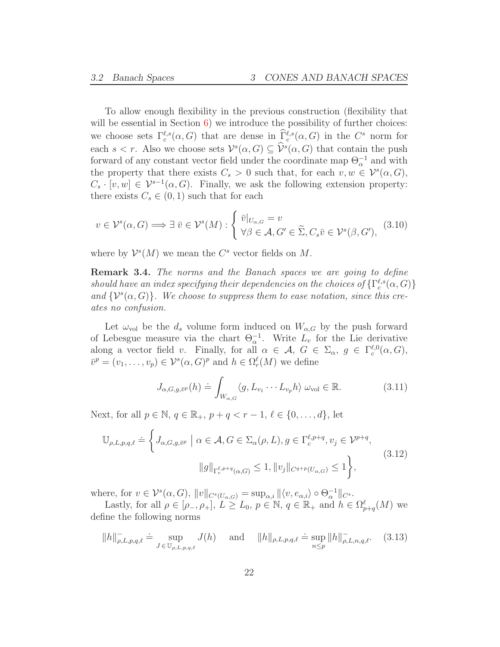To allow enough flexibility in the previous construction (flexibility that will be essential in Section  $6$ ) we introduce the possibility of further choices: we choose sets  $\Gamma_c^{\ell,s}(\alpha, G)$  that are dense in  $\widehat{\Gamma}_c^{\ell,s}(\alpha, G)$  in the  $C^s$  norm for each  $s < r$ . Also we choose sets  $\mathcal{V}^s(\alpha, G) \subseteq \hat{\mathcal{V}}^s(\alpha, G)$  that contain the push forward of any constant vector field under the coordinate map  $\Theta_{\alpha}^{-1}$  and with the property that there exists  $C_s > 0$  such that, for each  $v, w \in \mathcal{V}^s(\alpha, G)$ ,  $C_s \cdot [v, w] \in \mathcal{V}^{s-1}(\alpha, G)$ . Finally, we ask the following extension property: there exists  $C_s \in (0,1)$  such that for each

<span id="page-21-0"></span>
$$
v \in \mathcal{V}^s(\alpha, G) \Longrightarrow \exists \ \bar{v} \in \mathcal{V}^s(M) : \begin{cases} \bar{v}|_{U_{\alpha,G}} = v \\ \forall \beta \in \mathcal{A}, G' \in \widetilde{\Sigma}, C_s \bar{v} \in \mathcal{V}^s(\beta, G'), \end{cases} (3.10)
$$

where by  $\mathcal{V}^s(M)$  we mean the  $C^s$  vector fields on M.

Remark 3.4. The norms and the Banach spaces we are going to define should have an index specifying their dependencies on the choices of  $\{\Gamma_c^{\ell,s}(\alpha,G)\}$ and  $\{\mathcal{V}^s(\alpha, G)\}\$ . We choose to suppress them to ease notation, since this creates no confusion.

Let  $\omega_{\text{vol}}$  be the  $d_s$  volume form induced on  $W_{\alpha,G}$  by the push forward of Lebesgue measure via the chart  $\Theta_{\alpha}^{-1}$ . Write  $L_v$  for the Lie derivative along a vector field v. Finally, for all  $\alpha \in \mathcal{A}, G \in \Sigma_{\alpha}, g \in \Gamma_c^{\ell,0}(\alpha, G),$  $\bar{v}^p = (v_1, \ldots, v_p) \in \mathcal{V}^s(\alpha, G)^p$  and  $h \in \Omega_r^{\ell}(M)$  we define

$$
J_{\alpha,G,g,\bar{v}^p}(h) \doteq \int_{W_{\alpha,G}} \langle g, L_{v_1} \cdots L_{v_p} h \rangle \, \omega_{\text{vol}} \in \mathbb{R}.\tag{3.11}
$$

Next, for all  $p \in \mathbb{N}$ ,  $q \in \mathbb{R}_+$ ,  $p + q < r - 1$ ,  $\ell \in \{0, ..., d\}$ , let

$$
\mathbb{U}_{\rho,L,p,q,\ell} \doteq \left\{ J_{\alpha,G,g,\bar{v}^p} \mid \alpha \in \mathcal{A}, G \in \Sigma_{\alpha}(\rho,L), g \in \Gamma_c^{\ell,p+q}, v_j \in \mathcal{V}^{p+q}, \right.\|g\|_{\Gamma_c^{\ell,p+q}(\alpha,G)} \le 1, \|v_j\|_{C^{q+p}(U_{\alpha,G})} \le 1 \right\},
$$
\n(3.12)

where, for  $v \in \mathcal{V}^s(\alpha, G)$ ,  $||v||_{C^s(U_{\alpha,G})} = \sup_{\alpha,i} ||\langle v, e_{\alpha,i} \rangle \circ \Theta_{\alpha}^{-1}||_{C^s}$ .

Lastly, for all  $\rho \in [\rho_-, \rho_+]$ ,  $L \geq L_0$ ,  $p \in \mathbb{N}$ ,  $q \in \mathbb{R}_+$  and  $h \in \Omega_{p+q}^{\ell}(M)$  we define the following norms

$$
||h||_{\rho,L,p,q,\ell}^- = \sup_{J \in \mathbb{U}_{\rho,L,p,q,\ell}} J(h) \quad \text{and} \quad ||h||_{\rho,L,p,q,\ell} = \sup_{n \le p} ||h||_{\rho,L,n,q,\ell}^-.
$$
 (3.13)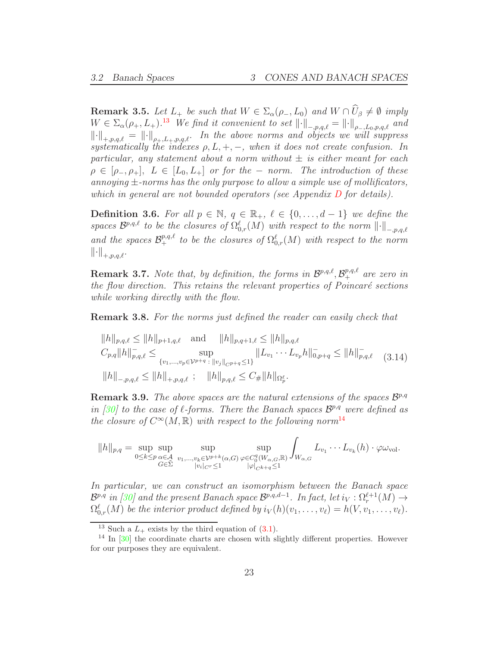**Remark 3.5.** Let  $L_+$  be such that  $W \in \Sigma_\alpha(\rho_-, L_0)$  and  $W \cap U_\beta \neq \emptyset$  imply  $W \in \Sigma_{\alpha}(\rho_+, L_+).^{13}$  $W \in \Sigma_{\alpha}(\rho_+, L_+).^{13}$  $W \in \Sigma_{\alpha}(\rho_+, L_+).^{13}$  We find it convenient to set  $\|\cdot\|_{-p,q,\ell} = \|\cdot\|_{\rho_-,L_0,p,q,\ell}$  and  $\left\|\cdot\right\|_{\pm,p,q,\ell} = \left\|\cdot\right\|_{\rho_{\pm},L_{\pm},p,q,\ell}.$  In the above norms and objects we will suppress systematically the indexes  $\rho, L, +, -$ , when it does not create confusion. In particular, any statement about a norm without  $\pm$  is either meant for each  $\rho \in [\rho_-, \rho_+]$ ,  $L \in [L_0, L_+]$  or for the – norm. The introduction of these annoying  $\pm$ -norms has the only purpose to allow a simple use of mollificators, which in general are not bounded operators (see Appendix [D](#page-87-0) for details).

**Definition 3.6.** For all  $p \in \mathbb{N}$ ,  $q \in \mathbb{R}_+$ ,  $\ell \in \{0, \ldots, d-1\}$  we define the spaces  $\mathcal{B}^{p,q,\ell}$  to be the closures of  $\Omega_{0,r}^{\ell}(M)$  with respect to the norm  $\lVert \cdot \rVert_{-,p,q,\ell}$ and the spaces  $\mathcal{B}^{p,q,\ell}_+$  to be the closures of  $\Omega_{0,r}^{\ell}(M)$  with respect to the norm  $\left\|\cdot\right\|_{+,p,q,\ell}.$ 

**Remark 3.7.** Note that, by definition, the forms in  $\mathcal{B}^{p,q,\ell}, \mathcal{B}^{p,q,\ell}_+$  are zero in the flow direction. This retains the relevant properties of  $Poincaré$  sections while working directly with the flow.

Remark 3.8. For the norms just defined the reader can easily check that

<span id="page-22-3"></span>
$$
||h||_{p,q,\ell} \le ||h||_{p+1,q,\ell} \text{ and } ||h||_{p,q+1,\ell} \le ||h||_{p,q,\ell}
$$
  
\n
$$
C_{p,q}||h||_{p,q,\ell}^- \le \sup_{\{v_1,\dots,v_p \in \mathcal{V}^{p+q} : ||v_j||_{CP+q} \le 1\}} ||L_{v_1} \cdots L_{v_p} h||_{0,p+q}^- \le ||h||_{p,q,\ell}^- \quad (3.14)
$$
  
\n
$$
||h||_{-p,q,\ell} \le ||h||_{+,p,q,\ell} ; \quad ||h||_{p,q,\ell} \le C_{\#} ||h||_{\Omega_p^{\ell}}.
$$

<span id="page-22-0"></span>**Remark 3.9.** The above spaces are the natural extensions of the spaces  $\mathcal{B}^{p,q}$ in [\[30\]](#page-95-3) to the case of  $\ell$ -forms. There the Banach spaces  $\mathcal{B}^{p,q}$  were defined as the closure of  $C^{\infty}(M,\mathbb{R})$  with respect to the following norm<sup>[14](#page-22-2)</sup>

$$
||h||_{p,q} = \sup_{0 \leq k \leq p} \sup_{\substack{\alpha \in \mathcal{A} \\ G \in \tilde{\Sigma}}} \sup_{\substack{v_1, \dots, v_k \in \mathcal{V}^{p+k}(\alpha, G) \\ |v_i|_{C^r} \leq 1}} \sup_{\substack{\varphi \in C_0^q(W_{\alpha, G}, \mathbb{R}) \\ |\varphi|_{C^{k+q}} \leq 1}} \int_{W_{\alpha, G}} L_{v_1} \cdots L_{v_k}(h) \cdot \varphi \omega_{\text{vol}}.
$$

In particular, we can construct an isomorphism between the Banach space  $\mathcal{B}^{p,q}$  in [\[30\]](#page-95-3) and the present Banach space  $\mathcal{B}^{p,q,d-1}$ . In fact, let  $i_V: \Omega_r^{\ell+1}(M) \to$  $\Omega_{0,r}^{\ell}(M)$  be the interior product defined by  $i_V(h)(v_1,\ldots,v_{\ell})=h(V,v_1,\ldots,v_{\ell}).$ 

<span id="page-22-1"></span><sup>&</sup>lt;sup>13</sup> Such a  $L_{+}$  exists by the third equation of [\(3.1\)](#page-18-2).

<span id="page-22-2"></span> $14$  In  $[30]$  the coordinate charts are chosen with slightly different properties. However for our purposes they are equivalent.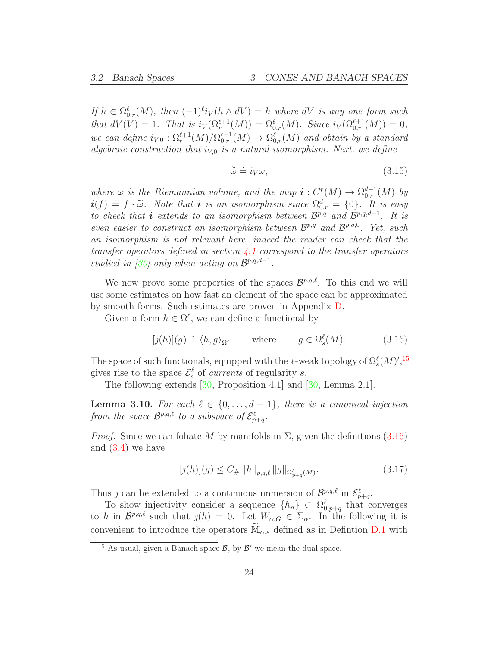If  $h \in \Omega_{0,r}^{\ell}(M)$ , then  $(-1)^{\ell}i_V(h \wedge dV) = h$  where  $dV$  is any one form such that  $dV(V) = 1$ . That is  $i_V(\Omega_r^{\ell+1}(M)) = \Omega_{0,r}^{\ell}(M)$ . Since  $i_V(\Omega_{0,r}^{\ell+1}(M)) = 0$ , we can define  $i_{V,0} : \Omega_r^{\ell+1}(M)/\Omega_{0,r}^{\ell+1}(M) \to \Omega_{0,r}^{\ell}(M)$  and obtain by a standard algebraic construction that  $i_{V,0}$  is a natural isomorphism. Next, we define

<span id="page-23-3"></span>
$$
\widetilde{\omega} \doteq i_V \omega,\tag{3.15}
$$

where  $\omega$  is the Riemannian volume, and the map  $\mathbf{i}: C^r(M) \to \Omega_{0,r}^{d-1}(M)$  by  $i(f) = f \cdot \tilde{\omega}$ . Note that i is an isomorphism since  $\Omega_{0,r}^{d} = \{0\}$ . It is easy to check that **i** extends to an isomorphism between  $\mathcal{B}^{p,q}$  and  $\mathcal{B}^{p,q,d-1}$ . It is even easier to construct an isomorphism between  $\mathcal{B}^{p,q}$  and  $\mathcal{B}^{p,q,0}$ . Yet, such an isomorphism is not relevant here, indeed the reader can check that the transfer operators defined in section  $\angle 1$  correspond to the transfer operators studied in [\[30\]](#page-95-3) only when acting on  $\mathcal{B}^{p,q,d-1}$ .

We now prove some properties of the spaces  $\mathcal{B}^{p,q,\ell}$ . To this end we will use some estimates on how fast an element of the space can be approximated by smooth forms. Such estimates are proven in Appendix [D.](#page-87-0)

Given a form  $h \in \Omega^{\ell}$ , we can define a functional by

<span id="page-23-2"></span>
$$
[j(h)](g) \doteq \langle h, g \rangle_{\Omega^{\ell}} \quad \text{where} \quad g \in \Omega_s^{\ell}(M). \tag{3.16}
$$

The space of such functionals, equipped with the  $\ast$ -weak topology of  $\Omega_s^{\ell}(M)$ ', <sup>[15](#page-23-1)</sup> gives rise to the space  $\mathcal{E}_s^{\ell}$  of currents of regularity s.

The following extends [\[30,](#page-95-3) Proposition 4.1] and [\[30,](#page-95-3) Lemma 2.1].

<span id="page-23-0"></span>**Lemma 3.10.** For each  $\ell \in \{0, \ldots, d-1\}$ , there is a canonical injection from the space  $\mathcal{B}^{p,q,\ell}$  to a subspace of  $\mathcal{E}^{\ell}_{p+q}$ .

*Proof.* Since we can foliate M by manifolds in  $\Sigma$ , given the definitions [\(3.16\)](#page-23-2) and [\(3.4\)](#page-19-3) we have

$$
[j(h)](g) \le C_{\#} \|h\|_{p,q,\ell} \|g\|_{\Omega_{p+q}^{\ell}(M)}.
$$
\n(3.17)

Thus *j* can be extended to a continuous immersion of  $\mathcal{B}^{p,q,\ell}$  in  $\mathcal{E}^{\ell}_{p+q}$ .

To show injectivity consider a sequence  $\{h_n\} \subset \Omega_{0,p+q}^{\ell}$  that converges to h in  $\mathcal{B}^{p,q,\ell}$  such that  $\jmath(h) = 0$ . Let  $W_{\alpha,G} \in \Sigma_{\alpha}$ . In the following it is convenient to introduce the operators  $\mathbb{M}_{\alpha,\varepsilon}$  defined as in Defintion [D.1](#page-87-1) with

<span id="page-23-1"></span><sup>&</sup>lt;sup>15</sup> As usual, given a Banach space  $\mathcal{B}$ , by  $\mathcal{B}'$  we mean the dual space.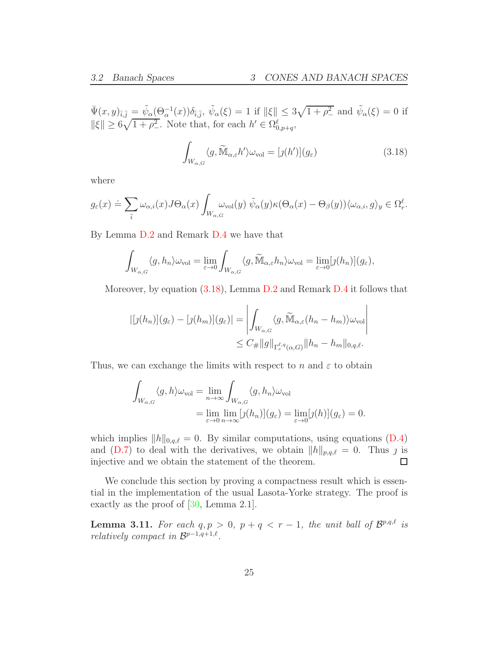$\Psi(x, y)_{\bar{i}, \bar{j}} = \tilde{\psi}_{\alpha}(\Theta_{\alpha}^{-1}(x))\delta_{\bar{i}, \bar{j}}, \ \tilde{\psi}_{\alpha}(\xi) = 1$  if  $\|\xi\| \leq 3\sqrt{1 + \rho_{-}^2}$  and  $\tilde{\psi}_{\alpha}(\xi) = 0$  if  $\|\xi\| \geq 6\sqrt{1+\rho_{-}^2}$ . Note that, for each  $h' \in \Omega_{0,p+q}^{\ell}$ ,

<span id="page-24-0"></span>
$$
\int_{W_{\alpha,G}} \langle g, \widetilde{\mathbb{M}}_{\alpha,\varepsilon} h' \rangle \omega_{\text{vol}} = [j(h')](g_{\varepsilon}) \tag{3.18}
$$

where

$$
g_{\varepsilon}(x) \doteq \sum_{\bar{i}} \omega_{\alpha,i}(x) J \Theta_{\alpha}(x) \int_{W_{\alpha,G}} \omega_{\text{vol}}(y) \ \tilde{\psi}_{\alpha}(y) \kappa(\Theta_{\alpha}(x) - \Theta_{\beta}(y)) \langle \omega_{\alpha,i}, g \rangle_{y} \in \Omega_{r}^{\ell}.
$$

By Lemma [D.2](#page-88-0) and Remark [D.4](#page-91-1) we have that

$$
\int_{W_{\alpha,G}} \langle g, h_n \rangle \omega_{\text{vol}} = \lim_{\varepsilon \to 0} \int_{W_{\alpha,G}} \langle g, \widetilde{\mathbb{M}}_{\alpha,\varepsilon} h_n \rangle \omega_{\text{vol}} = \lim_{\varepsilon \to 0} [g(h_n)](g_{\varepsilon}),
$$

Moreover, by equation  $(3.18)$ , Lemma [D.2](#page-88-0) and Remark [D.4](#page-91-1) it follows that

$$
|[j(h_n)](g_{\varepsilon}) - [j(h_m)](g_{\varepsilon})| = \left| \int_{W_{\alpha,G}} \langle g, \widetilde{\mathbb{M}}_{\alpha,\varepsilon}(h_n - h_m) \rangle \omega_{\text{vol}} \right|
$$
  

$$
\leq C_{\#} ||g||_{\Gamma_{\varepsilon}^{\ell,q}(\alpha,G)} ||h_n - h_m||_{0,q,\ell}.
$$

Thus, we can exchange the limits with respect to n and  $\varepsilon$  to obtain

$$
\int_{W_{\alpha,G}} \langle g, h \rangle \omega_{\text{vol}} = \lim_{n \to \infty} \int_{W_{\alpha,G}} \langle g, h_n \rangle \omega_{\text{vol}} \n= \lim_{\varepsilon \to 0} \lim_{n \to \infty} [g(h_n)](g_{\varepsilon}) = \lim_{\varepsilon \to 0} [g(h)](g_{\varepsilon}) = 0.
$$

which implies  $||h||_{0,q,\ell} = 0$ . By similar computations, using equations [\(D.4\)](#page-89-0) and [\(D.7\)](#page-90-0) to deal with the derivatives, we obtain  $||h||_{p,q,\ell} = 0$ . Thus  $\jmath$  is injective and we obtain the statement of the theorem. injective and we obtain the statement of the theorem.

We conclude this section by proving a compactness result which is essential in the implementation of the usual Lasota-Yorke strategy. The proof is exactly as the proof of [\[30,](#page-95-3) Lemma 2.1].

**Lemma 3.11.** For each  $q, p > 0$ ,  $p + q < r - 1$ , the unit ball of  $\mathcal{B}^{p,q,\ell}$  is relatively compact in  $\mathcal{B}^{p-1,q+1,\ell}$ .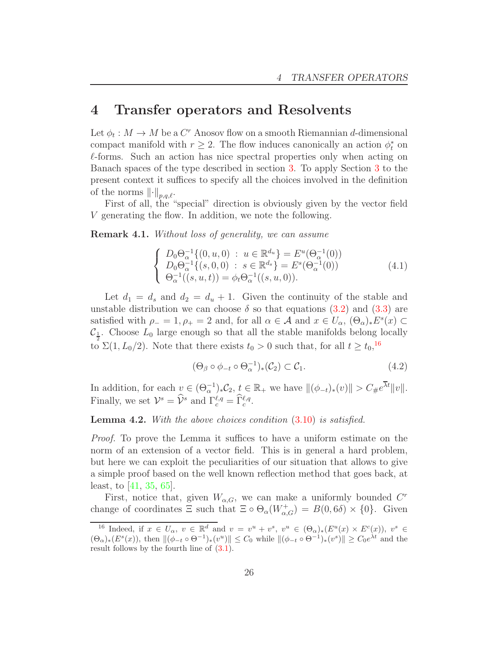# <span id="page-25-0"></span>4 Transfer operators and Resolvents

Let  $\phi_t: M \to M$  be a  $C^r$  Anosov flow on a smooth Riemannian d-dimensional compact manifold with  $r \geq 2$ . The flow induces canonically an action  $\phi_t^*$  on  $\ell$ -forms. Such an action has nice spectral properties only when acting on Banach spaces of the type described in section [3.](#page-17-0) To apply Section [3](#page-17-0) to the present context it suffices to specify all the choices involved in the definition of the norms  $\lVert \cdot \rVert_{p,q,\ell}$ .

First of all, the "special" direction is obviously given by the vector field V generating the flow. In addition, we note the following.

Remark 4.1. Without loss of generality, we can assume

$$
\begin{cases}\nD_0 \Theta_{\alpha}^{-1} \{(0, u, 0) : u \in \mathbb{R}^{d_u}\} = E^u(\Theta_{\alpha}^{-1}(0)) \\
D_0 \Theta_{\alpha}^{-1} \{(s, 0, 0) : s \in \mathbb{R}^{d_s}\} = E^s(\Theta_{\alpha}^{-1}(0)) \\
\Theta_{\alpha}^{-1}((s, u, t)) = \phi_t \Theta_{\alpha}^{-1}((s, u, 0)).\n\end{cases} (4.1)
$$

Let  $d_1 = d_s$  and  $d_2 = d_u + 1$ . Given the continuity of the stable and unstable distribution we can choose  $\delta$  so that equations [\(3.2\)](#page-18-3) and [\(3.3\)](#page-18-4) are satisfied with  $\rho_- = 1, \rho_+ = 2$  and, for all  $\alpha \in \mathcal{A}$  and  $x \in U_\alpha$ ,  $(\Theta_\alpha)_* E^s(x) \subset$  $\mathcal{C}_{\frac{1}{2}}$ . Choose  $L_0$  large enough so that all the stable manifolds belong locally to  $\Sigma(1, L_0/2)$ . Note that there exists  $t_0 > 0$  such that, for all  $t \ge t_0$ ,<sup>[16](#page-25-1)</sup>

<span id="page-25-2"></span>
$$
(\Theta_{\beta} \circ \phi_{-t} \circ \Theta_{\alpha}^{-1})_{*}(\mathcal{C}_{2}) \subset \mathcal{C}_{1}.
$$
\n(4.2)

In addition, for each  $v \in (\Theta_{\alpha}^{-1})_* \mathcal{C}_2$ ,  $t \in \mathbb{R}_+$  we have  $\|(\phi_{-t})_*(v)\| > C_{\#}e^{\overline{\lambda}t}\|v\|.$ Finally, we set  $\mathcal{V}^s = \hat{\mathcal{V}}^s$  and  $\Gamma_c^{\ell,q} = \hat{\Gamma}_c^{\ell,q}$ .

#### Lemma 4.2. With the above choices condition  $(3.10)$  is satisfied.

Proof. To prove the Lemma it suffices to have a uniform estimate on the norm of an extension of a vector field. This is in general a hard problem, but here we can exploit the peculiarities of our situation that allows to give a simple proof based on the well known reflection method that goes back, at least, to [\[41,](#page-95-9) [35,](#page-95-10) [65\]](#page-97-14).

First, notice that, given  $W_{\alpha,G}$ , we can make a uniformly bounded  $C^r$ change of coordinates  $\Xi$  such that  $\Xi \circ \Theta_{\alpha}(W_{\alpha,G}^{+}) = B(0,6\delta) \times \{0\}$ . Given

<span id="page-25-1"></span><sup>&</sup>lt;sup>16</sup> Indeed, if  $x \in U_\alpha$ ,  $v \in \mathbb{R}^d$  and  $v = v^u + v^s$ ,  $v^u \in (\Theta_\alpha)_*(E^u(x) \times E^c(x))$ ,  $v^s \in$  $(\Theta_{\alpha})_*(E^s(x))$ , then  $\|(\phi_{-t} \circ \Theta^{-1})_*(v^u)\| \leq C_0$  while  $\|(\phi_{-t} \circ \Theta^{-1})_*(v^s)\| \geq C_0e^{\lambda t}$  and the result follows by the fourth line of  $(3.1)$ .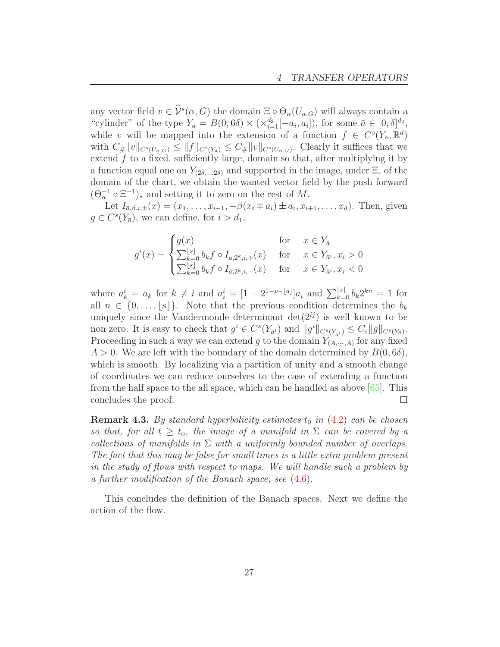any vector field  $v \in \mathcal{V}^s(\alpha, G)$  the domain  $\Xi \circ \Theta_\alpha(U_{\alpha, G})$  will always contain a "cylinder" of the type  $Y_{\bar{a}} = B(0, 6\delta) \times (\times_{i=1}^{d_2} [-a_i, a_i])$ , for some  $\bar{a} \in [0, \delta]^{d_2}$ while v will be mapped into the extension of a function  $f \in C^{s}(Y_a, \mathbb{R}^d)$ with  $C_{\#} ||v||_{C^{s}(U_{\alpha,G})} \leq ||f||_{C^{s}(Y_a)} \leq C_{\#} ||v||_{C^{s}(U_{\alpha,G})}$ . Clearly it suffices that we extend  $f$  to a fixed, sufficiently large, domain so that, after multiplying it by a function equal one on  $Y_{(2\delta,...,2\delta)}$  and supported in the image, under  $\Xi$ , of the domain of the chart, we obtain the wanted vector field by the push forward  $(\Theta_{\alpha}^{-1} \circ \Xi^{-1})_*$  and setting it to zero on the rest of M.

Let  $I_{\bar{a},\beta,i,\pm}(x) = (x_1,\ldots,x_{i-1},-\beta(x_i \mp a_i) \pm a_i,x_{i+1},\ldots,x_d)$ . Then, given  $g \in C^{s}(Y_{\bar{a}})$ , we can define, for  $i > d_1$ ,

$$
g^{i}(x) = \begin{cases} g(x) & \text{for } x \in Y_{\bar{a}} \\ \sum_{k=0}^{\lfloor s \rfloor} b_{k} f \circ I_{\bar{a},2^{k},i,+}(x) & \text{for } x \in Y_{\bar{a}^{i}}, x_{i} > 0 \\ \sum_{k=0}^{\lfloor s \rfloor} b_{k} f \circ I_{\bar{a},2^{k},i,-}(x) & \text{for } x \in Y_{\bar{a}^{i}}, x_{i} < 0 \end{cases}
$$

where  $a_k^i = a_k$  for  $k \neq i$  and  $a_i^i = [1 + 2^{1-p-\lfloor q \rfloor}]a_i$  and  $\sum_{k=0}^{\lfloor s \rfloor} b_k 2^{kn} = 1$  for all  $n \in \{0, \ldots, |s|\}$ . Note that the previous condition determines the  $b_k$ uniquely since the Vandermonde determinant  $\det(2^{ij})$  is well known to be non zero. It is easy to check that  $g^i \in C^s(Y_{\bar{a}^i})$  and  $||g^i||_{C^s(Y_{\bar{a}^i})} \leq C_s ||g||_{C^s(Y_{\bar{a}})}$ . Proceeding in such a way we can extend g to the domain  $Y_{(A,\dots,A)}$  for any fixed  $A > 0$ . We are left with the boundary of the domain determined by  $B(0, 6\delta)$ , which is smooth. By localizing via a partition of unity and a smooth change of coordinates we can reduce ourselves to the case of extending a function from the half space to the all space, which can be handled as above [\[65\]](#page-97-14). This concludes the proof.  $\Box$ 

<span id="page-26-0"></span>**Remark 4.3.** By standard hyperbolicity estimates  $t_0$  in  $(4.2)$  can be chosen so that, for all  $t \geq t_0$ , the image of a manifold in  $\Sigma$  can be covered by a collections of manifolds in  $\Sigma$  with a uniformly bounded number of overlaps. The fact that this may be false for small times is a little extra problem present in the study of flows with respect to maps. We will handle such a problem by a further modification of the Banach space, see [\(4.6\)](#page-28-0).

This concludes the definition of the Banach spaces. Next we define the action of the flow.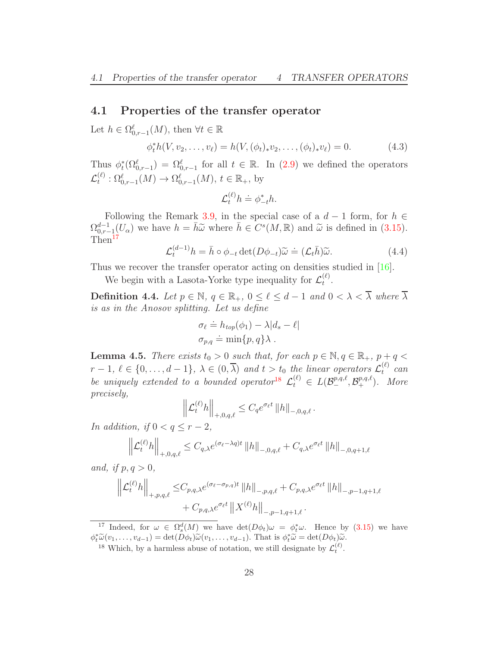### <span id="page-27-0"></span>4.1 Properties of the transfer operator

Let  $h \in \Omega_{0,r-1}^{\ell}(M)$ , then  $\forall t \in \mathbb{R}$ 

$$
\phi_t^*h(V, v_2, \dots, v_\ell) = h(V, (\phi_t)_*v_2, \dots, (\phi_t)_*v_\ell) = 0.
$$
 (4.3)

Thus  $\phi_t^*(\Omega_{0,r-1}^{\ell}) = \Omega_{0,r-1}^{\ell}$  for all  $t \in \mathbb{R}$ . In [\(2.9\)](#page-12-1) we defined the operators  $\mathcal{L}_t^{(\ell)}$  $\Omega_{0,r-1}^{(\ell)}(M) \to \Omega_{0,r-1}^{\ell}(M), t \in \mathbb{R}_{+},$  by

$$
\mathcal{L}_t^{(\ell)} h \doteq \phi_{-t}^* h.
$$

Following the Remark [3.9,](#page-22-0) in the special case of a  $d-1$  form, for  $h \in$  $\Omega_{0,r-1}^{d-1}(U_\alpha)$  we have  $h = \bar{h}\tilde{\omega}$  where  $\bar{h} \in C^s(M, \mathbb{R})$  and  $\tilde{\omega}$  is defined in [\(3.15\)](#page-23-3). Then<sup>[17](#page-27-2)</sup>

$$
\mathcal{L}_t^{(d-1)} h = \bar{h} \circ \phi_{-t} \det(D\phi_{-t}) \widetilde{\omega} \doteq (\mathcal{L}_t \bar{h}) \widetilde{\omega}.
$$
 (4.4)

Thus we recover the transfer operator acting on densities studied in [\[16\]](#page-94-9).

We begin with a Lasota-Yorke type inequality for  $\mathcal{L}_t^{(\ell)}$  $\frac{t^{(t)}}{t}$ .

Definition 4.4. Let  $p \in \mathbb{N}$ ,  $q \in \mathbb{R}_+$ ,  $0 \leq \ell \leq d-1$  and  $0 < \lambda < \overline{\lambda}$  where  $\overline{\lambda}$ is as in the Anosov splitting. Let us define

$$
\sigma_{\ell} \doteq h_{top}(\phi_1) - \lambda |d_s - \ell|
$$
  

$$
\sigma_{p,q} \doteq \min\{p,q\}\lambda.
$$

<span id="page-27-1"></span>**Lemma 4.5.** There exists  $t_0 > 0$  such that, for each  $p \in \mathbb{N}, q \in \mathbb{R}_+$ ,  $p + q <$  $r-1, \ell \in \{0,\ldots,d-1\}, \lambda \in (0,\overline{\lambda})$  and  $t > t_0$  the linear operators  $\mathcal{L}_t^{(\ell)}$  can be uniquely extended to a bounded operator<sup>[18](#page-27-3)</sup>  $\mathcal{L}_t^{(\ell)} \in L(\mathcal{B}_-^{p,q,\ell}, \mathcal{B}_+^{p,q,\ell})$ . More precisely,

$$
\left\|\mathcal{L}_t^{(\ell)}h\right\|_{+,0,q,\ell}\leq C_q e^{\sigma_\ell t} \left\|h\right\|_{-,0,q,\ell}.
$$

In addition, if  $0 < q \leq r-2$ ,

$$
\left\| \mathcal{L}_t^{(\ell)} h \right\|_{+,0,q,\ell} \leq C_{q,\lambda} e^{(\sigma_\ell - \lambda q)t} \left\| h \right\|_{-,0,q,\ell} + C_{q,\lambda} e^{\sigma_\ell t} \left\| h \right\|_{-,0,q+1,\ell}
$$

and, if  $p, q > 0$ ,

$$
\left\| \mathcal{L}_{t}^{(\ell)} h \right\|_{+,p,q,\ell} \leq C_{p,q,\lambda} e^{(\sigma_{\ell} - \sigma_{p,q})t} \left\| h \right\|_{-,p,q,\ell} + C_{p,q,\lambda} e^{\sigma_{\ell}t} \left\| h \right\|_{-,p-1,q+1,\ell} + C_{p,q,\lambda} e^{\sigma_{\ell}t} \left\| X^{(\ell)} h \right\|_{-,p-1,q+1,\ell}.
$$

<sup>&</sup>lt;sup>17</sup> Indeed, for  $\omega \in \Omega_s^d(M)$  we have  $\det(D\phi_t)\omega = \phi_t^*\omega$ . Hence by [\(3.15\)](#page-23-3) we have  $\phi_t^* \widetilde{\omega}(v_1, \ldots, v_{d-1}) = \det(D\phi_t) \widetilde{\omega}(v_1, \ldots, v_{d-1}).$  That is  $\phi_t^* \widetilde{\omega} = \det(D\phi_t) \widetilde{\omega}.$ 

<span id="page-27-3"></span><span id="page-27-2"></span><sup>&</sup>lt;sup>18</sup> Which, by a harmless abuse of notation, we still designate by  $\mathcal{L}_t^{(\ell)}$ .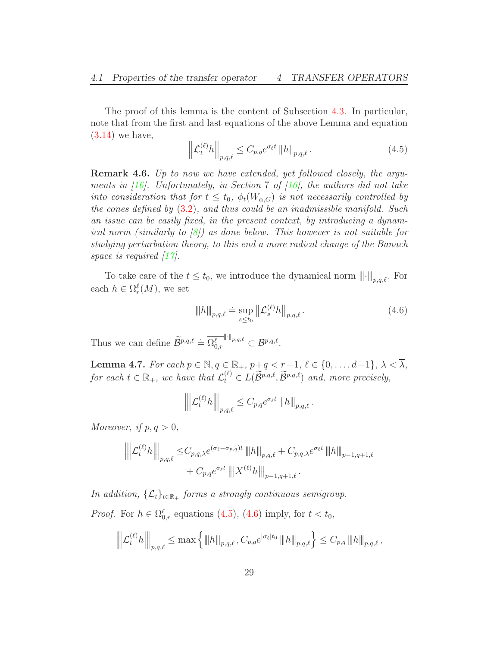The proof of this lemma is the content of Subsection [4.3.](#page-31-0) In particular, note that from the first and last equations of the above Lemma and equation  $(3.14)$  we have,

<span id="page-28-2"></span>
$$
\left\| \mathcal{L}_t^{(\ell)} h \right\|_{p,q,\ell} \le C_{p,q} e^{\sigma_\ell t} \left\| h \right\|_{p,q,\ell}.
$$
\n(4.5)

Remark 4.6. Up to now we have extended, yet followed closely, the arguments in  $[16]$ . Unfortunately, in Section 7 of  $[16]$ , the authors did not take into consideration that for  $t \leq t_0$ ,  $\phi_t(W_{\alpha,G})$  is not necessarily controlled by the cones defined by  $(3.2)$ , and thus could be an inadmissible manifold. Such an issue can be easily fixed, in the present context, by introducing a dynamical norm (similarly to  $\vert 8 \vert$ ) as done below. This however is not suitable for studying perturbation theory, to this end a more radical change of the Banach space is required  $\left[17\right]$ .

To take care of the  $t \leq t_0$ , we introduce the dynamical norm  $\|\cdot\|_{p,q,\ell}$ . For each  $h \in \Omega_r^{\ell}(M)$ , we set

<span id="page-28-0"></span>
$$
\|h\|_{p,q,\ell} \doteq \sup_{s \le t_0} \left\| \mathcal{L}_s^{(\ell)} h \right\|_{p,q,\ell}.
$$
 (4.6)

Thus we can define  $\widetilde{\mathcal{B}}^{p,q,\ell} \doteq \overline{\Omega^{\ell}_{0,r}}^{\|\cdot\|_{p,q,\ell}} \subset \mathcal{B}^{p,q,\ell}.$ 

<span id="page-28-1"></span>**Lemma 4.7.** For each  $p \in \mathbb{N}$ ,  $q \in \mathbb{R}_+$ ,  $p+q < r-1$ ,  $\ell \in \{0, \ldots, d-1\}$ ,  $\lambda < \overline{\lambda}$ , for each  $t \in \mathbb{R}_+$ , we have that  $\mathcal{L}_t^{(\ell)} \in L(\widetilde{\mathcal{B}}^{p,q,\ell}, \widetilde{\mathcal{B}}^{p,q,\ell})$  and, more precisely,

$$
\left\| \left| \mathcal{L}_t^{(\ell)} h \right| \right\|_{p,q,\ell} \leq C_{p,q} e^{\sigma_{\ell} t} \left\| h \right\|_{p,q,\ell}.
$$

Moreover, if  $p, q > 0$ ,

$$
\left\| \left\| \mathcal{L}_t^{(\ell)} h \right\| \right\|_{p,q,\ell} \leq C_{p,q,\lambda} e^{(\sigma_{\ell} - \sigma_{p,q})t} \left\| h \right\|_{p,q,\ell} + C_{p,q,\lambda} e^{\sigma_{\ell}t} \left\| h \right\|_{p-1,q+1,\ell} + C_{p,q} e^{\sigma_{\ell}t} \left\| |X^{(\ell)} h \right\|_{p-1,q+1,\ell}.
$$

In addition,  $\{\mathcal{L}_t\}_{t \in \mathbb{R}_+}$  forms a strongly continuous semigroup.

*Proof.* For  $h \in \Omega_{0,r}^{\ell}$  equations [\(4.5\)](#page-28-2), [\(4.6\)](#page-28-0) imply, for  $t < t_0$ ,

$$
\left\| \left| \mathcal{L}_t^{(\ell)} h \right| \right\|_{p,q,\ell} \leq \max \left\{ \left\| h \right\|_{p,q,\ell}, C_{p,q} e^{|\sigma_{\ell}| t_0} \left\| h \right\|_{p,q,\ell} \right\} \leq C_{p,q} \left\| h \right\|_{p,q,\ell},
$$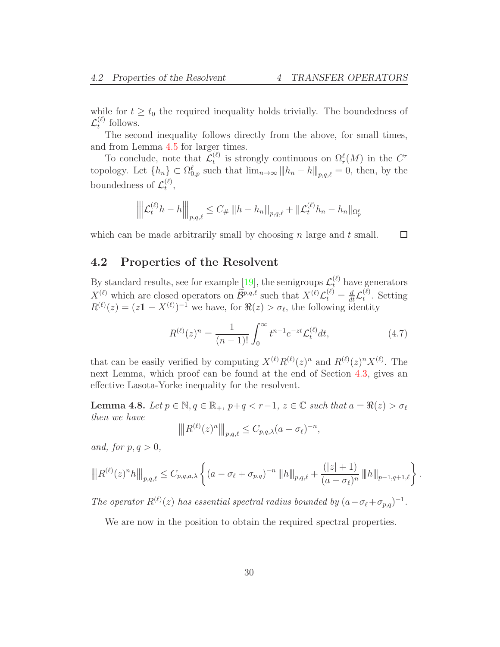while for  $t \geq t_0$  the required inequality holds trivially. The boundedness of  $\mathcal{L}_t^{(\ell)}$  $t^{(\ell)}$  follows.

The second inequality follows directly from the above, for small times, and from Lemma [4.5](#page-27-1) for larger times.

To conclude, note that  $\mathcal{L}_t^{(\ell)}$  $\Omega_t^{(\ell)}$  is strongly continuous on  $\Omega_r^{\ell}(M)$  in the  $C^r$ topology. Let  $\{h_n\} \subset \Omega_{0,p}^{\ell}$  such that  $\lim_{n\to\infty} ||h_n - h||_{p,q,\ell} = 0$ , then, by the boundedness of  $\mathcal{L}_t^{(\ell)}$  $\mathcal{L}^{(t)}_t,$ 

$$
\left\| \left| \mathcal{L}_t^{(\ell)} h - h \right| \right\|_{p,q,\ell} \leq C_{\#} \left\| h - h_n \right\|_{p,q,\ell} + \left\| \mathcal{L}_t^{(\ell)} h_n - h_n \right\|_{\Omega_p^{\ell}}
$$

<span id="page-29-0"></span>which can be made arbitrarily small by choosing  $n$  large and  $t$  small.  $\Box$ 

### 4.2 Properties of the Resolvent

By standard results, see for example [\[19\]](#page-94-13), the semigroups  $\mathcal{L}_{t}^{(\ell)}$  have generators  $X^{(\ell)}$  which are closed operators on  $\widetilde{\mathcal{B}}^{p,q,\ell}$  such that  $X^{(\ell)}\mathcal{L}^{(\ell)}_t = \frac{d}{dt}\mathcal{L}^{(\ell)}_t$  $t^{\left(\ell\right)}$ . Setting  $R^{(\ell)}(z) = (z\mathbb{1} - X^{(\ell)})^{-1}$  we have, for  $\Re(z) > \sigma_{\ell}$ , the following identity

$$
R^{(\ell)}(z)^n = \frac{1}{(n-1)!} \int_0^\infty t^{n-1} e^{-zt} \mathcal{L}_t^{(\ell)} dt,\tag{4.7}
$$

that can be easily verified by computing  $X^{(\ell)}R^{(\ell)}(z)^n$  and  $R^{(\ell)}(z)^nX^{(\ell)}$ . The next Lemma, which proof can be found at the end of Section [4.3,](#page-31-0) gives an effective Lasota-Yorke inequality for the resolvent.

<span id="page-29-1"></span>Lemma 4.8. Let  $p \in \mathbb{N}, q \in \mathbb{R}_+, p+q < r-1, z \in \mathbb{C}$  such that  $a = \Re(z) > \sigma_{\ell}$ then we have

$$
\left\| \left| R^{(\ell)}(z)^n \right| \right\|_{p,q,\ell} \leq C_{p,q,\lambda} (a - \sigma_\ell)^{-n},
$$

and, for  $p, q > 0$ ,

$$
\left\| |R^{(\ell)}(z)^n h|\right\|_{p,q,\ell} \leq C_{p,q,a,\lambda} \left\{ (a - \sigma_{\ell} + \sigma_{p,q})^{-n} \left\| |h| \right\|_{p,q,\ell} + \frac{(|z|+1)}{(a - \sigma_{\ell})^n} \left\| |h| \right\|_{p-1,q+1,\ell} \right\}.
$$

The operator  $R^{(\ell)}(z)$  has essential spectral radius bounded by  $(a - \sigma_{\ell} + \sigma_{p,q})^{-1}$ .

We are now in the position to obtain the required spectral properties.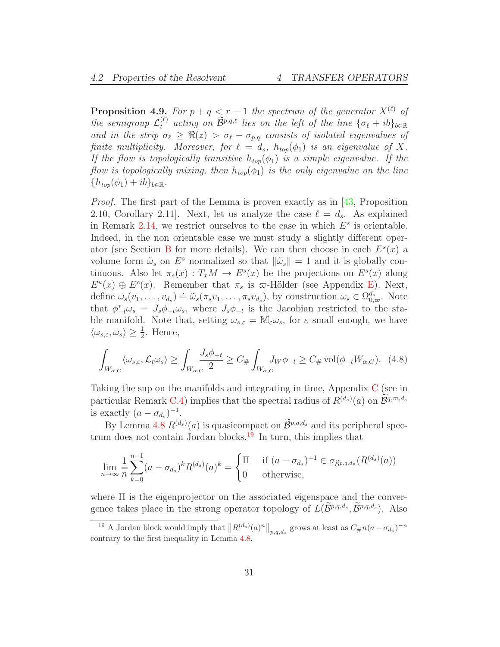<span id="page-30-0"></span>**Proposition 4.9.** For  $p + q \leq r - 1$  the spectrum of the generator  $X^{(\ell)}$  of the semigroup  $\mathcal{L}_t^{(\ell)}$  acting on  $\widetilde{\mathcal{B}}^{p,q,\ell}$  lies on the left of the line  $\{\sigma_\ell + ib\}_{b \in \mathbb{R}}$ and in the strip  $\sigma_{\ell} \geq \Re(z) > \sigma_{\ell} - \sigma_{p,q}$  consists of isolated eigenvalues of finite multiplicity. Moreover, for  $\ell = d_s$ ,  $h_{top}(\phi_1)$  is an eigenvalue of X. If the flow is topologically transitive  $h_{top}(\phi_1)$  is a simple eigenvalue. If the flow is topologically mixing, then  $h_{top}(\phi_1)$  is the only eigenvalue on the line  ${h_{top}(\phi_1) + ib}_{b \in \mathbb{R}}$ .

Proof. The first part of the Lemma is proven exactly as in [\[43,](#page-96-5) Proposition 2.10, Corollary 2.11. Next, let us analyze the case  $\ell = d_s$ . As explained in Remark [2.14,](#page-12-2) we restrict ourselves to the case in which  $E^s$  is orientable. Indeed, in the non orientable case we must study a slightly different oper-ator (see Section [B](#page-80-0) for more details). We can then choose in each  $E<sup>s</sup>(x)$  a volume form  $\tilde{\omega}_s$  on  $E^s$  normalized so that  $\|\tilde{\omega}_s\| = 1$  and it is globally continuous. Also let  $\pi_s(x) : T_xM \to E^s(x)$  be the projections on  $E^s(x)$  along  $E^u(x) \oplus E^c(x)$ . Remember that  $\pi_s$  is  $\varpi$ -Hölder (see Appendix [E\)](#page-91-0). Next, define  $\omega_s(v_1, \ldots, v_{d_s}) \doteq \tilde{\omega}_s(\pi_s v_1, \ldots, \pi_s v_{d_s})$ , by construction  $\omega_s \in \Omega_{0,\varpi}^{d_s}$ . Note that  $\phi^*_{-t}\omega_s = J_s\phi_{-t}\omega_s$ , where  $J_s\phi_{-t}$  is the Jacobian restricted to the stable manifold. Note that, setting  $\omega_{s,\varepsilon} = M_{\varepsilon} \omega_s$ , for  $\varepsilon$  small enough, we have  $\langle \omega_{s,\varepsilon}, \omega_s \rangle \geq \frac{1}{2}$ . Hence,

<span id="page-30-2"></span>
$$
\int_{W_{\alpha,G}} \langle \omega_{s,\varepsilon}, \mathcal{L}_t \omega_s \rangle \ge \int_{W_{\alpha,G}} \frac{J_s \phi_{-t}}{2} \ge C_\# \int_{W_{\alpha,G}} J_W \phi_{-t} \ge C_\# \operatorname{vol}(\phi_{-t} W_{\alpha,G}). \tag{4.8}
$$

Taking the sup on the manifolds and integrating in time, Appendix [C](#page-84-0) (see in particular Remark [C.4\)](#page-87-2) implies that the spectral radius of  $R^{(d_s)}(a)$  on  $\mathcal{B}^{q,\varpi,d_s}$ is exactly  $(a - \sigma_{d_s})^{-1}$ .

By Lemma [4.8](#page-29-1)  $R^{(d_s)}(a)$  is quasicompact on  $\mathcal{B}^{p,q,d_s}$  and its peripheral spec-trum does not contain Jordan blocks.<sup>[19](#page-30-1)</sup> In turn, this implies that

$$
\lim_{n \to \infty} \frac{1}{n} \sum_{k=0}^{n-1} (a - \sigma_{d_s})^k R^{(d_s)}(a)^k = \begin{cases} \Pi & \text{if } (a - \sigma_{d_s})^{-1} \in \sigma_{\widetilde{B}^{p,q,d_s}}(R^{(d_s)}(a)) \\ 0 & \text{otherwise,} \end{cases}
$$

where Π is the eigenprojector on the associated eigenspace and the convergence takes place in the strong operator topology of  $L(\mathcal{B}^{p,q,d_s}, \mathcal{B}^{p,q,d_s})$ . Also

<span id="page-30-1"></span><sup>&</sup>lt;sup>19</sup> A Jordan block would imply that  $||R^{(d_s)}(a)^n||_{p,q,d_s}$  grows at least as  $C_{\#}n(a - \sigma_{d_s})^{-n}$ contrary to the first inequality in Lemma [4.8.](#page-29-1)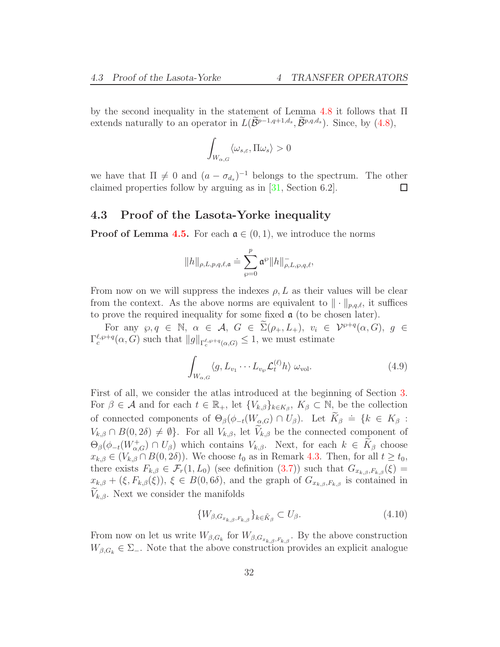by the second inequality in the statement of Lemma [4.8](#page-29-1) it follows that Π extends naturally to an operator in  $L(\mathcal{B}^{p-1,q+1,d_s}, \mathcal{B}^{p,q,d_s})$ . Since, by  $(4.8)$ ,

$$
\int_{W_{\alpha,G}}\langle\omega_{s,\varepsilon},\Pi\omega_s\rangle>0
$$

we have that  $\Pi \neq 0$  and  $(a - \sigma_{d_s})^{-1}$  belongs to the spectrum. The other claimed properties follow by arguing as in [\[31,](#page-95-4) Section 6.2].  $\Box$ 

### <span id="page-31-0"></span>4.3 Proof of the Lasota-Yorke inequality

**Proof of Lemma [4.5.](#page-27-1)** For each  $a \in (0,1)$ , we introduce the norms

$$
\|h\|_{\rho, L, p, q, \ell, \mathfrak{a}} \doteq \sum_{\wp = 0}^p \mathfrak{a}^\wp \|h\|^-_{\rho, L, \wp, q, \ell},
$$

From now on we will suppress the indexes  $\rho, L$  as their values will be clear from the context. As the above norms are equivalent to  $\|\cdot\|_{p,q,\ell}$ , it suffices to prove the required inequality for some fixed  $\alpha$  (to be chosen later).

For any  $\wp, q \in \mathbb{N}, \alpha \in \mathcal{A}, G \in \widetilde{\Sigma}(\rho_+, L_+), v_i \in \mathcal{V}^{p+q}(\alpha, G), g \in$  $\Gamma_c^{\ell,\wp+q}(\alpha,G)$  such that  $||g||_{\Gamma_c^{\ell,\wp+q}(\alpha,G)} \leq 1$ , we must estimate

<span id="page-31-1"></span>
$$
\int_{W_{\alpha,G}} \langle g, L_{v_1} \cdots L_{v_\wp} \mathcal{L}_t^{(\ell)} h \rangle \, \omega_{\text{vol}}.\tag{4.9}
$$

First of all, we consider the atlas introduced at the beginning of Section [3.](#page-17-0) For  $\beta \in \mathcal{A}$  and for each  $t \in \mathbb{R}_+$ , let  $\{V_{k,\beta}\}_{k \in K_\beta}$ ,  $K_\beta \subset \mathbb{N}$ , be the collection of connected components of  $\Theta_{\beta}(\phi_{-t}(W_{\alpha,G}) \cap U_{\beta})$ . Let  $\widetilde{K}_{\beta} = \{k \in K_{\beta} :$  $V_{k,\beta} \cap B(0,2\delta) \neq \emptyset$ . For all  $V_{k,\beta}$ , let  $\widetilde{V}_{k,\beta}$  be the connected component of  $\Theta_{\beta}(\phi_{-t}(W_{\alpha,G}^+) \cap U_{\beta})$  which contains  $V_{k,\beta}$ . Next, for each  $k \in K_{\beta}$  choose  $x_{k,\beta} \in (V_{k,\beta} \cap B(0,2\delta))$ . We choose  $t_0$  as in Remark [4.3.](#page-26-0) Then, for all  $t \geq t_0$ , there exists  $F_{k,\beta} \in \mathcal{F}_r(1,L_0)$  (see definition [\(3.7\)](#page-20-2)) such that  $G_{x_{k,\beta},F_{k,\beta}}(\xi)$  =  $x_{k,\beta} + (\xi, F_{k,\beta}(\xi)), \xi \in B(0,6\delta)$ , and the graph of  $G_{x_{k,\beta},F_{k,\beta}}$  is contained in  $V_{k,\beta}$ . Next we consider the manifolds

$$
\{W_{\beta,G_{x_{k,\beta},F_{k,\beta}}}\}_{k\in\tilde{K}_{\beta}}\subset U_{\beta}.\tag{4.10}
$$

From now on let us write  $W_{\beta,G_k}$  for  $W_{\beta,G_{x_{k,\beta},F_{k,\beta}}}$ . By the above construction  $W_{\beta,G_k} \in \Sigma_-$ . Note that the above construction provides an explicit analogue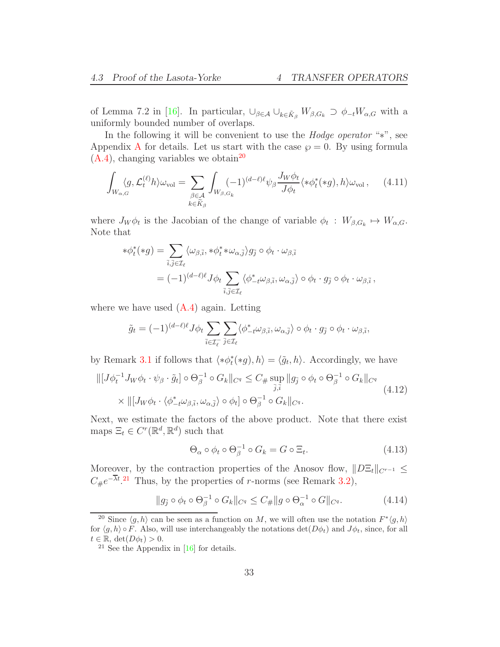of Lemma 7.2 in [\[16\]](#page-94-9). In particular,  $\bigcup_{\beta \in \mathcal{A}} \bigcup_{k \in \tilde{K}_{\beta}} W_{\beta, G_k} \supset \phi_{-t} W_{\alpha, G}$  with a uniformly bounded number of overlaps.

In the following it will be convenient to use the Hodge operator "∗", see [A](#page-78-0)ppendix A for details. Let us start with the case  $\wp = 0$ . By using formula  $(A.4)$ , changing variables we obtain<sup>[20](#page-32-0)</sup>

<span id="page-32-4"></span>
$$
\int_{W_{\alpha,G}} \langle g, \mathcal{L}_t^{(\ell)} h \rangle \omega_{\text{vol}} = \sum_{\substack{\beta \in \mathcal{A} \\ k \in \widetilde{K}_{\beta}}} \int_{W_{\beta,G_k}} (-1)^{(d-\ell)\ell} \psi_{\beta} \frac{J_W \phi_t}{J \phi_t} \langle * \phi_t^*(*g), h \rangle \omega_{\text{vol}}, \quad (4.11)
$$

where  $J_W \phi_t$  is the Jacobian of the change of variable  $\phi_t : W_{\beta,G_k} \mapsto W_{\alpha,G}$ . Note that

$$
\begin{split} * \phi_t^*(*g) &= \sum_{\bar{i},\bar{j} \in \mathcal{I}_{\ell}} \langle \omega_{\beta,\bar{i}}, * \phi_t^* * \omega_{\alpha,\bar{j}} \rangle g_{\bar{j}} \circ \phi_t \cdot \omega_{\beta,\bar{i}} \\ &= (-1)^{(d-\ell)\ell} J \phi_t \sum_{\bar{i},\bar{j} \in \mathcal{I}_{\ell}} \langle \phi_{-t}^* \omega_{\beta,\bar{i}}, \omega_{\alpha,\bar{j}} \rangle \circ \phi_t \cdot g_{\bar{j}} \circ \phi_t \cdot \omega_{\beta,\bar{i}} \,, \end{split}
$$

where we have used  $(A.4)$  again. Letting

$$
\tilde{g}_t = (-1)^{(d-\ell)\ell} J\phi_t \sum_{\bar{i}\in \mathcal{I}_{\ell}^-} \sum_{\bar{j}\in \mathcal{I}_{\ell}} \langle \phi_{-t}^*\omega_{\beta,\bar{i}}, \omega_{\alpha,\bar{j}} \rangle \circ \phi_t \cdot g_{\bar{j}} \circ \phi_t \cdot \omega_{\beta,\bar{i}},
$$

by Remark [3.1](#page-19-4) if follows that  $\langle *\phi_t^*(*g), h \rangle = \langle \tilde{g}_t, h \rangle$ . Accordingly, we have

<span id="page-32-3"></span>
$$
\| [J\phi_t^{-1} J_W \phi_t \cdot \psi_\beta \cdot \tilde{g}_t] \circ \Theta_\beta^{-1} \circ G_k \|_{C^q} \leq C_{\#} \sup_{\bar{j}, \bar{i}} \| g_{\bar{j}} \circ \phi_t \circ \Theta_\beta^{-1} \circ G_k \|_{C^q}
$$
  
 
$$
\times \| [J_W \phi_t \cdot \langle \phi_{-t}^* \omega_{\beta, \bar{i}}, \omega_{\alpha, \bar{j}} \rangle \circ \phi_t] \circ \Theta_\beta^{-1} \circ G_k \|_{C^q}.
$$
 (4.12)

Next, we estimate the factors of the above product. Note that there exist maps  $\Xi_t \in C^r(\mathbb{R}^d, \mathbb{R}^d)$  such that

$$
\Theta_{\alpha} \circ \phi_t \circ \Theta_{\beta}^{-1} \circ G_k = G \circ \Xi_t.
$$
 (4.13)

Moreover, by the contraction properties of the Anosov flow,  $||D\Xi_t||_{C^{r-1}} \leq$  $C_{\#}e^{-\lambda t}$ .<sup>[21](#page-32-1)</sup> Thus, by the properties of *r*-norms (see Remark [3.2\)](#page-19-5),

<span id="page-32-2"></span>
$$
||g_{\bar{j}} \circ \phi_t \circ \Theta_{\beta}^{-1} \circ G_k||_{C^q} \le C_{\#} ||g \circ \Theta_{\alpha}^{-1} \circ G||_{C^q}.
$$
 (4.14)

<span id="page-32-0"></span><sup>&</sup>lt;sup>20</sup> Since  $\langle g, h \rangle$  can be seen as a function on M, we will often use the notation  $F^* \langle g, h \rangle$ for  $\langle g, h \rangle \circ F$ . Also, will use interchangeably the notations  $\det(D\phi_t)$  and  $J\phi_t$ , since, for all  $t \in \mathbb{R}, \, \det(D\phi_t) > 0.$ 

<span id="page-32-1"></span><sup>&</sup>lt;sup>21</sup> See the Appendix in  $[16]$  for details.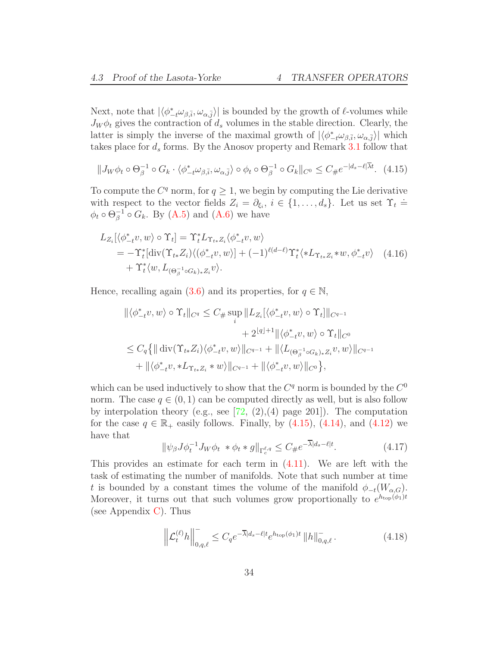Next, note that  $|\langle \phi_{-t}^* \omega_{\beta, \bar{i}}, \omega_{\alpha, \bar{j}} \rangle|$  is bounded by the growth of  $\ell$ -volumes while  $J_W \phi_t$  gives the contraction of  $d_s$  volumes in the stable direction. Clearly, the latter is simply the inverse of the maximal growth of  $|\langle \phi_{-t}^* \omega_{\beta, \bar{i}}, \omega_{\alpha, \bar{j}} \rangle|$  which takes place for  $d_s$  forms. By the Anosov property and Remark [3.1](#page-19-4) follow that

<span id="page-33-0"></span>
$$
||J_W\phi_t \circ \Theta_{\beta}^{-1} \circ G_k \cdot \langle \phi_{-t}^* \omega_{\beta, \bar{i}}, \omega_{\alpha, \bar{j}} \rangle \circ \phi_t \circ \Theta_{\beta}^{-1} \circ G_k ||_{C^0} \le C_{\#} e^{-|d_s - \ell| \bar{\lambda} t}.
$$
 (4.15)

To compute the  $C<sup>q</sup>$  norm, for  $q \geq 1$ , we begin by computing the Lie derivative with respect to the vector fields  $Z_i = \partial_{\xi_i}, i \in \{1, ..., d_s\}$ . Let us set  $\Upsilon_t =$  $\phi_t \circ \Theta_{\beta}^{-1} \circ G_k$ . By [\(A.5\)](#page-79-1) and [\(A.6\)](#page-80-2) we have

$$
L_{Z_i}[\langle \phi_{-t}^* v, w \rangle \circ \Upsilon_t] = \Upsilon_t^* L_{\Upsilon_{t*}Z_i} \langle \phi_{-t}^* v, w \rangle
$$
  
=  $-\Upsilon_t^* [\text{div}(\Upsilon_{t*}Z_i) \langle (\phi_{-t}^* v, w) ] + (-1)^{\ell(d-\ell)} \Upsilon_t^* \langle *L_{\Upsilon_{t*}Z_i} * w, \phi_{-t}^* v \rangle$  (4.16)  
+  $\Upsilon_t^* \langle w, L_{(\Theta_{\beta}^{-1} \circ G_k) * Z_i} v \rangle.$ 

Hence, recalling again [\(3.6\)](#page-19-1) and its properties, for  $q \in \mathbb{N}$ ,

$$
\begin{split} \|\langle \phi_{-t}^* v, w \rangle &\circ \Upsilon_t \|_{C^q} \le C_{\#} \sup_i \|L_{Z_i}[\langle \phi_{-t}^* v, w \rangle \circ \Upsilon_t] \|_{C^{q-1}} \\ &+ 2^{\lfloor q \rfloor + 1} \|\langle \phi_{-t}^* v, w \rangle \circ \Upsilon_t \|_{C^0} \\ &\le C_q \{ \| \operatorname{div}(\Upsilon_{t*} Z_i) \langle \phi_{-t}^* v, w \rangle \|_{C^{q-1}} + \| \langle L_{(\Theta_{\beta}^{-1} \circ G_k)_* Z_i} v, w \rangle \|_{C^{q-1}} \\ &+ \| \langle \phi_{-t}^* v, * L_{\Upsilon_{t*} Z_i} * w \rangle \|_{C^{q-1}} + \| \langle \phi_{-t}^* v, w \rangle \|_{C^0} \}, \end{split}
$$

which can be used inductively to show that the  $C<sup>q</sup>$  norm is bounded by the  $C<sup>0</sup>$ norm. The case  $q \in (0, 1)$  can be computed directly as well, but is also follow by interpolation theory (e.g., see  $[72, (2), (4)$  page 201]). The computation for the case  $q \in \mathbb{R}_+$  easily follows. Finally, by  $(4.15)$ ,  $(4.14)$ , and  $(4.12)$  we have that

$$
\|\psi_{\beta}J\phi_t^{-1}J_W\phi_t * \phi_t * g\|_{\Gamma_c^{\ell,q}} \le C_{\#}e^{-\overline{\lambda}|d_s-\ell|t}.\tag{4.17}
$$

This provides an estimate for each term in  $(4.11)$ . We are left with the task of estimating the number of manifolds. Note that such number at time t is bounded by a constant times the volume of the manifold  $\phi_{-t}(W_{\alpha,G})$ . Moreover, it turns out that such volumes grow proportionally to  $e^{h_{\text{top}}(\phi_1)t}$ (see Appendix [C\)](#page-84-0). Thus

<span id="page-33-1"></span>
$$
\left\| \mathcal{L}_t^{(\ell)} h \right\|_{0,q,\ell}^- \le C_q e^{-\overline{\lambda}|d_s - \ell|t} e^{h_{\text{top}}(\phi_1)t} \left\| h \right\|_{0,q,\ell}^-.
$$
 (4.18)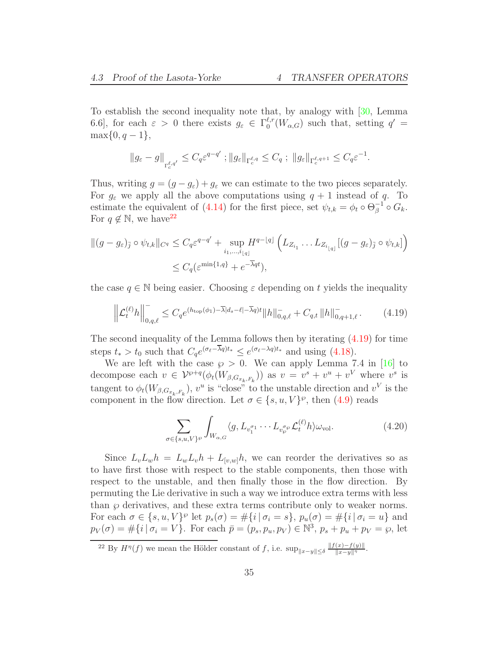To establish the second inequality note that, by analogy with [\[30,](#page-95-3) Lemma 6.6], for each  $\varepsilon > 0$  there exists  $g_{\varepsilon} \in \Gamma_0^{\ell,r}$  $_{0}^{\ell,r}(W_{\alpha,G})$  such that, setting  $q' =$  $\max\{0, q-1\},\$ 

$$
\|g_{\varepsilon}-g\|_{\Gamma_c^{\ell,q'}} \leq C_q \varepsilon^{q-q'}; \|g_{\varepsilon}\|_{\Gamma_c^{\ell,q}} \leq C_q; \|g_{\varepsilon}\|_{\Gamma_c^{\ell,q+1}} \leq C_q \varepsilon^{-1}.
$$

Thus, writing  $g = (g - g_{\varepsilon}) + g_{\varepsilon}$  we can estimate to the two pieces separately. For  $g_{\varepsilon}$  we apply all the above computations using  $q + 1$  instead of q. To estimate the equivalent of [\(4.14\)](#page-32-2) for the first piece, set  $\psi_{t,k} = \phi_t \circ \Theta_{\beta}^{-1} \circ G_k$ . For  $q \notin \mathbb{N}$ , we have<sup>[22](#page-34-0)</sup>

$$
||(g - g_{\varepsilon})_{\overline{j}} \circ \psi_{t,k}||_{C^q} \leq C_q \varepsilon^{q-q'} + \sup_{i_1, \dots, i_{\lfloor q \rfloor}} H^{q-\lfloor q \rfloor} \left( L_{Z_{i_1}} \dots L_{Z_{i_{\lfloor q \rfloor}}} [(g - g_{\varepsilon})_{\overline{j}} \circ \psi_{t,k}] \right)
$$
  

$$
\leq C_q (\varepsilon^{\min\{1, q\}} + e^{-\overline{\lambda}qt}),
$$

the case  $q \in \mathbb{N}$  being easier. Choosing  $\varepsilon$  depending on t yields the inequality

<span id="page-34-1"></span>
$$
\left\| \mathcal{L}_t^{(\ell)} h \right\|_{0,q,\ell}^- \le C_q e^{(h_{\text{top}}(\phi_1) - \overline{\lambda}|d_s - \ell| - \overline{\lambda}q)t} \|h\|_{0,q,\ell}^- + C_{q,t} \|h\|_{0,q+1,\ell}^-.
$$
 (4.19)

The second inequality of the Lemma follows then by iterating [\(4.19\)](#page-34-1) for time steps  $t_* > t_0$  such that  $C_q e^{(\sigma_\ell - \lambda q)t_*} \leq e^{(\sigma_\ell - \lambda q)t_*}$  and using [\(4.18\)](#page-33-1).

We are left with the case  $\wp > 0$ . We can apply Lemma 7.4 in [\[16\]](#page-94-9) to decompose each  $v \in \mathcal{V}^{g+q}(\phi_t(W_{\beta,G_{x_k,F_k}}))$  as  $v = v^s + v^u + v^V$  where  $v^s$  is tangent to  $\phi_t(W_{\beta,G_{x_k,F_k}})$ ,  $v^u$  is "close" to the unstable direction and  $v^V$  is the component in the flow direction. Let  $\sigma \in \{s, u, V\}^{\wp}$ , then  $(4.9)$  reads

<span id="page-34-2"></span>
$$
\sum_{\sigma \in \{s, u, V\}^{\wp}} \int_{W_{\alpha, G}} \langle g, L_{v_1^{\sigma_1}} \cdots L_{v_p^{\sigma_p}} \mathcal{L}_t^{(\ell)} h \rangle \omega_{\text{vol}}.
$$
 (4.20)

Since  $L_vL_wh = L_wL_vh + L_{[v,w]}h$ , we can reorder the derivatives so as to have first those with respect to the stable components, then those with respect to the unstable, and then finally those in the flow direction. By permuting the Lie derivative in such a way we introduce extra terms with less than  $\wp$  derivatives, and these extra terms contribute only to weaker norms. For each  $\sigma \in \{s, u, V\}^{\wp}$  let  $p_s(\sigma) = \#\{i \mid \sigma_i = s\}, p_u(\sigma) = \#\{i \mid \sigma_i = u\}$  and  $p_V(\sigma) = #\{i \mid \sigma_i = V\}.$  For each  $\bar{p} = (p_s, p_u, p_V) \in \mathbb{N}^3$ ,  $p_s + p_u + p_V = \wp$ , let

<span id="page-34-0"></span><sup>&</sup>lt;sup>22</sup> By  $H^{\eta}(f)$  we mean the Hölder constant of f, i.e.  $\sup_{\|x-y\| \leq \delta} \frac{\|f(x)-f(y)\|}{\|x-y\|^{\eta}}$ .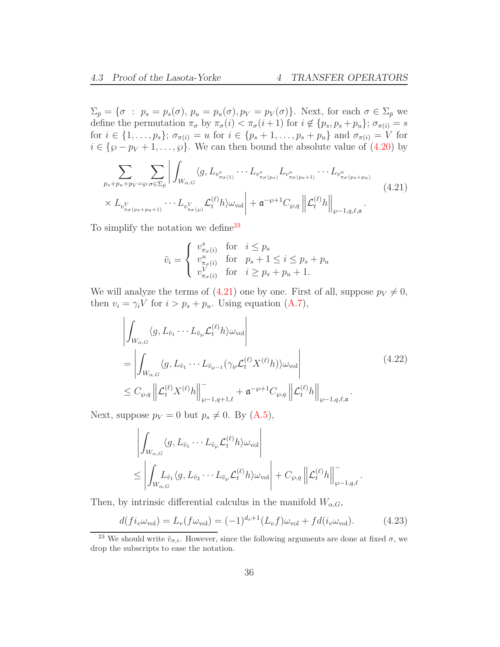$\Sigma_{\bar{p}} = \{\sigma : p_s = p_s(\sigma), p_u = p_u(\sigma), p_V = p_V(\sigma)\}.$  Next, for each  $\sigma \in \Sigma_{\bar{p}}$  we define the permutation  $\pi_{\sigma}$  by  $\pi_{\sigma}(i) < \pi_{\sigma}(i+1)$  for  $i \notin \{p_s, p_s + p_u\}; \sigma_{\pi(i)} = s$ for  $i \in \{1, \ldots, p_s\}$ ;  $\sigma_{\pi(i)} = u$  for  $i \in \{p_s + 1, \ldots, p_s + p_u\}$  and  $\sigma_{\pi(i)} = V$  for  $i \in {\wp - p_V + 1, \ldots, \wp}$ . We can then bound the absolute value of  $(4.20)$  by

<span id="page-35-1"></span>
$$
\sum_{p_s+p_u+p_v=\wp} \sum_{\sigma \in \Sigma_{\bar{p}}} \left| \int_{W_{\alpha,G}} \langle g, L_{v_{\pi_{\sigma}(1)}^s} \cdots L_{v_{\pi_{\sigma}(p_s)}^s} L_{v_{\pi_{\sigma}(p_s+1)}^u} \cdots L_{v_{\pi_{\sigma}(p_s+p_u)}^u} \right|
$$
\n
$$
\times L_{v_{\pi_{\sigma}(p_s+p_u+1)}^V} \cdots L_{v_{\pi_{\sigma(\wp)}}^V} \mathcal{L}_t^{(\ell)} h \rangle \omega_{\text{vol}} \left| + \mathfrak{a}^{-\wp+1} C_{\wp,q} \left\| \mathcal{L}_t^{(\ell)} h \right\|_{\wp-1,q,\ell,\mathfrak{a}} \right|.
$$
\n(4.21)

To simplify the notation we define<sup>[23](#page-35-0)</sup>

$$
\tilde{v}_i = \begin{cases}\nv^s_{\pi_\sigma(i)} & \text{for} \quad i \le p_s \\
v^u_{\pi_\sigma(i)} & \text{for} \quad p_s + 1 \le i \le p_s + p_u \\
v^V_{\pi_\sigma(i)} & \text{for} \quad i \ge p_s + p_u + 1.\n\end{cases}
$$

We will analyze the terms of  $(4.21)$  one by one. First of all, suppose  $p_V \neq 0$ , then  $v_i = \gamma_i V$  for  $i > p_s + p_u$ . Using equation [\(A.7\)](#page-80-3),

$$
\left| \int_{W_{\alpha,G}} \langle g, L_{\tilde{v}_1} \cdots L_{\tilde{v}_\wp} \mathcal{L}_t^{(\ell)} h \rangle \omega_{\text{vol}} \right|
$$
\n
$$
= \left| \int_{W_{\alpha,G}} \langle g, L_{\tilde{v}_1} \cdots L_{\tilde{v}_{\wp-1}} (\gamma_\wp \mathcal{L}_t^{(\ell)} X^{(\ell)} h) \rangle \omega_{\text{vol}} \right|
$$
\n
$$
\leq C_{\wp,q} \left\| \mathcal{L}_t^{(\ell)} X^{(\ell)} h \right\|_{\wp-1,q+1,\ell}^{-} + \mathfrak{a}^{-\wp+1} C_{\wp,q} \left\| \mathcal{L}_t^{(\ell)} h \right\|_{\wp-1,q,\ell,\mathfrak{a}}.
$$
\n(4.22)

Next, suppose  $p_V = 0$  but  $p_s \neq 0$ . By  $(A.5)$ ,

$$
\left| \int_{W_{\alpha,G}} \langle g, L_{\tilde{v}_1} \cdots L_{\tilde{v}_{\wp}} \mathcal{L}_t^{(\ell)} h \rangle \omega_{\text{vol}} \right|
$$
  

$$
\leq \left| \int_{W_{\alpha,G}} L_{\tilde{v}_1} \langle g, L_{\tilde{v}_2} \cdots L_{\tilde{v}_{\wp}} \mathcal{L}_t^{(\ell)} h \rangle \omega_{\text{vol}} \right| + C_{\wp,q} \left\| \mathcal{L}_t^{(\ell)} h \right\|_{\wp-1,q,\ell}^{-1}.
$$

Then, by intrinsic differential calculus in the manifold  $W_{\alpha,G}$ ,

$$
d(f i_{v} \omega_{\text{vol}}) = L_{v}(f \omega_{\text{vol}}) = (-1)^{d_{s}+1} (L_{v} f) \omega_{\text{vol}} + f d(i_{v} \omega_{\text{vol}}). \tag{4.23}
$$

<span id="page-35-0"></span><sup>&</sup>lt;sup>23</sup> We should write  $\tilde{v}_{\sigma,i}$ . However, since the following arguments are done at fixed  $\sigma$ , we drop the subscripts to ease the notation.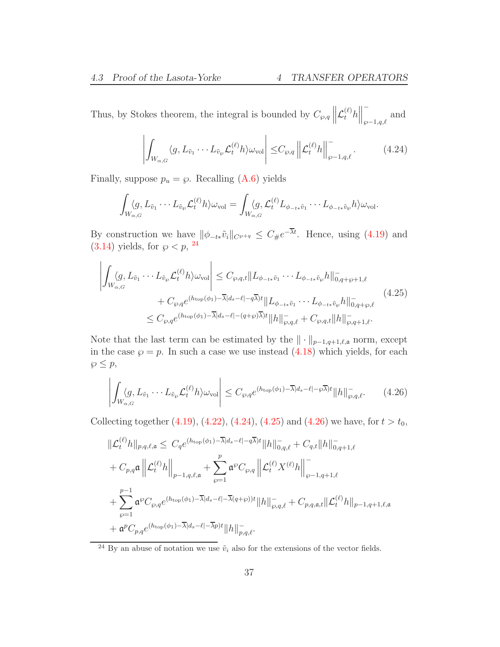Thus, by Stokes theorem, the integral is bounded by  $C_{\wp,q}\left\|\mathcal{L}_{t}^{(\ell)}h\right\|$ −  $\wp-1,q,\ell$ and

$$
\left| \int_{W_{\alpha,G}} \langle g, L_{\tilde{v}_1} \cdots L_{\tilde{v}_\wp} \mathcal{L}_t^{(\ell)} h \rangle \omega_{\text{vol}} \right| \leq C_{\wp,q} \left\| \mathcal{L}_t^{(\ell)} h \right\|_{\wp-1,q,\ell}^-.
$$
 (4.24)

<span id="page-36-1"></span>Finally, suppose  $p_u = \wp$ . Recalling [\(A.6\)](#page-80-0) yields

$$
\int_{W_{\alpha,G}}\langle g, L_{\tilde{v}_1}\cdots L_{\tilde{v}_\wp}\mathcal{L}_t^{(\ell)}h\rangle\omega_{\text{vol}} = \int_{W_{\alpha,G}}\langle g, \mathcal{L}_t^{(\ell)}L_{\phi_{-t\ast}\tilde{v}_1}\cdots L_{\phi_{-t\ast}\tilde{v}_\wp}h\rangle\omega_{\text{vol}}.
$$

By construction we have  $\|\phi_{-t\ast}\tilde{v}_i\|_{C^{\varphi+q}} \leq C_{\#}e^{-\lambda t}$ . Hence, using [\(4.19\)](#page-34-0) and  $(3.14)$  yields, for  $\wp < p$ , <sup>[24](#page-36-0)</sup>

<span id="page-36-2"></span>
$$
\left| \int_{W_{\alpha,G}} \langle g, L_{\tilde{v}_1} \cdots L_{\tilde{v}_{\wp}} \mathcal{L}_t^{(\ell)} h \rangle \omega_{\text{vol}} \right| \leq C_{\wp,q,t} \| L_{\phi_{-t*}\tilde{v}_1} \cdots L_{\phi_{-t*}\tilde{v}_{\wp}} h \|_{0,q+\wp+1,\ell}^- + C_{\wp,q} e^{(h_{\text{top}}(\phi_1) - \overline{\lambda}|d_s - \ell | - q\overline{\lambda})t} \| L_{\phi_{-t*}\tilde{v}_1} \cdots L_{\phi_{-t*}\tilde{v}_{\wp}} h \|_{0,q+\wp,\ell}^- \leq C_{\wp,q} e^{(h_{\text{top}}(\phi_1) - \overline{\lambda}|d_s - \ell | - (q+\wp)\overline{\lambda})t} \| h \|_{\wp,q,\ell}^- + C_{\wp,q,t} \| h \|_{\wp,q+1,\ell}^-.
$$
\n
$$
(4.25)
$$

Note that the last term can be estimated by the  $\|\cdot\|_{p-1,q+1,\ell,\mathfrak{a}}$  norm, except in the case  $\wp = p$ . In such a case we use instead [\(4.18\)](#page-33-0) which yields, for each  $\wp \leq p$ ,

<span id="page-36-3"></span>
$$
\left| \int_{W_{\alpha,G}} \langle g, L_{\tilde{v}_1} \cdots L_{\tilde{v}_\wp} \mathcal{L}_t^{(\ell)} h \rangle \omega_{\text{vol}} \right| \leq C_{\wp,q} e^{(h_{\text{top}}(\phi_1) - \overline{\lambda}|d_s - \ell| - \wp \overline{\lambda})t} ||h||_{\wp,q,\ell}^-.
$$
 (4.26)

Collecting together [\(4.19\)](#page-34-0), [\(4.22\)](#page-35-0), [\(4.24\)](#page-36-1), [\(4.25\)](#page-36-2) and [\(4.26\)](#page-36-3) we have, for  $t > t_0$ ,

$$
\begin{split}\n&\|\mathcal{L}_{t}^{(\ell)}h\|_{p,q,\ell,\mathfrak{a}} \leq C_{q}e^{(h_{\text{top}}(\phi_{1})-\overline{\lambda}|d_{s}-\ell|-\overline{q}\overline{\lambda})t}\|h\|_{0,q,\ell}^{-}+C_{q,t}\|h\|_{0,q+1,\ell}^{-} \\
&+C_{p,q}\mathfrak{a}\left\|\mathcal{L}_{t}^{(\ell)}h\right\|_{p-1,q,\ell,\mathfrak{a}}+\sum_{\wp=1}^{p}\mathfrak{a}^{\wp}C_{\wp,q}\left\|\mathcal{L}_{t}^{(\ell)}X^{(\ell)}h\right\|_{\wp-1,q+1,\ell}^{-} \\
&+\sum_{\wp=1}^{p-1}\mathfrak{a}^{\wp}C_{\wp,q}e^{(h_{\text{top}}(\phi_{1})-\overline{\lambda}|d_{s}-\ell|-\overline{\lambda}(q+\wp))t}\|h\|_{\wp,q,\ell}^{-}+C_{p,q,\mathfrak{a},t}\|\mathcal{L}_{t}^{(\ell)}h\|_{p-1,q+1,\ell,\mathfrak{a}} \\
&+\mathfrak{a}^{p}C_{p,q}e^{(h_{\text{top}}(\phi_{1})-\overline{\lambda}|d_{s}-\ell|-\overline{\lambda}p)t}\|h\|_{p,q,\ell}^{-}.\n\end{split}
$$

<span id="page-36-0"></span><sup>&</sup>lt;sup>24</sup> By an abuse of notation we use  $\tilde{v}_i$  also for the extensions of the vector fields.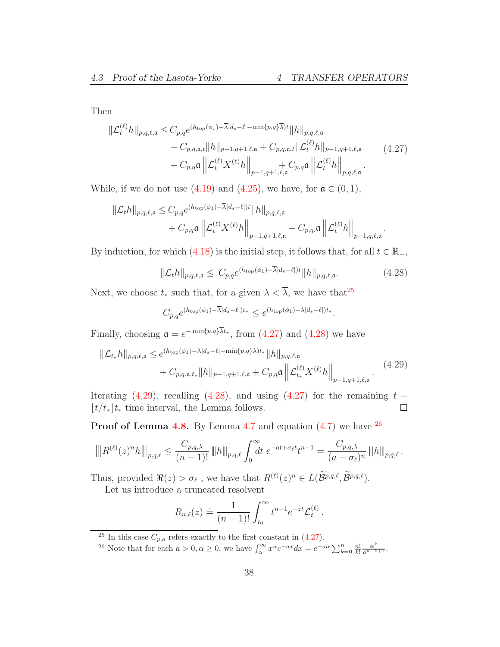Then

<span id="page-37-1"></span>
$$
\begin{split} \|\mathcal{L}_{t}^{(\ell)}h\|_{p,q,\ell,\mathfrak{a}} &\leq C_{p,q}e^{(h_{\text{top}}(\phi_{1})-\overline{\lambda}|d_{s}-\ell|-\min\{p,q\}\overline{\lambda})t}\|h\|_{p,q,\ell,\mathfrak{a}} \\ &+C_{p,q,\mathfrak{a},t}\|h\|_{p-1,q+1,\ell,\mathfrak{a}}+C_{p,q,\mathfrak{a},t}\|\mathcal{L}_{t}^{(\ell)}h\|_{p-1,q+1,\ell,\mathfrak{a}} \\ &+C_{p,q}\mathfrak{a}\left\|\mathcal{L}_{t}^{(\ell)}X^{(\ell)}h\right\|_{p-1,q+1,\ell,\mathfrak{a}}+C_{p,q}\mathfrak{a}\left\|\mathcal{L}_{t}^{(\ell)}h\right\|_{p,q,\ell,\mathfrak{a}}.\end{split} \tag{4.27}
$$

While, if we do not use [\(4.19\)](#page-34-0) and [\(4.25\)](#page-36-2), we have, for  $\mathfrak{a} \in (0,1)$ ,

$$
\begin{split} \|\mathcal{L}_{t}h\|_{p,q,\ell,\mathfrak{a}} &\leq C_{p,q}e^{(h_{\text{top}}(\phi_{1})-\overline{\lambda}|d_{s}-\ell|)t}\|h\|_{p,q,\ell,\mathfrak{a}}\\ &+C_{p,q}\mathfrak{a}\left\|\mathcal{L}_{t}^{(\ell)}X^{(\ell)}h\right\|_{p-1,q+1,\ell,\mathfrak{a}}+C_{p,q}\mathfrak{a}\left\|\mathcal{L}_{t}^{(\ell)}h\right\|_{p-1,q,\ell,\mathfrak{a}}.\end{split}
$$

By induction, for which [\(4.18\)](#page-33-0) is the initial step, it follows that, for all  $t \in \mathbb{R}_+$ ,

<span id="page-37-2"></span>
$$
\|\mathcal{L}_t h\|_{p,q,\ell,\mathfrak{a}} \leq C_{p,q} e^{(h_{\text{top}}(\phi_1) - \overline{\lambda}|d_s - \ell|)t} \|h\|_{p,q,\ell,\mathfrak{a}}.\tag{4.28}
$$

Next, we choose  $t_*$  such that, for a given  $\lambda < \overline{\lambda}$ , we have that<sup>[25](#page-37-0)</sup>

$$
C_{p,q}e^{(h_{\text{top}}(\phi_1)-\overline{\lambda}|d_s-\ell|)t_*} \leq e^{(h_{\text{top}}(\phi_1)-\lambda|d_s-\ell|)t_*}.
$$

Finally, choosing  $\mathfrak{a} = e^{-\min\{p,q\}\lambda t_*}$ , from [\(4.27\)](#page-37-1) and [\(4.28\)](#page-37-2) we have

<span id="page-37-3"></span>
$$
\|\mathcal{L}_{t*}h\|_{p,q,\ell,\mathfrak{a}} \leq e^{(h_{\text{top}}(\phi_1)-\lambda|d_s-\ell|-\min\{p,q\}\lambda)t_*} \|h\|_{p,q,\ell,\mathfrak{a}} + C_{p,q,\mathfrak{a},t_*} \|h\|_{p-1,q+1,\ell,\mathfrak{a}} + C_{p,q}\mathfrak{a} \left\|\mathcal{L}_{t*}^{(\ell)} X^{(\ell)} h\right\|_{p-1,q+1,\ell,\mathfrak{a}}.
$$
(4.29)

Iterating [\(4.29\)](#page-37-3), recalling [\(4.28\)](#page-37-2), and using [\(4.27\)](#page-37-1) for the remaining  $t - |t/t_*|t_*$  time interval, the Lemma follows.  $|t/t_*|t_*|$  time interval, the Lemma follows.

**Proof of Lemma [4.8.](#page-29-0)** By Lemma [4.7](#page-28-0) and equation  $(4.7)$  we have  $^{26}$  $^{26}$  $^{26}$ 

$$
\left\| |R^{(\ell)}(z)^n h|\right\|_{p,q,\ell} \le \frac{C_{p,q,\lambda}}{(n-1)!} \left\| h \right\|_{p,q,\ell} \int_0^\infty dt \ e^{-at + \sigma_\ell t} t^{n-1} = \frac{C_{p,q,\lambda}}{(a - \sigma_\ell)^n} \left\| h \right\|_{p,q,\ell}.
$$

Thus, provided  $\Re(z) > \sigma_{\ell}$ , we have that  $R^{(\ell)}(z)^n \in L(\mathcal{B}^{p,q,\ell}, \mathcal{B}^{p,q,\ell})$ .

Let us introduce a truncated resolvent

$$
R_{n,\ell}(z) \doteq \frac{1}{(n-1)!} \int_{t_0}^{\infty} t^{n-1} e^{-zt} \mathcal{L}_t^{(\ell)}.
$$

<sup>&</sup>lt;sup>25</sup> In this case  $C_{p,q}$  refers exactly to the first constant in [\(4.27\)](#page-37-1).

<span id="page-37-4"></span><span id="page-37-0"></span><sup>&</sup>lt;sup>26</sup> Note that for each  $a > 0, \alpha \ge 0$ , we have  $\int_{\alpha}^{\infty} x^n e^{-ax} dx = e^{-a\alpha} \sum_{k=0}^{n} \frac{n!}{k!} \frac{\alpha^k}{a^{n-k+1}}$ .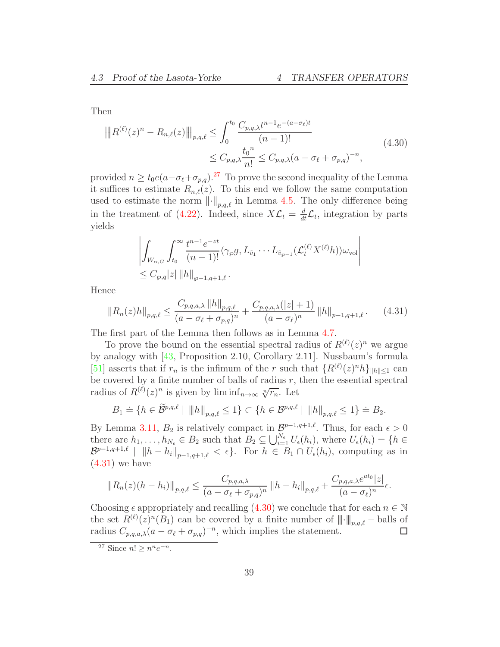Then

<span id="page-38-2"></span>
$$
||R^{(\ell)}(z)^n - R_{n,\ell}(z)||_{p,q,\ell} \le \int_0^{t_0} \frac{C_{p,q,\lambda} t^{n-1} e^{-(a-\sigma_\ell)t}}{(n-1)!}
$$
  

$$
\le C_{p,q,\lambda} \frac{t_0^n}{n!} \le C_{p,q,\lambda} (a - \sigma_\ell + \sigma_{p,q})^{-n},
$$
\n(4.30)

provided  $n \ge t_0e(a-\sigma_{\ell}+\sigma_{p,q})^{27}$  $n \ge t_0e(a-\sigma_{\ell}+\sigma_{p,q})^{27}$  $n \ge t_0e(a-\sigma_{\ell}+\sigma_{p,q})^{27}$  To prove the second inequality of the Lemma it suffices to estimate  $R_{n,\ell}(z)$ . To this end we follow the same computation used to estimate the norm  $\lVert \cdot \rVert_{p,q,\ell}$  in Lemma [4.5.](#page-27-0) The only difference being in the treatment of [\(4.22\)](#page-35-0). Indeed, since  $X\mathcal{L}_t = \frac{d}{dt}\mathcal{L}_t$ , integration by parts yields

$$
\left| \int_{W_{\alpha,G}} \int_{t_0}^{\infty} \frac{t^{n-1} e^{-zt}}{(n-1)!} \langle \gamma_{\varphi} g, L_{\tilde{v}_1} \cdots L_{\tilde{v}_{\varphi-1}} (\mathcal{L}_t^{(\ell)} X^{(\ell)} h) \rangle \omega_{\text{vol}} \right|
$$
  

$$
\leq C_{\varphi,q} |z| ||h||_{\varphi-1,q+1,\ell}.
$$

Hence

<span id="page-38-1"></span>
$$
||R_n(z)h||_{p,q,\ell} \le \frac{C_{p,q,a,\lambda} ||h||_{p,q,\ell}}{(a - \sigma_\ell + \sigma_{p,q})^n} + \frac{C_{p,q,a,\lambda}(|z|+1)}{(a - \sigma_\ell)^n} ||h||_{p-1,q+1,\ell}.
$$
 (4.31)

The first part of the Lemma then follows as in Lemma [4.7.](#page-28-0)

To prove the bound on the essential spectral radius of  $R^{(\ell)}(z)^n$  we argue by analogy with [\[43,](#page-96-0) Proposition 2.10, Corollary 2.11]. Nussbaum's formula [\[51\]](#page-96-1) asserts that if  $r_n$  is the infimum of the r such that  $\{R^{(\ell)}(z)^n h\}_{\|\hbar\|\leq 1}$  can be covered by a finite number of balls of radius  $r$ , then the essential spectral radius of  $R^{(\ell)}(z)^n$  is given by  $\liminf_{n\to\infty} \sqrt[n]{r_n}$ . Let

$$
B_1 \doteq \{ h \in \widetilde{\mathcal{B}}^{p,q,\ell} \mid \|h\|_{p,q,\ell} \le 1 \} \subset \{ h \in \mathcal{B}^{p,q,\ell} \mid \|h\|_{p,q,\ell} \le 1 \} \doteq B_2.
$$

By Lemma [3.11,](#page-24-0)  $B_2$  is relatively compact in  $\mathcal{B}^{p-1,q+1,\ell}$ . Thus, for each  $\epsilon > 0$ there are  $h_1, \ldots, h_{N_{\epsilon}} \in B_2$  such that  $B_2 \subseteq \bigcup_{i=1}^{N_{\epsilon}} U_{\epsilon}(h_i)$ , where  $U_{\epsilon}(h_i) = \{h \in$  $\mathcal{B}^{p-1,q+1,\ell}$  |  $\|h-h_i\|_{p-1,q+1,\ell} < \epsilon$ . For  $h \in B_1 \cap U_{\epsilon}(h_i)$ , computing as in  $(4.31)$  we have

$$
||R_n(z)(h - h_i)||_{p,q,\ell} \le \frac{C_{p,q,a,\lambda}}{(a - \sigma_{\ell} + \sigma_{p,q})^n} ||h - h_i||_{p,q,\ell} + \frac{C_{p,q,a,\lambda}e^{at_0}|z|}{(a - \sigma_{\ell})^n} \epsilon.
$$

Choosing  $\epsilon$  appropriately and recalling [\(4.30\)](#page-38-2) we conclude that for each  $n \in \mathbb{N}$ the set  $R^{(\ell)}(z)^n(B_1)$  can be covered by a finite number of  $||\cdot||_{p,q,\ell}$  – balls of radius  $C_{p,q,a,\lambda}(a - \sigma_{\ell} + \sigma_{p,q})^{-n}$ , which implies the statement.

<span id="page-38-0"></span><sup>&</sup>lt;sup>27</sup> Since  $n! \geq n^n e^{-n}$ .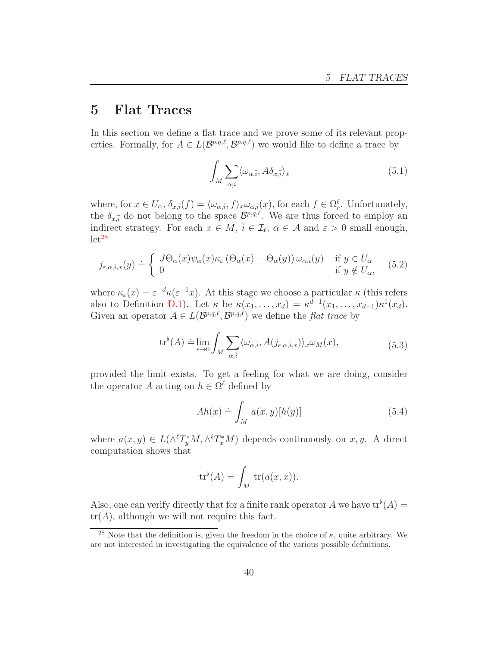# 5 Flat Traces

In this section we define a flat trace and we prove some of its relevant properties. Formally, for  $A \in L(\mathcal{B}^{p,q,\ell}, \mathcal{B}^{p,q,\ell})$  we would like to define a trace by

<span id="page-39-3"></span>
$$
\int_{M} \sum_{\alpha,\bar{i}} \langle \omega_{\alpha,\bar{i}}, A \delta_{x,\bar{i}} \rangle_{x}
$$
\n(5.1)

where, for  $x \in U_{\alpha}$ ,  $\delta_{x,\bar{i}}(f) = \langle \omega_{\alpha,\bar{i}}, f \rangle_{x} \omega_{\alpha,\bar{i}}(x)$ , for each  $f \in \Omega_{r}^{\ell}$ . Unfortunately, the  $\delta_{x,\bar{i}}$  do not belong to the space  $\mathcal{B}^{p,q,\ell}$ . We are thus forced to employ an indirect strategy. For each  $x \in M$ ,  $\bar{i} \in \mathcal{I}_{\ell}$ ,  $\alpha \in \mathcal{A}$  and  $\varepsilon > 0$  small enough,  $let^{28}$  $let^{28}$  $let^{28}$ 

<span id="page-39-1"></span>
$$
j_{\varepsilon,\alpha,\bar{i},x}(y) \doteq \begin{cases} J\Theta_{\alpha}(x)\psi_{\alpha}(x)\kappa_{\varepsilon}\left(\Theta_{\alpha}(x) - \Theta_{\alpha}(y)\right)\omega_{\alpha,\bar{i}}(y) & \text{if } y \in U_{\alpha} \\ 0 & \text{if } y \notin U_{\alpha}, \end{cases} \tag{5.2}
$$

where  $\kappa_{\varepsilon}(x) = \varepsilon^{-d} \kappa(\varepsilon^{-1}x)$ . At this stage we choose a particular  $\kappa$  (this refers also to Definition [D.1\)](#page-87-0). Let  $\kappa$  be  $\kappa(x_1,\ldots,x_d) = \kappa^{d-1}(x_1,\ldots,x_{d-1})\kappa^1(x_d)$ . Given an operator  $A \in L(\mathcal{B}^{p,q,\ell}, \mathcal{B}^{p,q,\ell})$  we define the *flat trace* by

$$
\operatorname{tr}^{\flat}(A) \doteq \lim_{\epsilon \to 0} \int_{M} \sum_{\alpha, \bar{i}} \langle \omega_{\alpha, \bar{i}}, A(j_{\epsilon, \alpha, \bar{i}, x}) \rangle_{x} \omega_{M}(x), \tag{5.3}
$$

<span id="page-39-2"></span>provided the limit exists. To get a feeling for what we are doing, consider the operator A acting on  $h \in \Omega^{\ell}$  defined by

$$
Ah(x) \doteq \int_{M} a(x, y)[h(y)] \tag{5.4}
$$

where  $a(x, y) \in L(\wedge^{\ell} T^*_{y}M, \wedge^{\ell} T^*_{x}M)$  depends continuously on  $x, y$ . A direct computation shows that

$$
\operatorname{tr}^{\flat}(A) = \int_M \operatorname{tr}(a(x, x)).
$$

Also, one can verify directly that for a finite rank operator A we have  $tr^{\flat}(A)$  =  $tr(A)$ , although we will not require this fact.

<span id="page-39-0"></span><sup>&</sup>lt;sup>28</sup> Note that the definition is, given the freedom in the choice of  $\kappa$ , quite arbitrary. We are not interested in investigating the equivalence of the various possible definitions.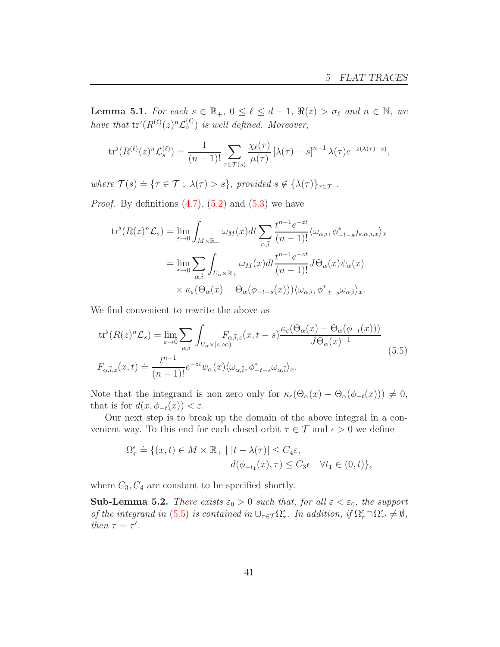<span id="page-40-1"></span>**Lemma 5.1.** For each  $s \in \mathbb{R}_+$ ,  $0 \leq \ell \leq d-1$ ,  $\Re(z) > \sigma_{\ell}$  and  $n \in \mathbb{N}$ , we have that  $tr^{\flat}(R^{(\ell)}(z)^n \mathcal{L}_s^{(\ell)})$  is well defined. Moreover,

$$
\operatorname{tr}^{\flat}(R^{(\ell)}(z)^n \mathcal{L}_s^{(\ell)}) = \frac{1}{(n-1)!} \sum_{\tau \in \mathcal{T}(s)} \frac{\chi_{\ell}(\tau)}{\mu(\tau)} \left[\lambda(\tau) - s\right]^{n-1} \lambda(\tau) e^{-z(\lambda(\tau) - s)},
$$

where  $\mathcal{T}(s) \doteq \{\tau \in \mathcal{T} ; \ \lambda(\tau) > s\}$ , provided  $s \notin {\lambda(\tau)}_{\tau \in \mathcal{T}}$ .

*Proof.* By definitions  $(4.7)$ ,  $(5.2)$  and  $(5.3)$  we have

$$
\begin{split} \operatorname{tr}^{\flat}(R(z)^{n}\mathcal{L}_{s}) &= \lim_{\varepsilon \to 0} \int_{M \times \mathbb{R}_{+}} \omega_{M}(x) dt \sum_{\alpha, \bar{i}} \frac{t^{n-1} e^{-zt}}{(n-1)!} \langle \omega_{\alpha, \bar{i}}, \phi_{-t-s}^* j_{\varepsilon, \alpha, \bar{i}, x} \rangle_{x} \\ &= \lim_{\varepsilon \to 0} \sum_{\alpha, \bar{i}} \int_{U_{\alpha} \times \mathbb{R}_{+}} \omega_{M}(x) dt \frac{t^{n-1} e^{-zt}}{(n-1)!} J \Theta_{\alpha}(x) \psi_{\alpha}(x) \\ &\times \kappa_{\varepsilon}(\Theta_{\alpha}(x) - \Theta_{\alpha}(\phi_{-t-s}(x))) \langle \omega_{\alpha, \bar{i}}, \phi_{-t-s}^* \omega_{\alpha, \bar{i}} \rangle_{x}. \end{split}
$$

We find convenient to rewrite the above as

<span id="page-40-0"></span>
$$
\operatorname{tr}^{\flat}(R(z)^{n}\mathcal{L}_{s}) = \lim_{\varepsilon \to 0} \sum_{\alpha,\bar{i}} \int_{U_{\alpha} \times [s,\infty)} F_{\alpha,\bar{i},z}(x,t-s) \frac{\kappa_{\varepsilon}(\Theta_{\alpha}(x) - \Theta_{\alpha}(\phi_{-t}(x)))}{J\Theta_{\alpha}(x)^{-1}} \tag{5.5}
$$

$$
F_{\alpha,\bar{i},z}(x,t) \doteq \frac{t^{n-1}}{(n-1)!} e^{-zt} \psi_{\alpha}(x) \langle \omega_{\alpha,\bar{i}}, \phi_{-t-s}^{*} \omega_{\alpha,\bar{i}} \rangle_{x}.
$$

Note that the integrand is non zero only for  $\kappa_{\varepsilon}(\Theta_{\alpha}(x) - \Theta_{\alpha}(\phi_{-t}(x))) \neq 0$ , that is for  $d(x, \phi_{-t}(x)) < \varepsilon$ .

Our next step is to break up the domain of the above integral in a convenient way. To this end for each closed orbit  $\tau \in \mathcal{T}$  and  $\epsilon > 0$  we define

$$
\Omega_{\tau}^{\epsilon} \doteq \{ (x, t) \in M \times \mathbb{R}_{+} \mid |t - \lambda(\tau)| \le C_{4} \varepsilon, d(\phi_{-t_{1}}(x), \tau) \le C_{3} \epsilon \quad \forall t_{1} \in (0, t) \},
$$

where  $C_3, C_4$  are constant to be specified shortly.

**Sub-Lemma 5.2.** There exists  $\varepsilon_0 > 0$  such that, for all  $\varepsilon < \varepsilon_0$ , the support of the integrand in [\(5.5\)](#page-40-0) is contained in  $\cup_{\tau \in \mathcal{T}} \Omega_{\tau}^{\varepsilon}$ . In addition, if  $\Omega_{\tau}^{\varepsilon} \cap \Omega_{\tau'}^{\varepsilon} \neq \emptyset$ , then  $\tau = \tau'$ .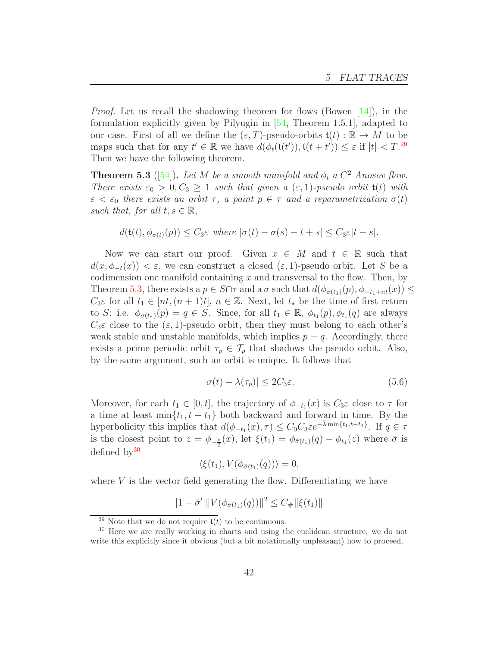*Proof.* Let us recall the shadowing theorem for flows (Bowen  $[14]$ ), in the formulation explicitly given by Pilyugin in [\[54,](#page-96-2) Theorem 1.5.1], adapted to our case. First of all we define the  $(\varepsilon, T)$ -pseudo-orbits  $\mathfrak{t}(t) : \mathbb{R} \to M$  to be maps such that for any  $t' \in \mathbb{R}$  we have  $d(\phi_t(\mathfrak{t}(t')), \mathfrak{t}(t + t')) \leq \varepsilon$  if  $|t| < T$ .<sup>[29](#page-41-0)</sup> Then we have the following theorem.

<span id="page-41-1"></span>**Theorem 5.3** ([\[54\]](#page-96-2)). Let M be a smooth manifold and  $\phi_t$  a  $C^2$  Anosov flow. There exists  $\varepsilon_0 > 0, C_3 \geq 1$  such that given a  $(\varepsilon, 1)$ -pseudo orbit  $\mathfrak{t}(t)$  with  $\varepsilon < \varepsilon_0$  there exists an orbit  $\tau$ , a point  $p \in \tau$  and a reparametrization  $\sigma(t)$ such that, for all  $t, s \in \mathbb{R}$ ,

$$
d(\mathfrak{t}(t),\phi_{\sigma(t)}(p)) \leq C_3\varepsilon \text{ where } |\sigma(t)-\sigma(s)-t+s| \leq C_3\varepsilon|t-s|.
$$

Now we can start our proof. Given  $x \in M$  and  $t \in \mathbb{R}$  such that  $d(x, \phi_{-t}(x)) < \varepsilon$ , we can construct a closed  $(\varepsilon, 1)$ -pseudo orbit. Let S be a codimension one manifold containing  $x$  and transversal to the flow. Then, by Theorem [5.3,](#page-41-1) there exists a  $p \in S \cap \tau$  and a  $\sigma$  such that  $d(\phi_{\sigma(t_1)}(p), \phi_{-t_1+nt}(x)) \leq$  $C_3\varepsilon$  for all  $t_1 \in [nt, (n+1)t], n \in \mathbb{Z}$ . Next, let  $t_*$  be the time of first return to S: i.e.  $\phi_{\sigma(t_*)}(p) = q \in S$ . Since, for all  $t_1 \in \mathbb{R}$ ,  $\phi_{t_1}(p), \phi_{t_1}(q)$  are always  $C_3\varepsilon$  close to the  $(\varepsilon, 1)$ -pseudo orbit, then they must belong to each other's weak stable and unstable manifolds, which implies  $p = q$ . Accordingly, there exists a prime periodic orbit  $\tau_p \in \mathcal{T}_p$  that shadows the pseudo orbit. Also, by the same argument, such an orbit is unique. It follows that

<span id="page-41-3"></span>
$$
|\sigma(t) - \lambda(\tau_p)| \le 2C_3\varepsilon. \tag{5.6}
$$

Moreover, for each  $t_1 \in [0, t]$ , the trajectory of  $\phi_{-t_1}(x)$  is  $C_3\varepsilon$  close to  $\tau$  for a time at least min $\{t_1, t - t_1\}$  both backward and forward in time. By the hyperbolicity this implies that  $d(\phi_{-t_1}(x), \tau) \leq C_0 C_3 \varepsilon e^{-\bar{\lambda} \min\{t_1, t-t_1\}}$ . If  $q \in \tau$ is the closest point to  $z = \phi_{-\frac{t}{2}}(x)$ , let  $\xi(t_1) = \phi_{\bar{\sigma}(t_1)}(q) - \phi_{t_1}(z)$  where  $\bar{\sigma}$  is defined  $by<sup>30</sup>$  $by<sup>30</sup>$  $by<sup>30</sup>$ 

$$
\langle \xi(t_1), V(\phi_{\bar{\sigma}(t_1)}(q)) \rangle = 0,
$$

where  $V$  is the vector field generating the flow. Differentiating we have

$$
|1 - \bar{\sigma}'| \| V(\phi_{\bar{\sigma}(t_1)}(q)) \|^2 \leq C_{\#} \| \xi(t_1) \|
$$

<span id="page-41-0"></span><sup>&</sup>lt;sup>29</sup> Note that we do not require  $t(t)$  to be continuous.

<span id="page-41-2"></span><sup>&</sup>lt;sup>30</sup> Here we are really working in charts and using the euclidean structure, we do not write this explicitly since it obvious (but a bit notationally unpleasant) how to proceed.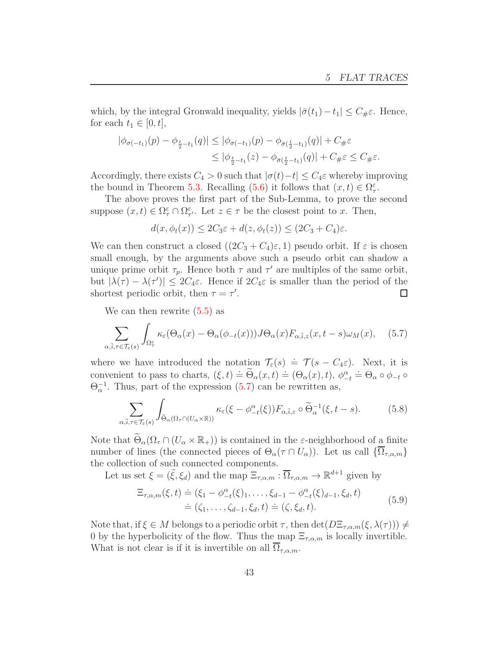which, by the integral Gronwald inequality, yields  $|\bar{\sigma}(t_1)-t_1| \leq C_{\#} \varepsilon$ . Hence, for each  $t_1 \in [0, t]$ ,

$$
|\phi_{\sigma(-t_1)}(p) - \phi_{\frac{t}{2}-t_1}(q)| \leq |\phi_{\sigma(-t_1)}(p) - \phi_{\bar{\sigma}(\frac{t}{2}-t_1)}(q)| + C_{\#}\varepsilon
$$
  

$$
\leq |\phi_{\frac{t}{2}-t_1}(z) - \phi_{\bar{\sigma}(\frac{t}{2}-t_1)}(q)| + C_{\#}\varepsilon \leq C_{\#}\varepsilon.
$$

Accordingly, there exists  $C_4 > 0$  such that  $|\sigma(t)-t| \leq C_4 \varepsilon$  whereby improving the bound in Theorem [5.3.](#page-41-1) Recalling [\(5.6\)](#page-41-3) it follows that  $(x, t) \in \Omega^{\varepsilon}_{\tau}$ .

The above proves the first part of the Sub-Lemma, to prove the second suppose  $(x, t) \in \Omega^{\varepsilon}_{\tau} \cap \Omega^{\varepsilon}_{\tau'}$ . Let  $z \in \tau$  be the closest point to x. Then,

$$
d(x, \phi_t(x)) \le 2C_3\varepsilon + d(z, \phi_t(z)) \le (2C_3 + C_4)\varepsilon.
$$

We can then construct a closed  $((2C_3 + C_4)\varepsilon, 1)$  pseudo orbit. If  $\varepsilon$  is chosen small enough, by the arguments above such a pseudo orbit can shadow a unique prime orbit  $\tau_p$ . Hence both  $\tau$  and  $\tau'$  are multiples of the same orbit, but  $|\lambda(\tau) - \lambda(\tau')| \leq 2C_4\varepsilon$ . Hence if  $2C_4\varepsilon$  is smaller than the period of the shortest periodic orbit, then  $\tau = \tau'$ .

We can then rewrite [\(5.5\)](#page-40-0) as

<span id="page-42-0"></span>
$$
\sum_{\alpha,\bar{i},\tau\in\mathcal{T}_{\varepsilon}(s)}\int_{\Omega_{\tau}^{\varepsilon}}\kappa_{\varepsilon}(\Theta_{\alpha}(x)-\Theta_{\alpha}(\phi_{-t}(x)))J\Theta_{\alpha}(x)F_{\alpha,\bar{i},z}(x,t-s)\omega_{M}(x),\quad(5.7)
$$

where we have introduced the notation  $\mathcal{T}_{\varepsilon}(s) \doteq \mathcal{T}(s - C_4 \varepsilon)$ . Next, it is convenient to pass to charts,  $(\xi, t) \doteq \widetilde{\Theta}_{\alpha}(x, t) \doteq (\Theta_{\alpha}(x), t), \phi_{-t}^{\alpha} \doteq \Theta_{\alpha} \circ \phi_{-t} \circ$  $\Theta_{\alpha}^{-1}$ . Thus, part of the expression [\(5.7\)](#page-42-0) can be rewritten as,

<span id="page-42-2"></span>
$$
\sum_{\alpha,\bar{i},\tau\in\mathcal{T}_{\varepsilon}(s)}\int_{\widetilde{\Theta}_{\alpha}(\Omega_{\tau}\cap(U_{\alpha}\times\mathbb{R}))} \kappa_{\varepsilon}(\xi-\phi_{-t}^{\alpha}(\xi))F_{\alpha,\bar{i},z}\circ\widetilde{\Theta}_{\alpha}^{-1}(\xi,t-s).
$$
 (5.8)

Note that  $\widetilde{\Theta}_{\alpha}(\Omega_{\tau} \cap (U_{\alpha} \times \mathbb{R}_{+}))$  is contained in the  $\varepsilon$ -neighborhood of a finite number of lines (the connected pieces of  $\Theta_{\alpha}(\tau \cap U_{\alpha})$ ). Let us call  $\{\overline{\Omega}_{\tau,\alpha,m}\}$ the collection of such connected components.

Let us set  $\xi = (\tilde{\xi}, \xi_d)$  and the map  $\Xi_{\tau,\alpha,m} : \overline{\Omega}_{\tau,\alpha,m} \to \mathbb{R}^{d+1}$  given by

$$
\begin{aligned} \Xi_{\tau,\alpha,m}(\xi,t) &= (\xi_1 - \phi_{-t}^{\alpha}(\xi)_1, \dots, \xi_{d-1} - \phi_{-t}^{\alpha}(\xi)_{d-1}, \xi_d, t) \\ &= (\zeta_1, \dots, \zeta_{d-1}, \xi_d, t) \doteq (\zeta, \xi_d, t). \end{aligned} \tag{5.9}
$$

<span id="page-42-1"></span>Note that, if  $\xi \in M$  belongs to a periodic orbit  $\tau$ , then  $\det(D\Xi_{\tau,\alpha,m}(\xi,\lambda(\tau))) \neq$ 0 by the hyperbolicity of the flow. Thus the map  $\Xi_{\tau,\alpha,m}$  is locally invertible. What is not clear is if it is invertible on all  $\Omega_{\tau,\alpha,m}$ .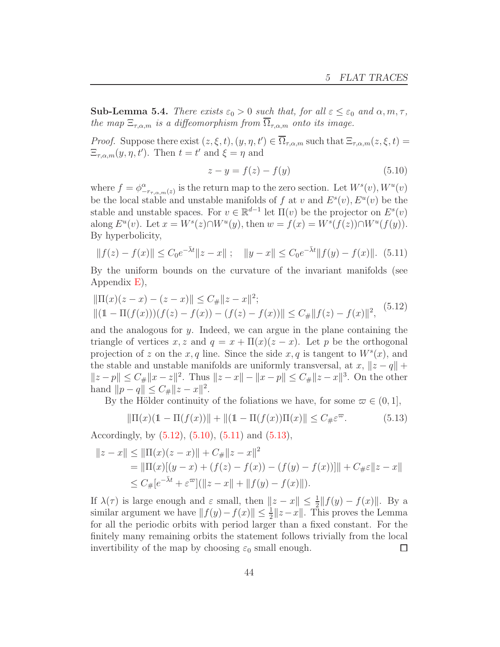**Sub-Lemma 5.4.** There exists  $\varepsilon_0 > 0$  such that, for all  $\varepsilon \leq \varepsilon_0$  and  $\alpha, m, \tau$ , the map  $\Xi_{\tau,\alpha,m}$  is a diffeomorphism from  $\overline{\Omega}_{\tau,\alpha,m}$  onto its image.

*Proof.* Suppose there exist  $(z, \xi, t), (y, \eta, t') \in \Omega_{\tau,\alpha,m}$  such that  $\Xi_{\tau,\alpha,m}(z,\xi,t) =$  $\Xi_{\tau,\alpha,m}(y,\eta,t')$ . Then  $t=t'$  and  $\xi=\eta$  and

<span id="page-43-1"></span>
$$
z - y = f(z) - f(y)
$$
 (5.10)

where  $f = \phi^{\alpha}_{-r_{\tau,\alpha,m}(z)}$  is the return map to the zero section. Let  $W^s(v)$ ,  $W^u(v)$ be the local stable and unstable manifolds of f at v and  $E^s(v)$ ,  $E^u(v)$  be the stable and unstable spaces. For  $v \in \mathbb{R}^{d-1}$  let  $\Pi(v)$  be the projector on  $E^s(v)$ along  $E^u(v)$ . Let  $x = W^s(z) \cap W^u(y)$ , then  $w = f(x) = W^s(f(z)) \cap W^u(f(y))$ . By hyperbolicity,

<span id="page-43-2"></span>
$$
||f(z) - f(x)|| \le C_0 e^{-\bar{\lambda}t} ||z - x|| \; ; \quad ||y - x|| \le C_0 e^{-\bar{\lambda}t} ||f(y) - f(x)||. \tag{5.11}
$$

By the uniform bounds on the curvature of the invariant manifolds (see Appendix [E\)](#page-91-0),

<span id="page-43-0"></span>
$$
\|\Pi(x)(z-x) - (z-x)\| \le C_{\#} \|z-x\|^2;
$$
  
 
$$
\|(1 - \Pi(f(x)))(f(z) - f(x)) - (f(z) - f(x))\| \le C_{\#} \|f(z) - f(x)\|^2,
$$
 (5.12)

and the analogous for  $y$ . Indeed, we can argue in the plane containing the triangle of vertices x, z and  $q = x + \Pi(x)(z - x)$ . Let p be the orthogonal projection of z on the x, q line. Since the side  $x, q$  is tangent to  $W<sup>s</sup>(x)$ , and the stable and unstable manifolds are uniformly transversal, at  $x, \|z - q\| +$  $||z-p|| \leq C_{\#} ||x-z||^2$ . Thus  $||z-x|| - ||x-p|| \leq C_{\#} ||z-x||^3$ . On the other hand  $||p - q|| \leq C_{\#} ||z - x||^2$ .

By the Hölder continuity of the foliations we have, for some  $\varpi \in (0, 1]$ ,

<span id="page-43-3"></span>
$$
\|\Pi(x)(1 - \Pi(f(x))\| + \|(1 - \Pi(f(x))\Pi(x)\| \le C_{\#}\varepsilon^{\infty}.
$$
 (5.13)

Accordingly, by  $(5.12)$ ,  $(5.10)$ ,  $(5.11)$  and  $(5.13)$ ,

$$
||z - x|| \le ||\Pi(x)(z - x)|| + C_{\#}||z - x||^2
$$
  
=  $||\Pi(x)[(y - x) + (f(z) - f(x)) - (f(y) - f(x))]|| + C_{\#}\varepsilon ||z - x||$   
 $\le C_{\#}[e^{-\bar{\lambda}t} + \varepsilon^{\varpi}] (||z - x|| + ||f(y) - f(x)||).$ 

If  $\lambda(\tau)$  is large enough and  $\varepsilon$  small, then  $||z - x|| \le \frac{1}{2} ||f(y) - f(x)||$ . By a similar argument we have  $|| f(y) - f(x)|| \leq \frac{1}{2} ||z - x||$ . This proves the Lemma for all the periodic orbits with period larger than a fixed constant. For the finitely many remaining orbits the statement follows trivially from the local invertibility of the map by choosing  $\varepsilon_0$  small enough.  $\Box$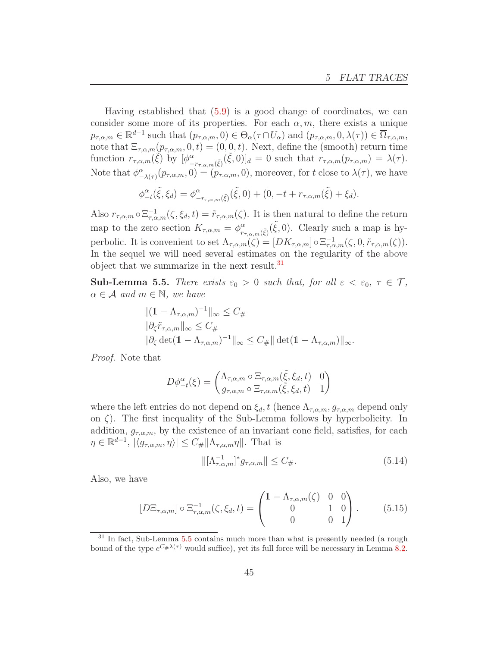Having established that [\(5.9\)](#page-42-1) is a good change of coordinates, we can consider some more of its properties. For each  $\alpha, m$ , there exists a unique  $p_{\tau,\alpha,m} \in \mathbb{R}^{d-1}$  such that  $(p_{\tau,\alpha,m},0) \in \Theta_\alpha(\tau \cap U_\alpha)$  and  $(p_{\tau,\alpha,m},0,\lambda(\tau)) \in \overline{\Omega}_{\tau,\alpha,m}$ , note that  $\Xi_{\tau,\alpha,m}(p_{\tau,\alpha,m},0,t) = (0,0,t)$ . Next, define the (smooth) return time function  $r_{\tau,\alpha,m}(\tilde{\xi})$  by  $[\phi^{\alpha}_{-r_{\tau,\alpha,m}(\tilde{\xi})}(\tilde{\xi},0)]_d = 0$  such that  $r_{\tau,\alpha,m}(p_{\tau,\alpha,m}) = \lambda(\tau)$ . Note that  $\phi_{-\lambda(\tau)}^{\alpha}(p_{\tau,\alpha,m},0)=(p_{\tau,\alpha,m},0)$ , moreover, for t close to  $\lambda(\tau)$ , we have

$$
\phi_{-t}^{\alpha}(\tilde{\xi}, \xi_d) = \phi_{-r_{\tau,\alpha,m}(\tilde{\xi})}^{\alpha}(\tilde{\xi}, 0) + (0, -t + r_{\tau,\alpha,m}(\tilde{\xi}) + \xi_d).
$$

Also  $r_{\tau,\alpha,m} \circ \Xi_{\tau,\alpha,m}^{-1}(\zeta,\xi_d,t) = \tilde{r}_{\tau,\alpha,m}(\zeta)$ . It is then natural to define the return map to the zero section  $K_{\tau,\alpha,m} = \phi_{r}^{\alpha}$  $_{r_{\tau,\alpha,m}(\tilde{\xi})}^{\alpha}(\tilde{\xi},0)$ . Clearly such a map is hyperbolic. It is convenient to set  $\Lambda_{\tau,\alpha,m}(\zeta) = [DK_{\tau,\alpha,m}] \circ \Xi_{\tau,\alpha,m}^{-1}(\zeta,0,\tilde{r}_{\tau,\alpha,m}(\zeta)).$ In the sequel we will need several estimates on the regularity of the above object that we summarize in the next result.<sup>[31](#page-44-0)</sup>

<span id="page-44-1"></span>Sub-Lemma 5.5. There exists  $\varepsilon_0 > 0$  such that, for all  $\varepsilon < \varepsilon_0$ ,  $\tau \in \mathcal{T}$ ,  $\alpha \in \mathcal{A}$  and  $m \in \mathbb{N}$ , we have

$$
||(1 - \Lambda_{\tau,\alpha,m})^{-1}||_{\infty} \leq C_{\#}
$$
  

$$
||\partial_{\zeta}\tilde{r}_{\tau,\alpha,m}||_{\infty} \leq C_{\#}
$$
  

$$
||\partial_{\zeta} \det(1 - \Lambda_{\tau,\alpha,m})^{-1}||_{\infty} \leq C_{\#} ||\det(1 - \Lambda_{\tau,\alpha,m})||_{\infty}.
$$

Proof. Note that

$$
D\phi_{-t}^{\alpha}(\xi) = \begin{pmatrix} \Lambda_{\tau,\alpha,m} \circ \Xi_{\tau,\alpha,m}(\tilde{\xi},\xi_d,t) & 0\\ g_{\tau,\alpha,m} \circ \Xi_{\tau,\alpha,m}(\tilde{\xi},\xi_d,t) & 1 \end{pmatrix}
$$

where the left entries do not depend on  $\xi_d$ , t (hence  $\Lambda_{\tau,\alpha,m}$ ,  $g_{\tau,\alpha,m}$  depend only on  $\zeta$ ). The first inequality of the Sub-Lemma follows by hyperbolicity. In addition,  $g_{\tau,\alpha,m}$ , by the existence of an invariant cone field, satisfies, for each  $\eta \in \mathbb{R}^{d-1}, |\langle g_{\tau,\alpha,m}, \eta \rangle| \leq C_{\#} ||\Lambda_{\tau,\alpha,m} \eta||.$  That is

<span id="page-44-2"></span>
$$
\| [\Lambda_{\tau,\alpha,m}^{-1}]^* g_{\tau,\alpha,m} \| \le C_{\#}.
$$
\n(5.14)

Also, we have

$$
[D\Xi_{\tau,\alpha,m}] \circ \Xi_{\tau,\alpha,m}^{-1}(\zeta,\xi_d,t) = \begin{pmatrix} 1 - \Lambda_{\tau,\alpha,m}(\zeta) & 0 & 0 \\ 0 & 1 & 0 \\ 0 & 0 & 1 \end{pmatrix} . \tag{5.15}
$$

<span id="page-44-0"></span><sup>&</sup>lt;sup>31</sup> In fact, Sub-Lemma [5.5](#page-44-1) contains much more than what is presently needed (a rough bound of the type  $e^{C_{\#}\lambda(\tau)}$  would suffice), yet its full force will be necessary in Lemma [8.2.](#page-76-0)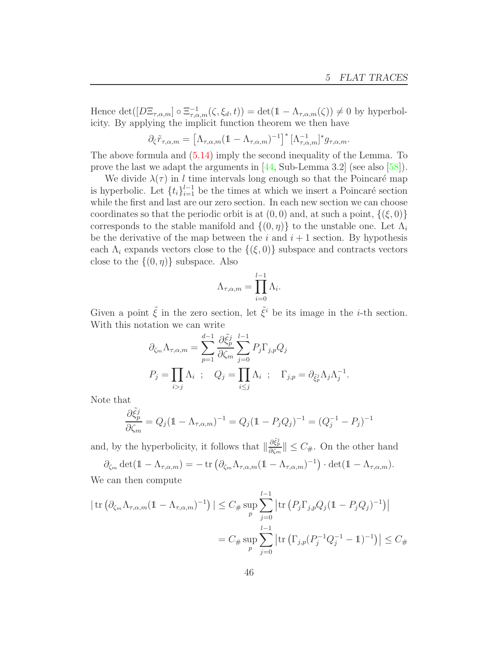Hence  $\det([D\Xi_{\tau,\alpha,m}]\circ \Xi_{\tau,\alpha,m}^{-1}(\zeta,\xi_d,t)) = \det(\mathbb{1}-\Lambda_{\tau,\alpha,m}(\zeta)) \neq 0$  by hyperbolicity. By applying the implicit function theorem we then have

$$
\partial_{\zeta}\tilde{r}_{\tau,\alpha,m} = \left[\Lambda_{\tau,\alpha,m}(1-\Lambda_{\tau,\alpha,m})^{-1}\right]^* \left[\Lambda_{\tau,\alpha,m}^{-1}\right]^* g_{\tau,\alpha,m}.
$$

The above formula and [\(5.14\)](#page-44-2) imply the second inequality of the Lemma. To prove the last we adapt the arguments in [\[44,](#page-96-3) Sub-Lemma 3.2] (see also [\[58\]](#page-96-4)).

We divide  $\lambda(\tau)$  in l time intervals long enough so that the Poincaré map is hyperbolic. Let  $\{t_i\}_{i=1}^{l-1}$  be the times at which we insert a Poincaré section while the first and last are our zero section. In each new section we can choose coordinates so that the periodic orbit is at  $(0, 0)$  and, at such a point,  $\{(\xi, 0)\}$ corresponds to the stable manifold and  $\{(0, \eta)\}\)$  to the unstable one. Let  $\Lambda_i$ be the derivative of the map between the i and  $i + 1$  section. By hypothesis each  $\Lambda_i$  expands vectors close to the  $\{(\xi,0)\}\$  subspace and contracts vectors close to the  $\{(0, \eta)\}\$  subspace. Also

$$
\Lambda_{\tau,\alpha,m} = \prod_{i=0}^{l-1} \Lambda_i.
$$

Given a point  $\tilde{\xi}$  in the zero section, let  $\tilde{\xi}^i$  be its image in the *i*-th section. With this notation we can write

$$
\partial_{\zeta_m} \Lambda_{\tau,\alpha,m} = \sum_{p=1}^{d-1} \frac{\partial \tilde{\xi}_p^j}{\partial \zeta_m} \sum_{j=0}^{l-1} P_j \Gamma_{j,p} Q_j
$$
  

$$
P_j = \prod_{i>j} \Lambda_i \ ; \quad Q_j = \prod_{i \le j} \Lambda_i \ ; \quad \Gamma_{j,p} = \partial_{\xi_p^j} \Lambda_j \Lambda_j^{-1}.
$$

Note that

$$
\frac{\partial \tilde{\xi}_p^j}{\partial \zeta_m} = Q_j (\mathbb{1} - \Lambda_{\tau,\alpha,m})^{-1} = Q_j (\mathbb{1} - P_j Q_j)^{-1} = (Q_j^{-1} - P_j)^{-1}
$$

and, by the hyperbolicity, it follows that  $\|\frac{\partial \tilde{\xi}_p^j}{\partial \zeta_m}\| \leq C_{\#}$ . On the other hand  $\partial_{\zeta_m} \det(\mathbb{1} - \Lambda_{\tau,\alpha,m}) = -\operatorname{tr} \left( \partial_{\zeta_m} \Lambda_{\tau,\alpha,m}(\mathbb{1} - \Lambda_{\tau,\alpha,m})^{-1} \right) \cdot \det(\mathbb{1} - \Lambda_{\tau,\alpha,m}).$ 

We can then compute

$$
|\operatorname{tr} (\partial_{\zeta_m} \Lambda_{\tau,\alpha,m} (\mathbb{1} - \Lambda_{\tau,\alpha,m})^{-1})| \le C_{\#} \sup_{p} \sum_{j=0}^{l-1} |\operatorname{tr} (P_j \Gamma_{j,p} Q_j (\mathbb{1} - P_j Q_j)^{-1})|
$$
  
=  $C_{\#} \sup_{p} \sum_{j=0}^{l-1} |\operatorname{tr} (\Gamma_{j,p} (P_j^{-1} Q_j^{-1} - \mathbb{1})^{-1})| \le C_{\#}$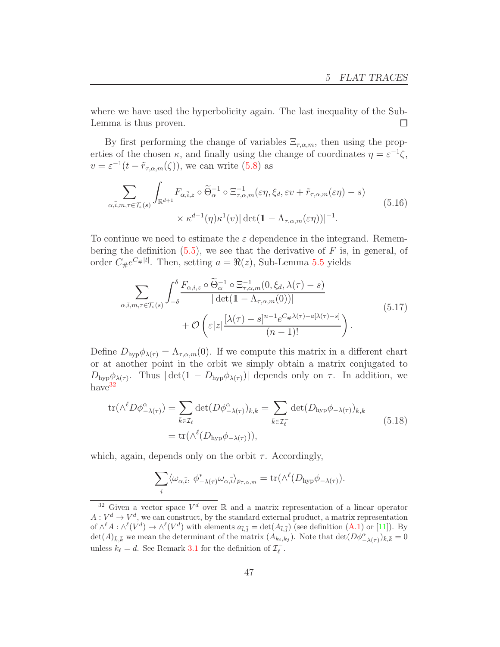where we have used the hyperbolicity again. The last inequality of the Sub-Lemma is thus proven.  $\Box$ 

By first performing the change of variables  $\Xi_{\tau,\alpha,m}$ , then using the properties of the chosen  $\kappa$ , and finally using the change of coordinates  $\eta = \varepsilon^{-1}\zeta$ ,  $v = \varepsilon^{-1}(t - \tilde{r}_{\tau,\alpha,m}(\zeta))$ , we can write [\(5.8\)](#page-42-2) as

<span id="page-46-2"></span>
$$
\sum_{\alpha,\bar{i},m,\tau\in\mathcal{T}_{\varepsilon}(s)}\int_{\mathbb{R}^{d+1}}F_{\alpha,\bar{i},z}\circ\widetilde{\Theta}_{\alpha}^{-1}\circ\Xi_{\tau,\alpha,m}^{-1}(\varepsilon\eta,\xi_{d},\varepsilon v+\widetilde{r}_{\tau,\alpha,m}(\varepsilon\eta)-s)
$$
\n
$$
\times \kappa^{d-1}(\eta)\kappa^{1}(v)|\det(\mathbb{1}-\Lambda_{\tau,\alpha,m}(\varepsilon\eta))|^{-1}.
$$
\n(5.16)

To continue we need to estimate the  $\varepsilon$  dependence in the integrand. Remembering the definition  $(5.5)$ , we see that the derivative of F is, in general, of order  $C_{\#}e^{C_{\#}|t|}$ . Then, setting  $a = \Re(z)$ , Sub-Lemma [5.5](#page-44-1) yields

<span id="page-46-1"></span>
$$
\sum_{\alpha,\bar{i},m,\tau\in\mathcal{T}_{\varepsilon}(s)}\int_{-\delta}^{\delta}\frac{F_{\alpha,\bar{i},z}\circ\widetilde{\Theta}_{\alpha}^{-1}\circ\Xi_{\tau,\alpha,m}^{-1}(0,\xi_{d},\lambda(\tau)-s)}{|\det(\mathbb{1}-\Lambda_{\tau,\alpha,m}(0))|}+\mathcal{O}\left(\varepsilon|z|\frac{[\lambda(\tau)-s]^{n-1}e^{C_{\#}\lambda(\tau)-a[\lambda(\tau)-s]}}{(n-1)!}\right).
$$
\n(5.17)

Define  $D_{\text{hyp}}\phi_{\lambda(\tau)} = \Lambda_{\tau,\alpha,m}(0)$ . If we compute this matrix in a different chart or at another point in the orbit we simply obtain a matrix conjugated to  $D_{\text{hyp}}\phi_{\lambda(\tau)}$ . Thus  $|\det(\mathbb{1}-D_{\text{hyp}}\phi_{\lambda(\tau)})|$  depends only on  $\tau$ . In addition, we have<sup>[32](#page-46-0)</sup>

$$
\text{tr}(\wedge^{\ell} D\phi^{\alpha}_{-\lambda(\tau)}) = \sum_{\bar{k}\in\mathcal{I}_{\ell}} \det(D\phi^{\alpha}_{-\lambda(\tau)})_{\bar{k},\bar{k}} = \sum_{\bar{k}\in\mathcal{I}_{\ell}^-} \det(D_{\text{hyp}}\phi_{-\lambda(\tau)})_{\bar{k},\bar{k}} \n= \text{tr}(\wedge^{\ell} (D_{\text{hyp}}\phi_{-\lambda(\tau)})),
$$
\n(5.18)

which, again, depends only on the orbit  $\tau$ . Accordingly,

$$
\sum_{\bar{i}} \langle \omega_{\alpha, \bar{i}}, \phi^*_{-\lambda(\tau)} \omega_{\alpha, \bar{i}} \rangle_{p_{\tau, \alpha, m}} = \text{tr}(\wedge^{\ell} (D_{\text{hyp}} \phi_{-\lambda(\tau)}).
$$

<span id="page-46-0"></span><sup>&</sup>lt;sup>32</sup> Given a vector space  $V^d$  over  $\mathbb R$  and a matrix representation of a linear operator  $A: V^d \to V^d$ , we can construct, by the standard external product, a matrix representation of  $\wedge^{\ell}A : \wedge^{\ell}(V^d) \to \wedge^{\ell}(V^d)$  with elements  $a_{\bar{i},\bar{j}} = \det(A_{\bar{i},\bar{j}})$  (see definition  $(A.1)$  or [\[11\]](#page-94-1)). By  $\det(A)_{\bar{k},\bar{k}}$  we mean the determinant of the matrix  $(A_{k_i,k_j})$ . Note that  $\det(D\phi^{\alpha}_{-\lambda(\tau)})_{\bar{k},\bar{k}}=0$ unless  $k_{\ell} = d$ . See Remark [3.1](#page-19-0) for the definition of  $\mathcal{I}_{\ell}^-$ .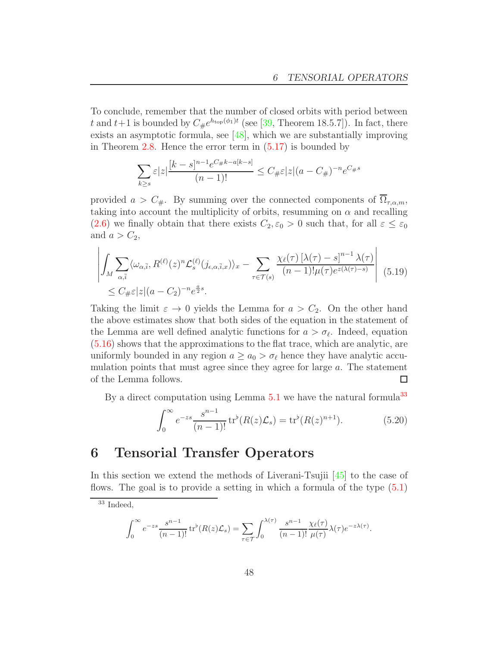To conclude, remember that the number of closed orbits with period between t and  $t+1$  is bounded by  $C_{\#}e^{h_{\text{top}}(\phi_1)t}$  (see [\[39,](#page-95-0) Theorem 18.5.7]). In fact, there exists an asymptotic formula, see [\[48\]](#page-96-5), which we are substantially improving in Theorem  $2.8$ . Hence the error term in  $(5.17)$  is bounded by

$$
\sum_{k\geq s} \varepsilon |z| \frac{[k-s]^{n-1} e^{C_{\#}k-a[k-s]}}{(n-1)!} \leq C_{\#} \varepsilon |z|(a - C_{\#})^{-n} e^{C_{\#}s}
$$

provided  $a > C_{\#}$ . By summing over the connected components of  $\overline{\Omega}_{\tau,\alpha,m}$ , taking into account the multiplicity of orbits, resumming on  $\alpha$  and recalling [\(2.6\)](#page-11-0) we finally obtain that there exists  $C_2, \varepsilon_0 > 0$  such that, for all  $\varepsilon \leq \varepsilon_0$ and  $a > C_2$ ,

$$
\left| \int_{M} \sum_{\alpha,\bar{i}} \langle \omega_{\alpha,\bar{i}}, R^{(\ell)}(z)^{n} \mathcal{L}_{s}^{(\ell)}(j_{\epsilon,\alpha,\bar{i},x}) \rangle_{x} - \sum_{\tau \in \mathcal{T}(s)} \frac{\chi_{\ell}(\tau) \left[ \lambda(\tau) - s \right]^{n-1} \lambda(\tau)}{(n-1)! \mu(\tau) e^{z(\lambda(\tau)-s)}} \right| \tag{5.19}
$$
  
 
$$
\leq C_{\#} \varepsilon |z| (a - C_{2})^{-n} e^{\frac{a}{2}s}.
$$

Taking the limit  $\varepsilon \to 0$  yields the Lemma for  $a > C_2$ . On the other hand the above estimates show that both sides of the equation in the statement of the Lemma are well defined analytic functions for  $a > \sigma_{\ell}$ . Indeed, equation [\(5.16\)](#page-46-2) shows that the approximations to the flat trace, which are analytic, are uniformly bounded in any region  $a \ge a_0 > \sigma_\ell$  hence they have analytic accumulation points that must agree since they agree for large  $a$ . The statement of the Lemma follows.  $\Box$ 

By a direct computation using Lemma  $5.1$  we have the natural formula<sup>[33](#page-47-0)</sup>

$$
\int_0^\infty e^{-zs} \frac{s^{n-1}}{(n-1)!} \, \text{tr}^\flat(R(z)\mathcal{L}_s) = \text{tr}^\flat(R(z)^{n+1}).\tag{5.20}
$$

# 6 Tensorial Transfer Operators

In this section we extend the methods of Liverani-Tsujii [\[45\]](#page-96-6) to the case of flows. The goal is to provide a setting in which a formula of the type [\(5.1\)](#page-39-3)

$$
\int_0^\infty e^{-zs} \frac{s^{n-1}}{(n-1)!} \operatorname{tr}^{\flat}(R(z)\mathcal{L}_s) = \sum_{\tau \in \mathcal{T}} \int_0^{\lambda(\tau)} \frac{s^{n-1}}{(n-1)!} \frac{\chi_{\ell}(\tau)}{\mu(\tau)} \lambda(\tau) e^{-z\lambda(\tau)}.
$$

<span id="page-47-0"></span> $33$  Indeed,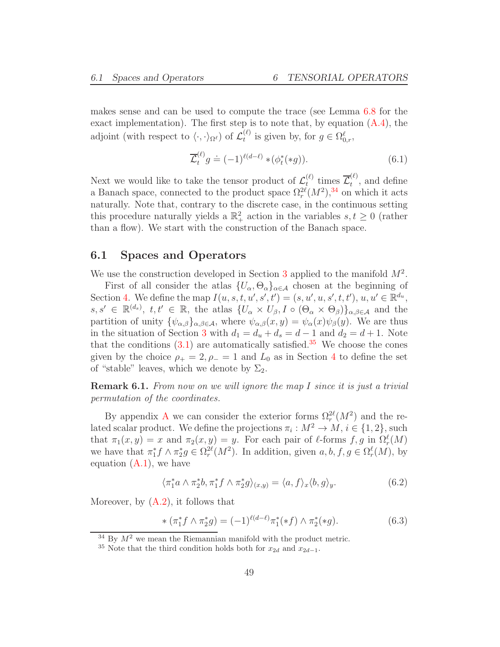makes sense and can be used to compute the trace (see Lemma [6.8](#page-57-0) for the exact implementation). The first step is to note that, by equation  $(A.4)$ , the adjoint (with respect to  $\langle \cdot, \cdot \rangle_{\Omega^{\ell}}$ ) of  $\mathcal{L}_{t}^{(\ell)}$  $t^{(\ell)}$  is given by, for  $g \in \Omega_{0,r}^{\ell}$ ,

$$
\overline{\mathcal{L}}_t^{(\ell)} g \doteq (-1)^{\ell(d-\ell)} * (\phi_t^*(*g)). \tag{6.1}
$$

Next we would like to take the tensor product of  $\mathcal{L}^{(\ell)}_t$  $\mathcal{L}_t^{(\ell)}$  times  $\mathcal{L}_t^{(\ell)}$  $t^{(0)}$ , and define a Banach space, connected to the product space  $\Omega_r^{2\ell}(M^2),^{34}$  $\Omega_r^{2\ell}(M^2),^{34}$  $\Omega_r^{2\ell}(M^2),^{34}$  on which it acts naturally. Note that, contrary to the discrete case, in the continuous setting this procedure naturally yields a  $\mathbb{R}^2_+$  action in the variables  $s, t \geq 0$  (rather than a flow). We start with the construction of the Banach space.

#### 6.1 Spaces and Operators

We use the construction developed in Section [3](#page-17-0) applied to the manifold  $M^2$ .

First of all consider the atlas  $\{U_\alpha, \Theta_\alpha\}_{\alpha \in \mathcal{A}}$  chosen at the beginning of Section [4.](#page-25-0) We define the map  $I(u, s, t, u', s', t') = (s, u', u, s', t, t'), u, u' \in \mathbb{R}^{d_u}$ ,  $s, s' \in \mathbb{R}^{(d_s)}$ ,  $t, t' \in \mathbb{R}$ , the atlas  $\{U_\alpha \times U_\beta, I \circ (\Theta_\alpha \times \Theta_\beta)\}_{\alpha,\beta \in \mathcal{A}}$  and the partition of unity  $\{\psi_{\alpha,\beta}\}_{{\alpha,\beta}\in\mathcal{A}},$  where  $\psi_{\alpha,\beta}(x,y) = \psi_{\alpha}(x)\psi_{\beta}(y)$ . We are thus in the situation of Section [3](#page-17-0) with  $d_1 = d_u + d_s = d - 1$  and  $d_2 = d + 1$ . Note that the conditions  $(3.1)$  are automatically satisfied.<sup>[35](#page-48-1)</sup> We choose the cones given by the choice  $\rho_+ = 2, \rho_- = 1$  and  $L_0$  as in Section [4](#page-25-0) to define the set of "stable" leaves, which we denote by  $\Sigma_2$ .

**Remark 6.1.** From now on we will ignore the map I since it is just a trivial permutation of the coordinates.

By appendix [A](#page-78-1) we can consider the exterior forms  $\Omega_r^{2\ell}(M^2)$  and the related scalar product. We define the projections  $\pi_i : M^2 \to M$ ,  $i \in \{1, 2\}$ , such that  $\pi_1(x, y) = x$  and  $\pi_2(x, y) = y$ . For each pair of  $\ell$ -forms  $f, g$  in  $\Omega_r^{\ell}(M)$ we have that  $\pi_1^* f \wedge \pi_2^* g \in \Omega_r^{2\ell}(M^2)$ . In addition, given  $a, b, f, g \in \Omega_r^{\ell}(M)$ , by equation  $(A.1)$ , we have

<span id="page-48-2"></span>
$$
\langle \pi_1^* a \wedge \pi_2^* b, \pi_1^* f \wedge \pi_2^* g \rangle_{(x,y)} = \langle a, f \rangle_x \langle b, g \rangle_y. \tag{6.2}
$$

Moreover, by  $(A.2)$ , it follows that

<span id="page-48-3"></span>
$$
*(\pi_1^* f \wedge \pi_2^* g) = (-1)^{\ell(d-\ell)} \pi_1^*(*f) \wedge \pi_2^*(*g). \tag{6.3}
$$

 $34$  By  $M^2$  we mean the Riemannian manifold with the product metric.

<span id="page-48-1"></span><span id="page-48-0"></span><sup>&</sup>lt;sup>35</sup> Note that the third condition holds both for  $x_{2d}$  and  $x_{2d-1}$ .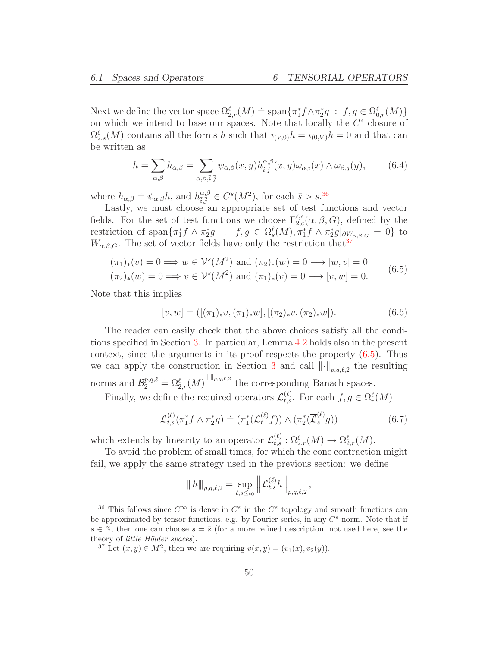Next we define the vector space  $\Omega_{2,r}^{\ell}(M) \doteq \text{span}\{\pi_1^* f \wedge \pi_2^* g \; : \; f, g \in \Omega_{0,r}^{\ell}(M)\}$ on which we intend to base our spaces. Note that locally the  $C^s$  closure of  $\Omega_{2,s}^{\ell}(M)$  contains all the forms h such that  $i_{(V,0)}h = i_{(0,V)}h = 0$  and that can be written as

$$
h = \sum_{\alpha,\beta} h_{\alpha,\beta} = \sum_{\alpha,\beta,\bar{i},\bar{j}} \psi_{\alpha,\beta}(x,y) h_{\bar{i},\bar{j}}^{\alpha,\beta}(x,y) \omega_{\alpha,\bar{i}}(x) \wedge \omega_{\beta,\bar{j}}(y), \qquad (6.4)
$$

where  $h_{\alpha,\beta} \doteq \psi_{\alpha,\beta} h$ , and  $h_{\overline{i},\overline{j}}^{\alpha,\beta}$  $\frac{\alpha_{i}\beta}{\tilde{i},\tilde{j}} \in C^{\tilde{s}}(M^{2}),$  for each  $\tilde{s} > s^{36}$  $\tilde{s} > s^{36}$  $\tilde{s} > s^{36}$ .

Lastly, we must choose an appropriate set of test functions and vector fields. For the set of test functions we choose  $\Gamma_{2,c}^{\ell,s}(\alpha,\beta,G)$ , defined by the restriction of span $\{\pi_1^* f \wedge \pi_2^* g : f, g \in \Omega_s^{\ell}(M), \pi_1^* f \wedge \pi_2^* g \vert_{\partial W_{\alpha,\beta,G}} = 0\}$  to  $W_{\alpha,\beta,G}$ . The set of vector fields have only the restriction that  $37$ 

<span id="page-49-2"></span>
$$
(\pi_1)_*(v) = 0 \Longrightarrow w \in \mathcal{V}^s(M^2) \text{ and } (\pi_2)_*(w) = 0 \longrightarrow [w, v] = 0
$$
  

$$
(\pi_2)_*(w) = 0 \Longrightarrow w \in \mathcal{V}^s(M^2) \text{ and } (\pi_2)_*(w) = 0 \longrightarrow [w, w] = 0
$$
  
(6.5)

$$
(\pi_2)_*(w) = 0 \Longrightarrow v \in \mathcal{V}^s(M^2) \text{ and } (\pi_1)_*(v) = 0 \longrightarrow [v, w] = 0.
$$

Note that this implies

<span id="page-49-3"></span>
$$
[v, w] = ([(\pi_1)_* v, (\pi_1)_* w], [(\pi_2)_* v, (\pi_2)_* w]).
$$
\n(6.6)

The reader can easily check that the above choices satisfy all the conditions specified in Section [3.](#page-17-0) In particular, Lemma [4.2](#page-25-1) holds also in the present context, since the arguments in its proof respects the property [\(6.5\)](#page-49-2). Thus we can apply the construction in Section [3](#page-17-0) and call  $\lVert \cdot \rVert_{p,q,\ell,2}$  the resulting norms and  $\mathcal{B}_2^{p,q,\ell}$  $\overline{\Omega}_{2}^{p,q,\ell} \doteq \overline{\Omega_{2,r}^{\ell}(M)}^{\|\cdot\|_{p,q,\ell,2}}$  the corresponding Banach spaces.

Finally, we define the required operators  $\mathcal{L}_{t,s}^{(\ell)}$ . For each  $f, g \in \Omega_r^{\ell}(M)$ 

<span id="page-49-4"></span>
$$
\mathcal{L}_{t,s}^{(\ell)}(\pi_1^* f \wedge \pi_2^* g) \doteq (\pi_1^*(\mathcal{L}_t^{(\ell)} f)) \wedge (\pi_2^*(\overline{\mathcal{L}}_s^{(\ell)} g))
$$
\n(6.7)

which extends by linearity to an operator  $\mathcal{L}_{t,s}^{(\ell)} : \Omega_{2,r}^{\ell}(M) \to \Omega_{2,r}^{\ell}(M)$ .

To avoid the problem of small times, for which the cone contraction might fail, we apply the same strategy used in the previous section: we define

$$
||h||_{p,q,\ell,2} = \sup_{t,s \le t_0} ||\mathcal{L}_{t,s}^{(\ell)} h||_{p,q,\ell,2},
$$

<span id="page-49-0"></span><sup>&</sup>lt;sup>36</sup> This follows since  $C^{\infty}$  is dense in  $C^{\bar{s}}$  in the  $C^s$  topology and smooth functions can be approximated by tensor functions, e.g. by Fourier series, in any  $C^s$  norm. Note that if  $s \in \mathbb{N}$ , then one can choose  $s = \overline{s}$  (for a more refined description, not used here, see the theory of *little Hölder spaces*).

<span id="page-49-1"></span><sup>&</sup>lt;sup>37</sup> Let  $(x, y) \in M^2$ , then we are requiring  $v(x, y) = (v_1(x), v_2(y)).$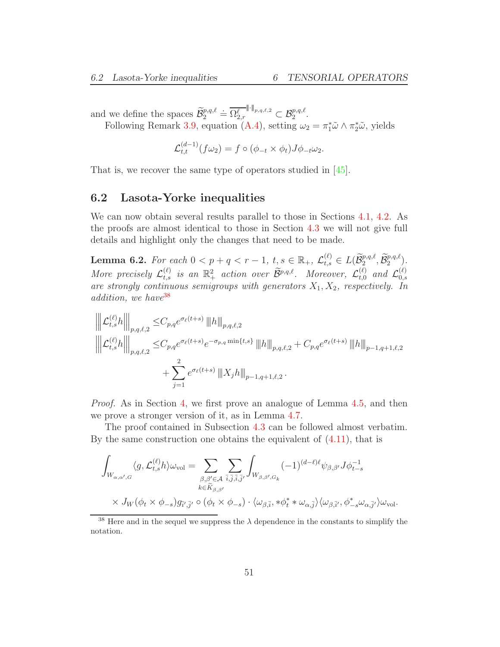and we define the spaces  $\widetilde{\mathcal{B}}_2^{p,q,\ell} \doteq \overline{\Omega_{2,r}^{\ell}}^{\|\cdot\|_{p,q,\ell,2}} \subset \mathcal{B}_2^{p,q,\ell}.$ Following Remark [3.9,](#page-22-1) equation [\(A.4\)](#page-79-0), setting  $\omega_2 = \pi_1^* \tilde{\omega} \wedge \pi_2^* \tilde{\omega}$ , yields

$$
\mathcal{L}_{t,t}^{(d-1)}(f\omega_2) = f \circ (\phi_{-t} \times \phi_t) J\phi_{-t}\omega_2.
$$

That is, we recover the same type of operators studied in [\[45\]](#page-96-6).

### 6.2 Lasota-Yorke inequalities

We can now obtain several results parallel to those in Sections [4.1,](#page-27-1) [4.2.](#page-29-2) As the proofs are almost identical to those in Section [4.3](#page-31-0) we will not give full details and highlight only the changes that need to be made.

**Lemma 6.2.** For each  $0 < p + q < r - 1$ ,  $t, s \in \mathbb{R}_+$ ,  $\mathcal{L}_{t,s}^{(\ell)} \in L(\widetilde{\mathcal{B}}_2^{p,q,\ell}, \widetilde{\mathcal{B}}_2^{p,q,\ell})$ . More precisely  $\mathcal{L}_{t,s}^{(\ell)}$  is an  $\mathbb{R}^2_+$  action over  $\widetilde{\mathcal{B}}^{p,q,\ell}$ . Moreover,  $\mathcal{L}_{t,0}^{(\ell)}$  $_{t,0}^{(\ell)}$  and  $\mathcal{L}_{0,s}^{(\ell)}$  $_{0,s}$ are strongly continuous semigroups with generators  $X_1, X_2$ , respectively. In addition, we have <sup>[38](#page-50-0)</sup>

$$
\begin{aligned} \left\| \left\| \mathcal{L}_{t,s}^{(\ell)} h \right\| \right\|_{p,q,\ell,2} & \leq & C_{p,q} e^{\sigma_{\ell}(t+s)} \left\| h \right\|_{p,q,\ell,2} \\ \left\| \left\| \mathcal{L}_{t,s}^{(\ell)} h \right\| \right\|_{p,q,\ell,2} & \leq & C_{p,q} e^{\sigma_{\ell}(t+s)} e^{-\sigma_{p,q} \min\{t,s\}} \left\| h \right\|_{p,q,\ell,2} + C_{p,q} e^{\sigma_{\ell}(t+s)} \left\| h \right\|_{p-1,q+1,\ell,2} \\ & + \sum_{j=1}^2 e^{\sigma_{\ell}(t+s)} \left\| \left[ X_j h \right\| \right]_{p-1,q+1,\ell,2}. \end{aligned}
$$

Proof. As in Section [4,](#page-25-0) we first prove an analogue of Lemma [4.5,](#page-27-0) and then we prove a stronger version of it, as in Lemma [4.7.](#page-28-0)

The proof contained in Subsection [4.3](#page-31-0) can be followed almost verbatim. By the same construction one obtains the equivalent of [\(4.11\)](#page-32-0), that is

$$
\int_{W_{\alpha,\alpha',G}} \langle g, \mathcal{L}_{t,s}^{(\ell)} h \rangle \omega_{\text{vol}} = \sum_{\substack{\beta,\beta' \in \mathcal{A} \\ k \in \widetilde{K}_{\beta,\beta'}}} \sum_{\overline{i},\overline{j},\overline{i},\overline{j'}} \int_{W_{\beta,\beta',G_k}} (-1)^{(d-\ell)\ell} \psi_{\beta,\beta'} J \phi_{t-s}^{-1} \times J_W(\phi_t \times \phi_{-s}) g_{\overline{i}',\overline{j}'} \circ (\phi_t \times \phi_{-s}) \cdot \langle \omega_{\beta,\overline{i}}, * \phi_t^* * \omega_{\alpha,\overline{j}} \rangle \langle \omega_{\beta,\overline{i}'}, \phi_{-s}^* \omega_{\alpha,\overline{j}'} \rangle \omega_{\text{vol}}.
$$

<span id="page-50-0"></span><sup>38</sup> Here and in the sequel we suppress the  $\lambda$  dependence in the constants to simplify the notation.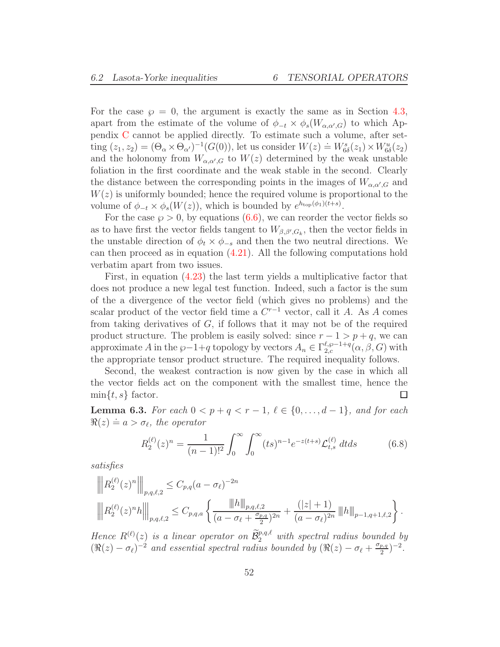For the case  $\wp = 0$ , the argument is exactly the same as in Section [4.3,](#page-31-0) apart from the estimate of the volume of  $\phi_{-t} \times \phi_s(W_{\alpha,\alpha',G})$  to which Appendix [C](#page-84-0) cannot be applied directly. To estimate such a volume, after setting  $(z_1, z_2) = (\Theta_\alpha \times \Theta_{\alpha'})^{-1}(G(0))$ , let us consider  $W(z) = W^s_{6\delta}(z_1) \times W^u_{6\delta}(z_2)$ and the holonomy from  $W_{\alpha,\alpha',G}$  to  $W(z)$  determined by the weak unstable foliation in the first coordinate and the weak stable in the second. Clearly the distance between the corresponding points in the images of  $W_{\alpha,\alpha',G}$  and  $W(z)$  is uniformly bounded; hence the required volume is proportional to the volume of  $\phi_{-t} \times \phi_s(W(z))$ , which is bounded by  $e^{h_{top}(\phi_1)(t+s)}$ .

For the case  $\wp > 0$ , by equations [\(6.6\)](#page-49-3), we can reorder the vector fields so as to have first the vector fields tangent to  $W_{\beta,\beta',G_k}$ , then the vector fields in the unstable direction of  $\phi_t \times \phi_{-s}$  and then the two neutral directions. We can then proceed as in equation [\(4.21\)](#page-35-1). All the following computations hold verbatim apart from two issues.

First, in equation [\(4.23\)](#page-35-2) the last term yields a multiplicative factor that does not produce a new legal test function. Indeed, such a factor is the sum of the a divergence of the vector field (which gives no problems) and the scalar product of the vector field time a  $C^{r-1}$  vector, call it A. As A comes from taking derivatives of  $G$ , if follows that it may not be of the required product structure. The problem is easily solved: since  $r - 1 > p + q$ , we can approximate A in the  $\wp-1+q$  topology by vectors  $A_n \in \Gamma_{2,c}^{\ell, \wp-1+q}(\alpha, \beta, G)$  with the appropriate tensor product structure. The required inequality follows.

Second, the weakest contraction is now given by the case in which all the vector fields act on the component with the smallest time, hence the  $\min\{t, s\}$  factor.  $\Box$ 

<span id="page-51-1"></span>**Lemma 6.3.** For each  $0 < p + q < r - 1$ ,  $\ell \in \{0, ..., d - 1\}$ , and for each  $\Re(z) \doteq a > \sigma_{\ell}$ , the operator

<span id="page-51-0"></span>
$$
R_2^{(\ell)}(z)^n = \frac{1}{(n-1)!^2} \int_0^\infty \int_0^\infty (ts)^{n-1} e^{-z(t+s)} \mathcal{L}_{t,s}^{(\ell)} dt ds \tag{6.8}
$$

satisfies

$$
\left\| R_2^{(\ell)}(z)^n \right\|_{p,q,\ell,2} \leq C_{p,q}(a-\sigma_\ell)^{-2n}
$$
  

$$
\left\| R_2^{(\ell)}(z)^n h \right\|_{p,q,\ell,2} \leq C_{p,q,a} \left\{ \frac{\|h\|_{p,q,\ell,2}}{(a-\sigma_\ell + \frac{\sigma_{p,q}}{2})^{2n}} + \frac{(|z|+1)}{(a-\sigma_\ell)^{2n}} \left\| h \right\|_{p-1,q+1,\ell,2} \right\}.
$$

Hence  $R^{(\ell)}(z)$  is a linear operator on  $\widetilde{\mathcal{B}}_2^{p,q,\ell}$  with spectral radius bounded by  $(\Re(z) - \sigma_{\ell})^{-2}$  and essential spectral radius bounded by  $(\Re(z) - \sigma_{\ell} + \frac{\sigma_{p,q}}{2})$  $\frac{p,q}{2}$  $)^{-2}$ .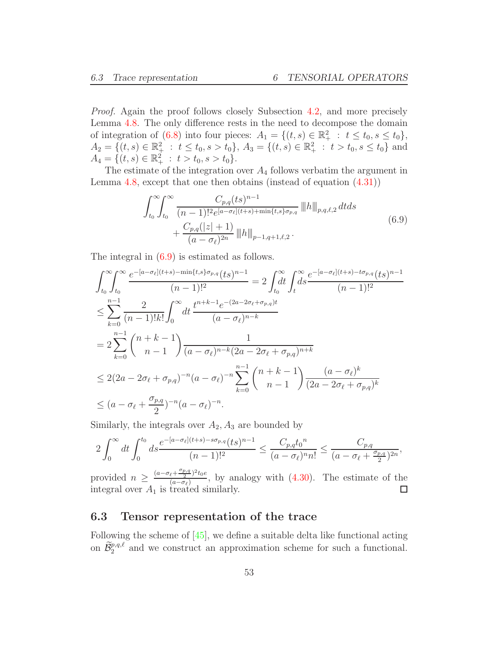Proof. Again the proof follows closely Subsection [4.2,](#page-29-2) and more precisely Lemma [4.8.](#page-29-0) The only difference rests in the need to decompose the domain of integration of [\(6.8\)](#page-51-0) into four pieces:  $A_1 = \{(t, s) \in \mathbb{R}_+^2 : t \le t_0, s \le t_0\},\$  $A_2 = \{(t, s) \in \mathbb{R}^2_+ : t \leq t_0, s > t_0\}, A_3 = \{(t, s) \in \mathbb{R}^2_+ : t > t_0, s \leq t_0\}$  and  $A_4 = \{ (t, s) \in \mathbb{R}^2_+ : t > t_0, s > t_0 \}.$ 

The estimate of the integration over  $A_4$  follows verbatim the argument in Lemma [4.8,](#page-29-0) except that one then obtains (instead of equation [\(4.31\)](#page-38-1))

$$
\int_{t_0}^{\infty} \int_{t_0}^{\infty} \frac{C_{p,q}(ts)^{n-1}}{(n-1)!^2 e^{[a-\sigma_{\ell}](t+s) + \min\{t,s\}\sigma_{p,q}} \|h\|_{p,q,\ell,2} dt ds
$$
  
+ 
$$
\frac{C_{p,q}(|z|+1)}{(a-\sigma_{\ell})^{2n}} \|h\|_{p-1,q+1,\ell,2}.
$$
 (6.9)

<span id="page-52-0"></span>The integral in [\(6.9\)](#page-52-0) is estimated as follows.

$$
\int_{t_0}^{\infty} \int_{t_0}^{\infty} \frac{e^{-[a-\sigma_{\ell}](t+s) - \min\{t,s\}\sigma_{p,q}}(ts)^{n-1}}{(n-1)!^2} = 2 \int_{t_0}^{\infty} dt \int_{t}^{\infty} \frac{e^{-[a-\sigma_{\ell}](t+s) - t\sigma_{p,q}}(ts)^{n-1}}{(n-1)!^2}
$$
\n
$$
\leq \sum_{k=0}^{n-1} \frac{2}{(n-1)!k!} \int_{0}^{\infty} dt \frac{t^{n+k-1}e^{-(2a-2\sigma_{\ell}+\sigma_{p,q})t}}{(a-\sigma_{\ell})^{n-k}}
$$
\n
$$
= 2 \sum_{k=0}^{n-1} {n+k-1 \choose n-1} \frac{1}{(a-\sigma_{\ell})^{n-k}(2a-2\sigma_{\ell}+\sigma_{p,q})^{n+k}}
$$
\n
$$
\leq 2(2a-2\sigma_{\ell}+\sigma_{p,q})^{-n}(a-\sigma_{\ell})^{-n} \sum_{k=0}^{n-1} {n+k-1 \choose n-1} \frac{(a-\sigma_{\ell})^k}{(2a-2\sigma_{\ell}+\sigma_{p,q})^k}
$$
\n
$$
\leq (a-\sigma_{\ell}+\frac{\sigma_{p,q}}{2})^{-n}(a-\sigma_{\ell})^{-n}.
$$

Similarly, the integrals over  $A_2$ ,  $A_3$  are bounded by

$$
2\int_0^\infty dt \int_0^{t_0} ds \frac{e^{-[a-\sigma_\ell](t+s)-s\sigma_{p,q}}(ts)^{n-1}}{(n-1)!^2} \le \frac{C_{p,q}t_0^n}{(a-\sigma_\ell)^n n!} \le \frac{C_{p,q}}{(a-\sigma_\ell+\frac{\sigma_{p,q}}{2})^{2n}},
$$

provided  $n \geq \frac{(a-\sigma_{\ell}+\frac{\sigma_{p,q}}{2})^2 t_0 e}{(a-\sigma_{\ell})^2}$  $\frac{\sqrt{a-\sigma_{\ell}}}{(a-\sigma_{\ell})}$ , by analogy with  $(4.30)$ . The estimate of the integral over  $A_1$  is treated similarly.  $\Box$ 

### 6.3 Tensor representation of the trace

Following the scheme of [\[45\]](#page-96-6), we define a suitable delta like functional acting on  $\widetilde{\mathcal{B}}_2^{p,q,\ell}$  and we construct an approximation scheme for such a functional.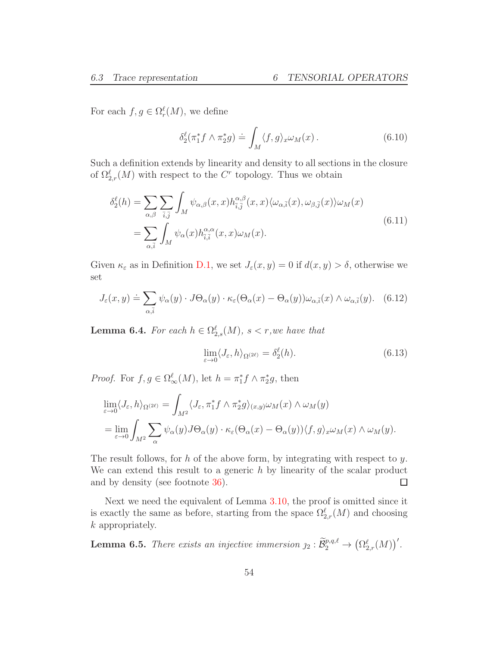For each  $f, g \in \Omega_r^{\ell}(M)$ , we define

<span id="page-53-4"></span>
$$
\delta_2^{\ell}(\pi_1^* f \wedge \pi_2^* g) \doteq \int_M \langle f, g \rangle_x \omega_M(x) \,. \tag{6.10}
$$

Such a definition extends by linearity and density to all sections in the closure of  $\Omega_{2,r}^{\ell}(M)$  with respect to the  $C^{r}$  topology. Thus we obtain

<span id="page-53-0"></span>
$$
\delta_2^{\ell}(h) = \sum_{\alpha,\beta} \sum_{\bar{i},\bar{j}} \int_M \psi_{\alpha,\beta}(x,x) h_{\bar{i},\bar{j}}^{\alpha,\beta}(x,x) \langle \omega_{\alpha,\bar{i}}(x), \omega_{\beta,\bar{j}}(x) \rangle \omega_M(x)
$$
  
= 
$$
\sum_{\alpha,\bar{i}} \int_M \psi_{\alpha}(x) h_{\bar{i},\bar{i}}^{\alpha,\alpha}(x,x) \omega_M(x).
$$
 (6.11)

Given  $\kappa_{\varepsilon}$  as in Definition [D.1,](#page-87-0) we set  $J_{\varepsilon}(x, y) = 0$  if  $d(x, y) > \delta$ , otherwise we set

<span id="page-53-1"></span>
$$
J_{\varepsilon}(x,y) \doteq \sum_{\alpha,\bar{i}} \psi_{\alpha}(y) \cdot J\Theta_{\alpha}(y) \cdot \kappa_{\varepsilon}(\Theta_{\alpha}(x) - \Theta_{\alpha}(y))\omega_{\alpha,\bar{i}}(x) \wedge \omega_{\alpha,\bar{i}}(y). \tag{6.12}
$$

<span id="page-53-2"></span>**Lemma 6.4.** For each  $h \in \Omega_{2,s}^{\ell}(M)$ ,  $s < r$ , we have that

$$
\lim_{\varepsilon \to 0} \langle J_{\varepsilon}, h \rangle_{\Omega^{(2\ell)}} = \delta_2^{\ell}(h). \tag{6.13}
$$

*Proof.* For  $f, g \in \Omega_{\infty}^{\ell}(M)$ , let  $h = \pi_1^* f \wedge \pi_2^* g$ , then

$$
\lim_{\varepsilon \to 0} \langle J_{\varepsilon}, h \rangle_{\Omega^{(2\ell)}} = \int_{M^2} \langle J_{\varepsilon}, \pi_1^* f \wedge \pi_2^* g \rangle_{(x,y)} \omega_M(x) \wedge \omega_M(y)
$$
  
= 
$$
\lim_{\varepsilon \to 0} \int_{M^2} \sum_{\alpha} \psi_{\alpha}(y) J \Theta_{\alpha}(y) \cdot \kappa_{\varepsilon} (\Theta_{\alpha}(x) - \Theta_{\alpha}(y)) \langle f, g \rangle_x \omega_M(x) \wedge \omega_M(y).
$$

The result follows, for h of the above form, by integrating with respect to y. We can extend this result to a generic  $h$  by linearity of the scalar product and by density (see footnote [36\)](#page-49-0).  $\Box$ 

Next we need the equivalent of Lemma [3.10,](#page-23-0) the proof is omitted since it is exactly the same as before, starting from the space  $\Omega_{2,r}^{\ell}(M)$  and choosing k appropriately.

<span id="page-53-3"></span>**Lemma 6.5.** There exists an injective immersion  $j_2 : \widetilde{\mathcal{B}}_2^{p,q,\ell} \to (\Omega_{2,r}^{\ell}(M))'$ .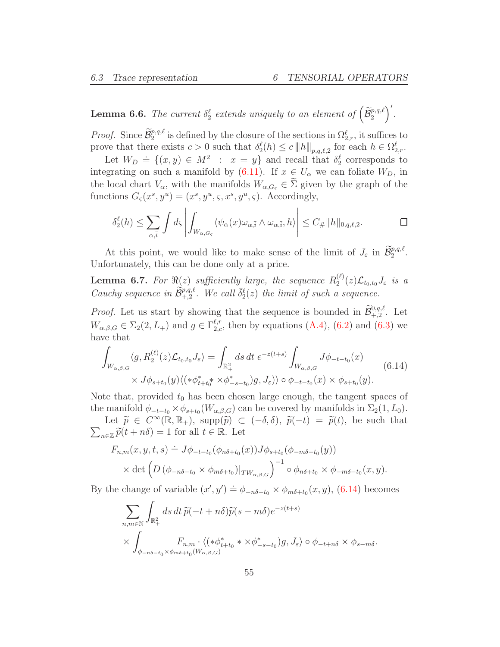<span id="page-54-1"></span>**Lemma 6.6.** The current  $\delta_2^{\ell}$  extends uniquely to an element of  $(\widetilde{\mathcal{B}}_2^{p,q,\ell})$ ′ .

*Proof.* Since  $\widetilde{\mathcal{B}}_2^{p,q,\ell}$  is defined by the closure of the sections in  $\Omega_{2,r}^{\ell}$ , it suffices to prove that there exists  $c > 0$  such that  $\delta_2^{\ell}(h) \leq c ||h||_{p,q,\ell,2}$  for each  $h \in \Omega_{2,r}^{\ell}$ .

Let  $W_D = \{(x, y) \in M^2 : x = y\}$  and recall that  $\delta_2^{\ell}$  corresponds to integrating on such a manifold by [\(6.11\)](#page-53-0). If  $x \in U_\alpha$  we can foliate  $W_D$ , in the local chart  $V_{\alpha}$ , with the manifolds  $W_{\alpha,G_{\varsigma}} \in \Sigma$  given by the graph of the functions  $G_{\varsigma}(x^s, y^u) = (x^s, y^u, \varsigma, x^s, y^u, \varsigma)$ . Accordingly,

$$
\delta_2^{\ell}(h) \leq \sum_{\alpha,\overline{i}} \int d\varsigma \left| \int_{W_{\alpha,G_{\varsigma}}} \langle \psi_{\alpha}(x) \omega_{\alpha,\overline{i}} \wedge \omega_{\alpha,\overline{i}}, h \rangle \right| \leq C_{\#} ||h||_{0,q,\ell,2}.\n\qquad \qquad \Box
$$

At this point, we would like to make sense of the limit of  $J_{\varepsilon}$  in  $\widetilde{\mathcal{B}}_2^{p,q,\ell}$ . Unfortunately, this can be done only at a price.

<span id="page-54-2"></span>**Lemma 6.7.** For  $\Re(z)$  sufficiently large, the sequence  $R_2^{(\ell)}$  $\mathcal{L}_{2}^{(\varepsilon)}(z)\mathcal{L}_{t_{0},t_{0}}J_{\varepsilon}$  is a Cauchy sequence in  $\widetilde{\mathcal{B}}_{+,2}^{p,q,\ell}$ . We call  $\overline{\delta}_2^{\ell}(z)$  the limit of such a sequence.

*Proof.* Let us start by showing that the sequence is bounded in  $\widetilde{\mathcal{B}}^{0,q,\ell}_{+,2}$ . Let  $W_{\alpha,\beta,G} \in \Sigma_2(2,L_+)$  and  $g \in \Gamma_{2,c}^{\ell,r}$ , then by equations  $(A.4)$ ,  $(6.2)$  and  $(6.3)$  we have that

<span id="page-54-0"></span>
$$
\int_{W_{\alpha,\beta,G}} \langle g, R_2^{(\ell)}(z) \mathcal{L}_{t_0,t_0} J_{\varepsilon} \rangle = \int_{\mathbb{R}_+^2} ds \, dt \, e^{-z(t+s)} \int_{W_{\alpha,\beta,G}} J \phi_{-t-t_0}(x) \times J \phi_{s+t_0}(y) \langle (*\phi_{t+t_0}^* \times \phi_{-s-t_0}^*) g, J_{\varepsilon} \rangle \rangle \circ \phi_{-t-t_0}(x) \times \phi_{s+t_0}(y).
$$
\n(6.14)

Note that, provided  $t_0$  has been chosen large enough, the tangent spaces of the manifold  $\phi_{-t-t_0} \times \phi_{s+t_0}(W_{\alpha,\beta,G})$  can be covered by manifolds in  $\Sigma_2(1,L_0)$ .

Let  $\tilde{p} \in C^{\infty}(\mathbb{R}, \mathbb{R}_+)$ , supp $(\tilde{p}) \subset (-\delta, \delta)$ ,  $\tilde{p}(-t) = \tilde{p}(t)$ , be such that  $\sum_{n\in\mathbb{Z}}\widetilde{p}(t+n\delta)=1$  for all  $t\in\mathbb{R}$ . Let

$$
F_{n,m}(x, y, t, s) \doteq J\phi_{-t-t_0}(\phi_{n\delta+t_0}(x))J\phi_{s+t_0}(\phi_{-m\delta-t_0}(y))
$$
  
 
$$
\times \det \left( D\left(\phi_{-n\delta-t_0} \times \phi_{m\delta+t_0}\right)|_{TW_{\alpha,\beta,G}} \right)^{-1} \circ \phi_{n\delta+t_0} \times \phi_{-m\delta-t_0}(x, y).
$$

By the change of variable  $(x', y') \doteq \phi_{-n\delta-t_0} \times \phi_{m\delta+t_0}(x, y)$ , [\(6.14\)](#page-54-0) becomes

$$
\sum_{n,m \in \mathbb{N}} \int_{\mathbb{R}^2_+} ds \, dt \, \widetilde{p}(-t+n\delta) \widetilde{p}(s-m\delta) e^{-z(t+s)} \times \int_{\phi_{-n\delta-t_0} \times \phi_{m\delta+t_0}(W_{\alpha,\beta,G})} F_{n,m} \cdot \langle (*\phi_{t+t_0}^* * \times \phi_{-s-t_0}^*)g, J_{\varepsilon} \rangle \circ \phi_{-t+n\delta} \times \phi_{s-m\delta}.
$$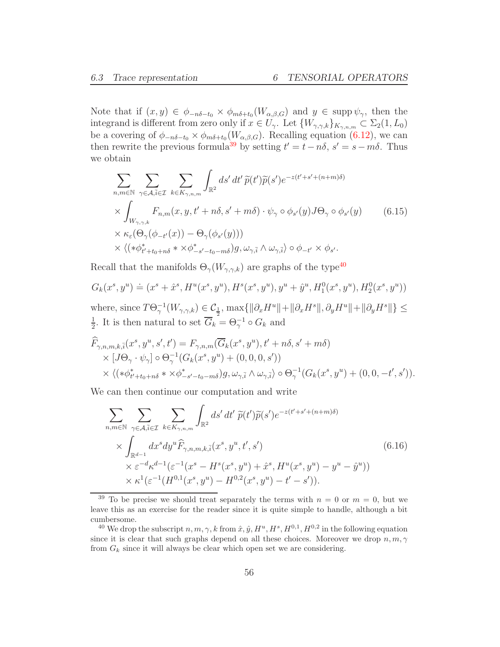Note that if  $(x, y) \in \phi_{-n\delta-t_0} \times \phi_{m\delta+t_0}(W_{\alpha, \beta, G})$  and  $y \in \text{supp }\psi_\gamma$ , then the integrand is different from zero only if  $x \in U_{\gamma}$ . Let  $\{W_{\gamma,\gamma,k}\}_{K_{\gamma,n,m}} \subset \Sigma_2(1,L_0)$ be a covering of  $\phi_{-n\delta-t_0} \times \phi_{m\delta+t_0}(W_{\alpha,\beta,G})$ . Recalling equation [\(6.12\)](#page-53-1), we can then rewrite the previous formula<sup>[39](#page-55-0)</sup> by setting  $t' = t - n\delta$ ,  $s' = s - m\delta$ . Thus we obtain

<span id="page-55-3"></span>
$$
\sum_{n,m \in \mathbb{N}} \sum_{\gamma \in A, \bar{i} \in \mathcal{I}} \sum_{k \in K_{\gamma,n,m}} \int_{\mathbb{R}^2} ds' dt' \widetilde{p}(t') \widetilde{p}(s') e^{-z(t'+s'+(n+m)\delta)} \n\times \int_{W_{\gamma,\gamma,k}} F_{n,m}(x, y, t'+n\delta, s'+m\delta) \cdot \psi_{\gamma} \circ \phi_{s'}(y) J \Theta_{\gamma} \circ \phi_{s'}(y) \n\times \kappa_{\varepsilon}(\Theta_{\gamma}(\phi_{-t'}(x)) - \Theta_{\gamma}(\phi_{s'}(y))) \n\times \langle (*\phi_{t'+t_0+n\delta}^* \times \phi_{-s'-t_0-m\delta}^*) g, \omega_{\gamma,\bar{i}} \wedge \omega_{\gamma,\bar{i}} \rangle \circ \phi_{-t'} \times \phi_{s'}.
$$
\n(6.15)

Recall that the manifolds  $\Theta_{\gamma}(W_{\gamma,\gamma,k})$  are graphs of the type<br> $^{40}$  $^{40}$  $^{40}$ 

$$
G_k(x^s, y^u) \doteq (x^s + \hat{x}^s, H^u(x^s, y^u), H^s(x^s, y^u), y^u + \hat{y}^u, H_1^0(x^s, y^u), H_2^0(x^s, y^u))
$$

where, since  $T\Theta_{\gamma}^{-1}(W_{\gamma,\gamma,k}) \in \mathcal{C}_{\frac{1}{2}}$ ,  $\max\{\|\partial_x H^u\| + \|\partial_x H^s\|, \partial_y H^u\| + \|\partial_y H^s\|\} \le$ 1  $\frac{1}{2}$ . It is then natural to set  $\overline{G}_k = \Theta_{\gamma}^{-1} \circ G_k$  and

$$
\widehat{F}_{\gamma,n,m,k,\bar{i}}(x^s, y^u, s', t') = F_{\gamma,n,m}(\overline{G}_k(x^s, y^u), t' + n\delta, s' + m\delta)
$$
\n
$$
\times [J\Theta_\gamma \cdot \psi_\gamma] \circ \Theta_\gamma^{-1}(G_k(x^s, y^u) + (0, 0, 0, s'))
$$
\n
$$
\times \langle (*\phi_{t'+t_0+n\delta}^* * \times \phi_{-s'-t_0-m\delta}^*)g, \omega_{\gamma,\bar{i}} \wedge \omega_{\gamma,\bar{i}} \rangle \circ \Theta_\gamma^{-1}(G_k(x^s, y^u) + (0, 0, -t', s')).
$$

We can then continue our computation and write

<span id="page-55-2"></span>
$$
\sum_{n,m \in \mathbb{N}} \sum_{\gamma \in A, \bar{i} \in \mathcal{I}} \sum_{k \in K_{\gamma,n,m}} \int_{\mathbb{R}^2} ds' dt' \ \tilde{p}(t') \tilde{p}(s') e^{-z(t'+s'+(n+m)\delta)} \n\times \int_{\mathbb{R}^{d-1}} dx^s dy^u \hat{F}_{\gamma,n,m,k,\bar{i}}(x^s, y^u, t', s') \n\times \varepsilon^{-d} \kappa^{d-1} (\varepsilon^{-1} (x^s - H^s(x^s, y^u) + \hat{x}^s, H^u(x^s, y^u) - y^u - \hat{y}^u)) \n\times \kappa^1 (\varepsilon^{-1} (H^{0,1}(x^s, y^u) - H^{0,2}(x^s, y^u) - t' - s')).
$$
\n(6.16)

<span id="page-55-0"></span><sup>&</sup>lt;sup>39</sup> To be precise we should treat separately the terms with  $n = 0$  or  $m = 0$ , but we leave this as an exercise for the reader since it is quite simple to handle, although a bit cumbersome.

<span id="page-55-1"></span><sup>&</sup>lt;sup>40</sup> We drop the subscript  $n, m, \gamma, k$  from  $\hat{x}, \hat{y}, H^u, H^s, H^{0,1}, H^{0,2}$  in the following equation since it is clear that such graphs depend on all these choices. Moreover we drop  $n, m, \gamma$ from  $G_k$  since it will always be clear which open set we are considering.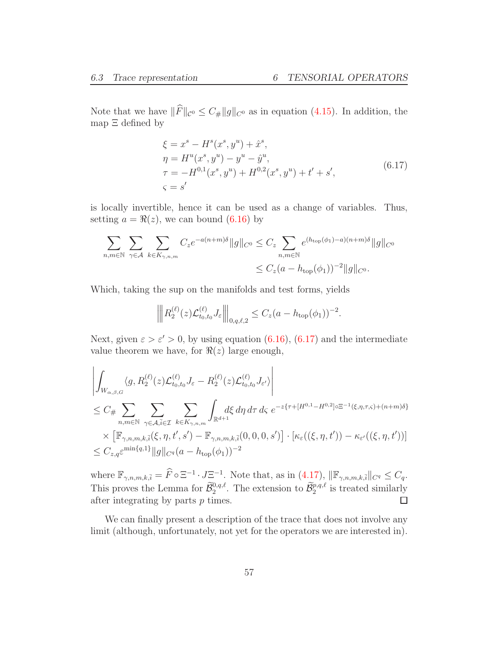Note that we have  $||F||_{\mathcal{C}^{0}} \leq C_{\#} ||g||_{\mathcal{C}^{0}}$  as in equation [\(4.15\)](#page-33-1). In addition, the map Ξ defined by

$$
\xi = x^s - H^s(x^s, y^u) + \hat{x}^s,\n\eta = H^u(x^s, y^u) - y^u - \hat{y}^u,\n\tau = -H^{0,1}(x^s, y^u) + H^{0,2}(x^s, y^u) + t' + s',
$$
\n(6.17)\n
$$
\xi = s'
$$

<span id="page-56-0"></span>is locally invertible, hence it can be used as a change of variables. Thus, setting  $a = \Re(z)$ , we can bound [\(6.16\)](#page-55-2) by

$$
\sum_{n,m\in\mathbb{N}}\sum_{\gamma\in\mathcal{A}}\sum_{k\in K_{\gamma,n,m}}C_{z}e^{-a(n+m)\delta}\|g\|_{C^{0}}\leq C_{z}\sum_{n,m\in\mathbb{N}}e^{(h_{\text{top}}(\phi_{1})-a)(n+m)\delta}\|g\|_{C^{0}}\leq C_{z}(a-h_{\text{top}}(\phi_{1}))^{-2}\|g\|_{C^{0}}.
$$

Which, taking the sup on the manifolds and test forms, yields

$$
\left\| R_2^{(\ell)}(z) \mathcal{L}_{t_0, t_0}^{(\ell)} J_{\varepsilon} \right\|_{0, q, \ell, 2} \le C_z (a - h_{\text{top}}(\phi_1))^{-2}.
$$

Next, given  $\varepsilon > \varepsilon' > 0$ , by using equation [\(6.16\)](#page-55-2), [\(6.17\)](#page-56-0) and the intermediate value theorem we have, for  $\Re(z)$  large enough,

$$
\left| \int_{W_{\alpha,\beta,G}} \langle g, R_2^{(\ell)}(z) \mathcal{L}_{t_0,t_0}^{(\ell)} J_{\varepsilon} - R_2^{(\ell)}(z) \mathcal{L}_{t_0,t_0}^{(\ell)} J_{\varepsilon'} \rangle \right|
$$
  
\n
$$
\leq C_{\#} \sum_{n,m \in \mathbb{N}} \sum_{\gamma \in A, \bar{i} \in \mathcal{I}} \sum_{k \in K_{\gamma,n,m}} \int_{\mathbb{R}^{d+1}} d\xi \, d\eta \, d\tau \, d\varsigma \, e^{-z\{\tau + [H^{0,1} - H^{0,2}] \circ \Xi^{-1}(\xi,\eta,\tau,\varsigma) + (n+m)\delta\}} \times [\mathbb{F}_{\gamma,n,m,k,\bar{i}}(\xi,\eta,t',s') - \mathbb{F}_{\gamma,n,m,k,\bar{i}}(0,0,0,s')] \cdot [\kappa_{\varepsilon}((\xi,\eta,t')) - \kappa_{\varepsilon'}((\xi,\eta,t'))]
$$
  
\n
$$
\leq C_{z,q} \varepsilon^{\min\{q,1\}} \|g\|_{C^q} (a - h_{\text{top}}(\phi_1))^{-2}
$$

where  $\mathbb{F}_{\gamma,n,m,k,\bar{i}} = \widehat{F} \circ \Xi^{-1} \cdot J \Xi^{-1}$ . Note that, as in  $(4.17)$ ,  $\|\mathbb{F}_{\gamma,n,m,k,\bar{i}}\|_{C^q} \leq C_q$ . This proves the Lemma for  $\tilde{B}_2^{0,q,\ell}$ . The extension to  $\tilde{B}_2^{p,q,\ell}$  is treated similarly after integrating by parts  $p$  times.  $\Box$ 

We can finally present a description of the trace that does not involve any limit (although, unfortunately, not yet for the operators we are interested in).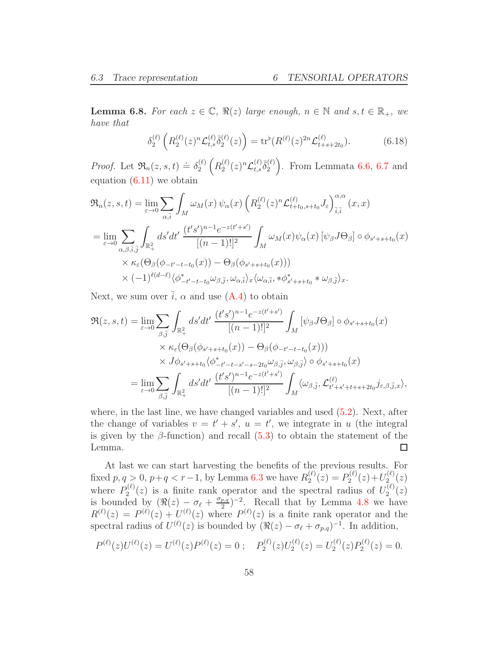<span id="page-57-0"></span>**Lemma 6.8.** For each  $z \in \mathbb{C}$ ,  $\Re(z)$  large enough,  $n \in \mathbb{N}$  and  $s, t \in \mathbb{R}_+$ , we have that

$$
\delta_2^{(\ell)}\left(R_2^{(\ell)}(z)^n \mathcal{L}_{t,s}^{(\ell)}\bar{\delta}_2^{(\ell)}(z)\right) = \text{tr}^{\flat}(R^{(\ell)}(z)^{2n}\mathcal{L}_{t+s+2t_0}^{(\ell)}).
$$
(6.18)

*Proof.* Let  $\Re_n(z, s, t) \doteq \delta_2^{(\ell)}$ 2  $\left(R_2^{(\ell)}\right)$  $\frac{(\ell)}{2}(z)^n \mathcal{L}_{t,s}^{(\ell)}$  ${}^{(\ell)}_{t,s}\bar{\delta}^{(\ell)}_2$ 2 ). From Lemmata  $6.6, 6.7$  $6.6, 6.7$  $6.6, 6.7$  and equation  $(6.11)$  we obtain

$$
\mathfrak{R}_{n}(z,s,t) = \lim_{\varepsilon \to 0} \sum_{\alpha,\bar{i}} \int_{M} \omega_{M}(x) \psi_{\alpha}(x) \left( R_{2}^{(\ell)}(z)^{n} \mathcal{L}_{t+t_{0},s+t_{0}}^{(\ell)} J_{\varepsilon} \right)_{\bar{i},\bar{i}}^{\alpha,\alpha}(x,x)
$$
  
\n
$$
= \lim_{\varepsilon \to 0} \sum_{\alpha,\beta,\bar{i},\bar{j}} \int_{\mathbb{R}_{+}^{2}} ds'dt' \frac{(t's')^{n-1}e^{-z(t'+s')}}{[(n-1)!]^{2}} \int_{M} \omega_{M}(x)\psi_{\alpha}(x) \left[\psi_{\beta}J\Theta_{\beta}\right] \circ \phi_{s'+s+t_{0}}(x)
$$
  
\n
$$
\times \kappa_{\varepsilon}(\Theta_{\beta}(\phi_{-t'-t-t_{0}}(x)) - \Theta_{\beta}(\phi_{s'+s+t_{0}}(x)))
$$
  
\n
$$
\times (-1)^{\ell(d-\ell)} \langle \phi_{-t'-t-t_{0}}^{*}\omega_{\beta,\bar{j}}, \omega_{\alpha,\bar{i}} \rangle_{x} \langle \omega_{\alpha,\bar{i}}, * \phi_{s'+s+t_{0}}^{*} * \omega_{\beta,\bar{j}} \rangle_{x}.
$$

Next, we sum over  $\bar{i}$ ,  $\alpha$  and use [\(A.4\)](#page-79-0) to obtain

$$
\mathfrak{R}(z,s,t) = \lim_{\varepsilon \to 0} \sum_{\beta,\bar{j}} \int_{\mathbb{R}^2_+} ds'dt' \frac{(t's')^{n-1}e^{-z(t'+s')}}{[(n-1)!]^2} \int_M [\psi_\beta J\Theta_\beta] \circ \phi_{s'+s+t_0}(x)
$$
  
\n
$$
\times \kappa_\varepsilon(\Theta_\beta(\phi_{s'+s+t_0}(x)) - \Theta_\beta(\phi_{-t'-t-t_0}(x)))
$$
  
\n
$$
\times J\phi_{s'+s+t_0} \langle \phi_{-t'-t-s'-s-2t_0}^* \omega_{\beta,\bar{j}}, \omega_{\beta,\bar{j}} \rangle \circ \phi_{s'+s+t_0}(x)
$$
  
\n
$$
= \lim_{\varepsilon \to 0} \sum_{\beta,\bar{j}} \int_{\mathbb{R}^2_+} ds'dt' \frac{(t's')^{n-1}e^{-z(t'+s')}}{[(n-1)!]^2} \int_M \langle \omega_{\beta,\bar{j}}, \mathcal{L}_{t'+s'+t+s+2t_0}^{(\ell)} j_{\varepsilon,\beta,\bar{j},x} \rangle,
$$

where, in the last line, we have changed variables and used [\(5.2\)](#page-39-1). Next, after the change of variables  $v = t' + s'$ ,  $u = t'$ , we integrate in u (the integral is given by the  $\beta$ -function) and recall [\(5.3\)](#page-39-2) to obtain the statement of the  $\Box$ Lemma.

At last we can start harvesting the benefits of the previous results. For fixed  $p, q > 0, p+q < r-1$ , by Lemma [6.3](#page-51-1) we have  $R_2^{(\ell)}$  $P_2^{(\ell)}(z) = P_2^{(\ell)}$  $U_2^{(\ell)}(z) + U_2^{(\ell)}$  $2^{(\ell)}_2(z)$ where  $P_2^{(\ell)}$  $2^{(l)}(z)$  is a finite rank operator and the spectral radius of  $U_2^{(l)}$  $\binom{(\ell)}{2}(z)$ is bounded by  $(\Re(z) - \sigma_\ell + \frac{\sigma_{p,q}}{2})$  $(\frac{p,q}{2})^{-2}$ . Recall that by Lemma [4.8](#page-29-0) we have  $R^{(\ell)}(z) = P^{(\ell)}(z) + U^{(\ell)}(z)$  where  $P^{(\ell)}(z)$  is a finite rank operator and the spectral radius of  $U^{(\ell)}(z)$  is bounded by  $(\Re(z) - \sigma_{\ell} + \sigma_{p,q})^{-1}$ . In addition,

$$
P^{(\ell)}(z)U^{(\ell)}(z) = U^{(\ell)}(z)P^{(\ell)}(z) = 0 ; \quad P_2^{(\ell)}(z)U_2^{(\ell)}(z) = U_2^{(\ell)}(z)P_2^{(\ell)}(z) = 0.
$$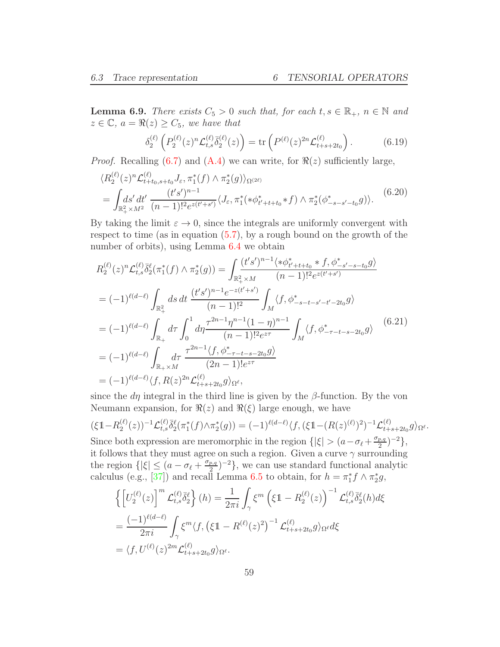<span id="page-58-0"></span>**Lemma 6.9.** There exists  $C_5 > 0$  such that, for each  $t, s \in \mathbb{R}_+$ ,  $n \in \mathbb{N}$  and  $z \in \mathbb{C}$ ,  $a = \Re(z) \geq C_5$ , we have that

$$
\delta_2^{(\ell)}\left(P_2^{(\ell)}(z)^n \mathcal{L}_{t,s}^{(\ell)}\bar{\delta}_2^{(\ell)}(z)\right) = \text{tr}\left(P^{(\ell)}(z)^{2n} \mathcal{L}_{t+s+2t_0}^{(\ell)}\right). \tag{6.19}
$$

*Proof.* Recalling [\(6.7\)](#page-49-4) and [\(A.4\)](#page-79-0) we can write, for  $\Re(z)$  sufficiently large,

$$
\langle R_2^{(\ell)}(z)^n \mathcal{L}_{t+t_0,s+t_0}^{(\ell)} J_{\varepsilon}, \pi_1^*(f) \wedge \pi_2^*(g) \rangle_{\Omega^{(2\ell)}} = \int_{\mathbb{R}_+^2 \times M^2} \frac{(t's')^{n-1}}{(n-1)!^2 e^{z(t'+s')}} \langle J_{\varepsilon}, \pi_1^*(*\phi_{t'+t+t_0}^* * f) \wedge \pi_2^*(\phi_{-s-s'-t_0}^*(g)) \rangle. \tag{6.20}
$$

By taking the limit  $\varepsilon \to 0$ , since the integrals are uniformly convergent with respect to time (as in equation [\(5.7\)](#page-42-0), by a rough bound on the growth of the number of orbits), using Lemma [6.4](#page-53-2) we obtain

$$
R_{2}^{(\ell)}(z)^{n} \mathcal{L}_{t,s}^{(\ell)} \bar{\delta}_{2}^{\ell}(\pi_{1}^{*}(f) \wedge \pi_{2}^{*}(g)) = \int_{\mathbb{R}_{+}^{2} \times M} \frac{(t's')^{n-1} \langle * \phi_{t'+t+t_{0}}^{*} * f, \phi_{-s'-s-t_{0}}^{*} g \rangle}{(n-1)!^{2} e^{z(t'+s')}} \\
= (-1)^{\ell(d-\ell)} \int_{\mathbb{R}_{+}^{2}} ds dt \frac{(t's')^{n-1} e^{-z(t'+s')}}{(n-1)!^{2}} \int_{M} \langle f, \phi_{-s-t-s'-t'-2t_{0}}^{*} g \rangle \\
= (-1)^{\ell(d-\ell)} \int_{\mathbb{R}_{+}} d\tau \int_{0}^{1} d\eta \frac{\tau^{2n-1} \eta^{n-1} (1-\eta)^{n-1}}{(n-1)!^{2} e^{z\tau}} \int_{M} \langle f, \phi_{-\tau-t-s-2t_{0}}^{*} g \rangle \tag{6.21}
$$
\n
$$
= (-1)^{\ell(d-\ell)} \int_{\mathbb{R}_{+} \times M} \frac{\tau^{2n-1} \langle f, \phi_{-\tau-t-s-2t_{0}}^{*} g \rangle}{(2n-1)! e^{z\tau}} \\
= (-1)^{\ell(d-\ell)} \langle f, R(z)^{2n} \mathcal{L}_{t+s+2t_{0}}^{(\ell)} g \rangle_{\Omega^{\ell}},
$$

since the  $d\eta$  integral in the third line is given by the  $\beta$ -function. By the von Neumann expansion, for  $\Re(z)$  and  $\Re(\xi)$  large enough, we have

$$
(\xi \mathbb{1} - R_2^{(\ell)}(z))^{-1} \mathcal{L}_{t,s}^{(\ell)} \bar{\delta}_2^{\ell} (\pi_1^*(f) \wedge \pi_2^*(g)) = (-1)^{\ell(d-\ell)} \langle f, (\xi \mathbb{1} - (R(z)^{(\ell)})^2)^{-1} \mathcal{L}_{t+s+2t_0}^{(\ell)} g \rangle_{\Omega^{\ell}}.
$$
  
Since both expression are meromorphic in the region  $\{|\xi| > (a - \sigma_{\ell} + \frac{\sigma_{p,q}}{2})^{-2} \},$ 

it follows that they must agree on such a region. Given a curve  $\gamma$  surrounding the region  $\{|\xi| \leq (a - \sigma_{\ell} + \frac{\sigma_{p,q}}{2})\}$  $\left(\frac{p,q}{2}\right)^{-2}$ , we can use standard functional analytic calculus (e.g., [\[37\]](#page-95-1)) and recall Lemma [6.5](#page-53-3) to obtain, for  $h = \pi_1^* f \wedge \pi_2^* g$ ,

$$
\begin{split}\n&\left\{\left[U_{2}^{(\ell)}(z)\right]^{m}\mathcal{L}_{t,s}^{(\ell)}\bar{\delta}_{2}^{\ell}\right\}(h) = \frac{1}{2\pi i}\int_{\gamma}\xi^{m}\left(\xi\mathbb{1} - R_{2}^{(\ell)}(z)\right)^{-1}\mathcal{L}_{t,s}^{(\ell)}\bar{\delta}_{2}^{\ell}(h)d\xi \\
&= \frac{(-1)^{\ell(d-\ell)}}{2\pi i}\int_{\gamma}\xi^{m}\langle f, \left(\xi\mathbb{1} - R^{(\ell)}(z)^{2}\right)^{-1}\mathcal{L}_{t+s+2t_{0}}^{(\ell)}g\rangle_{\Omega^{\ell}}d\xi \\
&= \langle f, U^{(\ell)}(z)^{2m}\mathcal{L}_{t+s+2t_{0}}^{(\ell)}g\rangle_{\Omega^{\ell}}.\n\end{split}
$$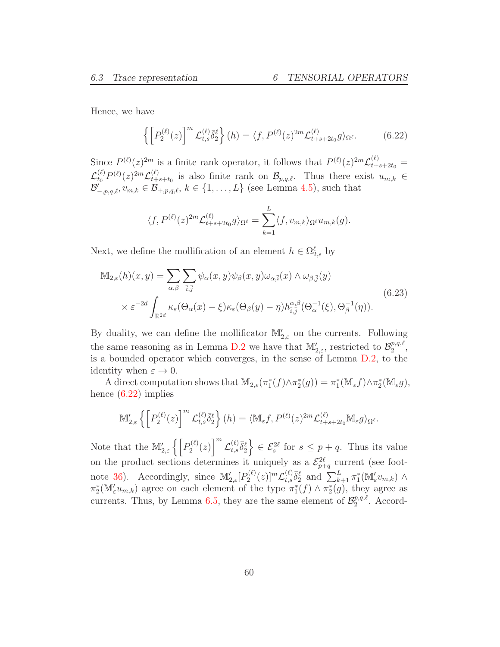Hence, we have

<span id="page-59-0"></span>
$$
\left\{ \left[ P_2^{(\ell)}(z) \right]^m \mathcal{L}_{t,s}^{(\ell)} \overline{\delta}_2^{\ell} \right\} (h) = \langle f, P^{(\ell)}(z)^{2m} \mathcal{L}_{t+s+2t_0}^{(\ell)} g \rangle_{\Omega^{\ell}}.
$$
 (6.22)

Since  $P^{(\ell)}(z)^{2m}$  is a finite rank operator, it follows that  $P^{(\ell)}(z)^{2m}\mathcal{L}^{(\ell)}_{t+s+2t_0}$  =  $\mathcal{L}_{t_0}^{(\ell)}P^{(\ell)}(z)^{2m}\mathcal{L}_{t+}^{(\ell)}$  $t_{t+s+t_0}$  is also finite rank on  $\mathcal{B}_{p,q,\ell}$ . Thus there exist  $u_{m,k} \in$  $\mathcal{B}'_{-p,q,\ell}, v_{m,k} \in \mathcal{B}_{+,p,q,\ell}, k \in \{1, \ldots, L\}$  (see Lemma [4.5\)](#page-27-0), such that

$$
\langle f, P^{(\ell)}(z)^{2m} \mathcal{L}_{t+s+2t_0}^{(\ell)} g \rangle_{\Omega^{\ell}} = \sum_{k=1}^{L} \langle f, v_{m,k} \rangle_{\Omega^{\ell}} u_{m,k}(g).
$$

Next, we define the mollification of an element  $h \in \Omega_{2,s}^{\ell}$  by

$$
\mathbb{M}_{2,\varepsilon}(h)(x,y) = \sum_{\alpha,\beta} \sum_{\overline{i},\overline{j}} \psi_{\alpha}(x,y) \psi_{\beta}(x,y) \omega_{\alpha,\overline{i}}(x) \wedge \omega_{\beta,\overline{j}}(y) \times \varepsilon^{-2d} \int_{\mathbb{R}^{2d}} \kappa_{\varepsilon}(\Theta_{\alpha}(x)-\xi) \kappa_{\varepsilon}(\Theta_{\beta}(y)-\eta) h_{\overline{i},\overline{j}}^{\alpha,\beta}(\Theta_{\alpha}^{-1}(\xi),\Theta_{\beta}^{-1}(\eta)).
$$
\n(6.23)

By duality, we can define the mollificator  $\mathbb{M}'_{2,\varepsilon}$  on the currents. Following the same reasoning as in Lemma [D.2](#page-88-0) we have that  $\mathbb{M}'_{2,\varepsilon}$ , restricted to  $\mathcal{B}_2^{p,q,\ell}$  $_2^{p,q,\ell},$ is a bounded operator which converges, in the sense of Lemma [D.2,](#page-88-0) to the identity when  $\varepsilon \to 0$ .

A direct computation shows that  $\mathbb{M}_{2,\varepsilon}(\pi_1^*(f)\wedge \pi_2^*(g)) = \pi_1^*(\mathbb{M}_{\varepsilon}f)\wedge \pi_2^*(\mathbb{M}_{\varepsilon}g),$ hence [\(6.22\)](#page-59-0) implies

$$
\mathbb{M}'_{2,\varepsilon}\left\{\left[P_2^{(\ell)}(z)\right]^m \mathcal{L}_{t,s}^{(\ell)}\overline{\delta}_2^{\ell}\right\}(h) = \langle \mathbb{M}_{\varepsilon}f, P^{(\ell)}(z)^{2m} \mathcal{L}_{t+s+2t_0}^{(\ell)} \mathbb{M}_{\varepsilon}g \rangle_{\Omega^{\ell}}.
$$

Note that the  $\mathbb{M}'_{2,\varepsilon}\left\{\left[P_2^{(\ell)}\right]_n\right\}$  $\binom{2^{(\ell)}}{2}(z)$ <sup>m</sup>  $\mathcal{L}_{t,s}^{(\ell)}$  ${}^{(\ell)}_{t,s}\bar{\delta}^\ell_2$  $\Big\} \in \mathcal{E}^{2\ell}_s$  for  $s \leq p+q$ . Thus its value on the product sections determines it uniquely as a  $\mathcal{E}_{p+q}^{2\ell}$  current (see foot-note [36\)](#page-49-0). Accordingly, since  $\mathbb{M}'_{2,\varepsilon}[P_2^{(\ell)}]$  $\mathcal{L}^{(\ell)}_{2}(z)]^{m}\mathcal{L}^{(\ell)}_{t,s}$  $\sum_{k=1}^{(\ell)} \bar{\delta}_{2}^{\ell}$  and  $\sum_{k=1}^{L} \pi_1^* (\mathbb{M}'_{\varepsilon} v_{m,k}) \wedge$  $\pi_2^*(\mathbb{M}'_{\varepsilon} u_{m,k})$  agree on each element of the type  $\pi_1^*(f) \wedge \pi_2^*(g)$ , they agree as currents. Thus, by Lemma [6.5,](#page-53-3) they are the same element of  $\mathcal{B}_2^{p,q,\ell}$  $_2^{p,q,\ell}$ . Accord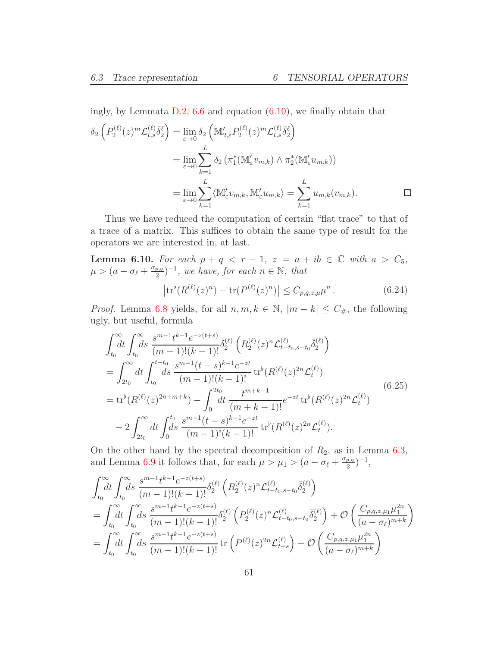ingly, by Lemmata [D.2,](#page-88-0) [6.6](#page-54-1) and equation [\(6.10\)](#page-53-4), we finally obtain that

$$
\delta_2 \left( P_2^{(\ell)}(z)^m \mathcal{L}_{t,s}^{(\ell)} \overline{\delta}_2^{\ell} \right) = \lim_{\varepsilon \to 0} \delta_2 \left( \mathbb{M}_{2,\varepsilon}' P_2^{(\ell)}(z)^m \mathcal{L}_{t,s}^{(\ell)} \overline{\delta}_2^{\ell} \right)
$$
  
\n
$$
= \lim_{\varepsilon \to 0} \sum_{k=1}^L \delta_2 \left( \pi_1^* (\mathbb{M}_{\varepsilon}' v_{m,k}) \wedge \pi_2^* (\mathbb{M}_{\varepsilon}' u_{m,k}) \right)
$$
  
\n
$$
= \lim_{\varepsilon \to 0} \sum_{k=1}^L \langle \mathbb{M}_{\varepsilon}' v_{m,k}, \mathbb{M}_{\varepsilon}' u_{m,k} \rangle = \sum_{k=1}^L u_{m,k} (v_{m,k}).
$$

Thus we have reduced the computation of certain "flat trace" to that of a trace of a matrix. This suffices to obtain the same type of result for the operators we are interested in, at last.

**Lemma 6.10.** For each  $p + q < r - 1$ ,  $z = a + ib \in \mathbb{C}$  with  $a > C_5$ ,  $\mu > (a - \sigma_{\ell} + \frac{\sigma_{p,q}}{2})$  $\left(\frac{p,q}{2}\right)^{-1}$ , we have, for each  $n \in \mathbb{N}$ , that

$$
\left| \text{tr}^{\flat} (R^{(\ell)}(z)^n) - \text{tr} (P^{(\ell)}(z)^n) \right| \le C_{p,q,z,\mu} \mu^n. \tag{6.24}
$$

*Proof.* Lemma [6.8](#page-57-0) yields, for all  $n, m, k \in \mathbb{N}$ ,  $|m - k| \le C_{\#}$ , the following ugly, but useful, formula

<span id="page-60-0"></span>
$$
\int_{t_0}^{\infty} dt \int_{t_0}^{\infty} ds \frac{s^{m-1}t^{k-1}e^{-z(t+s)}}{(m-1)!(k-1)!} \delta_2^{(\ell)} \left( R_2^{(\ell)}(z)^n \mathcal{L}_{t-t_0,s-t_0}^{(\ell)} \overline{\delta_2}^{(\ell)} \right)
$$
\n
$$
= \int_{2t_0}^{\infty} dt \int_{t_0}^{t-t_0} ds \frac{s^{m-1}(t-s)^{k-1}e^{-zt}}{(m-1)!(k-1)!} \operatorname{tr}^{\flat}(R^{(\ell)}(z)^{2n} \mathcal{L}_t^{(\ell)})
$$
\n
$$
= \operatorname{tr}^{\flat}(R^{(\ell)}(z)^{2n+m+k}) - \int_0^{2t_0} dt \frac{t^{m+k-1}}{(m+k-1)!} e^{-zt} \operatorname{tr}^{\flat}(R^{(\ell)}(z)^{2n} \mathcal{L}_t^{(\ell)})
$$
\n
$$
-2 \int_{2t_0}^{\infty} dt \int_0^{t_0} \frac{s^{m-1}(t-s)^{k-1}e^{-zt}}{(m-1)!(k-1)!} \operatorname{tr}^{\flat}(R^{(\ell)}(z)^{2n} \mathcal{L}_t^{(\ell)}).
$$
\n(6.25)

On the other hand by the spectral decomposition of  $R_2$ , as in Lemma [6.3,](#page-51-1) and Lemma [6.9](#page-58-0) it follows that, for each  $\mu > \mu_1 > (a - \sigma_\ell + \frac{\sigma_{p,q}}{2})$  $\frac{p,q}{2}$  $)^{-1}$ ,

$$
\int_{t_0}^{\infty} dt \int_{t_0}^{\infty} ds \frac{s^{m-1}t^{k-1}e^{-z(t+s)}}{(m-1)!(k-1)!} \delta_2^{(\ell)} \left( R_2^{(\ell)}(z)^n \mathcal{L}_{t-t_0,s-t_0}^{(\ell)} \bar{\delta}_2^{(\ell)} \right)
$$
\n
$$
= \int_{t_0}^{\infty} dt \int_{t_0}^{\infty} ds \frac{s^{m-1}t^{k-1}e^{-z(t+s)}}{(m-1)!(k-1)!} \delta_2^{(\ell)} \left( P_2^{(\ell)}(z)^n \mathcal{L}_{t-t_0,s-t_0}^{(\ell)} \bar{\delta}_2^{(\ell)} \right) + \mathcal{O}\left( \frac{C_{p,q,z,\mu_1} \mu_1^{2n}}{(a-\sigma_\ell)^{m+k}} \right)
$$
\n
$$
= \int_{t_0}^{\infty} dt \int_{t_0}^{\infty} ds \frac{s^{m-1}t^{k-1}e^{-z(t+s)}}{(m-1)!(k-1)!} \operatorname{tr}\left( P^{(\ell)}(z)^{2n} \mathcal{L}_{t+s}^{(\ell)} \right) + \mathcal{O}\left( \frac{C_{p,q,z,\mu_1} \mu_1^{2n}}{(a-\sigma_\ell)^{m+k}} \right)
$$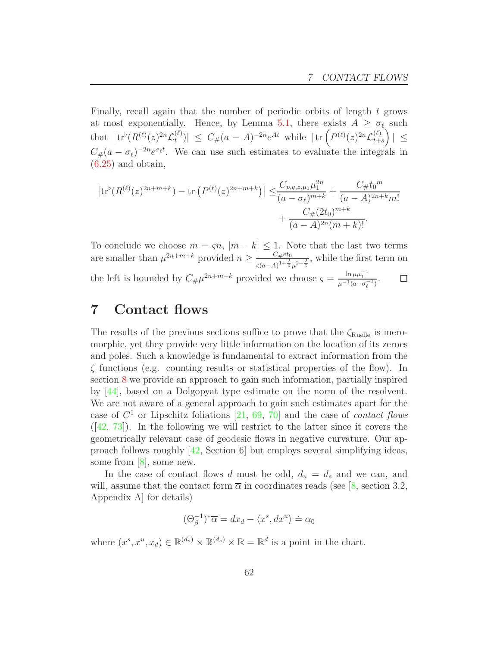Finally, recall again that the number of periodic orbits of length  $t$  grows at most exponentially. Hence, by Lemma [5.1,](#page-40-1) there exists  $A \geq \sigma_{\ell}$  such that  $|\operatorname{tr}^{\flat}(R^{(\ell)}(z)^{2n}\mathcal{L}_t^{(\ell)}\)$  $\left| \sum_{t=0}^{(\ell)} \right| \leq C_{\#}(a-A)^{-2n} e^{At}$  while  $|\text{tr} \left( P^{(\ell)}(z)^{2n} \mathcal{L}_{t+1}^{(\ell)} \right)$  $_{t+s}$  $\overline{ }$  $\vert \leq$  $C_{\#}(a - \sigma_{\ell})^{-2n}e^{\sigma_{\ell}t}$ . We can use such estimates to evaluate the integrals in  $(6.25)$  and obtain,

$$
\left| \text{tr}^{\flat}(R^{(\ell)}(z)^{2n+m+k}) - \text{tr}\left(P^{(\ell)}(z)^{2n+m+k}\right) \right| \leq \frac{C_{p,q,z,\mu_1} \mu_1^{2n}}{(a-\sigma_\ell)^{m+k}} + \frac{C_{\#}(t)^m}{(a-A)^{2n+k}m!} + \frac{C_{\#}(2t_0)^{m+k}}{(a-A)^{2n}(m+k)!}.
$$

To conclude we choose  $m = \varsigma n$ ,  $|m - k| \leq 1$ . Note that the last two terms are smaller than  $\mu^{2n+m+k}$  provided  $n \geq \frac{C_{\#}e^{i\theta_0}}{c(a-4)^{1+\frac{2}{5}}}$  $\frac{C_{\#}^{2}(a)}{s(a-A)^{1+\frac{2}{s}}\mu^{2+\frac{2}{s}}},$  while the first term on the left is bounded by  $C_{\#} \mu^{2n+m+k}$  provided we choose  $\varsigma = \frac{\ln \mu \mu_1^{-1}}{\mu^{-1}(a - \sigma_{\ell}^{-1})}$ .  $\Box$ 

## 7 Contact flows

The results of the previous sections suffice to prove that the  $\zeta_{\text{Rule}}$  is meromorphic, yet they provide very little information on the location of its zeroes and poles. Such a knowledge is fundamental to extract information from the ζ functions (e.g. counting results or statistical properties of the flow). In section [8](#page-75-0) we provide an approach to gain such information, partially inspired by [\[44\]](#page-96-3), based on a Dolgopyat type estimate on the norm of the resolvent. We are not aware of a general approach to gain such estimates apart for the case of  $C^1$  or Lipschitz foliations [\[21,](#page-94-2) [69,](#page-97-0) [70\]](#page-97-1) and the case of *contact flows*  $([42, 73])$  $([42, 73])$  $([42, 73])$  $([42, 73])$  $([42, 73])$ . In the following we will restrict to the latter since it covers the geometrically relevant case of geodesic flows in negative curvature. Our approach follows roughly [\[42,](#page-96-7) Section 6] but employs several simplifying ideas, some from [\[8\]](#page-94-3), some new.

In the case of contact flows d must be odd,  $d_u = d_s$  and we can, and will, assume that the contact form  $\overline{\alpha}$  in coordinates reads (see [\[8,](#page-94-3) section 3.2, Appendix A] for details)

$$
(\Theta_{\beta}^{-1})^*\overline{\alpha} = dx_d - \langle x^s, dx^u \rangle \doteq \alpha_0
$$

where  $(x^s, x^u, x_d) \in \mathbb{R}^{(d_s)} \times \mathbb{R}^{(d_s)} \times \mathbb{R} = \mathbb{R}^d$  is a point in the chart.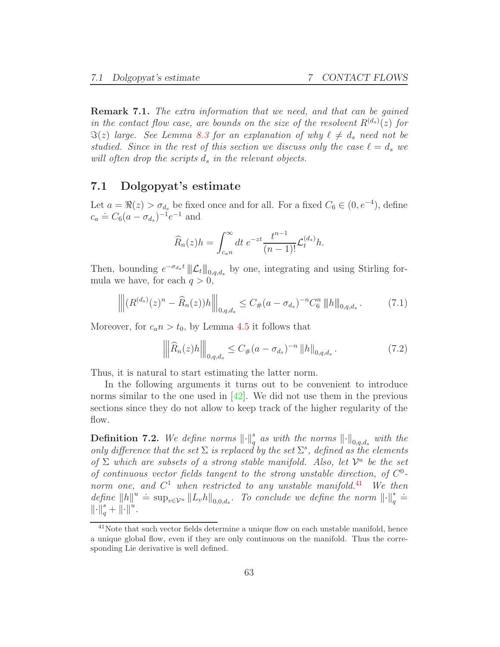Remark 7.1. The extra information that we need, and that can be gained in the contact flow case, are bounds on the size of the resolvent  $R^{(d_s)}(z)$  for  $\Im(z)$  large. See Lemma [8.3](#page-77-0) for an explanation of why  $\ell \neq d_s$  need not be studied. Since in the rest of this section we discuss only the case  $\ell = d_s$  we will often drop the scripts  $d_s$  in the relevant objects.

#### 7.1 Dolgopyat's estimate

Let  $a = \Re(z) > \sigma_{d_s}$  be fixed once and for all. For a fixed  $C_6 \in (0, e^{-4})$ , define  $c_a \doteq C_6 (a - \sigma_{d_s})^{-1} e^{-1}$  and

$$
\widehat{R}_n(z)h = \int_{c_{a}n}^{\infty} dt \ e^{-zt} \frac{t^{n-1}}{(n-1)!} \mathcal{L}_t^{(d_s)} h.
$$

Then, bounding  $e^{-\sigma_{d_s}t}$   $||\mathcal{L}_t||_{0,q,d_s}$  by one, integrating and using Stirling formula we have, for each  $q > 0$ ,

<span id="page-62-1"></span>
$$
\left\| (R^{(d_s)}(z)^n - \widehat{R}_n(z))h \right\|_{0,q,d_s} \le C_{\#}(a - \sigma_{d_s})^{-n} C_6^n \left\| h \right\|_{0,q,d_s}.
$$
 (7.1)

Moreover, for  $c_a n > t_0$ , by Lemma [4.5](#page-27-0) it follows that

<span id="page-62-2"></span>
$$
\left\| \widehat{R}_n(z)h \right\|_{0,q,d_s} \le C_{\#}(a-\sigma_{d_s})^{-n} \left\| h \right\|_{0,q,d_s}.
$$
 (7.2)

Thus, it is natural to start estimating the latter norm.

In the following arguments it turns out to be convenient to introduce norms similar to the one used in [\[42\]](#page-96-7). We did not use them in the previous sections since they do not allow to keep track of the higher regularity of the flow.

**Definition 7.2.** We define norms  $\lVert \cdot \rVert_q^s$  as with the norms  $\lVert \cdot \rVert_{0,q,d_s}$  with the only difference that the set  $\Sigma$  is replaced by the set  $\Sigma^s$ , defined as the elements of  $\Sigma$  which are subsets of a strong stable manifold. Also, let  $\mathcal{V}^u$  be the set of continuous vector fields tangent to the strong unstable direction, of  $C^0$ norm one, and  $C^1$  when restricted to any unstable manifold.<sup>[41](#page-62-0)</sup> We then define  $||h||^u \doteq \sup_{v \in \mathcal{V}^u} ||L_v h||_{0,0,d_s}$ . To conclude we define the norm  $||\cdot||_q^* \doteq$  $\left\| \cdot \right\|_q^s + \left\| \cdot \right\|^u.$ 

<span id="page-62-0"></span><sup>&</sup>lt;sup>41</sup>Note that such vector fields determine a unique flow on each unstable manifold, hence a unique global flow, even if they are only continuous on the manifold. Thus the corresponding Lie derivative is well defined.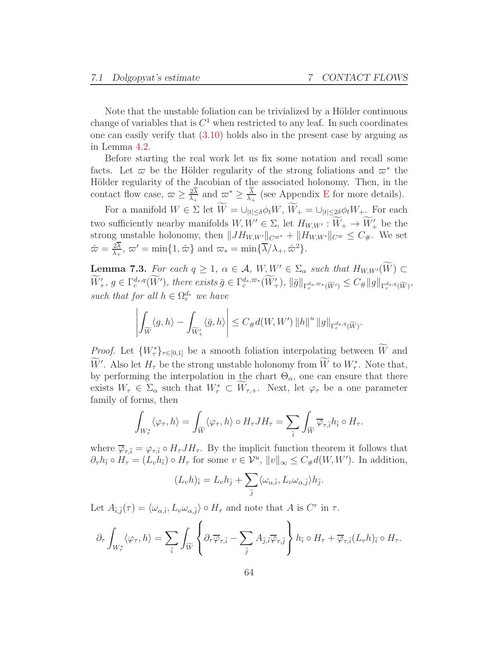Note that the unstable foliation can be trivialized by a Hölder continuous change of variables that is  $C<sup>1</sup>$  when restricted to any leaf. In such coordinates one can easily verify that [\(3.10\)](#page-21-0) holds also in the present case by arguing as in Lemma [4.2.](#page-25-1)

Before starting the real work let us fix some notation and recall some facts. Let  $\varpi$  be the Hölder regularity of the strong foliations and  $\varpi^*$  the Hölder regularity of the Jacobian of the associated holonomy. Then, in the contact flow case,  $\varpi \geq \frac{2\lambda}{\lambda_+}$  $\frac{2\lambda}{\lambda_+}$  and  $\varpi^* \geq \frac{\lambda}{\lambda_+}$  $\frac{\lambda}{\lambda_{+}}$  (see Appendix [E](#page-91-0) for more details).

For a manifold  $W \in \Sigma$  let  $\widetilde{W} = \bigcup_{|t| \leq \delta} \phi_t W, \widetilde{W}_+ = \bigcup_{|t| \leq 2\delta} \phi_t W_+$ . For each two sufficiently nearby manifolds  $W, W' \in \Sigma$ , let  $H_{W,W'} : W_+ \to W'_+$  be the strong unstable holonomy, then  $||JH_{W,W'}||_{C^{\varpi^*}} + ||H_{W,W'}||_{C^{\varpi}} \leq C_{\#}$ . We set  $\hat{\varpi} = \frac{2\lambda}{\lambda}$  $\frac{2\lambda}{\lambda_+}, \ \varpi' = \min\{1, \hat{\varpi}\}\$  and  $\varpi_* = \min\{\overline{\lambda}/\lambda_+, \hat{\varpi}^2\}.$ 

<span id="page-63-0"></span>**Lemma 7.3.** For each  $q \geq 1$ ,  $\alpha \in \mathcal{A}$ ,  $W, W' \in \Sigma_{\alpha}$  such that  $H_{W,W'}(\widetilde{W}) \subset$  $W'_{+}, g \in \Gamma_c^{d_s,q}(W'),$  there exists  $\bar{g} \in \Gamma_c^{d_s,\varpi_*}(W'_{+}), ||\bar{g}||_{\Gamma_c^{d_s,\varpi_*}(\widetilde{W}')}\leq C_{\#}||g||_{\Gamma_c^{d_s,q}(\widetilde{W})},$ such that for all  $h \in \Omega_r^{d_s}$  we have

$$
\left|\int_{\widetilde{W}}\langle g, h\rangle-\int_{\widetilde{W}_{+}^{\prime}}\langle\bar{g}, h\rangle\right|\leq C_{\#}d(W, W^{\prime})\left\|h\right\|^{u}\left\|g\right\|_{\Gamma_{c}^{d_{s},q}(\widetilde{W})}.
$$

*Proof.* Let  $\{W^*_\tau\}_{\tau \in [0,1]}$  be a smooth foliation interpolating between W and W'. Also let  $H_{\tau}$  be the strong unstable holonomy from W to  $W_{\tau}^*$ . Note that, by performing the interpolation in the chart  $\Theta_{\alpha}$ , one can ensure that there exists  $W_{\tau} \in \Sigma_{\alpha}$  such that  $W_{\tau}^* \subset W_{\tau,+}$ . Next, let  $\varphi_{\tau}$  be a one parameter family of forms, then

$$
\int_{W^*_{\tau}}\langle \varphi_\tau, h\rangle = \int_{\widetilde{W}}\langle \varphi_\tau, h\rangle \circ H_{\tau} J H_{\tau} = \sum_{\overline{i}}\int_{\widetilde{W}} \overline{\varphi}_{\tau, \overline{i}} h_{\overline{i}} \circ H_{\tau}.
$$

where  $\overline{\varphi}_{\tau,\overline{i}} = \varphi_{\tau,\overline{i}} \circ H_{\tau} J H_{\tau}$ . By the implicit function theorem it follows that  $\partial_{\tau}h_{\bar{i}} \circ H_{\tau} = (L_v h_{\bar{i}}) \circ H_{\tau}$  for some  $v \in \mathcal{V}^u$ ,  $||v||_{\infty} \leq C_{\#}d(W, W')$ . In addition,

$$
(L_v h)_{\bar{i}} = L_v h_{\bar{j}} + \sum_{\bar{j}} \langle \omega_{\alpha, \bar{i}}, L_v \omega_{\alpha, \bar{j}} \rangle h_{\bar{j}}.
$$

Let  $A_{\bar{i},\bar{j}}(\tau) = \langle \omega_{\alpha,\bar{i}}, L_v \omega_{\alpha,\bar{j}} \rangle \circ H_\tau$  and note that A is  $C^r$  in  $\tau$ .

$$
\partial_\tau \int_{W_\tau^*} \langle \varphi_\tau, h \rangle = \sum_{\overline{i}} \int_{\widetilde{W}} \left\{ \partial_\tau \overline{\varphi}_{\tau, \overline{i}} - \sum_{\overline{j}} A_{\overline{j}, \overline{i}} \overline{\varphi}_{\tau, \overline{j}} \right\} h_{\overline{i}} \circ H_\tau + \overline{\varphi}_{\tau, \overline{i}} (L_v h)_{\overline{i}} \circ H_\tau.
$$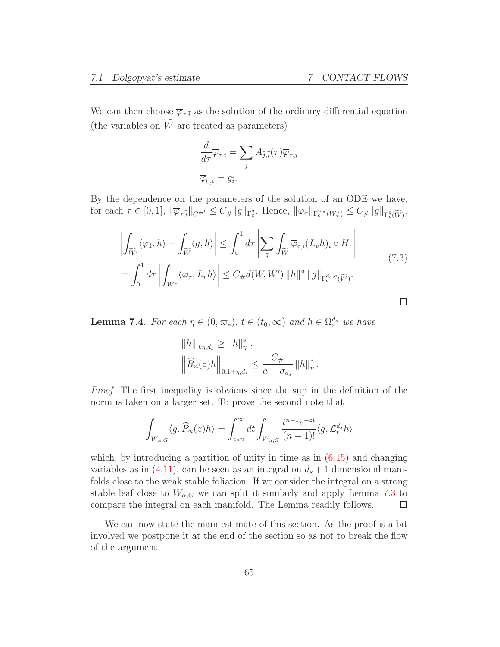$\Box$ 

We can then choose  $\overline{\varphi}_{\tau,\overline{i}}$  as the solution of the ordinary differential equation (the variables on  $\widetilde{W}$  are treated as parameters)

$$
\frac{d}{d\tau}\overline{\varphi}_{\tau,\overline{i}} = \sum_{\overline{j}} A_{\overline{j},\overline{i}}(\tau)\overline{\varphi}_{\tau,\overline{j}}
$$

$$
\overline{\varphi}_{0,\overline{i}} = g_{\overline{i}}.
$$

By the dependence on the parameters of the solution of an ODE we have, for each  $\tau \in [0,1]$ ,  $\|\overline{\varphi}_{\tau,\overline{i}}\|_{C^{\varpi'}} \leq C_{\#}\|g\|_{\Gamma^q_c}$ . Hence,  $\|\varphi_{\tau}\|_{\Gamma^{\varpi_*}_c(W^*_{\tau})} \leq C_{\#}\|g\|_{\Gamma^q_c(\widetilde{W})}$ .

<span id="page-64-1"></span>
$$
\left| \int_{\widetilde{W}'} \langle \varphi_1, h \rangle - \int_{\widetilde{W}} \langle g, h \rangle \right| \leq \int_0^1 d\tau \left| \sum_{\overline{i}} \int_{\widetilde{W}} \overline{\varphi}_{\tau, \overline{i}}(L_v h)_{\overline{i}} \circ H_{\tau} \right|.
$$
\n
$$
= \int_0^1 d\tau \left| \int_{W^*_{\tau}} \langle \varphi_\tau, L_v h \rangle \right| \leq C_{\#} d(W, W') \left\| h \right\|^u \left\| g \right\|_{\Gamma_c^{d_s, q}(\widetilde{W})}.
$$
\n(7.3)

<span id="page-64-0"></span>**Lemma 7.4.** For each  $\eta \in (0, \varpi_*)$ ,  $t \in (t_0, \infty)$  and  $h \in \Omega_r^{d_s}$  we have

$$
||h||_{0,\eta,d_s} \ge ||h||_{\eta}^s ,
$$
  

$$
\left\|\widehat{R}_n(z)h\right\|_{0,1+\eta,d_s} \le \frac{C_{\#}}{a-\sigma_{d_s}}\|h\|_{\eta}^*.
$$

Proof. The first inequality is obvious since the sup in the definition of the norm is taken on a larger set. To prove the second note that

$$
\int_{W_{\alpha,G}} \langle g, \widehat{R}_n(z)h \rangle = \int_{c_a n}^{\infty} dt \int_{W_{\alpha,G}} \frac{t^{n-1} e^{-zt}}{(n-1)!} \langle g, \mathcal{L}_t^{d_s} h \rangle
$$

which, by introducing a partition of unity in time as in  $(6.15)$  and changing variables as in [\(4.11\)](#page-32-0), can be seen as an integral on  $d_s + 1$  dimensional manifolds close to the weak stable foliation. If we consider the integral on a strong stable leaf close to  $W_{\alpha,G}$  we can split it similarly and apply Lemma [7.3](#page-63-0) to compare the integral on each manifold. The Lemma readily follows.  $\Box$ 

We can now state the main estimate of this section. As the proof is a bit involved we postpone it at the end of the section so as not to break the flow of the argument.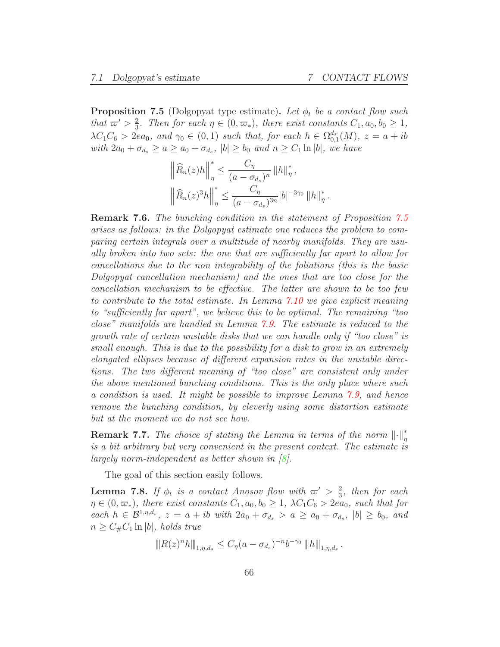<span id="page-65-0"></span>**Proposition 7.5** (Dolgopyat type estimate). Let  $\phi_t$  be a contact flow such that  $\varpi' > \frac{2}{3}$  $\frac{2}{3}$ . Then for each  $\eta \in (0, \varpi_*)$ , there exist constants  $C_1, a_0, b_0 \geq 1$ ,  $\lambda C_1 C_6 > 2ea_0$ , and  $\gamma_0 \in (0,1)$  such that, for each  $h \in \Omega_{0,1}^{d_s}(M)$ ,  $z = a + ib$ with  $2a_0 + \sigma_{d_s} \ge a \ge a_0 + \sigma_{d_s}$ ,  $|b| \ge b_0$  and  $n \ge C_1 \ln |b|$ , we have

$$
\left\| \widehat{R}_n(z)h \right\|_{\eta}^* \leq \frac{C_{\eta}}{(a - \sigma_{d_s})^n} \left\| h \right\|_{\eta}^*,
$$
  

$$
\left\| \widehat{R}_n(z)^3 h \right\|_{\eta}^* \leq \frac{C_{\eta}}{(a - \sigma_{d_s})^{3n}} |b|^{-3\gamma_0} \left\| h \right\|_{\eta}^*.
$$

Remark 7.6. The bunching condition in the statement of Proposition [7.5](#page-65-0) arises as follows: in the Dolgopyat estimate one reduces the problem to comparing certain integrals over a multitude of nearby manifolds. They are usually broken into two sets: the one that are sufficiently far apart to allow for cancellations due to the non integrability of the foliations (this is the basic Dolgopyat cancellation mechanism) and the ones that are too close for the cancellation mechanism to be effective. The latter are shown to be too few to contribute to the total estimate. In Lemma [7.10](#page-70-0) we give explicit meaning to "sufficiently far apart", we believe this to be optimal. The remaining "too close" manifolds are handled in Lemma [7.9.](#page-70-1) The estimate is reduced to the growth rate of certain unstable disks that we can handle only if "too close" is small enough. This is due to the possibility for a disk to grow in an extremely elongated ellipses because of different expansion rates in the unstable directions. The two different meaning of "too close" are consistent only under the above mentioned bunching conditions. This is the only place where such a condition is used. It might be possible to improve Lemma [7.9,](#page-70-1) and hence remove the bunching condition, by cleverly using some distortion estimate but at the moment we do not see how.

**Remark 7.7.** The choice of stating the Lemma in terms of the norm  $\lVert \cdot \rVert^*_{\eta}$ is a bit arbitrary but very convenient in the present context. The estimate is largely norm-independent as better shown in [\[8\]](#page-94-3).

The goal of this section easily follows.

**Lemma 7.8.** If  $\phi_t$  is a contact Anosov flow with  $\varpi' > \frac{2}{3}$  $\frac{2}{3}$ , then for each  $\eta \in (0, \varpi_*)$ , there exist constants  $C_1, a_0, b_0 \geq 1$ ,  $\lambda C_1 C_6 > 2ea_0$ , such that for each  $h \in \mathcal{B}^{1,\eta,d_s}$ ,  $z = a + ib$  with  $2a_0 + \sigma_{d_s} > a \ge a_0 + \sigma_{d_s}$ ,  $|b| \ge b_0$ , and  $n \geq C_{\#}C_1 \ln |b|$ , holds true

$$
||R(z)^n h||_{1,\eta,d_s} \leq C_{\eta} (a - \sigma_{d_s})^{-n} b^{-\gamma_0} ||h||_{1,\eta,d_s}.
$$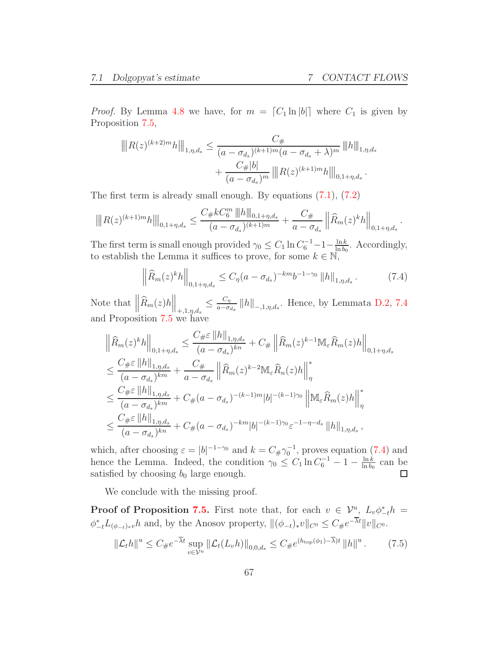*Proof.* By Lemma [4.8](#page-29-0) we have, for  $m = [C_1 \ln |b|]$  where  $C_1$  is given by Proposition [7.5,](#page-65-0)

$$
||R(z)^{(k+2)m}h||_{1,\eta,d_s} \leq \frac{C_{\#}}{(a-\sigma_{d_s})^{(k+1)m}(a-\sigma_{d_s}+\lambda)^m} ||h||_{1,\eta,d_s}
$$

$$
+ \frac{C_{\#}|b|}{(a-\sigma_{d_s})^m} ||R(z)^{(k+1)m}h||_{0,1+\eta,d_s}.
$$

The first term is already small enough. By equations [\(7.1\)](#page-62-1), [\(7.2\)](#page-62-2)

$$
\left\| |R(z)^{(k+1)m}h|\right\|_{0,1+\eta,d_s} \leq \frac{C_\# kC_6^m \left\|h\right\|_{0,1+\eta,d_s}}{(a-\sigma_{d_s})^{(k+1)m}} + \frac{C_\#}{a-\sigma_{d_s}} \left\| \widehat{R}_m(z)^k h\right\|_{0,1+\eta,d_s}.
$$

The first term is small enough provided  $\gamma_0 \leq C_1 \ln C_6^{-1} - 1 - \frac{\ln k}{\ln b_0}$  $rac{\ln k}{\ln b_0}$ . Accordingly, to establish the Lemma it suffices to prove, for some  $k \in \overline{N}$ ,

<span id="page-66-0"></span>
$$
\left\| \widehat{R}_m(z)^k h \right\|_{0, 1 + \eta, d_s} \le C_\eta (a - \sigma_{d_s})^{-km} b^{-1-\gamma_0} \left\| h \right\|_{1, \eta, d_s} . \tag{7.4}
$$

Note that  $\left\|\widehat{R}_m(z)h\right\|_{+,1,\eta,d_s} \leq \frac{C_\eta}{a-\sigma}$  $\frac{C_{\eta}}{a-\sigma_{ds}}$  ||h||<sub>-,1,η,d<sub>s</sub></sub>. Hence, by Lemmata [D.2,](#page-88-0) [7.4](#page-64-0) and Proposition [7.5](#page-65-0) we have

$$
\begin{split}\n&\left\|\widehat{R}_{m}(z)^{k}h\right\|_{0,1+\eta,d_{s}} \leq \frac{C_{\#}\varepsilon\left\|h\right\|_{1,\eta,d_{s}}}{(a-\sigma_{d_{s}})^{kn}} + C_{\#}\left\|\widehat{R}_{m}(z)^{k-1}\mathbb{M}_{\varepsilon}\widehat{R}_{m}(z)h\right\|_{0,1+\eta,d_{s}} \\
&\leq \frac{C_{\#}\varepsilon\left\|h\right\|_{1,\eta,d_{s}}}{(a-\sigma_{d_{s}})^{km}} + \frac{C_{\#}}{a-\sigma_{d_{s}}}\left\|\widehat{R}_{m}(z)^{k-2}\mathbb{M}_{\varepsilon}\widehat{R}_{n}(z)h\right\|_{\eta}^{*} \\
&\leq \frac{C_{\#}\varepsilon\left\|h\right\|_{1,\eta,d_{s}}}{(a-\sigma_{d_{s}})^{km}} + C_{\#}(a-\sigma_{d_{s}})^{-(k-1)m}|b|^{-(k-1)\gamma_{0}}\left\|\mathbb{M}_{\varepsilon}\widehat{R}_{m}(z)h\right\|_{\eta}^{*} \\
&\leq \frac{C_{\#}\varepsilon\left\|h\right\|_{1,\eta,d_{s}}}{(a-\sigma_{d_{s}})^{kn}} + C_{\#}(a-\sigma_{d_{s}})^{-km}|b|^{-(k-1)\gamma_{0}}\varepsilon^{-1-\eta-d_{s}}\left\|h\right\|_{1,\eta,d_{s}},\n\end{split}
$$

which, after choosing  $\varepsilon = |b|^{-1-\gamma_0}$  and  $k = C_{\#}\gamma_0^{-1}$ , proves equation [\(7.4\)](#page-66-0) and hence the Lemma. Indeed, the condition  $\gamma_0 \leq C_1 \ln C_6^{-1} - 1 - \frac{\ln k}{\ln b_0}$  $\frac{\ln k}{\ln b_0}$  can be satisfied by choosing  $b_0$  large enough.  $\Box$ 

We conclude with the missing proof.

**Proof of Proposition [7.5.](#page-65-0)** First note that, for each  $v \in \mathcal{V}^u$ ,  $L_v \phi^*_{-t} h =$  $\phi_{-t}^* L_{(\phi_{-t})_*v} h$  and, by the Anosov property,  $\|(\phi_{-t})_*v\|_{C^0} \leq C_{\#}e^{-\lambda t}\|v\|_{C^0}$ .

<span id="page-66-1"></span>
$$
\|\mathcal{L}_{t}h\|^{u} \leq C_{\#}e^{-\overline{\lambda}t} \sup_{v \in \mathcal{V}^{u}} \|\mathcal{L}_{t}(L_{v}h)\|_{0,0,d_{s}} \leq C_{\#}e^{(h_{\text{top}}(\phi_{1})-\overline{\lambda})t} \|h\|^{u}.
$$
 (7.5)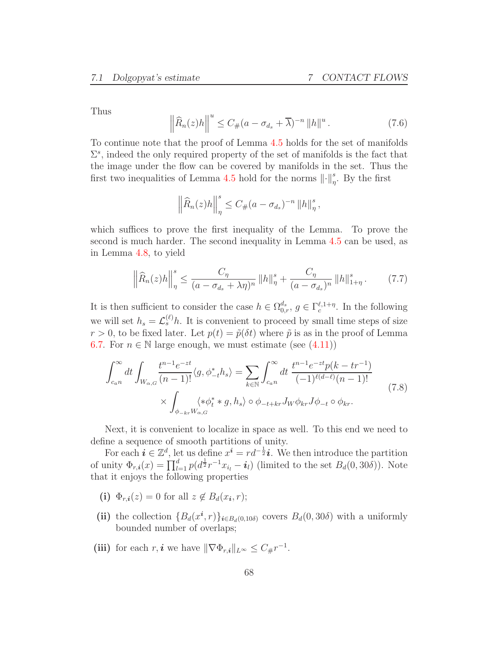Thus

<span id="page-67-2"></span>
$$
\left\|\widehat{R}_n(z)h\right\|^u \le C_{\#}(a-\sigma_{d_s}+\overline{\lambda})^{-n} \left\|h\right\|^u. \tag{7.6}
$$

To continue note that the proof of Lemma [4.5](#page-27-0) holds for the set of manifolds  $\Sigma^s$ , indeed the only required property of the set of manifolds is the fact that the image under the flow can be covered by manifolds in the set. Thus the first two inequalities of Lemma [4.5](#page-27-0) hold for the norms  $\lVert \cdot \rVert^s_\eta$ . By the first

$$
\left\|\widehat{R}_n(z)h\right\|_{\eta}^s \leq C_{\#}(a-\sigma_{d_s})^{-n} \left\|h\right\|_{\eta}^s,
$$

which suffices to prove the first inequality of the Lemma. To prove the second is much harder. The second inequality in Lemma [4.5](#page-27-0) can be used, as in Lemma [4.8,](#page-29-0) to yield

<span id="page-67-1"></span>
$$
\left\| \widehat{R}_n(z)h \right\|_{\eta}^s \le \frac{C_{\eta}}{(a - \sigma_{d_s} + \lambda \eta)^n} \left\| h \right\|_{\eta}^s + \frac{C_{\eta}}{(a - \sigma_{d_s})^n} \left\| h \right\|_{1+\eta}^s. \tag{7.7}
$$

It is then sufficient to consider the case  $h \in \Omega_{0,r}^{d_s}$ ,  $g \in \Gamma_c^{\ell,1+\eta}$ . In the following we will set  $h_s = \mathcal{L}_s^{(\ell)} h$ . It is convenient to proceed by small time steps of size  $r > 0$ , to be fixed later. Let  $p(t) = \tilde{p}(\delta t)$  where  $\tilde{p}$  is as in the proof of Lemma [6.7.](#page-54-2) For  $n \in \mathbb{N}$  large enough, we must estimate (see  $(4.11)$ )

<span id="page-67-0"></span>
$$
\int_{c_{a}n}^{\infty} dt \int_{W_{\alpha,G}} \frac{t^{n-1}e^{-zt}}{(n-1)!} \langle g, \phi_{-t}^* h_s \rangle = \sum_{k \in \mathbb{N}} \int_{c_{a}n}^{\infty} dt \frac{t^{n-1}e^{-zt}p(k - tr^{-1})}{(-1)^{\ell(d-\ell)}(n-1)!}
$$
\n
$$
\times \int_{\phi_{-kr}W_{\alpha,G}} \langle * \phi_t^* * g, h_s \rangle \circ \phi_{-t+kr} J_W \phi_{kr} J \phi_{-t} \circ \phi_{kr}.
$$
\n(7.8)

Next, it is convenient to localize in space as well. To this end we need to define a sequence of smooth partitions of unity.

For each  $\mathbf{i} \in \mathbb{Z}^d$ , let us define  $x^{\mathbf{i}} = rd^{-\frac{1}{2}}\mathbf{i}$ . We then introduce the partition of unity  $\Phi_{r,i}(x) = \prod_{l=1}^d p(d^{\frac{1}{2}}r^{-1}x_{i_l} - i_l)$  (limited to the set  $B_d(0, 30\delta)$ ). Note that it enjoys the following properties

- (i)  $\Phi_{r,i}(z) = 0$  for all  $z \notin B_d(x_i, r);$
- (ii) the collection  ${B_d(x^i, r)}_{i \in B_d(0, 10\delta)}$  covers  $B_d(0, 30\delta)$  with a uniformly bounded number of overlaps;
- (iii) for each r, *i* we have  $\|\nabla \Phi_{r,i}\|_{L^{\infty}} \leq C_{\#}r^{-1}$ .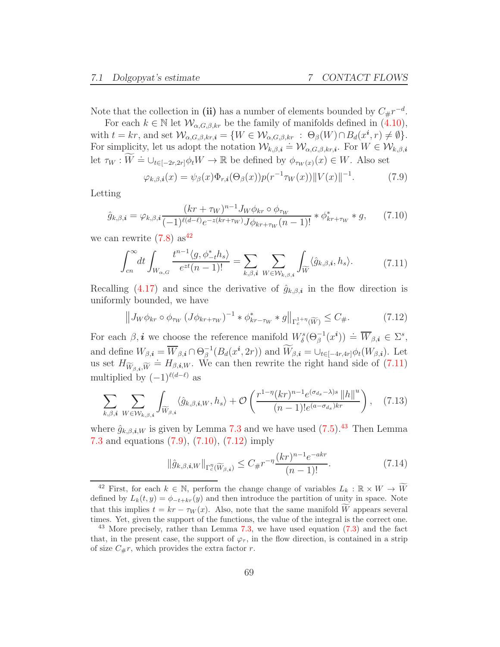Note that the collection in (ii) has a number of elements bounded by  $C_{\#}r^{-d}$ .

For each  $k \in \mathbb{N}$  let  $\mathcal{W}_{\alpha,G,\beta,kr}$  be the family of manifolds defined in  $(4.10)$ , with  $t = kr$ , and set  $\mathcal{W}_{\alpha,G,\beta,kr,i} = \{ W \in \mathcal{W}_{\alpha,G,\beta,kr} : \Theta_{\beta}(W) \cap B_d(x^i, r) \neq \emptyset \}.$ For simplicity, let us adopt the notation  $W_{k,\beta,\boldsymbol{i}} \doteq W_{\alpha,G,\beta,kr,\boldsymbol{i}}$ . For  $W \in W_{k,\beta,\boldsymbol{i}}$ <br>For simplicity, let us adopt the notation  $W_{k,\beta,\boldsymbol{i}} \doteq W_{\alpha,G,\beta,kr,\boldsymbol{i}}$ . For  $W \in W_{k,\beta,\boldsymbol{i}}$ let  $\tau_W : \overline{W} \doteq \bigcup_{t \in [-2r, 2r]} \phi_t W \rightarrow \mathbb{R}$  be defined by  $\phi_{\tau_W(x)}(x) \in W$ . Also set

<span id="page-68-3"></span>
$$
\varphi_{k,\beta,i}(x) = \psi_{\beta}(x)\Phi_{r,i}(\Theta_{\beta}(x))p(r^{-1}\tau_W(x))||V(x)||^{-1}.
$$
 (7.9)

Letting

<span id="page-68-4"></span>
$$
\hat{g}_{k,\beta,\mathbf{i}} = \varphi_{k,\beta,\mathbf{i}} \frac{(kr + \tau_W)^{n-1} J_W \phi_{kr} \circ \phi_{\tau_W}}{(-1)^{\ell(d-\ell)} e^{-z(kr + \tau_W)} J \phi_{kr + \tau_W}(n-1)!} * \phi_{kr + \tau_W}^* * g,
$$
(7.10)

<span id="page-68-1"></span>we can rewrite  $(7.8)$  as<sup>[42](#page-68-0)</sup>

$$
\int_{cn}^{\infty} dt \int_{W_{\alpha,G}} \frac{t^{n-1} \langle g, \phi_{-t}^* h_s \rangle}{e^{zt} (n-1)!} = \sum_{k,\beta,i} \sum_{W \in \mathcal{W}_{k,\beta,i}} \int_{\widetilde{W}} \langle \hat{g}_{k,\beta,i}, h_s \rangle.
$$
 (7.11)

Recalling [\(4.17\)](#page-33-2) and since the derivative of  $\hat{g}_{k,\beta,i}$  in the flow direction is uniformly bounded, we have

<span id="page-68-5"></span>
$$
\left\| J_W \phi_{kr} \circ \phi_{\tau_W} \left( J \phi_{kr + \tau_W} \right)^{-1} * \phi_{kr - \tau_W}^* * g \right\|_{\Gamma_c^{1+\eta}(\widetilde{W})} \le C_\#.
$$
 (7.12)

For each  $\beta, i$  we choose the reference manifold  $W^s_{\delta}(\Theta_{\beta}^{-1}(x^i)) \doteq \overline{W}_{\beta,i} \in \Sigma^s$ , and define  $W_{\beta,i} = \overline{W}_{\beta,i} \cap \Theta_{\beta}^{-1}(B_d(x^i, 2r))$  and  $\widetilde{W}_{\beta,i} = \bigcup_{t \in [-4r,4r]} \phi_t(W_{\beta,i})$ . Let us set  $H_{\widetilde{W}_{\beta,i},\widetilde{W}} = H_{\beta,i,W}$ . We can then rewrite the right hand side of [\(7.11\)](#page-68-1) multiplied by  $(-1)^{\ell(d-\ell)}$  as

<span id="page-68-7"></span>
$$
\sum_{k,\beta,\mathbf{i}} \sum_{W \in \mathcal{W}_{k,\beta,\mathbf{i}}} \int_{\widetilde{W}_{\beta,\mathbf{i}}} \langle \hat{g}_{k,\beta,\mathbf{i},W}, h_s \rangle + \mathcal{O}\left(\frac{r^{1-\eta}(kr)^{n-1} e^{(\sigma_{ds}-\lambda)s} \|h\|^u}{(n-1)! e^{(a-\sigma_{ds})kr}}\right), \quad (7.13)
$$

where  $\hat{g}_{k,\beta,i,W}$  is given by Lemma [7.3](#page-63-0) and we have used [\(7.5\)](#page-66-1).<sup>[43](#page-68-2)</sup> Then Lemma [7.3](#page-63-0) and equations [\(7.9\)](#page-68-3), [\(7.10\)](#page-68-4), [\(7.12\)](#page-68-5) imply

<span id="page-68-6"></span>
$$
\|\hat{g}_{k,\beta,\mathbf{i},W}\|_{\Gamma_c^{\eta}(\widetilde{W}_{\beta,\mathbf{i}})} \le C_{\#}r^{-\eta} \frac{(kr)^{n-1}e^{-akr}}{(n-1)!}.\tag{7.14}
$$

<span id="page-68-0"></span><sup>&</sup>lt;sup>42</sup> First, for each  $k \in \mathbb{N}$ , perform the change change of variables  $L_k : \mathbb{R} \times W \to \widetilde{W}$ defined by  $L_k(t, y) = \phi_{-t+kr}(y)$  and then introduce the partition of unity in space. Note that this implies  $t = kr - \tau_W(x)$ . Also, note that the same manifold W appears several times. Yet, given the support of the functions, the value of the integral is the correct one.

<span id="page-68-2"></span> $^{43}$  More precisely, rather than Lemma [7.3,](#page-63-0) we have used equation [\(7.3\)](#page-64-1) and the fact that, in the present case, the support of  $\varphi_{\tau}$ , in the flow direction, is contained in a strip of size  $C_{\#}r$ , which provides the extra factor r.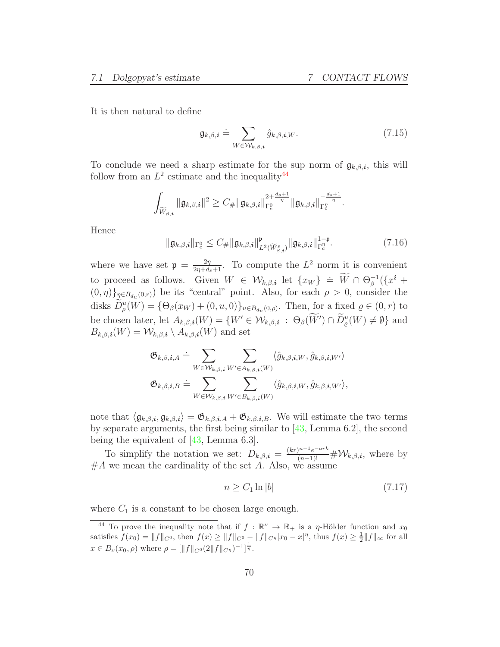It is then natural to define

$$
\mathfrak{g}_{k,\beta,\boldsymbol{i}} \doteq \sum_{W \in \mathcal{W}_{k,\beta,\boldsymbol{i}}} \hat{g}_{k,\beta,\boldsymbol{i},W}.\tag{7.15}
$$

To conclude we need a sharp estimate for the sup norm of  $\mathfrak{g}_{k,\beta,i}$ , this will follow from an  $L^2$  estimate and the inequality<sup>[44](#page-69-0)</sup>

$$
\int_{\widetilde{W}_{\beta,i}} \|\mathfrak{g}_{k,\beta,i}\|^2 \geq C_{\#} \|\mathfrak{g}_{k,\beta,i}\|_{\Gamma_{c}^0}^{2+\frac{d_s+1}{\eta}} \|\mathfrak{g}_{k,\beta,i}\|_{\Gamma_{c}^{\eta}}^{-\frac{d_s+1}{\eta}}.
$$

Hence

<span id="page-69-1"></span>
$$
\|\mathfrak{g}_{k,\beta,\boldsymbol{i}}\|_{\Gamma_c^0} \le C_{\#} \|\mathfrak{g}_{k,\beta,\boldsymbol{i}}\|_{L^2(\widetilde{W}_{\beta,\boldsymbol{i}}^s)}^{\mathfrak{p}} \|\mathfrak{g}_{k,\beta,\boldsymbol{i}}\|_{\Gamma_c^{\eta}}^{1-\mathfrak{p}}.
$$
\n(7.16)

where we have set  $\mathfrak{p} = \frac{2\eta}{2\eta + d_s + 1}$ . To compute the  $L^2$  norm it is convenient to proceed as follows. Given  $W \in \mathcal{W}_{k,\beta,i}$  let  $\{x_W\} \doteq \widetilde{W} \cap \Theta_{\beta}^{-1}(\{x^i +$  $(0, \eta)$ <sub> $\eta \in B_{d_u}(0, r)$ </sub> be its "central" point. Also, for each  $\rho > 0$ , consider the disks  $D_{\rho}^u(W) = {\Theta_{\beta}(x_W) + (0, u, 0)}_{u \in B_{d_u}(0, \rho)}$ . Then, for a fixed  $\rho \in (0, r)$  to be chosen later, let  $A_{k,\beta,i}(W) = \{W' \in \mathcal{W}_{k,\beta,i} : \Theta_{\beta}(W') \cap D_{\varrho}^u(W) \neq \emptyset\}$  and  $B_{k,\beta,i}(W) = \mathcal{W}_{k,\beta,i} \setminus A_{k,\beta,i}(W)$  and set

$$
\begin{aligned} \mathfrak{G}_{k,\beta,\pmb{i},A} &\doteq \sum_{W\in \mathcal{W}_{k,\beta,\pmb{i}}} \sum_{W'\in A_{k,\beta,\pmb{i}}(W)} \langle \hat{g}_{k,\beta,\pmb{i},W}, \hat{g}_{k,\beta,\pmb{i},W'} \rangle \\ \mathfrak{G}_{k,\beta,\pmb{i},B} &\doteq \sum_{W\in \mathcal{W}_{k,\beta,\pmb{i}}} \sum_{W'\in B_{k,\beta,\pmb{i}}(W)} \langle \hat{g}_{k,\beta,\pmb{i},W}, \hat{g}_{k,\beta,\pmb{i},W'} \rangle, \end{aligned}
$$

note that  $\langle \mathfrak{g}_{k,\beta,i}, \mathfrak{g}_{k,\beta,i} \rangle = \mathfrak{G}_{k,\beta,i,A} + \mathfrak{G}_{k,\beta,i,B}$ . We will estimate the two terms by separate arguments, the first being similar to [\[43,](#page-96-0) Lemma 6.2], the second being the equivalent of [\[43,](#page-96-0) Lemma 6.3].

To simplify the notation we set:  $D_{k,\beta,i} = \frac{(kr)^{n-1}e^{-ark}}{(n-1)!} \# \mathcal{W}_{k,\beta,i}$ , where by  $#A$  we mean the cardinality of the set A. Also, we assume

<span id="page-69-2"></span>
$$
n \ge C_1 \ln |b| \tag{7.17}
$$

where  $C_1$  is a constant to be chosen large enough.

<span id="page-69-0"></span><sup>&</sup>lt;sup>44</sup> To prove the inequality note that if  $f : \mathbb{R}^{\nu} \to \mathbb{R}_{+}$  is a *η*-Hölder function and  $x_0$ satisfies  $f(x_0) = ||f||_{C^0}$ , then  $f(x) \ge ||f||_{C^0} - ||f||_{C^{\eta}} |x_0 - x|^{\eta}$ , thus  $f(x) \ge \frac{1}{2} ||f||_{\infty}$  for all  $x \in B_{\nu}(x_0, \rho)$  where  $\rho = [\|f\|_{C^0}(2\|f\|_{C^{\eta}})^{-1}]^{\frac{1}{\eta}}$ .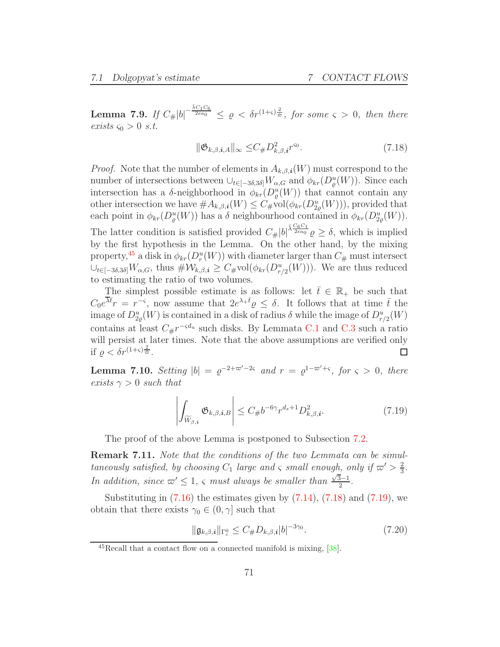<span id="page-70-1"></span>**Lemma 7.9.** If  $C_{\#}|b|^{-\frac{\bar{\lambda}C_1C_6}{2ea_0}} \leq \varrho < \delta r^{(1+\varsigma)\frac{2}{\bar{\varpi}}},$  for some  $\varsigma > 0$ , then there exists  $\varsigma_0 > 0$  s.t.

$$
\|\mathfrak{G}_{k,\beta,\mathbf{i},A}\|_{\infty} \leq C_{\#} D_{k,\beta,\mathbf{i}}^2 r^{\varsigma_0}.\tag{7.18}
$$

<span id="page-70-3"></span>*Proof.* Note that the number of elements in  $A_{k,\beta,i}(W)$  must correspond to the number of intersections between  $\cup_{t\in[-3\delta,3\delta]} W_{\alpha,G}$  and  $\phi_{kr}(D^u_{\varrho}(W))$ . Since each intersection has a  $\delta$ -neighborhood in  $\phi_{kr}(D^u_{\varrho}(W))$  that cannot contain any other intersection we have  $#A_{k,\beta,i}(W) \leq C_{\#}vol(\phi_{kr}(D_{2\varrho}^u(W))),$  provided that each point in  $\phi_{kr}(D^u_{\varrho}(W))$  has a  $\delta$  neighbourhood contained in  $\phi_{kr}(D^u_{2\varrho}(W))$ . The latter condition is satisfied provided  $C_{\#}|b|^{\bar{\lambda}\frac{C_6C_1}{2ea_0}}\varrho \geq \delta$ , which is implied by the first hypothesis in the Lemma. On the other hand, by the mixing property,<sup>[45](#page-70-2)</sup> a disk in  $\phi_{kr}(D_r^u(W))$  with diameter larger than  $C_{\#}$  must intersect  $\cup_{t\in[-3\delta,3\delta]}W_{\alpha,G}$ , thus  $\#\mathcal{W}_{k,\beta,\boldsymbol{i}}\geq C_{\#\text{vol}}(\phi_{kr}(D_{r/2}^u(W))).$  We are thus reduced to estimating the ratio of two volumes.

The simplest possible estimate is as follows: let  $\overline{t} \in \mathbb{R}_+$  be such that  $C_0e^{\overline{\lambda}\overline{t}}r = r^{-\varsigma}$ , now assume that  $2e^{\lambda+\overline{t}}\varrho \leq \delta$ . It follows that at time  $\overline{t}$  the image of  $D_{2\varrho}^u(W)$  is contained in a disk of radius  $\delta$  while the image of  $D_{r/2}^u(W)$ contains at least  $C_{\#}r^{-\varsigma d_u}$  such disks. By Lemmata [C.1](#page-85-0) and [C.3](#page-87-1) such a ratio will persist at later times. Note that the above assumptions are verified only if  $\varrho < \delta r^{(1+\varsigma)\frac{2}{\hat{\varpi}}}$ . П

<span id="page-70-0"></span>**Lemma 7.10.** Setting  $|b| = \varrho^{-2+\varpi'-2\varsigma}$  and  $r = \varrho^{1-\varpi'+\varsigma}$ , for  $\varsigma > 0$ , there exists  $\gamma > 0$  such that

<span id="page-70-4"></span>
$$
\left| \int_{\widetilde{W}_{\beta,i}} \mathfrak{G}_{k,\beta,i,B} \right| \le C_{\#} b^{-6\gamma} r^{d_s+1} D^2_{k,\beta,i}.
$$
 (7.19)

The proof of the above Lemma is postponed to Subsection [7.2.](#page-71-0)

Remark 7.11. Note that the conditions of the two Lemmata can be simultaneously satisfied, by choosing  $C_1$  large and  $\varsigma$  small enough, only if  $\varpi' > \frac{2}{3}$  $\frac{2}{3}$ . In addition, since  $\omega' \leq 1$ ,  $\varsigma$  must always be smaller than  $\frac{\sqrt{3}-1}{2}$ .

Substituting in  $(7.16)$  the estimates given by  $(7.14)$ ,  $(7.18)$  and  $(7.19)$ , we obtain that there exists  $\gamma_0 \in (0, \gamma]$  such that

<span id="page-70-5"></span>
$$
\|\mathfrak{g}_{k,\beta,\mathbf{i}}\|_{\Gamma_c^0} \le C_\# D_{k,\beta,\mathbf{i}} |b|^{-3\gamma_0}.
$$
\n(7.20)

<span id="page-70-2"></span> $^{45}$ Recall that a contact flow on a connected manifold is mixing,  $[38]$ .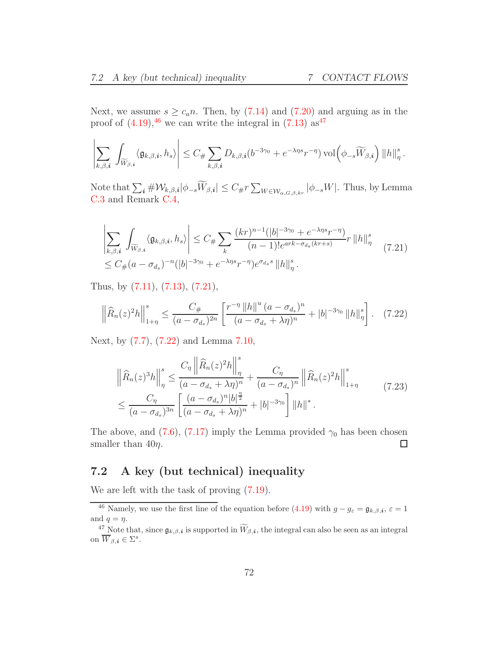Next, we assume  $s \geq c_a n$ . Then, by [\(7.14\)](#page-68-6) and [\(7.20\)](#page-70-5) and arguing as in the proof of  $(4.19)$ , <sup>[46](#page-71-1)</sup> we can write the integral in  $(7.13)$  as<sup>[47](#page-71-2)</sup>

$$
\left|\sum_{k,\beta,\boldsymbol{i}}\,\int_{\widetilde{W}_{\beta,\boldsymbol{i}}}\big\langle\mathfrak{g}_{k,\beta,\boldsymbol{i}},h_s\big\rangle\right|\leq C_{\#}\sum_{k,\beta,\boldsymbol{i}}D_{k,\beta,\boldsymbol{i}}(b^{-3\gamma_0}+e^{-\lambda\eta s}r^{-\eta})\,\mathrm{vol}\Big(\phi_{-s}\widetilde{W}_{\beta,\boldsymbol{i}}\Big)\,\|h\|_{\eta}^{s}\,.
$$

Note that  $\sum_{i} \# \mathcal{W}_{k,\beta,i} |\phi_{-s}\widetilde{W}_{\beta,i}| \leq C_{\#}\sum_{W \in \mathcal{W}_{\alpha,G,\beta,kr}} |\phi_{-s}W|$ . Thus, by Lemma [C.3](#page-87-1) and Remark [C.4,](#page-87-2)

<span id="page-71-3"></span>
$$
\left| \sum_{k,\beta,\mathbf{i}} \int_{\widetilde{W}_{\beta,\mathbf{i}}} \langle \mathfrak{g}_{k,\beta,\mathbf{i}}, h_s \rangle \right| \leq C_{\#} \sum_{k} \frac{(kr)^{n-1} (|b|^{-3\gamma_0} + e^{-\lambda \eta s} r^{-\eta})}{(n-1)! e^{\alpha rk - \sigma_{d_s}(kr+s)}} r \|h\|_{\eta}^{s}
$$
\n
$$
\leq C_{\#}(a - \sigma_{d_s})^{-n} (|b|^{-3\gamma_0} + e^{-\lambda \eta s} r^{-\eta}) e^{\sigma_{d_s} s} \|h\|_{\eta}^{s}.
$$
\n
$$
(7.21)
$$

Thus, by [\(7.11\)](#page-68-1), [\(7.13\)](#page-68-7), [\(7.21\)](#page-71-3),

<span id="page-71-4"></span>
$$
\left\|\widehat{R}_n(z)^2h\right\|_{1+\eta}^s \le \frac{C_{\#}}{(a-\sigma_{d_s})^{2n}} \left[\frac{r^{-\eta} \|h\|^u (a-\sigma_{d_s})^n}{(a-\sigma_{d_s}+\lambda\eta)^n} + |b|^{-3\gamma_0} \|h\|_{\eta}^s\right].
$$
 (7.22)

Next, by [\(7.7\)](#page-67-1), [\(7.22\)](#page-71-4) and Lemma [7.10,](#page-70-0)

$$
\|\widehat{R}_n(z)^3 h\|_{\eta}^s \le \frac{C_{\eta} \left\|\widehat{R}_n(z)^2 h\right\|_{\eta}^s}{(a - \sigma_{d_s} + \lambda \eta)^n} + \frac{C_{\eta}}{(a - \sigma_{d_s})^n} \left\|\widehat{R}_n(z)^2 h\right\|_{1+\eta}^s
$$
\n
$$
\le \frac{C_{\eta}}{(a - \sigma_{d_s})^{3n}} \left[\frac{(a - \sigma_{d_s})^n |b|^{\frac{n}{2}}}{(a - \sigma_{d_s} + \lambda \eta)^n} + |b|^{-3\gamma_0}\right] \|h\|^*.
$$
\n(7.23)

The above, and [\(7.6\)](#page-67-2), [\(7.17\)](#page-69-2) imply the Lemma provided  $\gamma_0$  has been chosen smaller than  $40\eta$ .  $\Box$ 

### <span id="page-71-0"></span>7.2 A key (but technical) inequality

We are left with the task of proving  $(7.19)$ .

<sup>&</sup>lt;sup>46</sup> Namely, we use the first line of the equation before [\(4.19\)](#page-34-0) with  $g - g_{\varepsilon} = \mathfrak{g}_{k,\beta,i}, \varepsilon = 1$ and  $q = \eta$ .

<span id="page-71-2"></span><span id="page-71-1"></span><sup>&</sup>lt;sup>47</sup> Note that, since  $\mathfrak{g}_{k,\beta,i}$  is supported in  $\widetilde{W}_{\beta,i}$ , the integral can also be seen as an integral on  $\overline{W}_{\beta,i} \in \Sigma^s$ .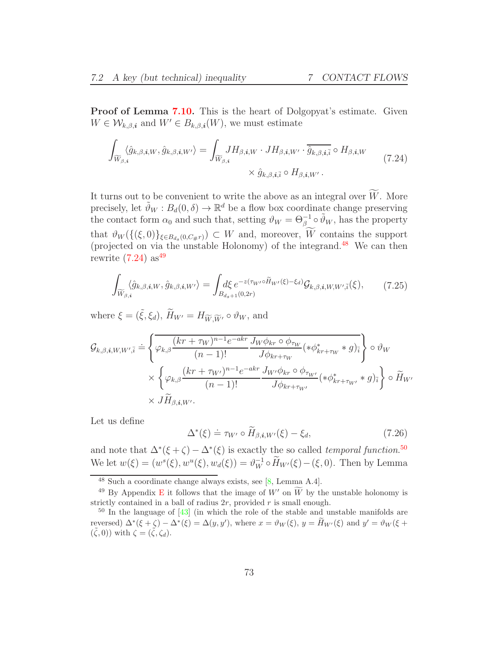**Proof of Lemma [7.10.](#page-70-0)** This is the heart of Dolgopyat's estimate. Given  $W \in \mathcal{W}_{k,\beta,i}$  and  $W' \in B_{k,\beta,i}(W)$ , we must estimate

<span id="page-72-1"></span>
$$
\int_{\widetilde{W}_{\beta,i}} \langle \hat{g}_{k,\beta,i,W}, \hat{g}_{k,\beta,i,W'} \rangle = \int_{\widetilde{W}_{\beta,i}} J H_{\beta,i,W} \cdot J H_{\beta,i,W'} \cdot \overline{\hat{g}_{k,\beta,i,\bar{i}}} \circ H_{\beta,i,W}
$$
\n
$$
\times \hat{g}_{k,\beta,i,\bar{i}} \circ H_{\beta,i,W'}.
$$
\n(7.24)

It turns out to be convenient to write the above as an integral over  $\widetilde{W}$ . More precisely, let  $\tilde{\vartheta}_W : B_d(0, \delta) \to \mathbb{R}^d$  be a flow box coordinate change preserving the contact form  $\alpha_0$  and such that, setting  $\vartheta_W = \Theta_{\beta}^{-1} \circ \tilde{\vartheta}_W$ , has the property that  $\vartheta_W(\{(\xi,0)\}_{\xi\in B_{d_s}(0,C_{\#}r)})\subset W$  and, moreover, W contains the support (projected on via the unstable Holonomy) of the integrand.<sup>[48](#page-72-0)</sup> We can then rewrite  $(7.24)$  as<sup>[49](#page-72-2)</sup>

<span id="page-72-4"></span>
$$
\int_{\widetilde{W}_{\beta,i}} \langle \hat{g}_{k,\beta,i,W}, \hat{g}_{k,\beta,i,W'} \rangle = \int_{B_{ds+1}(0,2r)} d\xi \, e^{-z(\tau_{W'} \circ \widetilde{H}_{W'}(\xi) - \xi_d)} \mathcal{G}_{k,\beta,i,W,W',\overline{i}}(\xi),\tag{7.25}
$$

where  $\xi = (\tilde{\xi}, \xi_d)$ ,  $\widetilde{H}_{W'} = H_{\widetilde{W}} \widetilde{W'} \circ \vartheta_W$ , and

$$
\mathcal{G}_{k,\beta,i,W,W',\bar{i}} \doteq \left\{ \overbrace{\varphi_{k,\beta}} \frac{(kr + \tau_W)^{n-1} e^{-akr}}{(n-1)!} \frac{J_W \phi_{kr} \circ \phi_{\tau_W}}{J \phi_{kr+\tau_W}} (\ast \phi_{kr+\tau_W}^* * g)_{\bar{i}} \right\} \circ \vartheta_W
$$
\n
$$
\times \left\{ \varphi_{k,\beta} \frac{(kr + \tau_{W'})^{n-1} e^{-akr}}{(n-1)!} \frac{J_{W'} \phi_{kr} \circ \phi_{\tau_{W'}}}{J \phi_{kr+\tau_{W'}}} (\ast \phi_{kr+\tau_{W'}}^* * g)_{\bar{i}} \right\} \circ \widetilde{H}_{W'} \times J \widetilde{H}_{\beta,i,W'}.
$$

Let us define

<span id="page-72-5"></span>
$$
\Delta^*(\xi) \doteq \tau_{W'} \circ \widetilde{H}_{\beta, \mathbf{i}, W'}(\xi) - \xi_d, \tag{7.26}
$$

and note that  $\Delta^*(\xi + \zeta) - \Delta^*(\xi)$  is exactly the so called *temporal function*.<sup>[50](#page-72-3)</sup> We let  $w(\xi) = (w^s(\xi), w^u(\xi), w_d(\xi)) = \vartheta_W^{-1} \circ \tilde{H}_{W'}(\xi) - (\xi, 0)$ . Then by Lemma

<sup>48</sup> Such a coordinate change always exists, see [\[8,](#page-94-0) Lemma A.4].

<span id="page-72-2"></span><span id="page-72-0"></span><sup>&</sup>lt;sup>49</sup> By Appendix [E](#page-91-0) it follows that the image of W' on  $\widetilde{W}$  by the unstable holonomy is strictly contained in a ball of radius  $2r$ , provided r is small enough.

<span id="page-72-3"></span> $50$  In the language of  $[43]$  (in which the role of the stable and unstable manifolds are reversed)  $\Delta^*(\xi + \zeta) - \Delta^*(\xi) = \Delta(y, y')$ , where  $x = \vartheta_W(\xi)$ ,  $y = \overline{H}_{W'}(\xi)$  and  $y' = \vartheta_W(\xi + \zeta)$  $(\tilde{\zeta}, 0)$ ) with  $\zeta = (\tilde{\zeta}, \zeta_d)$ .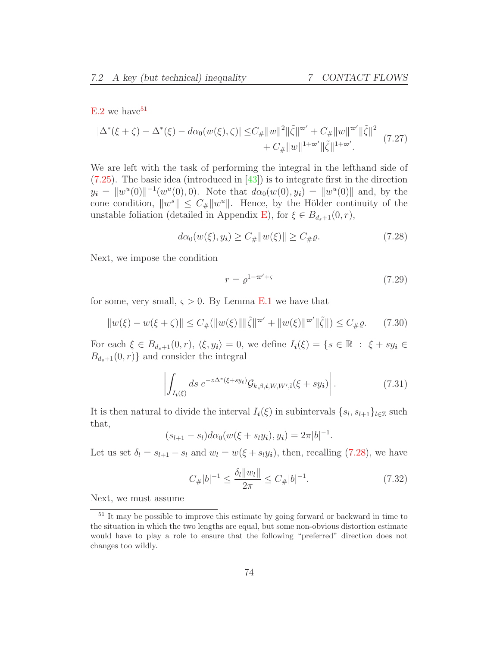$E.2$  we have  $51$ 

<span id="page-73-3"></span>
$$
|\Delta^*(\xi + \zeta) - \Delta^*(\xi) - d\alpha_0(w(\xi), \zeta)| \leq C_{\#} \|w\|^2 \|\tilde{\zeta}\|^{2\sigma'} + C_{\#} \|w\|^{\sigma'} \|\tilde{\zeta}\|^2 + C_{\#} \|w\|^{\sigma'} \|\tilde{\zeta}\|^2 \tag{7.27}
$$

We are left with the task of performing the integral in the lefthand side of  $(7.25)$ . The basic idea (introduced in  $[43]$ ) is to integrate first in the direction  $y_i = ||w^u(0)||^{-1}(w^u(0), 0)$ . Note that  $d\alpha_0(w(0), y_i) = ||w^u(0)||$  and, by the cone condition,  $||w^s|| \leq C_{\#} ||w^u||$ . Hence, by the Hölder continuity of the unstable foliation (detailed in Appendix [E\)](#page-91-0), for  $\xi \in B_{d_s+1}(0,r)$ ,

<span id="page-73-1"></span>
$$
d\alpha_0(w(\xi), y_i) \ge C_{\#} \|w(\xi)\| \ge C_{\#}\varrho. \tag{7.28}
$$

Next, we impose the condition

<span id="page-73-5"></span>
$$
r = \varrho^{1 - \varpi' + \varsigma} \tag{7.29}
$$

for some, very small,  $\varsigma > 0$ . By Lemma [E.1](#page-92-1) we have that

<span id="page-73-6"></span>
$$
||w(\xi) - w(\xi + \zeta)|| \le C_{\#}(||w(\xi)|| \|\tilde{\zeta}\|^{\varpi'} + ||w(\xi)||^{\varpi'} \|\tilde{\zeta}\|) \le C_{\#}\varrho. \tag{7.30}
$$

For each  $\xi \in B_{d_s+1}(0,r)$ ,  $\langle \xi, y_i \rangle = 0$ , we define  $I_i(\xi) = \{ s \in \mathbb{R} : \xi + sy_i \in$  $B_{d_s+1}(0,r)$  and consider the integral

$$
\left| \int_{I_i(\xi)} ds \ e^{-z\Delta^*(\xi + sy_i)} \mathcal{G}_{k,\beta,i,W,W',\bar{i}}(\xi + sy_i) \right|.
$$
 (7.31)

<span id="page-73-2"></span>It is then natural to divide the interval  $I_i(\xi)$  in subintervals  $\{s_l, s_{l+1}\}_{l \in \mathbb{Z}}$  such that,

$$
(s_{l+1} - s_l) d\alpha_0(w(\xi + s_l y_i), y_i) = 2\pi |b|^{-1}.
$$

Let us set  $\delta_l = s_{l+1} - s_l$  and  $w_l = w(\xi + s_l y_i)$ , then, recalling [\(7.28\)](#page-73-1), we have

<span id="page-73-4"></span>
$$
C_{\#}|b|^{-1} \le \frac{\delta_l \|w_l\|}{2\pi} \le C_{\#}|b|^{-1}.\tag{7.32}
$$

Next, we must assume

<span id="page-73-0"></span><sup>&</sup>lt;sup>51</sup> It may be possible to improve this estimate by going forward or backward in time to the situation in which the two lengths are equal, but some non-obvious distortion estimate would have to play a role to ensure that the following "preferred" direction does not changes too wildly.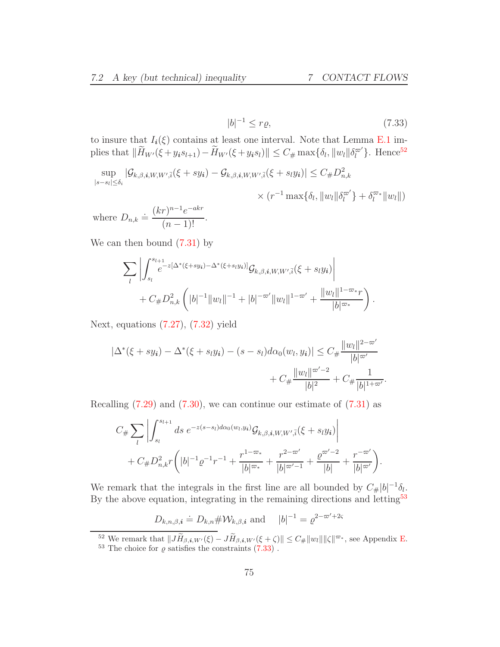<span id="page-74-2"></span>
$$
|b|^{-1} \le r\varrho,\tag{7.33}
$$

to insure that  $I_i(\xi)$  contains at least one interval. Note that Lemma [E.1](#page-92-1) implies that  $\|\widetilde{H}_{W'}(\xi + y_i s_{l+1}) - \widetilde{H}_{W'}(\xi + y_i s_l)\| \leq C_{\#} \max\{\delta_l, \|w_l\| \delta_l^{\varpi'}\}.$  Hence<sup>[52](#page-74-0)</sup>

$$
\sup_{|s-s_l| \leq \delta_i} |\mathcal{G}_{k,\beta,\mathbf{i},W,W',\bar{\mathbf{i}}}(\xi + s y_{\mathbf{i}}) - \mathcal{G}_{k,\beta,\mathbf{i},W,W',\bar{\mathbf{i}}}(\xi + s_l y_{\mathbf{i}})| \leq C_{\#} D_{n,k}^2
$$
  
 
$$
\times (r^{-1} \max\{\delta_l, \|w_l\|\delta_l^{\varpi'}\} + \delta_l^{\varpi_*} \|w_l\|)
$$

where  $D_{n,k} \doteq \frac{(kr)^{n-1}e^{-akr}}{(n-1)!}$  $\frac{(n-1)!}{(n-1)!}$ .

We can then bound [\(7.31\)](#page-73-2) by

$$
\sum_{l} \left| \int_{s_l}^{s_{l+1}} e^{-z[\Delta^*(\xi + sy_i) - \Delta^*(\xi + s_ly_i)]} \mathcal{G}_{k,\beta,i,W,W',\bar{i}}(\xi + s_ly_i) \right|
$$
  
+  $C_{\#}D_{n,k}^2 \left( |b|^{-1} ||w_l||^{-1} + |b|^{-\varpi'} ||w_l||^{1-\varpi'} + \frac{||w_l||^{1-\varpi}r}{|b|^{\varpi_*}} \right).$ 

Next, equations [\(7.27\)](#page-73-3), [\(7.32\)](#page-73-4) yield

$$
|\Delta^*(\xi + sy_i) - \Delta^*(\xi + s_ly_i) - (s - s_l)d\alpha_0(w_l, y_i)| \le C_{\#} \frac{||w_l||^{2 - \infty'}}{|b|^{\infty'}} + C_{\#} \frac{||w_l||^{\infty' - 2}}{|b|^2} + C_{\#} \frac{1}{|b|^{1 + \infty'}}.
$$

Recalling  $(7.29)$  and  $(7.30)$ , we can continue our estimate of  $(7.31)$  as

$$
C_{\#} \sum_{l} \left| \int_{s_l}^{s_{l+1}} ds \ e^{-z(s-s_l) d\alpha_0(w_l, y_i)} \mathcal{G}_{k, \beta, i, W, W', \bar{i}}(\xi + s_l y_i) \right|
$$
  
+ 
$$
C_{\#} D_{n,k}^2 r \left( |b|^{-1} \varrho^{-1} r^{-1} + \frac{r^{1-\varpi_*}}{|b|^{\varpi_*}} + \frac{r^{2-\varpi'}}{|b|^{\varpi'-1}} + \frac{\varrho^{\varpi'-2}}{|b|} + \frac{r^{-\varpi'}}{|b|^{\varpi'}} \right).
$$

We remark that the integrals in the first line are all bounded by  $C_{\#}|b|^{-1}\delta_{l}$ . By the above equation, integrating in the remaining directions and letting<sup>[53](#page-74-1)</sup>

 $D_{k,n,\beta,i} \doteq D_{k,n} \# \mathcal{W}_{k,\beta,i}$  and  $|b|^{-1} = \varrho^{2-\varpi'+2\varsigma}$ 

<sup>&</sup>lt;sup>52</sup> We remark that  $||J\tilde{H}_{\beta,i,W'}(\xi) - J\tilde{H}_{\beta,i,W'}(\xi+\zeta)|| \leq C_{\#} ||w_l|| ||\zeta||^{\varpi_*}$ , see Appendix [E.](#page-91-0)

<span id="page-74-1"></span><span id="page-74-0"></span> $^{53}$  The choice for  $\varrho$  satisfies the constraints  $(7.33)$  .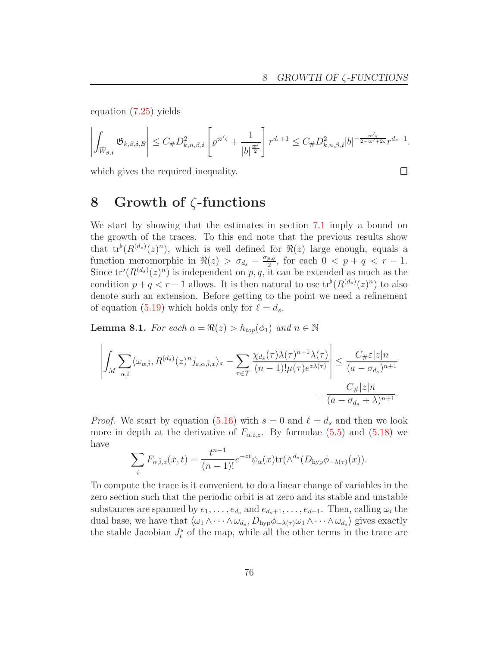equation [\(7.25\)](#page-72-4) yields

$$
\left|\int_{\widetilde{W}_{\beta,\boldsymbol{i}}}\mathfrak{G}_{k,\beta,\boldsymbol{i},B}\right|\leq C_{\#}D^2_{k,n,\beta,\boldsymbol{i}}\left[\varrho^{\varpi'\varsigma}+\frac{1}{|b|^{\frac{\varpi'}{2}}}\right]r^{d_s+1}\leq C_{\#}D^2_{k,n,\beta,\boldsymbol{i}}|b|^{-\frac{\varpi'\varsigma}{2-\varpi'+2\varsigma}}r^{d_s+1}.
$$

which gives the required inequality.

#### $\Box$

#### 8 Growth of ζ-functions

We start by showing that the estimates in section [7.1](#page-62-0) imply a bound on the growth of the traces. To this end note that the previous results show that  $tr^{\flat}(R^{(d_s)}(z)^n)$ , which is well defined for  $\Re(z)$  large enough, equals a function meromorphic in  $\Re(z) > \sigma_{d_s} - \frac{\sigma_{p,q}}{2}$  $\frac{p,q}{2}$ , for each  $0 < p + q < r - 1$ . Since  $tr^b(R^{(d_s)}(z)^n)$  is independent on p, q, it can be extended as much as the condition  $p + q < r - 1$  allows. It is then natural to use  $tr^{\flat}(R^{(d_s)}(z)^n)$  to also denote such an extension. Before getting to the point we need a refinement of equation [\(5.19\)](#page-47-0) which holds only for  $\ell = d_s$ .

<span id="page-75-0"></span>**Lemma 8.1.** For each  $a = \Re(z) > h_{top}(\phi_1)$  and  $n \in \mathbb{N}$ 

$$
\left| \int_M \sum_{\alpha, \bar{i}} \langle \omega_{\alpha, \bar{i}}, R^{(d_s)}(z)^n j_{\varepsilon, \alpha, \bar{i}, x} \rangle_x - \sum_{\tau \in \mathcal{T}} \frac{\chi_{d_s}(\tau) \lambda(\tau)^{n-1} \lambda(\tau)}{(n-1)! \mu(\tau) e^{z\lambda(\tau)}} \right| \leq \frac{C_{\#} \varepsilon |z| n}{(a - \sigma_{d_s})^{n+1}} + \frac{C_{\#} |z| n}{(a - \sigma_{d_s} + \lambda)^{n+1}}.
$$

*Proof.* We start by equation [\(5.16\)](#page-46-0) with  $s = 0$  and  $\ell = d_s$  and then we look more in depth at the derivative of  $F_{\alpha,\bar{i},z}$ . By formulae [\(5.5\)](#page-40-0) and [\(5.18\)](#page-46-1) we have

$$
\sum_{\bar{i}} F_{\alpha, \bar{i}, z}(x, t) = \frac{t^{n-1}}{(n-1)!} e^{-zt} \psi_{\alpha}(x) \text{tr}(\wedge^{d_s} (D_{\text{hyp}} \phi_{-\lambda(\tau)}(x)).
$$

To compute the trace is it convenient to do a linear change of variables in the zero section such that the periodic orbit is at zero and its stable and unstable substances are spanned by  $e_1, \ldots, e_{d_s}$  and  $e_{d_s+1}, \ldots, e_{d-1}$ . Then, calling  $\omega_i$  the dual base, we have that  $\langle \omega_1 \wedge \cdots \wedge \omega_{d_s}, D_{\text{hyp}} \phi_{-\lambda(\tau)} \omega_1 \wedge \cdots \wedge \omega_{d_s} \rangle$  gives exactly the stable Jacobian  $J_t^s$  of the map, while all the other terms in the trace are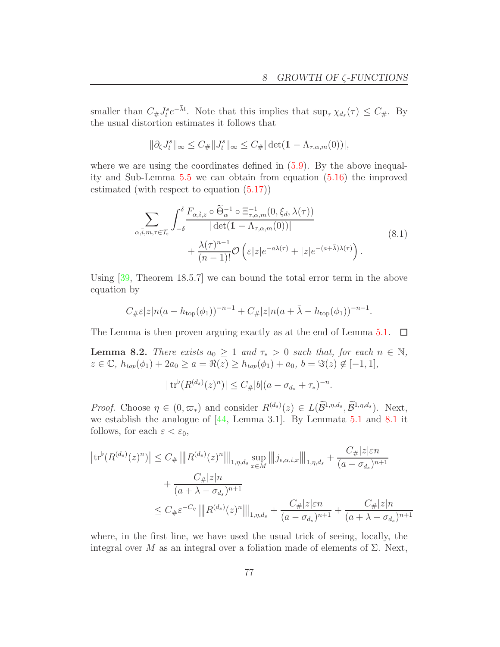.

smaller than  $C_{\#}J_i^s e^{-\bar{\lambda}t}$ . Note that this implies that  $\sup_{\tau} \chi_{d_s}(\tau) \leq C_{\#}$ . By the usual distortion estimates it follows that

$$
\|\partial_\zeta J_t^s\|_\infty\leq C_{\#}\|J_t^s\|_\infty\leq C_{\#}|\det(\mathbb{1}-\Lambda_{\tau,\alpha,m}(0))|,
$$

where we are using the coordinates defined in  $(5.9)$ . By the above inequality and Sub-Lemma [5.5](#page-44-0) we can obtain from equation [\(5.16\)](#page-46-0) the improved estimated (with respect to equation [\(5.17\)](#page-46-2))

$$
\sum_{\alpha,\bar{i},m,\tau \in \mathcal{T}_{\varepsilon}} \int_{-\delta}^{\delta} \frac{F_{\alpha,\bar{i},z} \circ \widetilde{\Theta}_{\alpha}^{-1} \circ \Xi_{\tau,\alpha,m}^{-1}(0,\xi_{d},\lambda(\tau))}{|\det(\mathbb{1}-\Lambda_{\tau,\alpha,m}(0))|} + \frac{\lambda(\tau)^{n-1}}{(n-1)!} \mathcal{O}\left(\varepsilon |z| e^{-a\lambda(\tau)} + |z| e^{-(a+\bar{\lambda})\lambda(\tau)}\right).
$$
\n(8.1)

Using [\[39,](#page-95-0) Theorem 18.5.7] we can bound the total error term in the above equation by

$$
C_{\#}\varepsilon |z|n(a - h_{\text{top}}(\phi_1))^{-n-1} + C_{\#}|z|n(a + \bar{\lambda} - h_{\text{top}}(\phi_1))^{-n-1}.
$$

The Lemma is then proven arguing exactly as at the end of Lemma [5.1.](#page-40-1)  $\Box$ 

<span id="page-76-0"></span>**Lemma 8.2.** There exists  $a_0 \geq 1$  and  $\tau_* > 0$  such that, for each  $n \in \mathbb{N}$ ,  $z \in \mathbb{C}, h_{top}(\phi_1) + 2a_0 \ge a = \Re(z) \ge h_{top}(\phi_1) + a_0, b = \Im(z) \notin [-1, 1],$ 

$$
|\operatorname{tr}^{\flat}(R^{(d_s)}(z)^n)| \le C_{\#}|b|(a - \sigma_{d_s} + \tau_*)^{-n}
$$

*Proof.* Choose  $\eta \in (0, \varpi_*)$  and consider  $R^{(d_s)}(z) \in L(\mathcal{B}^{1,\eta,d_s}, \mathcal{B}^{1,\eta,d_s})$ . Next, we establish the analogue of [\[44,](#page-96-1) Lemma 3.1]. By Lemmata [5.1](#page-40-1) and [8.1](#page-75-0) it follows, for each  $\varepsilon < \varepsilon_0$ ,

$$
\left| \text{tr}^{b}(R^{(d_s)}(z)^n) \right| \leq C_{\#} \left\| |R^{(d_s)}(z)^n| \right\|_{1, \eta, d_s} \sup_{x \in M} \left\| |j_{\epsilon, \alpha, \bar{i}, x}|\right\|_{1, \eta, d_s} + \frac{C_{\#}|z|\varepsilon n}{(a - \sigma_{d_s})^{n+1}} + \frac{C_{\#}|z|n}{(a + \lambda - \sigma_{d_s})^{n+1}} \leq C_{\#} \varepsilon^{-C_{\eta}} \left\| |R^{(d_s)}(z)^n| \right\|_{1, \eta, d_s} + \frac{C_{\#}|z|\varepsilon n}{(a - \sigma_{d_s})^{n+1}} + \frac{C_{\#}|z|n}{(a + \lambda - \sigma_{d_s})^{n+1}}
$$

where, in the first line, we have used the usual trick of seeing, locally, the integral over M as an integral over a foliation made of elements of  $\Sigma$ . Next,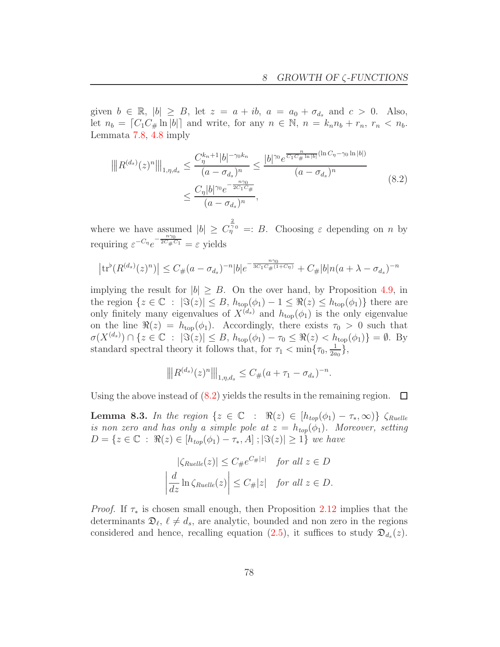given  $b \in \mathbb{R}$ ,  $|b| \geq B$ , let  $z = a + ib$ ,  $a = a_0 + \sigma_{d_s}$  and  $c > 0$ . Also, let  $n_b = \lfloor C_1 C_\# \ln |b| \rfloor$  and write, for any  $n \in \mathbb{N}$ ,  $n = k_n n_b + r_n$ ,  $r_n < n_b$ . Lemmata [7.8,](#page-65-0) [4.8](#page-29-0) imply

<span id="page-77-0"></span>
$$
\|R^{(d_s)}(z)^n\|_{1,\eta,d_s} \le \frac{C_{\eta}^{k_n+1}|b|^{-\gamma_0 k_n}}{(a-\sigma_{d_s})^n} \le \frac{|b|^{\gamma_0} e^{\frac{n}{C_1 C_{\#}\ln|b|}(\ln C_{\eta}-\gamma_0 \ln|b|)}}{(a-\sigma_{d_s})^n} \le \frac{C_{\eta}|b|^{\gamma_0} e^{-\frac{n\gamma_0}{2 C_1 C_{\#}}}}{(a-\sigma_{d_s})^n},
$$
\n(8.2)

where we have assumed  $|b| \geq C_{\eta}^{\frac{2}{\gamma_0}} =: B$ . Choosing  $\varepsilon$  depending on *n* by requiring  $\varepsilon^{-C_{\eta}}e^{-\frac{n\gamma_0}{2C_{\#}C_1}} = \varepsilon$  yields

$$
\left| \text{tr}^{\flat}(R^{(d_s)}(z)^n) \right| \leq C_{\#}(a - \sigma_{d_s})^{-n} |b| e^{-\frac{n\gamma_0}{3C_1C_{\#}(1+C_{\eta})}} + C_{\#}|b|n(a + \lambda - \sigma_{d_s})^{-n}
$$

implying the result for  $|b| \geq B$ . On the over hand, by Proposition [4.9,](#page-30-0) in the region  $\{z \in \mathbb{C} : |\Im(z)| \leq B, h_{top}(\phi_1) - 1 \leq \Re(z) \leq h_{top}(\phi_1)\}\$  there are only finitely many eigenvalues of  $X^{(d_s)}$  and  $h_{\text{top}}(\phi_1)$  is the only eigenvalue on the line  $\Re(z) = h_{top}(\phi_1)$ . Accordingly, there exists  $\tau_0 > 0$  such that  $\sigma(X^{(d_s)}) \cap \{z \in \mathbb{C} : |\Im(z)| \leq B, h_{\text{top}}(\phi_1) - \tau_0 \leq \Re(z) < h_{\text{top}}(\phi_1)\} = \emptyset.$  By standard spectral theory it follows that, for  $\tau_1 < \min\{\tau_0, \frac{1}{2a}\}$  $\frac{1}{2a_0}\},$ 

$$
\left\| |R^{(d_s)}(z)^n| \right\|_{1,\eta,d_s} \leq C_{\#}(a+\tau_1-\sigma_{d_s})^{-n}.
$$

Using the above instead of [\(8.2\)](#page-77-0) yields the results in the remaining region.  $\Box$ 

**Lemma 8.3.** In the region  $\{z \in \mathbb{C} : \Re(z) \in [h_{top}(\phi_1) - \tau_*, \infty)\}\zeta_{Rule}$ is non zero and has only a simple pole at  $z = h_{top}(\phi_1)$ . Moreover, setting  $D = \{z \in \mathbb{C} : \Re(z) \in [h_{top}(\phi_1) - \tau_*, A] ; |\Im(z)| \geq 1\}$  we have

$$
|\zeta_{Rule}(z)| \le C_{\#}e^{C_{\#}|z|} \quad \text{for all } z \in D
$$

$$
\left|\frac{d}{dz}\ln\zeta_{Rule}(z)\right| \le C_{\#}|z| \quad \text{for all } z \in D.
$$

*Proof.* If  $\tau_*$  is chosen small enough, then Proposition [2.12](#page-11-0) implies that the determinants  $\mathfrak{D}_{\ell}, \ell \neq d_s$ , are analytic, bounded and non zero in the regions considered and hence, recalling equation [\(2.5\)](#page-10-0), it suffices to study  $\mathfrak{D}_{d_s}(z)$ .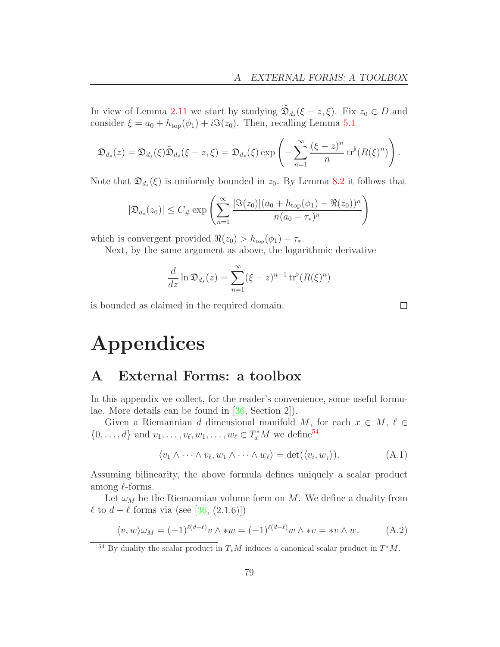In view of Lemma [2.11](#page-11-1) we start by studying  $\mathfrak{D}_{d_s}(\xi - z, \xi)$ . Fix  $z_0 \in D$  and consider  $\xi = a_0 + h_{\text{top}}(\phi_1) + i\Im(z_0)$ . Then, recalling Lemma [5.1](#page-40-1)

$$
\mathfrak{D}_{d_s}(z) = \mathfrak{D}_{d_s}(\xi)\tilde{\mathfrak{D}}_{d_s}(\xi - z, \xi) = \mathfrak{D}_{d_s}(\xi) \exp\left(-\sum_{n=1}^{\infty} \frac{(\xi - z)^n}{n} \operatorname{tr}^b(R(\xi)^n)\right).
$$

Note that  $\mathfrak{D}_{d_s}(\xi)$  is uniformly bounded in  $z_0$ . By Lemma [8.2](#page-76-0) it follows that

$$
|\mathfrak{D}_{d_s}(z_0)| \leq C_{\#} \exp\left(\sum_{n=1}^{\infty} \frac{|\Im(z_0)|(a_0 + h_{\text{top}}(\phi_1) - \Re(z_0))^n}{n(a_0 + \tau_*)^n}\right)
$$

which is convergent provided  $\Re(z_0) > h_{top}(\phi_1) - \tau_*$ .

Next, by the same argument as above, the logarithmic derivative

$$
\frac{d}{dz}\ln \mathfrak{D}_{d_s}(z) = \sum_{n=1}^{\infty} (\xi - z)^{n-1} \operatorname{tr}^{\flat} (R(\xi)^n)
$$

is bounded as claimed in the required domain.

 $\Box$ 

# Appendices

#### A External Forms: a toolbox

In this appendix we collect, for the reader's convenience, some useful formulae. More details can be found in [\[36,](#page-95-1) Section 2]).

Given a Riemannian d dimensional manifold M, for each  $x \in M$ ,  $\ell \in$  $\{0, \ldots, d\}$  and  $v_1, \ldots, v_\ell, w_1, \ldots, w_\ell \in T_x^*M$  we define<sup>[54](#page-78-0)</sup>

$$
\langle v_1 \wedge \cdots \wedge v_\ell, w_1 \wedge \cdots \wedge w_\ell \rangle = \det(\langle v_i, w_j \rangle). \tag{A.1}
$$

Assuming bilinearity, the above formula defines uniquely a scalar product among  $\ell$ -forms.

Let  $\omega_M$  be the Riemannian volume form on M. We define a duality from  $\ell$  to  $d - \ell$  forms via (see [\[36,](#page-95-1) (2.1.6)])

$$
\langle v, w \rangle \omega_M = (-1)^{\ell(d-\ell)} v \wedge *w = (-1)^{\ell(d-\ell)} w \wedge *v = *v \wedge w. \tag{A.2}
$$

<span id="page-78-0"></span><sup>&</sup>lt;sup>54</sup> By duality the scalar product in  $T_*M$  induces a canonical scalar product in  $T^*M$ .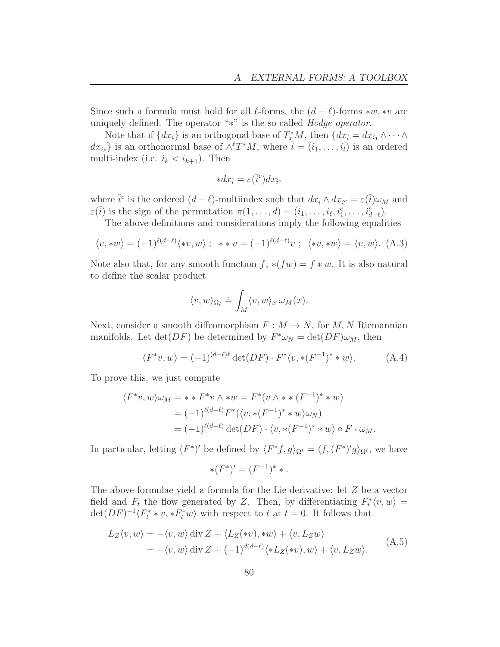Since such a formula must hold for all  $\ell$ -forms, the  $(d - \ell)$ -forms ∗w, ∗v are uniquely defined. The operator "∗" is the so called Hodge operator.

Note that if  $\{dx_i\}$  is an orthogonal base of  $T^*_{\underline{x}}M$ , then  $\{dx_{\overline{i}} = dx_{i_1} \wedge \cdots \wedge \overline{x_{i_k}}\}$  $dx_{i_{\ell}}$  is an orthonormal base of  $\wedge^{l}T^{*}M$ , where  $\bar{i} = (i_{1}, \ldots, i_{l})$  is an ordered multi-index (i.e.  $i_k < i_{k+1}$ ). Then

$$
*dx_{\bar{i}} = \varepsilon(\bar{i}^c)dx_{\bar{i}^c}
$$

where  $\bar{i}^c$  is the ordered  $(d - \ell)$ -multiindex such that  $dx_{\bar{i}} \wedge dx_{\bar{i}^c} = \varepsilon(\bar{i})\omega_M$  and  $\varepsilon(\overline{i})$  is the sign of the permutation  $\pi(1,\ldots,d) = (i_1,\ldots,i_\ell,i_1^c,\ldots,i_{d-\ell}^c)$ .

The above definitions and considerations imply the following equalities

$$
\langle v, *w \rangle = (-1)^{\ell(d-\ell)} \langle *v, w \rangle \; ; \; *v = (-1)^{\ell(d-\ell)} v \; ; \; \langle *v, *w \rangle = \langle v, w \rangle. \tag{A.3}
$$

Note also that, for any smooth function  $f, *(fw) = f * w$ . It is also natural to define the scalar product

$$
\langle v, w \rangle_{\Omega_{\ell}} \doteq \int_M \langle v, w \rangle_x \, \omega_M(x).
$$

Next, consider a smooth diffeomorphism  $F : M \to N$ , for  $M, N$  Riemannian manifolds. Let  $\det(DF)$  be determined by  $F^*\omega_N = \det(DF)\omega_M$ , then

$$
\langle F^*v, w \rangle = (-1)^{(d-\ell)\ell} \det(DF) \cdot F^* \langle v, * (F^{-1})^* * w \rangle.
$$
 (A.4)

To prove this, we just compute

$$
\langle F^*v, w \rangle \omega_M = * * F^*v \wedge *w = F^*(v \wedge * * (F^{-1})^* * w)
$$
  
=  $(-1)^{\ell(d-\ell)} F^*(\langle v, * (F^{-1})^* * w \rangle \omega_N)$   
=  $(-1)^{\ell(d-\ell)} \det(DF) \cdot \langle v, * (F^{-1})^* * w \rangle \circ F \cdot \omega_M.$ 

In particular, letting  $(F^*)'$  be defined by  $\langle F^*f, g \rangle_{\Omega^{\ell}} = \langle f, (F^*)'g \rangle_{\Omega^{\ell}}$ , we have

$$
*(F^*)' = (F^{-1})^* * .
$$

The above formulae yield a formula for the Lie derivative: let Z be a vector field and  $F_t$  the flow generated by Z. Then, by differentiating  $F_t^*(v, w) =$  $\det(DF)^{-1}\langle F_t^**v, *F_t^*w\rangle$  with respect to t at  $t=0$ . It follows that

<span id="page-79-0"></span>
$$
L_Z \langle v, w \rangle = -\langle v, w \rangle \operatorname{div} Z + \langle L_Z(w), *w \rangle + \langle v, L_Z w \rangle
$$
  
= -\langle v, w \rangle \operatorname{div} Z + (-1)^{d(d-\ell)} \langle \*L\_Z(\*v), w \rangle + \langle v, L\_Z w \rangle. (A.5)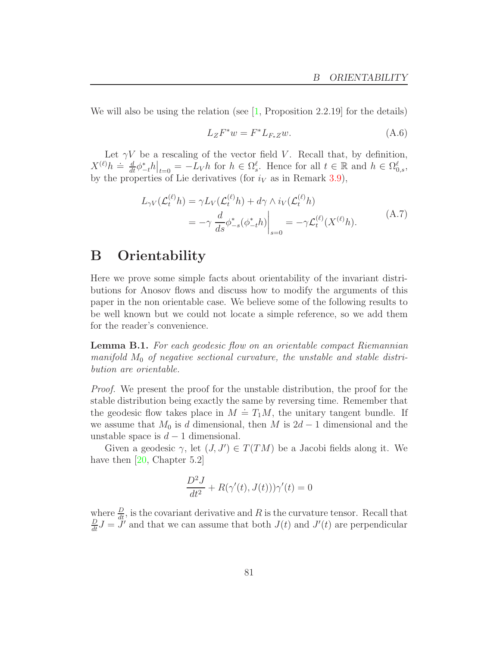We will also be using the relation (see  $\left[1, \text{Proposition 2.2.19}\right]$  for the details)

<span id="page-80-0"></span>
$$
L_Z F^* w = F^* L_{F_* Z} w.
$$
\n(A.6)

Let  $\gamma V$  be a rescaling of the vector field V. Recall that, by definition,  $X^{(\ell)}h \doteq \frac{d}{dt}\phi_{-t}^*h|_{t=0} = -L_Vh$  for  $h \in \Omega_s^{\ell}$ . Hence for all  $t \in \mathbb{R}$  and  $h \in \Omega_{0,s}^{\ell}$ , by the properties of Lie derivatives (for  $i_V$  as in Remark [3.9\)](#page-22-0),

$$
L_{\gamma V}(\mathcal{L}_t^{(\ell)} h) = \gamma L_V(\mathcal{L}_t^{(\ell)} h) + d\gamma \wedge i_V(\mathcal{L}_t^{(\ell)} h)
$$
  
= 
$$
-\gamma \frac{d}{ds} \phi_{-s}^*(\phi_{-t}^* h) \Big|_{s=0} = -\gamma \mathcal{L}_t^{(\ell)}(X^{(\ell)} h).
$$
 (A.7)

#### B Orientability

Here we prove some simple facts about orientability of the invariant distributions for Anosov flows and discuss how to modify the arguments of this paper in the non orientable case. We believe some of the following results to be well known but we could not locate a simple reference, so we add them for the reader's convenience.

Lemma B.1. For each geodesic flow on an orientable compact Riemannian manifold  $M_0$  of negative sectional curvature, the unstable and stable distribution are orientable.

Proof. We present the proof for the unstable distribution, the proof for the stable distribution being exactly the same by reversing time. Remember that the geodesic flow takes place in  $M = T_1M$ , the unitary tangent bundle. If we assume that  $M_0$  is d dimensional, then M is  $2d-1$  dimensional and the unstable space is  $d-1$  dimensional.

Given a geodesic  $\gamma$ , let  $(J, J') \in T(TM)$  be a Jacobi fields along it. We have then [\[20,](#page-94-1) Chapter 5.2]

$$
\frac{D^2J}{dt^2} + R(\gamma'(t), J(t)))\gamma'(t) = 0
$$

where  $\frac{D}{dt}$ , is the covariant derivative and R is the curvature tensor. Recall that  $\frac{D}{dt}J = \tilde{J}'$  and that we can assume that both  $J(t)$  and  $J'(t)$  are perpendicular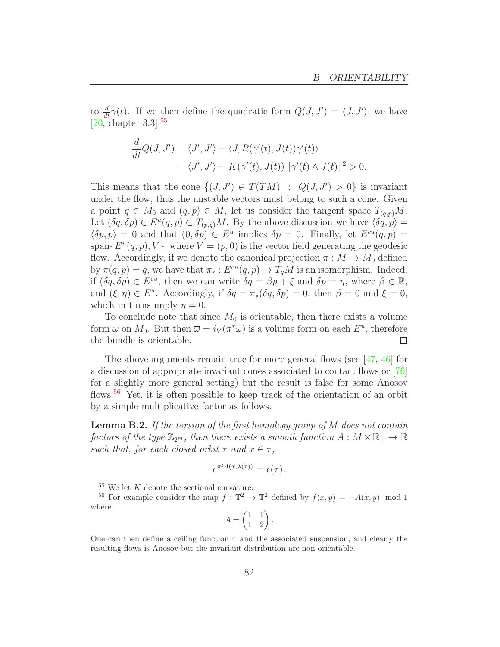to  $\frac{d}{dt}\gamma(t)$ . If we then define the quadratic form  $Q(J, J') = \langle J, J' \rangle$ , we have [\[20,](#page-94-1) chapter  $3.3$ ],<sup>[55](#page-81-0)</sup>

$$
\frac{d}{dt}Q(J, J') = \langle J', J'\rangle - \langle J, R(\gamma'(t), J(t))\gamma'(t)\rangle
$$
  
=  $\langle J', J'\rangle - K(\gamma'(t), J(t)) ||\gamma'(t) \wedge J(t)||^2 > 0.$ 

This means that the cone  $\{(J, J') \in T(TM) : Q(J, J') > 0\}$  is invariant under the flow, thus the unstable vectors must belong to such a cone. Given a point  $q \in M_0$  and  $(q, p) \in M$ , let us consider the tangent space  $T_{(q,p)}M$ . Let  $(\delta q, \delta p) \in E^u(q, p) \subset T_{(p,q)}M$ . By the above discussion we have  $\langle \delta q, p \rangle =$  $\langle \delta p, p \rangle = 0$  and that  $(0, \delta p) \in E^u$  implies  $\delta p = 0$ . Finally, let  $E^{cu}(q, p) = 0$  $\text{span}\{E^u(q,p),V\}$ , where  $V=(p,0)$  is the vector field generating the geodesic flow. Accordingly, if we denote the canonical projection  $\pi : M \to M_0$  defined by  $\pi(q, p) = q$ , we have that  $\pi_* : E^{cu}(q, p) \to T_qM$  is an isomorphism. Indeed, if  $(\delta q, \delta p) \in E^{cu}$ , then we can write  $\delta q = \beta p + \xi$  and  $\delta p = \eta$ , where  $\beta \in \mathbb{R}$ , and  $(\xi, \eta) \in E^u$ . Accordingly, if  $\delta q = \pi_*(\delta q, \delta p) = 0$ , then  $\beta = 0$  and  $\xi = 0$ , which in turns imply  $\eta = 0$ .

To conclude note that since  $M_0$  is orientable, then there exists a volume form  $\omega$  on  $M_0$ . But then  $\overline{\omega} = i_V(\pi^*\omega)$  is a volume form on each  $E^u$ , therefore the bundle is orientable.  $\Box$ 

The above arguments remain true for more general flows (see [\[47,](#page-96-2) [46\]](#page-96-3) for a discussion of appropriate invariant cones associated to contact flows or [\[76\]](#page-97-0) for a slightly more general setting) but the result is false for some Anosov flows.[56](#page-81-1) Yet, it is often possible to keep track of the orientation of an orbit by a simple multiplicative factor as follows.

<span id="page-81-2"></span>**Lemma B.2.** If the torsion of the first homology group of  $M$  does not contain factors of the type  $\mathbb{Z}_{2^m}$ , then there exists a smooth function  $A: M \times \mathbb{R}_+ \to \mathbb{R}$ such that, for each closed orbit  $\tau$  and  $x \in \tau$ ,

$$
e^{\pi i A(x,\lambda(\tau))} = \epsilon(\tau).
$$

$$
A = \begin{pmatrix} 1 & 1 \\ 1 & 2 \end{pmatrix}.
$$

<span id="page-81-0"></span> $55$  We let K denote the sectional curvature.

<span id="page-81-1"></span><sup>&</sup>lt;sup>56</sup> For example consider the map  $f : \mathbb{T}^2 \to \mathbb{T}^2$  defined by  $f(x, y) = -A(x, y) \mod 1$ where

One can then define a ceiling function  $\tau$  and the associated suspension, and clearly the resulting flows is Anosov but the invariant distribution are non orientable.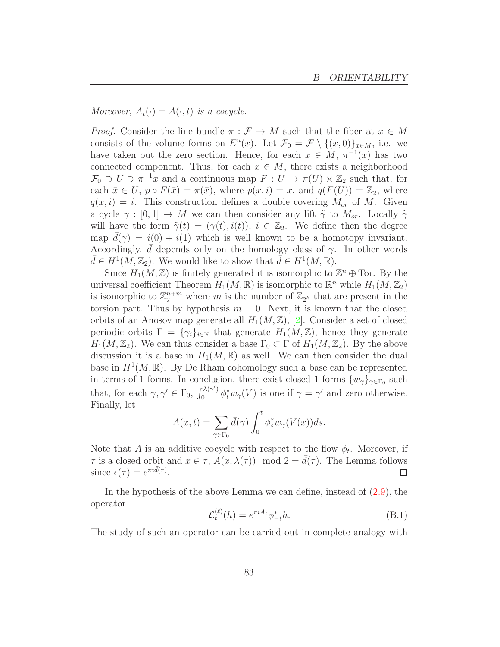Moreover,  $A_t(\cdot) = A(\cdot, t)$  is a cocycle.

*Proof.* Consider the line bundle  $\pi : \mathcal{F} \to M$  such that the fiber at  $x \in M$ consists of the volume forms on  $E^u(x)$ . Let  $\mathcal{F}_0 = \mathcal{F} \setminus \{(x,0)\}_{x \in M}$ , i.e. we have taken out the zero section. Hence, for each  $x \in M$ ,  $\pi^{-1}(x)$  has two connected component. Thus, for each  $x \in M$ , there exists a neighborhood  $\mathcal{F}_0 \supset U \ni \pi^{-1}x$  and a continuous map  $F: U \to \pi(U) \times \mathbb{Z}_2$  such that, for each  $\bar{x} \in U$ ,  $p \circ F(\bar{x}) = \pi(\bar{x})$ , where  $p(x, i) = x$ , and  $q(F(U)) = \mathbb{Z}_2$ , where  $q(x, i) = i$ . This construction defines a double covering  $M_{or}$  of M. Given a cycle  $\gamma : [0,1] \to M$  we can then consider any lift  $\tilde{\gamma}$  to  $M_{or}$ . Locally  $\tilde{\gamma}$ will have the form  $\tilde{\gamma}(t) = (\gamma(t), i(t)), i \in \mathbb{Z}_2$ . We define then the degree map  $d(\gamma) = i(0) + i(1)$  which is well known to be a homotopy invariant. Accordingly, d depends only on the homology class of  $\gamma$ . In other words  $\bar{d} \in H^1(M, \mathbb{Z}_2)$ . We would like to show that  $\bar{d} \in H^1(M, \mathbb{R})$ .

Since  $H_1(M, \mathbb{Z})$  is finitely generated it is isomorphic to  $\mathbb{Z}^n \oplus \text{Tor}$ . By the universal coefficient Theorem  $H_1(M, \mathbb{R})$  is isomorphic to  $\mathbb{R}^n$  while  $H_1(M, \mathbb{Z}_2)$ is isomorphic to  $\mathbb{Z}_2^{n+m}$  where m is the number of  $\mathbb{Z}_{2^k}$  that are present in the torsion part. Thus by hypothesis  $m = 0$ . Next, it is known that the closed orbits of an Anosov map generate all  $H_1(M,\mathbb{Z})$ , [\[2\]](#page-93-1). Consider a set of closed periodic orbits  $\Gamma = {\gamma_i}_{i\in\mathbb{N}}$  that generate  $H_1(M,\mathbb{Z})$ , hence they generate  $H_1(M, \mathbb{Z}_2)$ . We can thus consider a base  $\Gamma_0 \subset \Gamma$  of  $H_1(M, \mathbb{Z}_2)$ . By the above discussion it is a base in  $H_1(M,\mathbb{R})$  as well. We can then consider the dual base in  $H^1(M,\mathbb{R})$ . By De Rham cohomology such a base can be represented in terms of 1-forms. In conclusion, there exist closed 1-forms  $\{w_{\gamma}\}_{\gamma \in \Gamma_0}$  such that, for each  $\gamma, \gamma' \in \Gamma_0$ ,  $\int_0^{\lambda(\gamma')}$  $\int_0^{\lambda(\gamma)} \phi_t^* w_{\gamma}(V)$  is one if  $\gamma = \gamma'$  and zero otherwise. Finally, let

$$
A(x,t) = \sum_{\gamma \in \Gamma_0} d(\gamma) \int_0^t \phi_s^* w_\gamma(V(x)) ds.
$$

Note that A is an additive cocycle with respect to the flow  $\phi_t$ . Moreover, if  $\tau$  is a closed orbit and  $x \in \tau$ ,  $A(x, \lambda(\tau)) \mod 2 = d(\tau)$ . The Lemma follows since  $\epsilon(\tau) = e^{\pi i \bar{d}(\tau)}$ . since  $\epsilon(\tau) = e^{\pi i \bar{d}(\tau)}$ .

In the hypothesis of the above Lemma we can define, instead of [\(2.9\)](#page-12-0), the operator

$$
\mathcal{L}_t^{(\ell)}(h) = e^{\pi i A_t} \phi_{-t}^* h.
$$
\n(B.1)

The study of such an operator can be carried out in complete analogy with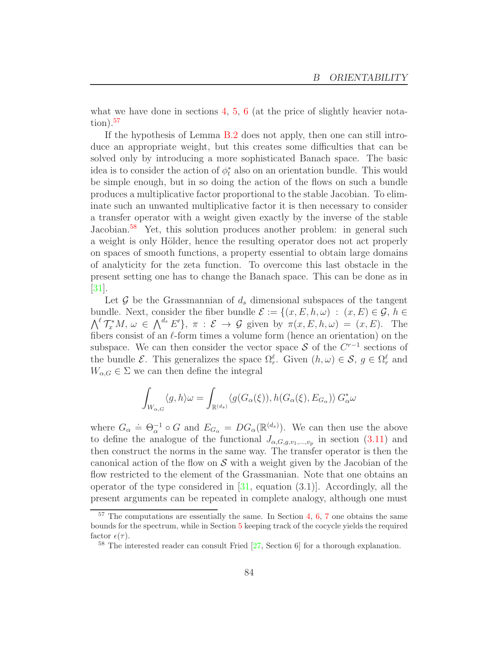what we have done in sections  $4, 5, 6$  $4, 5, 6$  $4, 5, 6$  $4, 5, 6$  $4, 5, 6$  (at the price of slightly heavier nota- $\rm{tion}$ ).<sup>[57](#page-83-0)</sup>

If the hypothesis of Lemma [B.2](#page-81-2) does not apply, then one can still introduce an appropriate weight, but this creates some difficulties that can be solved only by introducing a more sophisticated Banach space. The basic idea is to consider the action of  $\phi_t^*$  also on an orientation bundle. This would be simple enough, but in so doing the action of the flows on such a bundle produces a multiplicative factor proportional to the stable Jacobian. To eliminate such an unwanted multiplicative factor it is then necessary to consider a transfer operator with a weight given exactly by the inverse of the stable Jacobian.<sup>[58](#page-83-1)</sup> Yet, this solution produces another problem: in general such a weight is only Hölder, hence the resulting operator does not act properly on spaces of smooth functions, a property essential to obtain large domains of analyticity for the zeta function. To overcome this last obstacle in the present setting one has to change the Banach space. This can be done as in [\[31\]](#page-95-2).

Let  $\mathcal G$  be the Grassmannian of  $d_s$  dimensional subspaces of the tangent bundle. Next, consider the fiber bundle  $\mathcal{E} := \{(x, E, h, \omega) : (x, E) \in \mathcal{G}, h \in$  $\bigwedge^{\ell} \mathcal{T}_{x}^{*}M, \omega \in \bigwedge^{d_{s}} E'\}, \pi : \mathcal{E} \to \mathcal{G}$  given by  $\pi(x, E, h, \omega) = (x, E)$ . The fibers consist of an  $\ell$ -form times a volume form (hence an orientation) on the subspace. We can then consider the vector space S of the  $C^{r-1}$  sections of the bundle  $\mathcal{E}$ . This generalizes the space  $\Omega_r^{\ell}$ . Given  $(h,\omega) \in \mathcal{S}$ ,  $g \in \Omega_r^{\ell}$  and  $W_{\alpha,G} \in \Sigma$  we can then define the integral

$$
\int_{W_{\alpha,G}} \langle g, h \rangle \omega = \int_{\mathbb{R}^{(d_s)}} \langle g(G_{\alpha}(\xi)), h(G_{\alpha}(\xi), E_{G_{\alpha}}) \rangle G_{\alpha}^* \omega
$$

where  $G_{\alpha} = \Theta_{\alpha}^{-1} \circ G$  and  $E_{G_{\alpha}} = DG_{\alpha}(\mathbb{R}^{(d_s)})$ . We can then use the above to define the analogue of the functional  $J_{\alpha,G,g,v_1,...,v_p}$  in section [\(3.11\)](#page-21-0) and then construct the norms in the same way. The transfer operator is then the canonical action of the flow on  $S$  with a weight given by the Jacobian of the flow restricted to the element of the Grassmanian. Note that one obtains an operator of the type considered in  $[31, \text{ equation } (3.1)]$ . Accordingly, all the present arguments can be repeated in complete analogy, although one must

<span id="page-83-0"></span> $57$  $57$  The computations are essentially the same. In Section [4,](#page-25-0) [6,](#page-47-1) 7 one obtains the same bounds for the spectrum, while in Section [5](#page-39-0) keeping track of the cocycle yields the required factor  $\epsilon(\tau)$ .

<span id="page-83-1"></span><sup>58</sup> The interested reader can consult Fried [\[27,](#page-95-3) Section 6] for a thorough explanation.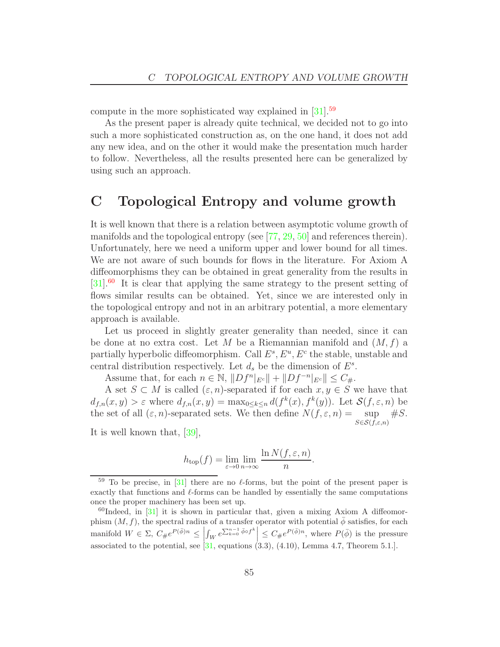compute in the more sophisticated way explained in [\[31\]](#page-95-2).[59](#page-84-0)

As the present paper is already quite technical, we decided not to go into such a more sophisticated construction as, on the one hand, it does not add any new idea, and on the other it would make the presentation much harder to follow. Nevertheless, all the results presented here can be generalized by using such an approach.

### C Topological Entropy and volume growth

It is well known that there is a relation between asymptotic volume growth of manifolds and the topological entropy (see [\[77,](#page-97-1) [29,](#page-95-4) [50\]](#page-96-4) and references therein). Unfortunately, here we need a uniform upper and lower bound for all times. We are not aware of such bounds for flows in the literature. For Axiom A diffeomorphisms they can be obtained in great generality from the results in [\[31\]](#page-95-2).[60](#page-84-1) It is clear that applying the same strategy to the present setting of flows similar results can be obtained. Yet, since we are interested only in the topological entropy and not in an arbitrary potential, a more elementary approach is available.

Let us proceed in slightly greater generality than needed, since it can be done at no extra cost. Let M be a Riemannian manifold and  $(M, f)$  a partially hyperbolic diffeomorphism. Call  $E^s$ ,  $E^u$ ,  $E^c$  the stable, unstable and central distribution respectively. Let  $d_s$  be the dimension of  $E^s$ .

Assume that, for each  $n \in \mathbb{N}$ ,  $||Df^n|_{E^c}|| + ||Df^{-n}|_{E^c}|| \leq C_{\#}$ .

A set  $S \subset M$  is called  $(\varepsilon, n)$ -separated if for each  $x, y \in S$  we have that  $d_{f,n}(x,y) > \varepsilon$  where  $d_{f,n}(x,y) = \max_{0 \le k \le n} d(f^k(x), f^k(y))$ . Let  $\mathcal{S}(f, \varepsilon, n)$  be the set of all  $(\varepsilon, n)$ -separated sets. We then define  $N(f, \varepsilon, n) = \sup \#S$ .  $S \in \mathcal{S}(f,\varepsilon,n)$ 

It is well known that, [\[39\]](#page-95-0),

$$
h_{\text{top}}(f) = \lim_{\varepsilon \to 0} \lim_{n \to \infty} \frac{\ln N(f, \varepsilon, n)}{n}.
$$

<span id="page-84-0"></span><sup>&</sup>lt;sup>59</sup> To be precise, in [\[31\]](#page-95-2) there are no  $\ell$ -forms, but the point of the present paper is exactly that functions and  $\ell$ -forms can be handled by essentially the same computations once the proper machinery has been set up.

<span id="page-84-1"></span> $^{60}$ Indeed, in [\[31\]](#page-95-2) it is shown in particular that, given a mixing Axiom A diffeomorphism  $(M, f)$ , the spectral radius of a transfer operator with potential  $\phi$  satisfies, for each manifold  $W \in \Sigma$ ,  $C_{\#}e^{P(\bar{\phi})n} \leq$  $\int_W e^{\sum_{k=0}^{n-1} \bar{\phi} \circ f^k} \Big| \leq C_{\#} e^{P(\bar{\phi})n}$ , where  $P(\bar{\phi})$  is the pressure associated to the potential, see  $\overline{31}$ , equations  $(3.3)$ ,  $(4.10)$ , Lemma 4.7, Theorem 5.1.].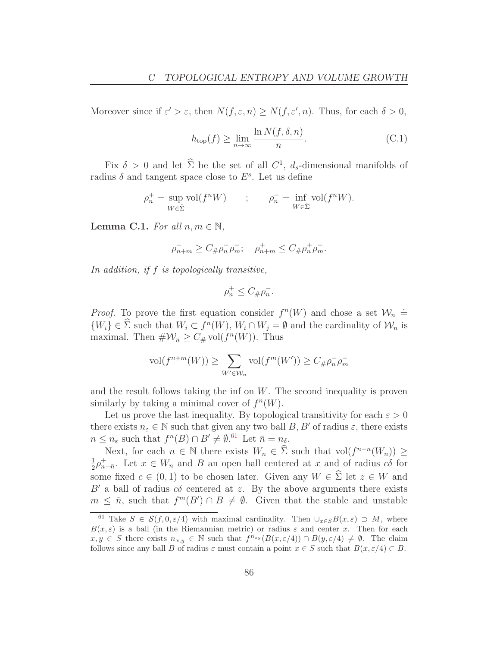Moreover since if  $\varepsilon' > \varepsilon$ , then  $N(f, \varepsilon, n) \ge N(f, \varepsilon', n)$ . Thus, for each  $\delta > 0$ ,

<span id="page-85-2"></span>
$$
h_{\text{top}}(f) \ge \lim_{n \to \infty} \frac{\ln N(f, \delta, n)}{n}.
$$
 (C.1)

Fix  $\delta > 0$  and let  $\hat{\Sigma}$  be the set of all  $C^1$ ,  $d_s$ -dimensional manifolds of radius  $\delta$  and tangent space close to  $E^s$ . Let us define

$$
\rho_n^+ = \sup_{W \in \hat{\Sigma}} \text{vol}(f^n W) \qquad ; \qquad \rho_n^- = \inf_{W \in \hat{\Sigma}} \text{vol}(f^n W).
$$

<span id="page-85-1"></span>**Lemma C.1.** For all  $n, m \in \mathbb{N}$ ,

$$
\bar{\rho_{n+m}} \ge C_{\#}\bar{\rho_n}\bar{\rho_m}; \quad \bar{\rho_{n+m}} \le C_{\#}\bar{\rho_n} + \bar{\rho_m}.
$$

In addition, if f is topologically transitive,

$$
\rho_n^+ \le C_{\#}\rho_n^-.
$$

*Proof.* To prove the first equation consider  $f^{n}(W)$  and chose a set  $\mathcal{W}_{n}$  =  $\{W_i\} \in \Sigma$  such that  $W_i \subset f^n(W)$ ,  $W_i \cap W_j = \emptyset$  and the cardinality of  $\mathcal{W}_n$  is maximal. Then  $\#\mathcal{W}_n \geq C_{\#}$  vol $(f^n(W))$ . Thus

$$
\text{vol}(f^{n+m}(W)) \ge \sum_{W' \in \mathcal{W}_n} \text{vol}(f^m(W')) \ge C_{\#}\rho_n^- \rho_m^-
$$

and the result follows taking the inf on  $W$ . The second inequality is proven similarly by taking a minimal cover of  $f^n(W)$ .

Let us prove the last inequality. By topological transitivity for each  $\varepsilon > 0$ there exists  $n_{\varepsilon} \in \mathbb{N}$  such that given any two ball  $B, B'$  of radius  $\varepsilon$ , there exists  $n \leq n_{\varepsilon}$  such that  $f^{n}(B) \cap B' \neq \emptyset$ . Let  $\bar{n} = n_{\delta}$ .

Next, for each  $n \in \mathbb{N}$  there exists  $W_n \in \widehat{\Sigma}$  such that  $vol(f^{n-\overline{n}}(W_n)) \ge$ 1  $\frac{1}{2}\rho_{n-\bar{n}}^+$ . Let  $x \in W_n$  and B an open ball centered at x and of radius  $c\delta$  for some fixed  $c \in (0,1)$  to be chosen later. Given any  $W \in \hat{\Sigma}$  let  $z \in W$  and  $B'$  a ball of radius  $c\delta$  centered at z. By the above arguments there exists  $m \leq \bar{n}$ , such that  $f^m(B') \cap B \neq \emptyset$ . Given that the stable and unstable

<span id="page-85-0"></span><sup>&</sup>lt;sup>61</sup> Take  $S \in \mathcal{S}(f, 0, \varepsilon/4)$  with maximal cardinality. Then  $\cup_{x \in S} B(x, \varepsilon) \supset M$ , where  $B(x, \varepsilon)$  is a ball (in the Riemannian metric) or radius  $\varepsilon$  and center x. Then for each  $x, y \in S$  there exists  $n_{x,y} \in \mathbb{N}$  such that  $f^{n_{xy}}(B(x, \varepsilon/4)) \cap B(y, \varepsilon/4) \neq \emptyset$ . The claim follows since any ball B of radius  $\varepsilon$  must contain a point  $x \in S$  such that  $B(x, \varepsilon/4) \subset B$ .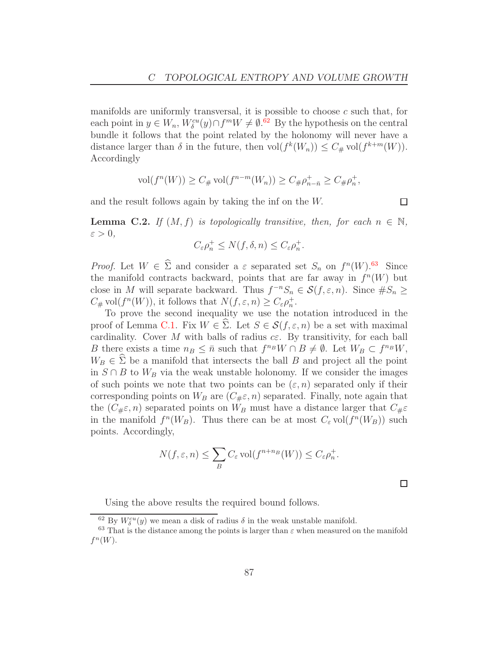manifolds are uniformly transversal, it is possible to choose  $c$  such that, for each point in  $y \in W_n$ ,  $W_\delta^{cu}(y) \cap f^m W \neq \emptyset$ .<sup>[62](#page-86-0)</sup> By the hypothesis on the central bundle it follows that the point related by the holonomy will never have a distance larger than  $\delta$  in the future, then  $\text{vol}(f^k(W_n)) \leq C_{\#} \text{vol}(f^{k+m}(W)).$ Accordingly

$$
\text{vol}(f^n(W)) \ge C_{\#} \text{vol}(f^{n-m}(W_n)) \ge C_{\#}\rho_{n-\bar{n}}^+ \ge C_{\#}\rho_n^+,
$$

and the result follows again by taking the inf on the W.

 $\Box$ 

<span id="page-86-2"></span>**Lemma C.2.** If  $(M, f)$  is topologically transitive, then, for each  $n \in \mathbb{N}$ ,  $\varepsilon > 0$ ,

$$
C_{\varepsilon}\rho_n^+ \le N(f,\delta,n) \le C_{\varepsilon}\rho_n^+.
$$

*Proof.* Let  $W \in \Sigma$  and consider a  $\varepsilon$  separated set  $S_n$  on  $f^n(W)$ .<sup>[63](#page-86-1)</sup> Since the manifold contracts backward, points that are far away in  $f^{n}(W)$  but close in M will separate backward. Thus  $f^{-n}S_n \in \mathcal{S}(f, \varepsilon, n)$ . Since  $\#S_n \geq$  $C_{\#}$  vol $(f^{n}(W))$ , it follows that  $N(f, \varepsilon, n) \geq C_{\varepsilon} \rho_n^+$ .

To prove the second inequality we use the notation introduced in the proof of Lemma [C.1.](#page-85-1) Fix  $W \in \Sigma$ . Let  $S \in \mathcal{S}(f, \varepsilon, n)$  be a set with maximal cardinality. Cover M with balls of radius  $c\epsilon$ . By transitivity, for each ball B there exists a time  $n_B \leq \bar{n}$  such that  $f^{n_B}W \cap B \neq \emptyset$ . Let  $W_B \subset f^{n_B}W$ ,  $W_B \in \hat{\Sigma}$  be a manifold that intersects the ball B and project all the point in  $S \cap B$  to  $W_B$  via the weak unstable holonomy. If we consider the images of such points we note that two points can be  $(\varepsilon, n)$  separated only if their corresponding points on  $W_B$  are  $(C_{\#}\varepsilon, n)$  separated. Finally, note again that the  $(C_{\#}\varepsilon, n)$  separated points on  $W_B$  must have a distance larger that  $C_{\#}\varepsilon$ in the manifold  $f^n(W_B)$ . Thus there can be at most  $C_\varepsilon \text{vol}(f^n(W_B))$  such points. Accordingly,

$$
N(f, \varepsilon, n) \le \sum_{B} C_{\varepsilon} \operatorname{vol}(f^{n+n_B}(W)) \le C_{\varepsilon} \rho_n^+.
$$

 $\Box$ 

Using the above results the required bound follows.

<span id="page-86-0"></span> $^{62}$  By  $W_\delta^{cu}(y)$  we mean a disk of radius  $\delta$  in the weak unstable manifold.

<span id="page-86-1"></span> $63$  That is the distance among the points is larger than  $\varepsilon$  when measured on the manifold  $f^n(W)$ .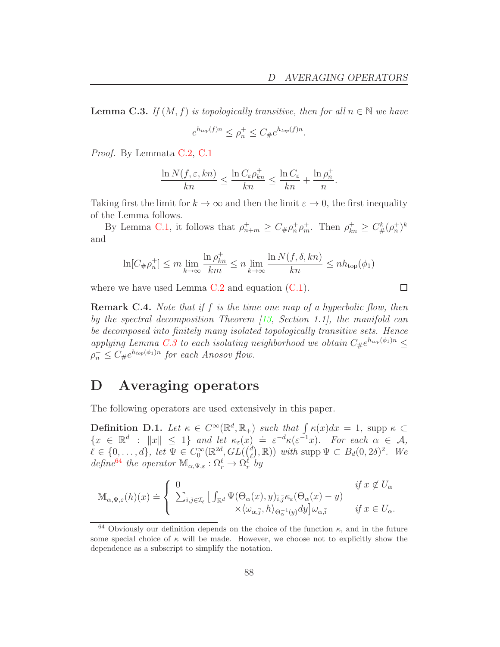$\Box$ 

.

<span id="page-87-0"></span>**Lemma C.3.** If  $(M, f)$  is topologically transitive, then for all  $n \in \mathbb{N}$  we have

$$
e^{h_{top}(f)n} \le \rho_n^+ \le C_{\#}e^{h_{top}(f)n}
$$

Proof. By Lemmata [C.2,](#page-86-2) [C.1](#page-85-1)

$$
\frac{\ln N(f, \varepsilon, kn)}{kn} \le \frac{\ln C_{\varepsilon} \rho_{kn}^+}{kn} \le \frac{\ln C_{\varepsilon}}{kn} + \frac{\ln \rho_n^+}{n}.
$$

Taking first the limit for  $k \to \infty$  and then the limit  $\varepsilon \to 0$ , the first inequality of the Lemma follows.

By Lemma [C.1,](#page-85-1) it follows that  $\rho_{n+m}^+ \geq C_{\#} \rho_n^+ \rho_m^+$ . Then  $\rho_{kn}^+ \geq C_{\#}^k (\rho_n^+)^k$ and

$$
\ln[C_{\#}\rho_n^+] \le m \lim_{k \to \infty} \frac{\ln \rho_{kn}^+}{km} \le n \lim_{k \to \infty} \frac{\ln N(f, \delta, kn)}{kn} \le nh_{\text{top}}(\phi_1)
$$

where we have used Lemma  $C.2$  and equation  $(C.1)$ .

**Remark C.4.** Note that if f is the time one map of a hyperbolic flow, then by the spectral decomposition Theorem [\[13,](#page-94-2) Section 1.1], the manifold can be decomposed into finitely many isolated topologically transitive sets. Hence

applying Lemma [C.3](#page-87-0) to each isolating neighborhood we obtain  $C_{\#}e^{h_{top}(\phi_1)n} \leq$  $\rho_n^+ \leq C_{\#}e^{h_{top}(\phi_1)n}$  for each Anosov flow.

#### D Averaging operators

The following operators are used extensively in this paper.

<span id="page-87-2"></span>**Definition D.1.** Let  $\kappa \in C^{\infty}(\mathbb{R}^d, \mathbb{R}_+)$  such that  $\int \kappa(x)dx = 1$ , supp  $\kappa \subset$ **EXECUTE:**  $\exists x \in \mathbb{R}^d : ||x|| \leq 1$  and let  $\kappa_{\varepsilon}(x) = \varepsilon^{-d} \kappa(\varepsilon^{-1}x)$ . For each  $\alpha \in \mathcal{A}$ ,  $\ell \in \{0,\ldots,d\}, \text{ let } \Psi \in C_0^{\infty}(\mathbb{R}^{2d}, GL(\ell^d))$  $(\ell^d), \mathbb{R})$  with supp  $\Psi \subset B_d(0, 2\delta)^2$ . We define<sup>[64](#page-87-1)</sup> the operator  $\mathbb{M}_{\alpha,\Psi,\varepsilon}: \Omega_r^{\ell} \to \Omega_r^{\ell^{\sim}}$ by

$$
\mathbb{M}_{\alpha,\Psi,\varepsilon}(h)(x) \doteq \left\{ \begin{array}{ll} 0 & \text{if } x \notin U_{\alpha} \\ \sum_{\bar{i},\bar{j} \in \mathcal{I}_{\ell}} \left[ \int_{\mathbb{R}^d} \Psi(\Theta_{\alpha}(x), y)_{\bar{i},\bar{j}} \kappa_{\varepsilon}(\Theta_{\alpha}(x) - y) & \right. \\ \times \langle \omega_{\alpha,\bar{j}}, h \rangle_{\Theta_{\alpha}^{-1}(y)} dy \right] \omega_{\alpha,\bar{i}} & \text{if } x \in U_{\alpha}. \end{array} \right.
$$

<span id="page-87-1"></span><sup>&</sup>lt;sup>64</sup> Obviously our definition depends on the choice of the function  $\kappa$ , and in the future some special choice of  $\kappa$  will be made. However, we choose not to explicitly show the dependence as a subscript to simplify the notation.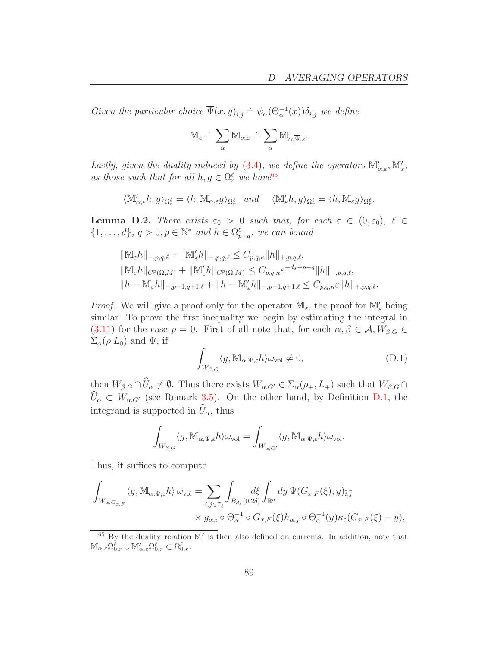Given the particular choice  $\overline{\Psi}(x, y)_{\overline{i}, \overline{j}} \doteq \psi_\alpha(\Theta_\alpha^{-1}(x)) \delta_{\overline{i}, \overline{j}}$  we define

$$
\mathbb{M}_{\varepsilon}\doteq\sum_{\alpha}\mathbb{M}_{\alpha,\varepsilon}\doteq\sum_{\alpha}\mathbb{M}_{\alpha,\overline{\Psi},\varepsilon}.
$$

Lastly, given the duality induced by [\(3.4\)](#page-19-0), we define the operators  $\mathbb{M}'_{\alpha,\varepsilon},\mathbb{M}'_{\varepsilon}$ , as those such that for all  $h, g \in \Omega_r^{\ell}$  we have  $65$ 

$$
\langle \mathbb{M}'_{\alpha,\varepsilon}h,g\rangle_{\Omega_r^{\ell}}=\langle h,\mathbb{M}_{\alpha,\varepsilon}g\rangle_{\Omega_r^{\ell}}\quad and \quad \langle \mathbb{M}'_{\varepsilon}h,g\rangle_{\Omega_r^{\ell}}=\langle h,\mathbb{M}_{\varepsilon}g\rangle_{\Omega_r^{\ell}}.
$$

**Lemma D.2.** There exists  $\varepsilon_0 > 0$  such that, for each  $\varepsilon \in (0, \varepsilon_0)$ ,  $\ell \in$  $\{1,\ldots,d\}, q>0, p \in \mathbb{N}^*$  and  $h \in \Omega_{p+q}^{\ell}$ , we can bound

$$
\begin{aligned} &\|\mathbb{M}_{\varepsilon}h\|_{-,p,q,\ell}+\|\mathbb{M}_{\varepsilon}'h\|_{-,p,q,\ell}\leq C_{p,q,\kappa}\|h\|_{+,p,q,\ell},\\ &\|\mathbb{M}_{\varepsilon}h\|_{C^{p}(\Omega,M)}+\|\mathbb{M}_{\varepsilon}'h\|_{C^{p}(\Omega,M)}\leq C_{p,q,\kappa}\varepsilon^{-d_{s}-p-q}\|h\|_{-,p,q,\ell},\\ &\|h-\mathbb{M}_{\varepsilon}h\|_{-,p-1,q+1,\ell}+\|h-\mathbb{M}_{\varepsilon}'h\|_{-,p-1,q+1,\ell}\leq C_{p,q,\kappa}\varepsilon\|h\|_{+,p,q,\ell}. \end{aligned}
$$

*Proof.* We will give a proof only for the operator  $\mathbb{M}_{\varepsilon}$ , the proof for  $\mathbb{M}'_{\varepsilon}$  being similar. To prove the first inequality we begin by estimating the integral in [\(3.11\)](#page-21-0) for the case  $p = 0$ . First of all note that, for each  $\alpha, \beta \in \mathcal{A}, W_{\beta, G} \in$  $\Sigma_{\alpha}(\rho, L_0)$  and  $\Psi$ , if

$$
\int_{W_{\beta,G}} \langle g, \mathbb{M}_{\alpha,\Psi,\varepsilon} h \rangle \omega_{\text{vol}} \neq 0, \tag{D.1}
$$

then  $W_{\beta,G} \cap \widehat{U}_\alpha \neq \emptyset$ . Thus there exists  $W_{\alpha,G'} \in \Sigma_\alpha(\rho_+, L_+)$  such that  $W_{\beta,G} \cap \widehat{U}_\alpha$  $\widehat{U}_{\alpha} \subset W_{\alpha,G'}$  (see Remark [3.5\)](#page-22-1). On the other hand, by Definition [D.1,](#page-87-2) the integrand is supported in  $\widehat{U}_{\alpha}$ , thus

$$
\int_{W_{\beta,G}}\langle g,\mathbb{M}_{\alpha,\Psi,\varepsilon}h\rangle\omega_{\mathrm{vol}}=\int_{W_{\alpha,G'}}\langle g,\mathbb{M}_{\alpha,\Psi,\varepsilon}h\rangle\omega_{\mathrm{vol}}.
$$

Thus, it suffices to compute

$$
\int_{W_{\alpha,G_{x,F}}} \langle g, \mathbb{M}_{\alpha,\Psi,\varepsilon} h \rangle \, \omega_{\text{vol}} = \sum_{\overline{i},\overline{j} \in \mathcal{I}_{\ell}} \int_{B_{d_s}(0,2\delta)} d\xi \int_{\mathbb{R}^d} dy \, \Psi(G_{x,F}(\xi),y)_{\overline{i},\overline{j}} \times g_{\alpha,\overline{i}} \circ \Theta_{\alpha}^{-1} \circ G_{x,F}(\xi) h_{\alpha,\overline{j}} \circ \Theta_{\alpha}^{-1}(y) \kappa_{\varepsilon}(G_{x,F}(\xi) - y),
$$

<span id="page-88-0"></span><sup>65</sup> By the duality relation M′ is then also defined on currents. In addition, note that  $\mathbb{M}_{\alpha,\varepsilon}\Omega_{0,r}^{\ell}\cup \mathbb{M}_{\alpha,\varepsilon}'\Omega_{0,r}^{\ell}\subset \Omega_{0,r}^{\ell}.$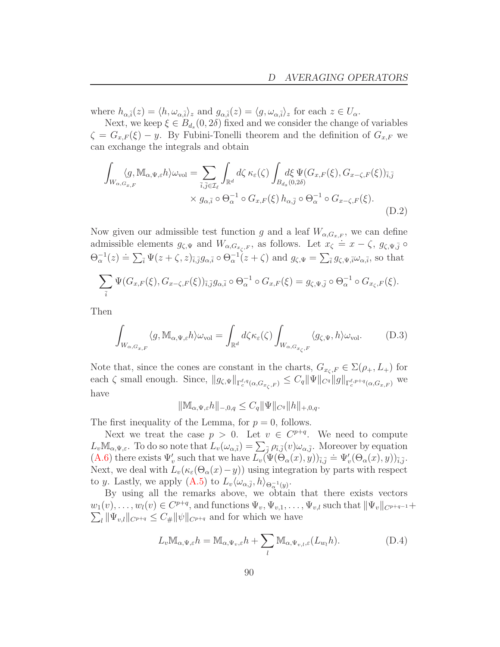where  $h_{\alpha,\bar{i}}(z) = \langle h, \omega_{\alpha,\bar{i}} \rangle_z$  and  $g_{\alpha,\bar{i}}(z) = \langle g, \omega_{\alpha,\bar{i}} \rangle_z$  for each  $z \in U_{\alpha}$ .

Next, we keep  $\xi \in B_{d_s}(0, 2\delta)$  fixed and we consider the change of variables  $\zeta = G_{x,F}(\xi) - y$ . By Fubini-Tonelli theorem and the definition of  $G_{x,F}$  we can exchange the integrals and obtain

<span id="page-89-2"></span>
$$
\int_{W_{\alpha,G_{x,F}}} \langle g, \mathbb{M}_{\alpha,\Psi,\varepsilon} h \rangle \omega_{\text{vol}} = \sum_{\overline{i},\overline{j} \in \mathcal{I}_{\ell}} \int_{\mathbb{R}^d} d\zeta \,\kappa_{\varepsilon}(\zeta) \int_{B_{d_s}(0,2\delta)} d\xi \,\Psi(G_{x,F}(\xi), G_{x-\zeta,F}(\xi))_{\overline{i},\overline{j}} \times g_{\alpha,\overline{i}} \circ \Theta_{\alpha}^{-1} \circ G_{x,F}(\xi) \, h_{\alpha,\overline{j}} \circ \Theta_{\alpha}^{-1} \circ G_{x-\zeta,F}(\xi).
$$
\n(D.2)

Now given our admissible test function g and a leaf  $W_{\alpha,G_{x,F}}$ , we can define admissible elements  $g_{\zeta,\Psi}$  and  $W_{\alpha,G_{x_{\zeta},F}}$ , as follows. Let  $x_{\zeta} \doteq x - \zeta$ ,  $g_{\zeta,\Psi,\bar{j}} \circ$  $\Theta_{\alpha}^{-1}(z) \doteq \sum_{\bar{i}} \Psi(z + \zeta, z)_{\bar{i},\bar{j}} g_{\alpha,\bar{i}} \circ \Theta_{\alpha}^{-1}(z + \zeta)$  and  $g_{\zeta,\Psi} = \sum_{\bar{i}} g_{\zeta,\Psi,\bar{i}} \omega_{\alpha,\bar{i}},$  so that

$$
\sum_{\overline{i}} \Psi(G_{x,F}(\xi), G_{x-\zeta,F}(\xi))_{\overline{i},\overline{j}} g_{\alpha,\overline{i}} \circ \Theta_{\alpha}^{-1} \circ G_{x,F}(\xi) = g_{\zeta,\Psi,\overline{j}} \circ \Theta_{\alpha}^{-1} \circ G_{x_{\zeta},F}(\xi).
$$

Then

<span id="page-89-1"></span>
$$
\int_{W_{\alpha,G_{x,F}}} \langle g, \mathbb{M}_{\alpha,\Psi,\varepsilon} h \rangle \omega_{\text{vol}} = \int_{\mathbb{R}^d} d\zeta \kappa_{\varepsilon}(\zeta) \int_{W_{\alpha,G_{x_\zeta,F}}} \langle g_{\zeta,\Psi}, h \rangle \omega_{\text{vol}}.
$$
 (D.3)

Note that, since the cones are constant in the charts,  $G_{x_c,F} \in \Sigma(\rho_+, L_+)$  for each  $\zeta$  small enough. Since,  $||g_{\zeta,\Psi}||_{\Gamma_c^{\ell,q}(\alpha,G_{x_{\zeta},F})} \leq C_q ||\Psi||_{C^q} ||g||_{\Gamma_c^{\ell,p+q}(\alpha,G_{x,F})}$  we have

$$
\|\mathbb{M}_{\alpha,\Psi,\varepsilon}h\|_{-,0,q}\leq C_q \|\Psi\|_{C^q}\|h\|_{+,0,q}.
$$

The first inequality of the Lemma, for  $p = 0$ , follows.

Next we treat the case  $p > 0$ . Let  $v \in C^{p+q}$ . We need to compute  $L_v \mathbb{M}_{\alpha,\Psi,\varepsilon}$ . To do so note that  $L_v(\omega_{\alpha,\overline{i}}) = \sum_{\overline{j}} \rho_{\overline{i},\overline{j}}(v) \omega_{\alpha,\overline{j}}$ . Moreover by equation  $(\mathbf{A}.\mathbf{6})$  there exists  $\Psi'_{v}$  such that we have  $L_{v}(\Psi(\Theta_{\alpha}(x), y))_{\bar{i}, \bar{j}} \doteq \Psi'_{v}(\Theta_{\alpha}(x), y)_{\bar{i}, \bar{j}}$ . Next, we deal with  $L_v(\kappa_\varepsilon(\Theta_\alpha(x)-y))$  using integration by parts with respect to y. Lastly, we apply  $(A.5)$  to  $L_v \langle \omega_{\alpha, \overline{j}}, h \rangle_{\Theta_{\alpha}^{-1}(y)}$ .

By using all the remarks above, we obtain that there exists vectors  $w_1(v), \ldots, w_l(v) \in C^{p+q}$ , and functions  $\Psi_v, \Psi_{v,1}, \ldots, \Psi_{v,l}$  such that  $\|\Psi_v\|_{C^{p+q-1}} +$  $\sum_{l} \|\Psi_{v,l}\|_{C^{p+q}} \leq C_{\#} \|\psi\|_{C^{p+q}}$  and for which we have

<span id="page-89-0"></span>
$$
L_v \mathbb{M}_{\alpha, \Psi, \varepsilon} h = \mathbb{M}_{\alpha, \Psi_v, \varepsilon} h + \sum_l \mathbb{M}_{\alpha, \Psi_v, l, \varepsilon} (L_{w_l} h).
$$
 (D.4)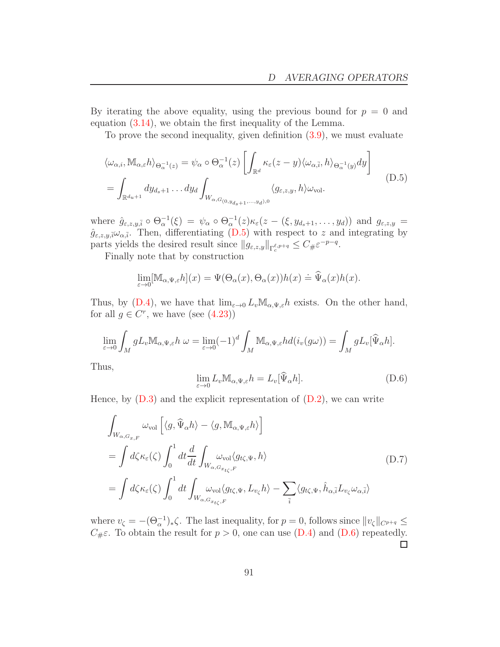By iterating the above equality, using the previous bound for  $p = 0$  and equation [\(3.14\)](#page-22-2), we obtain the first inequality of the Lemma.

To prove the second inequality, given definition [\(3.9\)](#page-20-0), we must evaluate

<span id="page-90-0"></span>
$$
\langle \omega_{\alpha,i}, \mathbb{M}_{\alpha,\varepsilon} h \rangle_{\Theta_{\alpha}^{-1}(z)} = \psi_{\alpha} \circ \Theta_{\alpha}^{-1}(z) \left[ \int_{\mathbb{R}^d} \kappa_{\varepsilon}(z-y) \langle \omega_{\alpha,\overline{i}}, h \rangle_{\Theta_{\alpha}^{-1}(y)} dy \right]
$$
  
= 
$$
\int_{\mathbb{R}^{d_u+1}} dy_{d_s+1} \dots dy_d \int_{W_{\alpha,G_{(0,y_{d_s+1},...,y_d),0}}} \langle g_{\varepsilon,z,y}, h \rangle \omega_{\text{vol}}.
$$
 (D.5)

where  $\hat{g}_{\varepsilon,z,y,\bar{i}} \circ \Theta_{\alpha}^{-1}(\xi) = \psi_{\alpha} \circ \Theta_{\alpha}^{-1}(z) \kappa_{\varepsilon}(z - (\xi, y_{d_s+1}, \dots, y_d))$  and  $g_{\varepsilon,z,y} =$  $\hat{g}_{\varepsilon,z,y,\bar{i}}\omega_{\alpha,\bar{i}}$ . Then, differentiating [\(D.5\)](#page-90-0) with respect to z and integrating by parts yields the desired result since  $||g_{\varepsilon,z,y}||_{\Gamma_c^{\ell,p+q}} \leq C_{\#} \varepsilon^{-p-q}$ .

Finally note that by construction

$$
\lim_{\varepsilon \to 0} [\mathbb{M}_{\alpha, \Psi, \varepsilon} h](x) = \Psi(\Theta_{\alpha}(x), \Theta_{\alpha}(x)) h(x) \doteq \widehat{\Psi}_{\alpha}(x) h(x).
$$

Thus, by  $(D.4)$ , we have that  $\lim_{\varepsilon\to 0} L_v \mathbb{M}_{\alpha,\Psi,\varepsilon} h$  exists. On the other hand, for all  $g \in C^r$ , we have (see  $(4.23)$ )

$$
\lim_{\varepsilon \to 0} \int_M g L_v \mathbb{M}_{\alpha, \Psi, \varepsilon} h \ \omega = \lim_{\varepsilon \to 0} (-1)^d \int_M \mathbb{M}_{\alpha, \Psi, \varepsilon} h d(i_v(g\omega)) = \int_M g L_v[\widehat{\Psi}_{\alpha} h].
$$

Thus,

<span id="page-90-1"></span>
$$
\lim_{\varepsilon \to 0} L_v \mathbb{M}_{\alpha, \Psi, \varepsilon} h = L_v[\widehat{\Psi}_{\alpha} h].
$$
\n(D.6)

Hence, by  $(D.3)$  and the explicit representation of  $(D.2)$ , we can write

$$
\int_{W_{\alpha,G_{x,F}}} \omega_{\text{vol}} \left[ \langle g, \widehat{\Psi}_{\alpha} h \rangle - \langle g, \mathbb{M}_{\alpha,\Psi,\varepsilon} h \rangle \right]
$$
\n
$$
= \int d\zeta \kappa_{\varepsilon}(\zeta) \int_{0}^{1} dt \frac{d}{dt} \int_{W_{\alpha,G_{x_{t\zeta},F}}} \omega_{\text{vol}} \langle g_{t\zeta,\Psi}, h \rangle
$$
\n
$$
= \int d\zeta \kappa_{\varepsilon}(\zeta) \int_{0}^{1} dt \int_{W_{\alpha,G_{x_{t\zeta},F}}} \omega_{\text{vol}} \langle g_{t\zeta,\Psi}, L_{v_{\zeta}} h \rangle - \sum_{\overline{i}} \langle g_{t\zeta,\Psi}, \widehat{h}_{\alpha,\overline{i}} L_{v_{\zeta}} \omega_{\alpha,\overline{i}} \rangle
$$
\n(D.7)

where  $v_{\zeta} = -(\Theta_{\alpha}^{-1})_{*}\zeta$ . The last inequality, for  $p = 0$ , follows since  $||v_{\zeta}||_{C^{p+q}} \le$  $C_{\#} \varepsilon$ . To obtain the result for  $p > 0$ , one can use [\(D.4\)](#page-89-0) and [\(D.6\)](#page-90-1) repeatedly.  $\Box$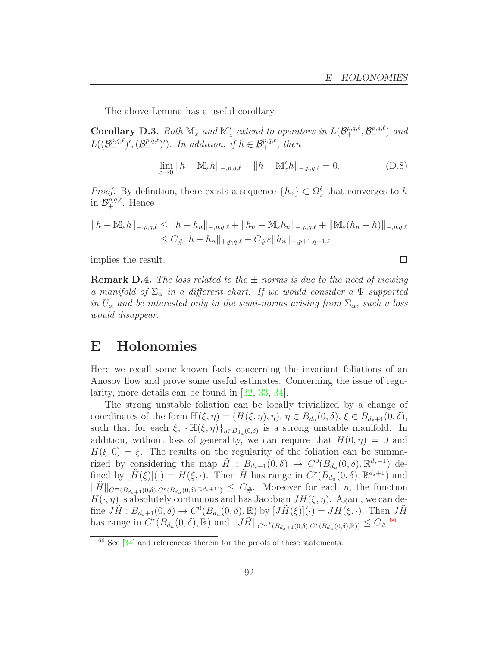$\Box$ 

The above Lemma has a useful corollary.

Corollary D.3. Both  $\mathbb{M}_{\varepsilon}$  and  $\mathbb{M}'_{\varepsilon}$  extend to operators in  $L(\mathcal{B}^{p,q,\ell}_+, \mathcal{B}^{p,q,\ell}_-)$  and  $L((\mathcal{B}^{p,q,\ell}_{-})',(\mathcal{B}^{p,q,\ell}_{+})')$ . In addition, if  $h \in \mathcal{B}^{p,q,\ell}_{+}$ , then

$$
\lim_{\varepsilon \to 0} \|h - \mathbb{M}_{\varepsilon}h\|_{-,p,q,\ell} + \|h - \mathbb{M}'_{\varepsilon}h\|_{-,p,q,\ell} = 0.
$$
 (D.8)

*Proof.* By definition, there exists a sequence  $\{h_n\} \subset \Omega_s^{\ell}$  that converges to h in  $\mathcal{B}^{p,q,\ell}_+$ . Hence

$$
||h - M_{\varepsilon}h||_{-,p,q,\ell} \le ||h - h_n||_{-,p,q,\ell} + ||h_n - M_{\varepsilon}h_n||_{-,p,q,\ell} + ||M_{\varepsilon}(h_n - h)||_{-,p,q,\ell}
$$
  

$$
\le C_{\#}||h - h_n||_{+,p,q,\ell} + C_{\#}\varepsilon||h_n||_{+,p+1,q-1,\ell}
$$

implies the result.

**Remark D.4.** The loss related to the  $\pm$  norms is due to the need of viewing a manifold of  $\Sigma_{\alpha}$  in a different chart. If we would consider a  $\Psi$  supported in  $U_{\alpha}$  and be interested only in the semi-norms arising from  $\Sigma_{\alpha}$ , such a loss would disappear.

#### <span id="page-91-0"></span>E Holonomies

Here we recall some known facts concerning the invariant foliations of an Anosov flow and prove some useful estimates. Concerning the issue of regularity, more details can be found in [\[32,](#page-95-5) [33,](#page-95-6) [34\]](#page-95-7).

The strong unstable foliation can be locally trivialized by a change of coordinates of the form  $\mathbb{H}(\xi, \eta) = (H(\xi, \eta), \eta), \eta \in B_{d_u}(0, \delta), \xi \in B_{d_s+1}(0, \delta),$ such that for each  $\xi$ ,  $\{\mathbb{H}(\xi,\eta)\}_{\eta \in B_{d_u}(0,\delta)}$  is a strong unstable manifold. In addition, without loss of generality, we can require that  $H(0, \eta) = 0$  and  $H(\xi, 0) = \xi$ . The results on the regularity of the foliation can be summarized by considering the map  $\tilde{H}$ :  $B_{d_s+1}(0,\delta) \rightarrow C^0(B_{d_u}(0,\delta), \mathbb{R}^{d_s+1})$  defined by  $[\tilde{H}(\xi)](\cdot) = H(\xi, \cdot)$ . Then  $\tilde{H}$  has range in  $C^r(B_{d_u}(0, \delta), \mathbb{R}^{d_s+1})$  and  $\|\tilde{H}\|_{C^{\infty}(B_{ds+1}(0,\delta),C^{r}(B_{d_u}(0,\delta),\mathbb{R}^{d_s+1}))} \leq C_{\#}$ . Moreover for each  $\eta$ , the function  $H(\cdot, \eta)$  is absolutely continuous and has Jacobian  $JH(\xi, \eta)$ . Again, we can define  $J\tilde{H}: B_{d_s+1}(0,\delta) \to C^0(B_{d_u}(0,\delta),\mathbb{R})$  by  $[J\tilde{H}(\xi)](\cdot) = JH(\xi,\cdot)$ . Then  $J\tilde{H}$ has range in  $C^{r}(B_{d_u}(0,\delta),\mathbb{R})$  and  $||J\tilde{H}||_{C^{\varpi^{*}}(B_{d_s+1}(0,\delta),C^{r}(B_{d_u}(0,\delta),\mathbb{R}))} \leq C_{\#}$ .<sup>[66](#page-91-1)</sup>

<span id="page-91-1"></span> $66$  See [\[34\]](#page-95-7) and referencess therein for the proofs of these statements.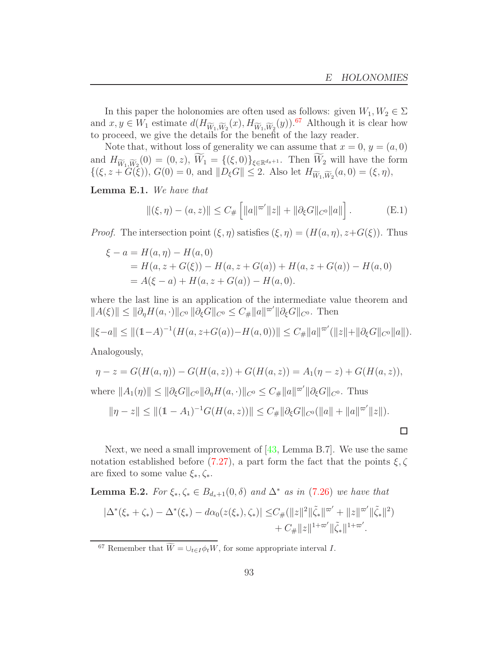In this paper the holonomies are often used as follows: given  $W_1, W_2 \in \Sigma$ and  $x, y \in W_1$  estimate  $d(H_{\widetilde{W}_1, \widetilde{W}_2}(x), H_{\widetilde{W}_1, \widetilde{W}_2}(y))$ .<sup>[67](#page-92-2)</sup> Although it is clear how to proceed, we give the details for the benefit of the lazy reader.

Note that, without loss of generality we can assume that  $x = 0, y = (a, 0)$ and  $H_{\widetilde{W}_1,\widetilde{W}_2}(0) = (0, z)$ ,  $W_1 = \{(\xi, 0)\}_{\xi \in \mathbb{R}^{d_s+1}}$ . Then  $W_2$  will have the form  $\{(\xi, z + G(\xi)), G(0) = 0, \text{ and } ||D_{\xi}G|| \leq 2. \text{ Also let } H_{\widetilde{W}_{1},\widetilde{W}_{2}}(a,0) = (\xi, \eta),$ 

<span id="page-92-1"></span>Lemma E.1. We have that

$$
\|(\xi,\eta) - (a,z)\| \le C_{\#}\left[ \|a\|^{\varpi'}\|z\| + \|\partial_{\xi}G\|_{C^{0}}\|a\|\right].
$$
 (E.1)

*Proof.* The intersection point  $(\xi, \eta)$  satisfies  $(\xi, \eta) = (H(a, \eta), z + G(\xi))$ . Thus

$$
\xi - a = H(a, \eta) - H(a, 0)
$$
  
=  $H(a, z + G(\xi)) - H(a, z + G(a)) + H(a, z + G(a)) - H(a, 0)$   
=  $A(\xi - a) + H(a, z + G(a)) - H(a, 0)$ .

where the last line is an application of the intermediate value theorem and  $||A(\xi)|| \le ||\partial_{\eta}H(a, \cdot)||_{C^0} ||\partial_{\xi}G||_{C^0} \le C_{\#} ||a||^{\varpi'} ||\partial_{\xi}G||_{C^0}$ . Then

$$
\|\xi-a\| \le \|(1-A)^{-1}(H(a,z+G(a))-H(a,0))\| \le C_{\#}\|a\|^{\varpi'}(\|z\|+\|\partial_{\xi}G\|_{C^{0}}\|a\|).
$$

Analogously,

$$
\eta - z = G(H(a, \eta)) - G(H(a, z)) + G(H(a, z)) = A_1(\eta - z) + G(H(a, z)),
$$
  
where  $||A_1(\eta)|| \le ||\partial_{\xi}G||_{C^0} ||\partial_{\eta}H(a, \cdot)||_{C^0} \le C_{\#} ||a||^{\pi'} ||\partial_{\xi}G||_{C^0}.$  Thus  

$$
||\eta - z|| \le ||(1 - A_1)^{-1}G(H(a, z))|| \le C_{\#} ||\partial_{\xi}G||_{C^0} (||a|| + ||a||^{\pi'} ||z||).
$$

Next, we need a small improvement of  $[43, \text{Lemma B.7}]$ . We use the same notation established before [\(7.27\)](#page-73-3), a part form the fact that the points  $\xi, \zeta$ are fixed to some value  $\xi_*, \zeta_*$ .

<span id="page-92-0"></span>**Lemma E.2.** For  $\xi_*, \zeta_* \in B_{d_s+1}(0, \delta)$  and  $\Delta^*$  as in [\(7.26\)](#page-72-5) we have that  $|\Delta^*(\xi_* + \zeta_*) - \Delta^*(\xi_*) - d\alpha_0(z(\xi_*), \zeta_*)| \leq C_{\#}(\|z\|^2 \|\tilde{\zeta}_*\|^{\varpi'} + \|z\|^{\varpi'} \|\tilde{\zeta}_*\|^2)$  $+ C_{\#} ||z||^{1+\varpi'} ||\tilde{\zeta}_{*}||^{1+\varpi'}.$ 

<span id="page-92-2"></span><sup>&</sup>lt;sup>67</sup> Remember that  $\widetilde{W} = \bigcup_{t \in I} \phi_t W$ , for some appropriate interval *I*.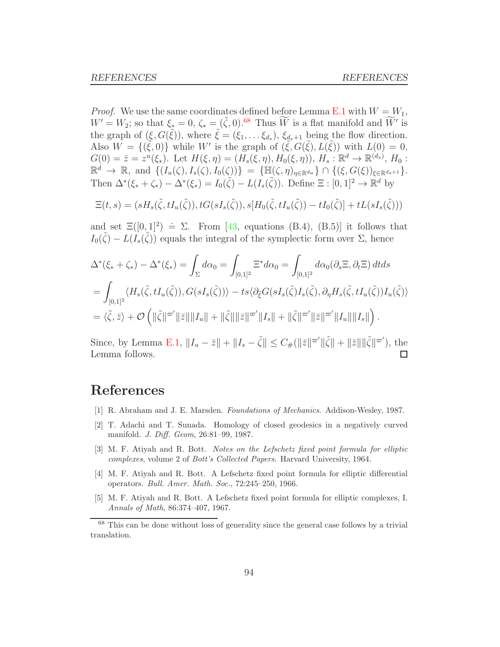*Proof.* We use the same coordinates defined before Lemma [E.1](#page-92-1) with  $W = W_1$ ,  $W' = W_2$ ; so that  $\xi_* = 0$ ,  $\zeta_* = (\tilde{\zeta}, 0)$ .<sup>[68](#page-93-2)</sup> Thus  $\widetilde{W}$  is a flat manifold and  $\widetilde{W}'$  is the graph of  $(\xi, G(\tilde{\xi}))$ , where  $\tilde{\xi} = (\xi_1, \dots, \xi_{d_s}), \xi_{d_s+1}$  being the flow direction. Also  $W = \{(\tilde{\xi}, 0)\}$  while W' is the graph of  $(\tilde{\xi}, G(\tilde{\xi}), L(\tilde{\xi}))$  with  $L(0) = 0$ ,  $G(0) = \bar{z} = z^u(\xi_*)$ . Let  $H(\xi, \eta) = (H_s(\xi, \eta), H_0(\xi, \eta)), H_s : \mathbb{R}^d \to \mathbb{R}^{(d_s)}, H_0:$  $\mathbb{R}^d \to \mathbb{R}$ , and  $\{(I_u(\zeta), I_s(\zeta), I_0(\zeta))\} = \{\mathbb{H}(\zeta, \eta)_{\eta \in \mathbb{R}^{du}}\} \cap \{(\xi, G(\xi))_{\xi \in \mathbb{R}^{ds+1}}\}.$ Then  $\Delta^*(\xi_* + \zeta_*) - \Delta^*(\xi_*) = I_0(\tilde{\zeta}) - L(I_s(\tilde{\zeta}))$ . Define  $\Xi : [0,1]^2 \to \mathbb{R}^d$  by

$$
\Xi(t,s) = (sH_s(\tilde{\zeta}, tI_u(\tilde{\zeta})), tG(sI_s(\tilde{\zeta})), s[H_0(\tilde{\zeta}, tI_u(\tilde{\zeta})) - tI_0(\tilde{\zeta})] + tL(sI_s(\tilde{\zeta})))
$$

and set  $\Xi([0,1]^2) \doteq \Sigma$ . From [\[43,](#page-96-0) equations (B.4), (B.5)] it follows that  $I_0(\tilde{\zeta}) - L(\tilde{I}_s(\tilde{\zeta}))$  equals the integral of the symplectic form over  $\Sigma$ , hence

$$
\Delta^*(\xi_* + \zeta_*) - \Delta^*(\xi_*) = \int_{\Sigma} d\alpha_0 = \int_{[0,1]^2} \Xi^* d\alpha_0 = \int_{[0,1]^2} d\alpha_0 (\partial_s \Xi, \partial_t \Xi) dt ds
$$
  
= 
$$
\int_{[0,1]^2} \langle H_s(\tilde{\zeta}, tI_u(\tilde{\zeta})), G(sI_s(\tilde{\zeta})) \rangle - ts \langle \partial_{\tilde{\zeta}} G(sI_s(\tilde{\zeta})I_s(\tilde{\zeta}), \partial_{\eta} H_s(\tilde{\zeta}, tI_u(\tilde{\zeta}))I_u(\tilde{\zeta}) \rangle
$$
  
= 
$$
\langle \tilde{\zeta}, \bar{z} \rangle + \mathcal{O} \left( \| \tilde{\zeta} \|^{(\overline{\omega}')} \| \bar{z} \| \| I_u \| + \| \tilde{\zeta} \| \| \bar{z} \|^{(\overline{\omega}')} \| I_s \| + \| \tilde{\zeta} \|^{(\overline{\omega}')} \| \bar{z} \|^{(\overline{\omega}')} \| I_u \| \| I_s \| \right).
$$

Since, by Lemma [E.1,](#page-92-1)  $||I_u - \bar{z}|| + ||I_s - \tilde{\zeta}|| \leq C_{\#} (||\bar{z}||^{\varpi'} ||\tilde{\zeta}|| + ||\bar{z}|| ||\tilde{\zeta}||^{\varpi'}),$  the Lemma follows.  $\Box$ 

## <span id="page-93-0"></span>References

- <span id="page-93-1"></span>[1] R. Abraham and J. E. Marsden. Foundations of Mechanics. Addison-Wesley, 1987.
- [2] T. Adachi and T. Sunada. Homology of closed geodesics in a negatively curved manifold. J. Diff. Geom, 26:81–99, 1987.
- [3] M. F. Atiyah and R. Bott. Notes on the Lefschetz fixed point formula for elliptic complexes, volume 2 of Bott's Collected Papers. Harvard University, 1964.
- [4] M. F. Atiyah and R. Bott. A Lefschetz fixed point formula for elliptic differential operators. Bull. Amer. Math. Soc., 72:245–250, 1966.
- [5] M. F. Atiyah and R. Bott. A Lefschetz fixed point formula for elliptic complexes, I. Annals of Math, 86:374–407, 1967.

<span id="page-93-2"></span><sup>&</sup>lt;sup>68</sup> This can be done without loss of generality since the general case follows by a trivial translation.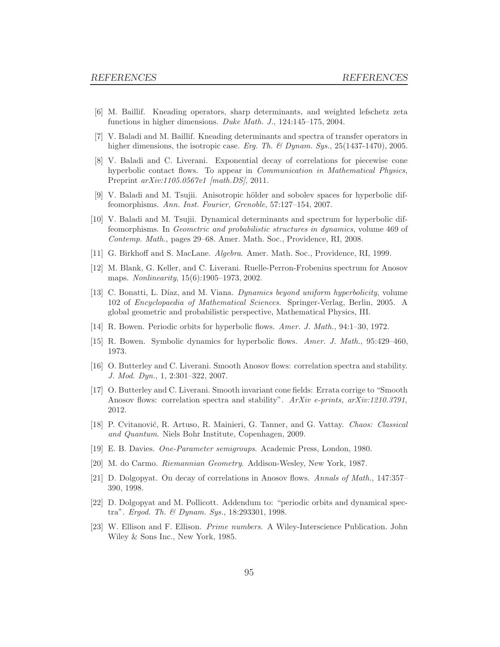- [6] M. Baillif. Kneading operators, sharp determinants, and weighted lefschetz zeta functions in higher dimensions. Duke Math. J., 124:145–175, 2004.
- [7] V. Baladi and M. Baillif. Kneading determinants and spectra of transfer operators in higher dimensions, the isotropic case. Erg. Th. & Dynam. Sys.,  $25(1437-1470)$ ,  $2005$ .
- <span id="page-94-0"></span>[8] V. Baladi and C. Liverani. Exponential decay of correlations for piecewise cone hyperbolic contact flows. To appear in Communication in Mathematical Physics, Preprint arXiv:1105.0567v1 [math.DS], 2011.
- [9] V. Baladi and M. Tsujii. Anisotropic hölder and sobolev spaces for hyperbolic diffeomorphisms. Ann. Inst. Fourier, Grenoble, 57:127–154, 2007.
- [10] V. Baladi and M. Tsujii. Dynamical determinants and spectrum for hyperbolic diffeomorphisms. In Geometric and probabilistic structures in dynamics, volume 469 of Contemp. Math., pages 29–68. Amer. Math. Soc., Providence, RI, 2008.
- [11] G. Birkhoff and S. MacLane. Algebra. Amer. Math. Soc., Providence, RI, 1999.
- [12] M. Blank, G. Keller, and C. Liverani. Ruelle-Perron-Frobenius spectrum for Anosov maps. Nonlinearity, 15(6):1905–1973, 2002.
- <span id="page-94-2"></span>[13] C. Bonatti, L. Díaz, and M. Viana. Dynamics beyond uniform hyperbolicity, volume 102 of Encyclopaedia of Mathematical Sciences. Springer-Verlag, Berlin, 2005. A global geometric and probabilistic perspective, Mathematical Physics, III.
- [14] R. Bowen. Periodic orbits for hyperbolic flows. Amer. J. Math., 94:1–30, 1972.
- [15] R. Bowen. Symbolic dynamics for hyperbolic flows. Amer. J. Math., 95:429–460, 1973.
- [16] O. Butterley and C. Liverani. Smooth Anosov flows: correlation spectra and stability. J. Mod. Dyn., 1, 2:301–322, 2007.
- [17] O. Butterley and C. Liverani. Smooth invariant cone fields: Errata corrige to "Smooth Anosov flows: correlation spectra and stability". ArXiv e-prints, arXiv:1210.3791, 2012.
- [18] P. Cvitanović, R. Artuso, R. Mainieri, G. Tanner, and G. Vattay. Chaos: Classical and Quantum. Niels Bohr Institute, Copenhagen, 2009.
- <span id="page-94-1"></span>[19] E. B. Davies. One-Parameter semigroups. Academic Press, London, 1980.
- [20] M. do Carmo. Riemannian Geometry. Addison-Wesley, New York, 1987.
- [21] D. Dolgopyat. On decay of correlations in Anosov flows. Annals of Math., 147:357– 390, 1998.
- [22] D. Dolgopyat and M. Pollicott. Addendum to: "periodic orbits and dynamical spectra". Ergod. Th. & Dynam. Sys., 18:293301, 1998.
- [23] W. Ellison and F. Ellison. Prime numbers. A Wiley-Interscience Publication. John Wiley & Sons Inc., New York, 1985.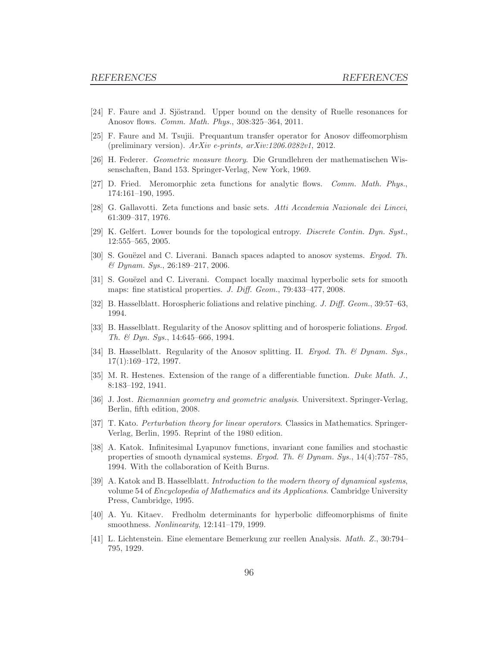- [24] F. Faure and J. Sjöstrand. Upper bound on the density of Ruelle resonances for Anosov flows. Comm. Math. Phys., 308:325–364, 2011.
- [25] F. Faure and M. Tsujii. Prequantum transfer operator for Anosov diffeomorphism (preliminary version).  $ArXiv$  e-prints,  $arXiv:1206.0282v1$ , 2012.
- <span id="page-95-3"></span>[26] H. Federer. Geometric measure theory. Die Grundlehren der mathematischen Wissenschaften, Band 153. Springer-Verlag, New York, 1969.
- [27] D. Fried. Meromorphic zeta functions for analytic flows. Comm. Math. Phys., 174:161–190, 1995.
- <span id="page-95-4"></span>[28] G. Gallavotti. Zeta functions and basic sets. Atti Accademia Nazionale dei Lincei, 61:309–317, 1976.
- [29] K. Gelfert. Lower bounds for the topological entropy. Discrete Contin. Dyn. Syst., 12:555–565, 2005.
- <span id="page-95-2"></span>[30] S. Gouëzel and C. Liverani. Banach spaces adapted to anosov systems. *Ergod. Th.* & Dynam. Sys., 26:189–217, 2006.
- <span id="page-95-5"></span>[31] S. Gouëzel and C. Liverani. Compact locally maximal hyperbolic sets for smooth maps: fine statistical properties. J. Diff. Geom., 79:433-477, 2008.
- <span id="page-95-6"></span>[32] B. Hasselblatt. Horospheric foliations and relative pinching. J. Diff. Geom., 39:57–63, 1994.
- [33] B. Hasselblatt. Regularity of the Anosov splitting and of horosperic foliations. Ergod. Th. & Dyn. Sys., 14:645–666, 1994.
- <span id="page-95-7"></span>[34] B. Hasselblatt. Regularity of the Anosov splitting. II. Ergod. Th. & Dynam. Sys., 17(1):169–172, 1997.
- [35] M. R. Hestenes. Extension of the range of a differentiable function. Duke Math. J., 8:183–192, 1941.
- <span id="page-95-1"></span>[36] J. Jost. Riemannian geometry and geometric analysis. Universitext. Springer-Verlag, Berlin, fifth edition, 2008.
- [37] T. Kato. Perturbation theory for linear operators. Classics in Mathematics. Springer-Verlag, Berlin, 1995. Reprint of the 1980 edition.
- [38] A. Katok. Infinitesimal Lyapunov functions, invariant cone families and stochastic properties of smooth dynamical systems. Ergod. Th. & Dynam. Sys.,  $14(4)$ :757–785, 1994. With the collaboration of Keith Burns.
- <span id="page-95-0"></span>[39] A. Katok and B. Hasselblatt. Introduction to the modern theory of dynamical systems, volume 54 of Encyclopedia of Mathematics and its Applications. Cambridge University Press, Cambridge, 1995.
- [40] A. Yu. Kitaev. Fredholm determinants for hyperbolic diffeomorphisms of finite smoothness. Nonlinearity, 12:141–179, 1999.
- [41] L. Lichtenstein. Eine elementare Bemerkung zur reellen Analysis. Math. Z., 30:794– 795, 1929.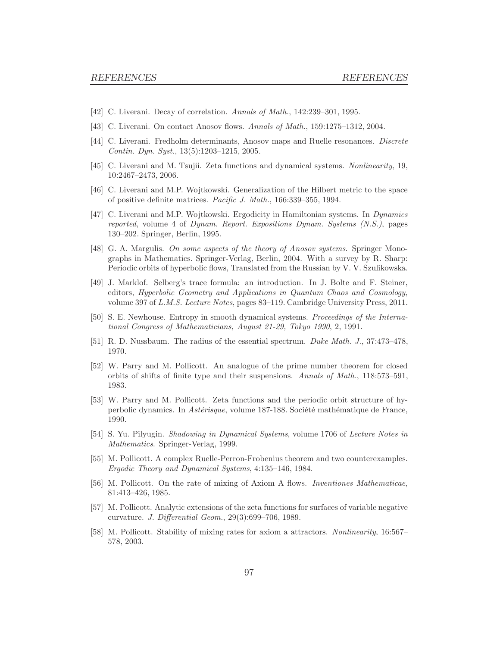- <span id="page-96-0"></span>[42] C. Liverani. Decay of correlation. Annals of Math., 142:239–301, 1995.
- <span id="page-96-1"></span>[43] C. Liverani. On contact Anosov flows. Annals of Math., 159:1275–1312, 2004.
- [44] C. Liverani. Fredholm determinants, Anosov maps and Ruelle resonances. Discrete Contin. Dyn. Syst., 13(5):1203–1215, 2005.
- <span id="page-96-3"></span>[45] C. Liverani and M. Tsujii. Zeta functions and dynamical systems. Nonlinearity, 19, 10:2467–2473, 2006.
- <span id="page-96-2"></span>[46] C. Liverani and M.P. Wojtkowski. Generalization of the Hilbert metric to the space of positive definite matrices. Pacific J. Math., 166:339–355, 1994.
- [47] C. Liverani and M.P. Wojtkowski. Ergodicity in Hamiltonian systems. In Dynamics reported, volume 4 of Dynam. Report. Expositions Dynam. Systems (N.S.), pages 130–202. Springer, Berlin, 1995.
- [48] G. A. Margulis. On some aspects of the theory of Anosov systems. Springer Monographs in Mathematics. Springer-Verlag, Berlin, 2004. With a survey by R. Sharp: Periodic orbits of hyperbolic flows, Translated from the Russian by V. V. Szulikowska.
- [49] J. Marklof. Selberg's trace formula: an introduction. In J. Bolte and F. Steiner, editors, Hyperbolic Geometry and Applications in Quantum Chaos and Cosmology, volume 397 of L.M.S. Lecture Notes, pages 83–119. Cambridge University Press, 2011.
- <span id="page-96-4"></span>[50] S. E. Newhouse. Entropy in smooth dynamical systems. Proceedings of the International Congress of Mathematicians, August 21-29, Tokyo 1990, 2, 1991.
- [51] R. D. Nussbaum. The radius of the essential spectrum. Duke Math. J., 37:473–478, 1970.
- [52] W. Parry and M. Pollicott. An analogue of the prime number theorem for closed orbits of shifts of finite type and their suspensions. Annals of Math., 118:573–591, 1983.
- [53] W. Parry and M. Pollicott. Zeta functions and the periodic orbit structure of hyperbolic dynamics. In *Astérisque*, volume 187-188. Société mathématique de France, 1990.
- [54] S. Yu. Pilyugin. Shadowing in Dynamical Systems, volume 1706 of Lecture Notes in Mathematics. Springer-Verlag, 1999.
- [55] M. Pollicott. A complex Ruelle-Perron-Frobenius theorem and two counterexamples. Ergodic Theory and Dynamical Systems, 4:135–146, 1984.
- [56] M. Pollicott. On the rate of mixing of Axiom A flows. Inventiones Mathematicae, 81:413–426, 1985.
- [57] M. Pollicott. Analytic extensions of the zeta functions for surfaces of variable negative curvature. J. Differential Geom., 29(3):699–706, 1989.
- [58] M. Pollicott. Stability of mixing rates for axiom a attractors. Nonlinearity, 16:567– 578, 2003.